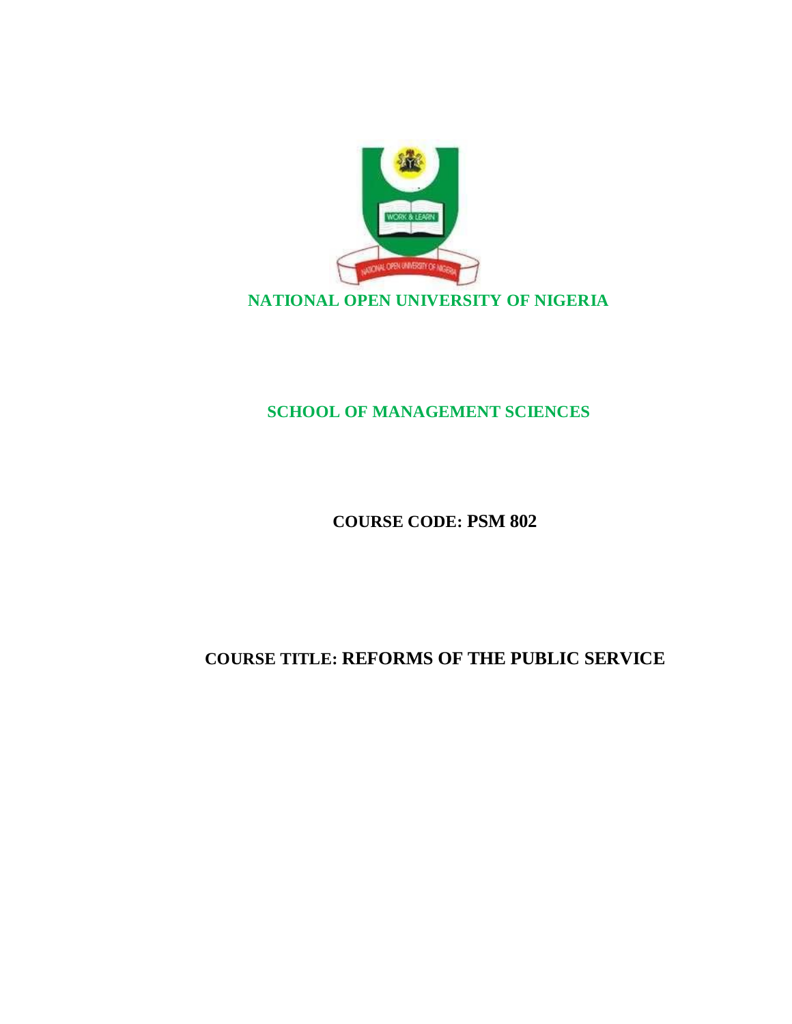

# **SCHOOL OF MANAGEMENT SCIENCES**

# **COURSE CODE: PSM 802**

# **COURSE TITLE: REFORMS OF THE PUBLIC SERVICE**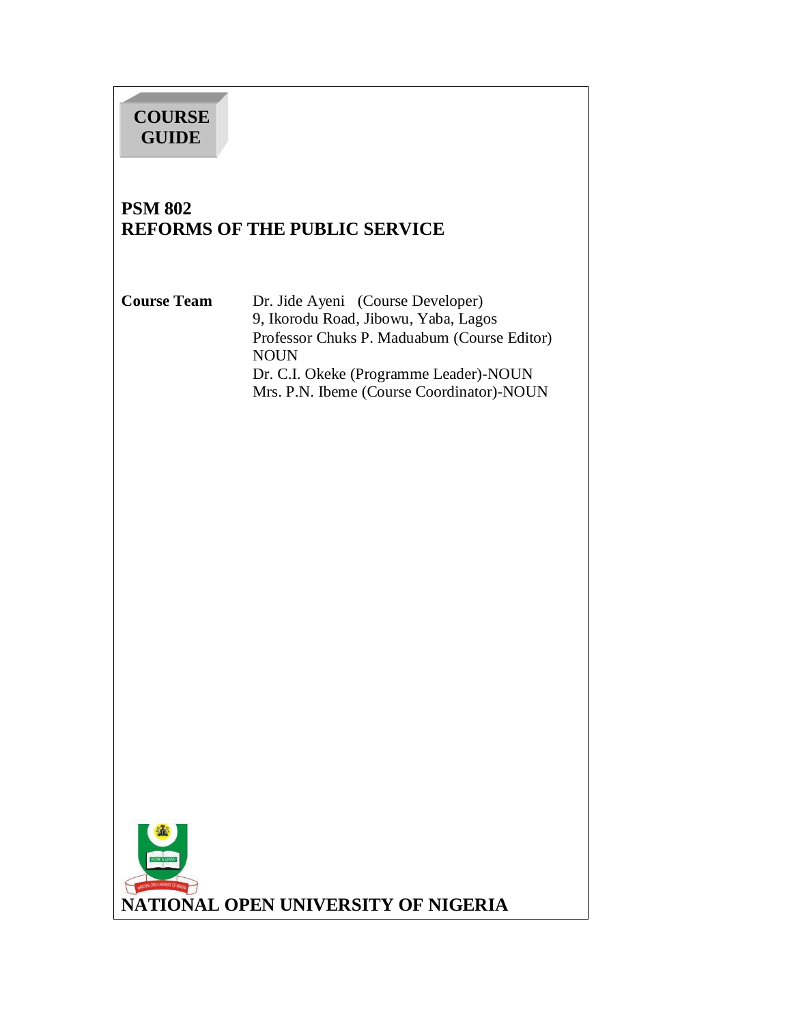# **COURSE GUIDE**

# **PSM 802 REFORMS OF THE PUBLIC SERVICE**

**Course Team** Dr. Jide Ayeni (Course Developer) 9, Ikorodu Road, Jibowu, Yaba, Lagos Professor Chuks P. Maduabum (Course Editor) NOUN Dr. C.I. Okeke (Programme Leader)-NOUN Mrs. P.N. Ibeme (Course Coordinator)-NOUN

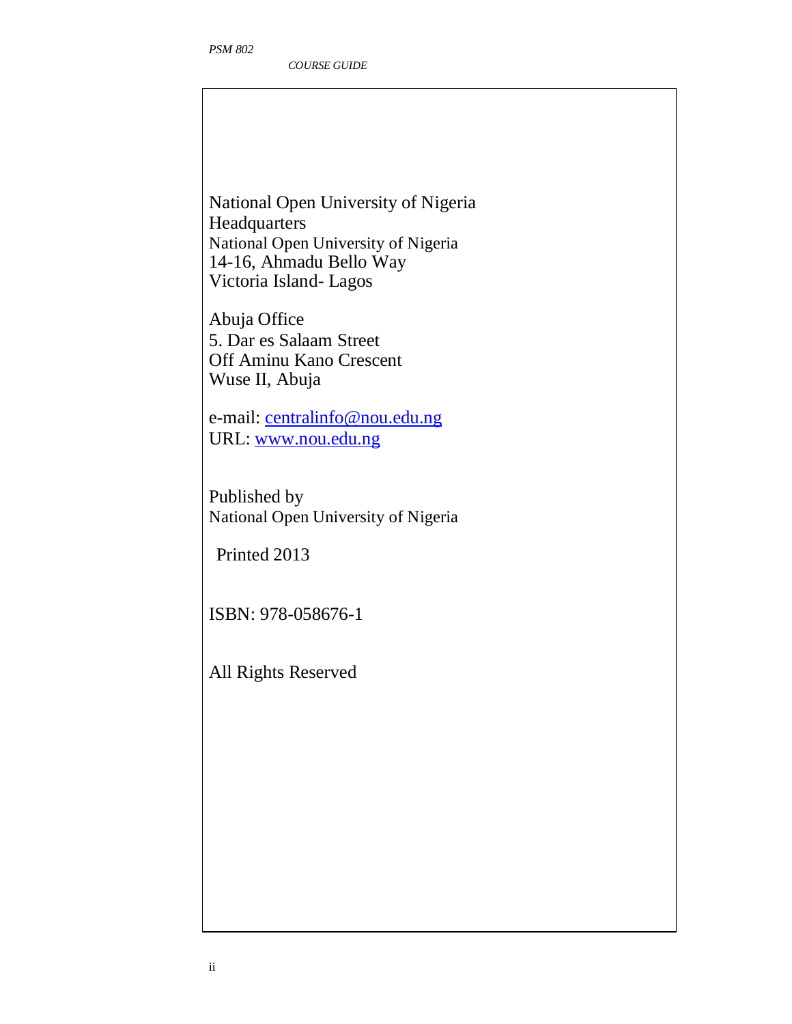National Open University of Nigeria **Headquarters** National Open University of Nigeria 14-16, Ahmadu Bello Way Victoria Island- Lagos

Abuja Office 5. Dar es Salaam Street Off Aminu Kano Crescent Wuse II, Abuja

e-mail: centralinfo@nou.edu.ng URL: www.nou.edu.ng

Published by National Open University of Nigeria

Printed 2013

ISBN: 978-058676-1

All Rights Reserved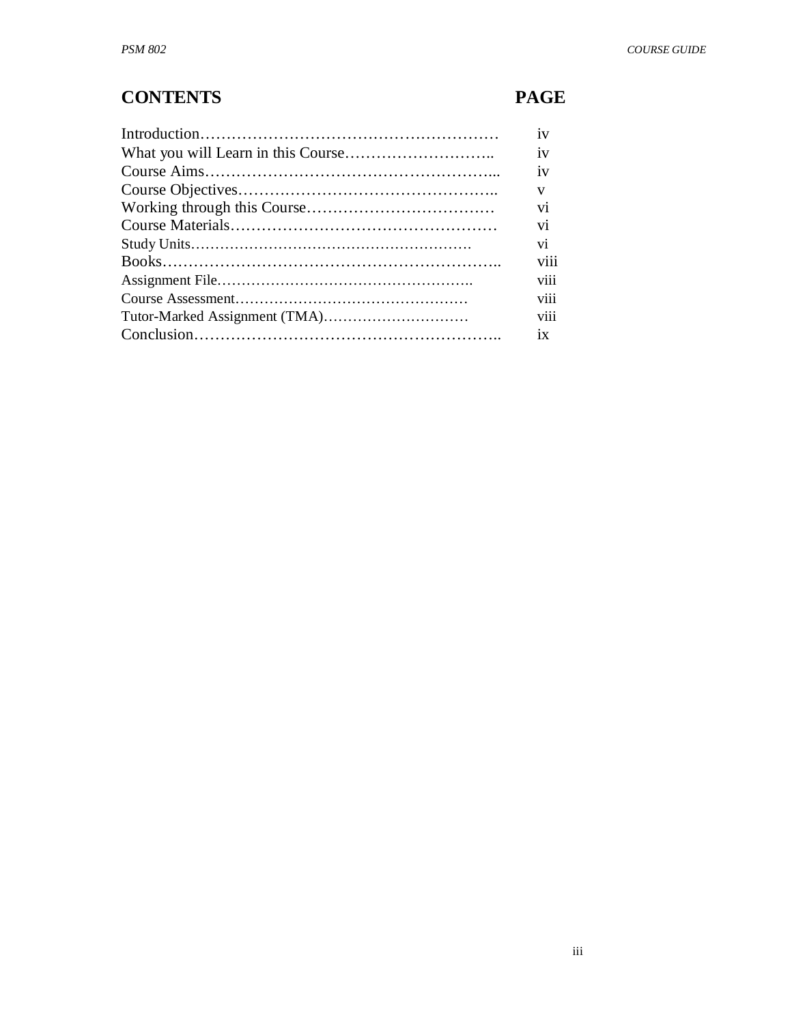# **CONTENTS PAGE**

| 1V   |
|------|
| 1V   |
| 1V   |
| V    |
| vi   |
| vi   |
| vi   |
| viii |
| viii |
| V111 |
| V111 |
| 1X   |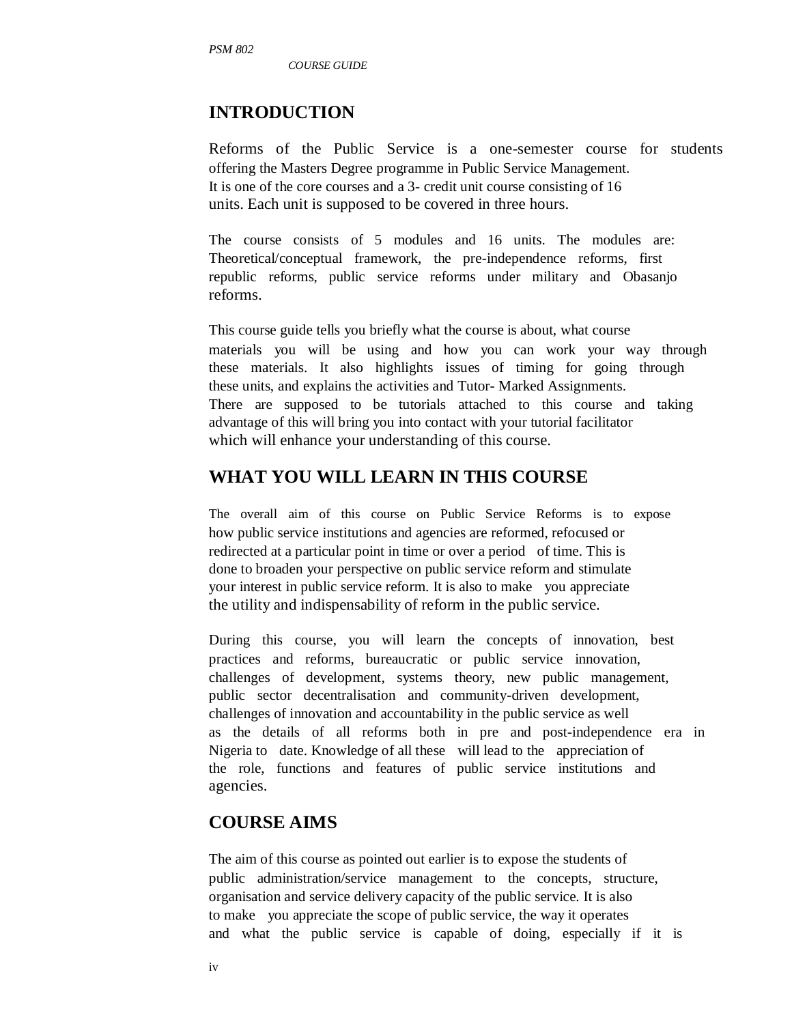*COURSE GUIDE* 

# **INTRODUCTION**

Reforms of the Public Service is a one-semester course for students offering the Masters Degree programme in Public Service Management. It is one of the core courses and a 3- credit unit course consisting of 16 units. Each unit is supposed to be covered in three hours.

The course consists of 5 modules and 16 units. The modules are: Theoretical/conceptual framework, the pre-independence reforms, first republic reforms, public service reforms under military and Obasanjo reforms.

This course guide tells you briefly what the course is about, what course materials you will be using and how you can work your way through these materials. It also highlights issues of timing for going through these units, and explains the activities and Tutor- Marked Assignments. There are supposed to be tutorials attached to this course and taking advantage of this will bring you into contact with your tutorial facilitator which will enhance your understanding of this course.

### **WHAT YOU WILL LEARN IN THIS COURSE**

The overall aim of this course on Public Service Reforms is to expose how public service institutions and agencies are reformed, refocused or redirected at a particular point in time or over a period of time. This is done to broaden your perspective on public service reform and stimulate your interest in public service reform. It is also to make you appreciate the utility and indispensability of reform in the public service.

During this course, you will learn the concepts of innovation, best practices and reforms, bureaucratic or public service innovation, challenges of development, systems theory, new public management, public sector decentralisation and community-driven development, challenges of innovation and accountability in the public service as well as the details of all reforms both in pre and post-independence era in Nigeria to date. Knowledge of all these will lead to the appreciation of the role, functions and features of public service institutions and agencies.

### **COURSE AIMS**

The aim of this course as pointed out earlier is to expose the students of public administration/service management to the concepts, structure, organisation and service delivery capacity of the public service. It is also to make you appreciate the scope of public service, the way it operates and what the public service is capable of doing, especially if it is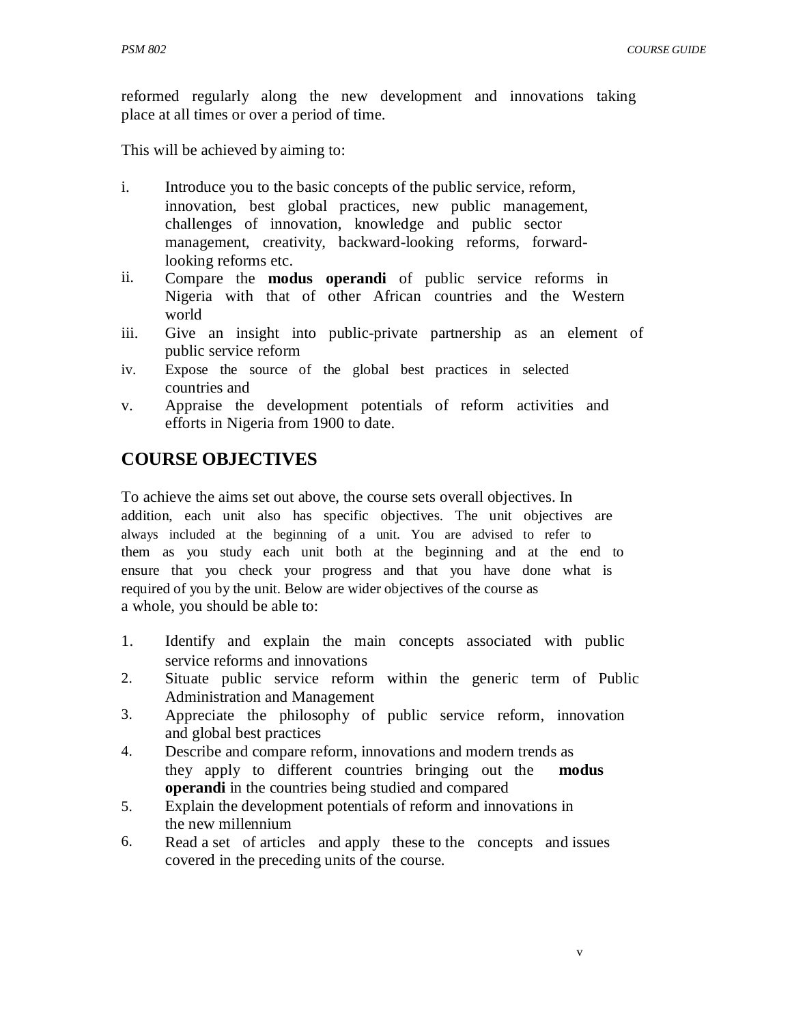reformed regularly along the new development and innovations taking place at all times or over a period of time.

This will be achieved by aiming to:

- i. Introduce you to the basic concepts of the public service, reform, innovation, best global practices, new public management, challenges of innovation, knowledge and public sector management, creativity, backward-looking reforms, forwardlooking reforms etc.
- ii. Compare the **modus operandi** of public service reforms in Nigeria with that of other African countries and the Western world
- iii. Give an insight into public-private partnership as an element of public service reform
- iv. Expose the source of the global best practices in selected countries and
- v. Appraise the development potentials of reform activities and efforts in Nigeria from 1900 to date.

# **COURSE OBJECTIVES**

To achieve the aims set out above, the course sets overall objectives. In addition, each unit also has specific objectives. The unit objectives are always included at the beginning of a unit. You are advised to refer to them as you study each unit both at the beginning and at the end to ensure that you check your progress and that you have done what is required of you by the unit. Below are wider objectives of the course as a whole, you should be able to:

- 1. Identify and explain the main concepts associated with public service reforms and innovations
- 2. Situate public service reform within the generic term of Public Administration and Management
- 3. Appreciate the philosophy of public service reform, innovation and global best practices
- 4. Describe and compare reform, innovations and modern trends as they apply to different countries bringing out the **modus operandi** in the countries being studied and compared
- 5. Explain the development potentials of reform and innovations in the new millennium
- 6. Read a set of articles and apply these to the concepts and issues covered in the preceding units of the course.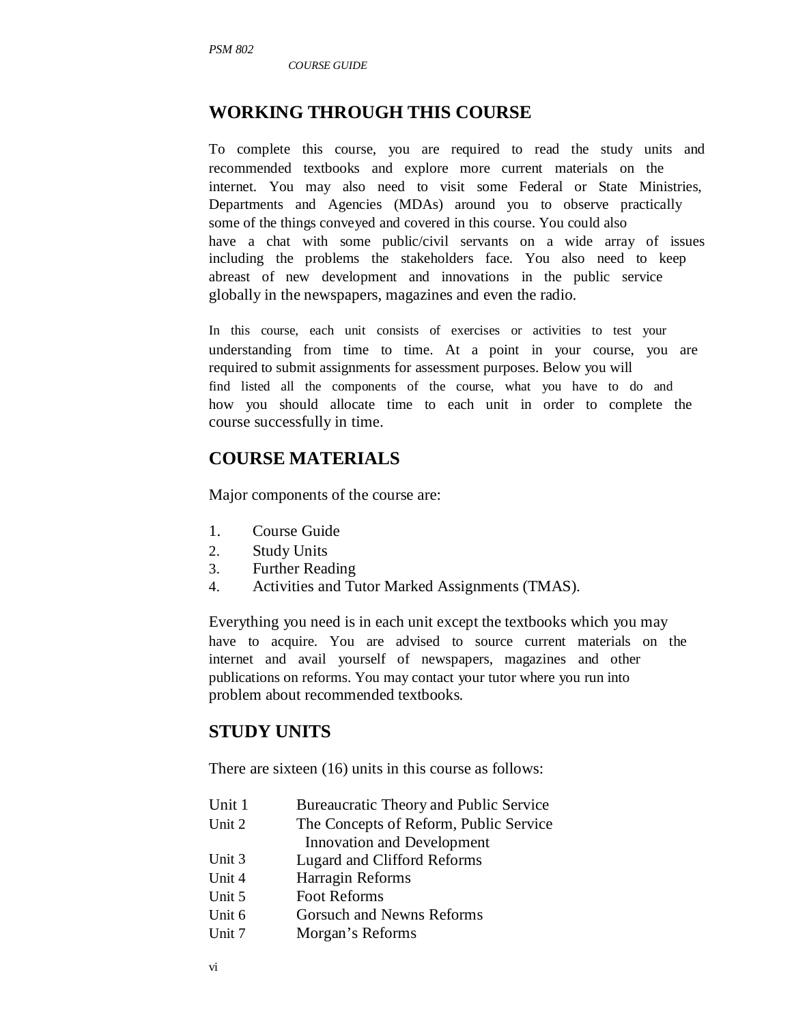*COURSE GUIDE* 

# **WORKING THROUGH THIS COURSE**

To complete this course, you are required to read the study units and recommended textbooks and explore more current materials on the internet. You may also need to visit some Federal or State Ministries, Departments and Agencies (MDAs) around you to observe practically some of the things conveyed and covered in this course. You could also have a chat with some public/civil servants on a wide array of issues including the problems the stakeholders face. You also need to keep abreast of new development and innovations in the public service globally in the newspapers, magazines and even the radio.

In this course, each unit consists of exercises or activities to test your understanding from time to time. At a point in your course, you are required to submit assignments for assessment purposes. Below you will find listed all the components of the course, what you have to do and how you should allocate time to each unit in order to complete the course successfully in time.

# **COURSE MATERIALS**

Major components of the course are:

- 1. Course Guide
- 2. Study Units
- 3. Further Reading
- 4. Activities and Tutor Marked Assignments (TMAS).

Everything you need is in each unit except the textbooks which you may have to acquire. You are advised to source current materials on the internet and avail yourself of newspapers, magazines and other publications on reforms. You may contact your tutor where you run into problem about recommended textbooks.

# **STUDY UNITS**

There are sixteen (16) units in this course as follows:

| Unit 1 | Bureaucratic Theory and Public Service |
|--------|----------------------------------------|
| Unit 2 | The Concepts of Reform, Public Service |
|        | Innovation and Development             |
| Unit 3 | Lugard and Clifford Reforms            |
| Unit 4 | Harragin Reforms                       |
| Unit 5 | <b>Foot Reforms</b>                    |
| Unit 6 | Gorsuch and Newns Reforms              |
| Unit 7 | Morgan's Reforms                       |
|        |                                        |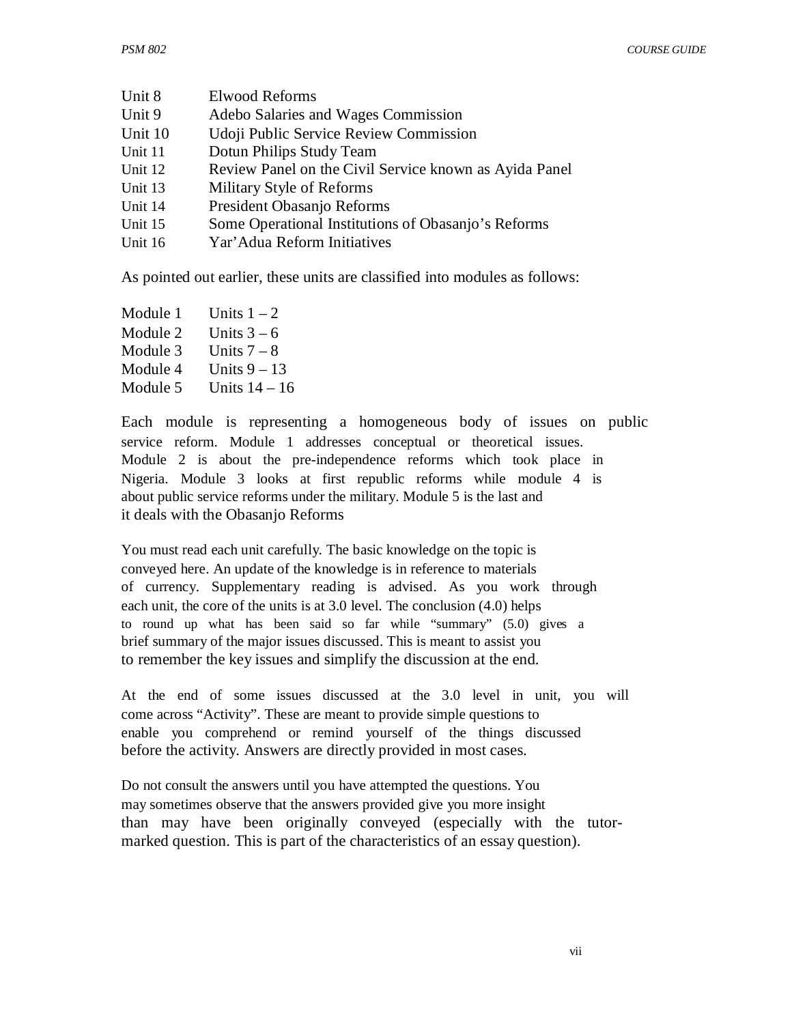| Unit 8  | <b>Elwood Reforms</b>                                  |
|---------|--------------------------------------------------------|
| Unit 9  | Adebo Salaries and Wages Commission                    |
| Unit 10 | Udoji Public Service Review Commission                 |
| Unit 11 | Dotun Philips Study Team                               |
| Unit 12 | Review Panel on the Civil Service known as Ayida Panel |
| Unit 13 | Military Style of Reforms                              |
| Unit 14 | President Obasanjo Reforms                             |
| Unit 15 | Some Operational Institutions of Obasanjo's Reforms    |
| Unit 16 | Yar' Adua Reform Initiatives                           |
|         |                                                        |

As pointed out earlier, these units are classified into modules as follows:

| Module 1 | Units $1 - 2$  |
|----------|----------------|
| Module 2 | Units $3-6$    |
| Module 3 | Units $7 - 8$  |
| Module 4 | Units $9 - 13$ |
| Module 5 | Units $14-16$  |
|          |                |

Each module is representing a homogeneous body of issues on public service reform. Module 1 addresses conceptual or theoretical issues. Module 2 is about the pre-independence reforms which took place in Nigeria. Module 3 looks at first republic reforms while module 4 is about public service reforms under the military. Module 5 is the last and it deals with the Obasanjo Reforms

You must read each unit carefully. The basic knowledge on the topic is conveyed here. An update of the knowledge is in reference to materials of currency. Supplementary reading is advised. As you work through each unit, the core of the units is at 3.0 level. The conclusion (4.0) helps to round up what has been said so far while "summary" (5.0) gives a brief summary of the major issues discussed. This is meant to assist you to remember the key issues and simplify the discussion at the end.

At the end of some issues discussed at the 3.0 level in unit, you will come across "Activity". These are meant to provide simple questions to enable you comprehend or remind yourself of the things discussed before the activity. Answers are directly provided in most cases.

Do not consult the answers until you have attempted the questions. You may sometimes observe that the answers provided give you more insight than may have been originally conveyed (especially with the tutormarked question. This is part of the characteristics of an essay question).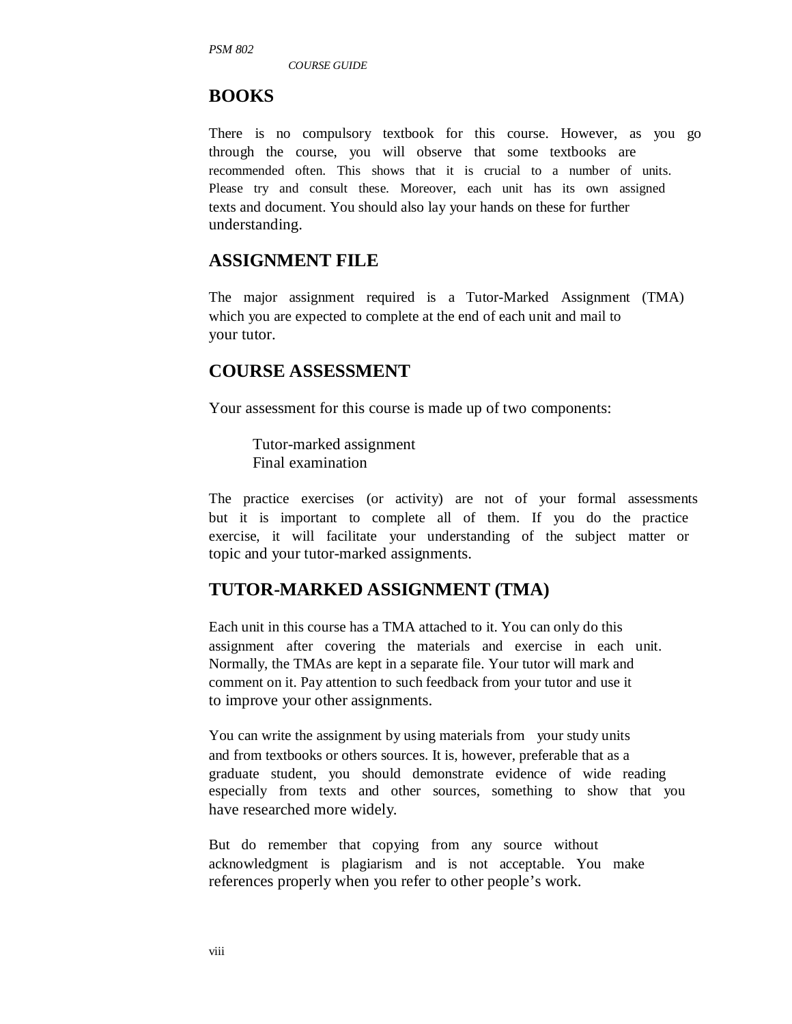*PSM 802* 

*COURSE GUIDE* 

#### **BOOKS**

There is no compulsory textbook for this course. However, as you go through the course, you will observe that some textbooks are recommended often. This shows that it is crucial to a number of units. Please try and consult these. Moreover, each unit has its own assigned texts and document. You should also lay your hands on these for further understanding.

#### **ASSIGNMENT FILE**

The major assignment required is a Tutor-Marked Assignment (TMA) which you are expected to complete at the end of each unit and mail to your tutor.

#### **COURSE ASSESSMENT**

Your assessment for this course is made up of two components:

Tutor-marked assignment Final examination

The practice exercises (or activity) are not of your formal assessments but it is important to complete all of them. If you do the practice exercise, it will facilitate your understanding of the subject matter or topic and your tutor-marked assignments.

# **TUTOR-MARKED ASSIGNMENT (TMA)**

Each unit in this course has a TMA attached to it. You can only do this assignment after covering the materials and exercise in each unit. Normally, the TMAs are kept in a separate file. Your tutor will mark and comment on it. Pay attention to such feedback from your tutor and use it to improve your other assignments.

You can write the assignment by using materials from your study units and from textbooks or others sources. It is, however, preferable that as a graduate student, you should demonstrate evidence of wide reading especially from texts and other sources, something to show that you have researched more widely.

But do remember that copying from any source without acknowledgment is plagiarism and is not acceptable. You make references properly when you refer to other people's work.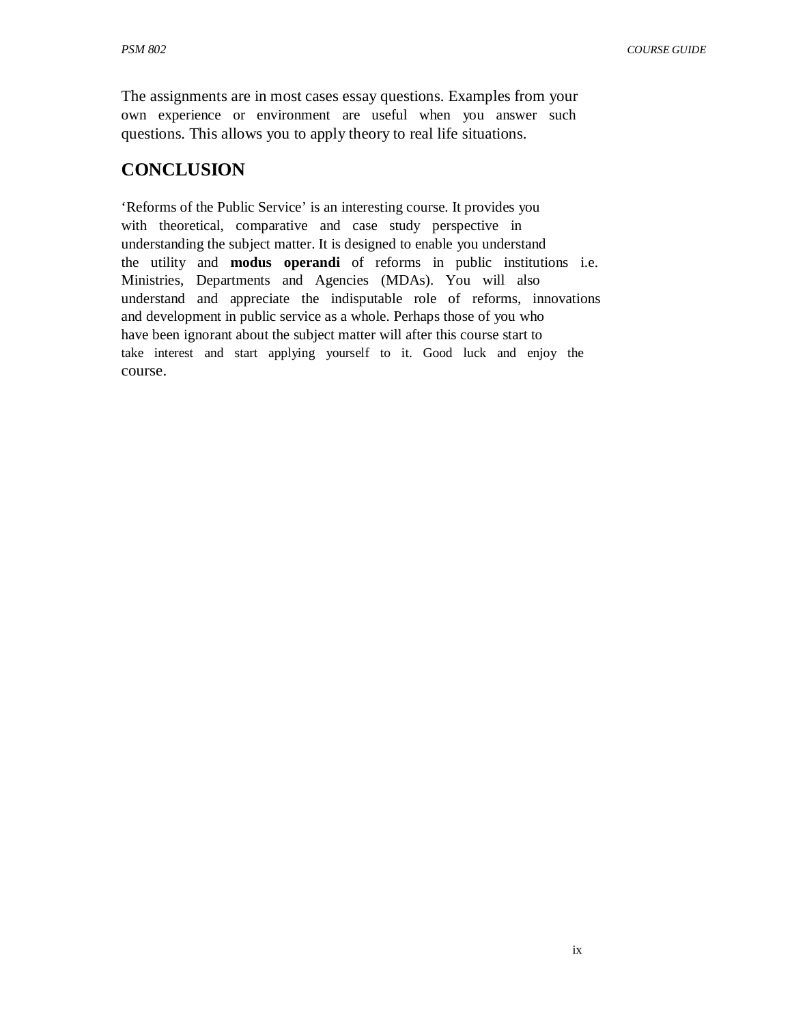The assignments are in most cases essay questions. Examples from your own experience or environment are useful when you answer such questions. This allows you to apply theory to real life situations.

# **CONCLUSION**

'Reforms of the Public Service' is an interesting course. It provides you with theoretical, comparative and case study perspective in understanding the subject matter. It is designed to enable you understand the utility and **modus operandi** of reforms in public institutions i.e. Ministries, Departments and Agencies (MDAs). You will also understand and appreciate the indisputable role of reforms, innovations and development in public service as a whole. Perhaps those of you who have been ignorant about the subject matter will after this course start to take interest and start applying yourself to it. Good luck and enjoy the course.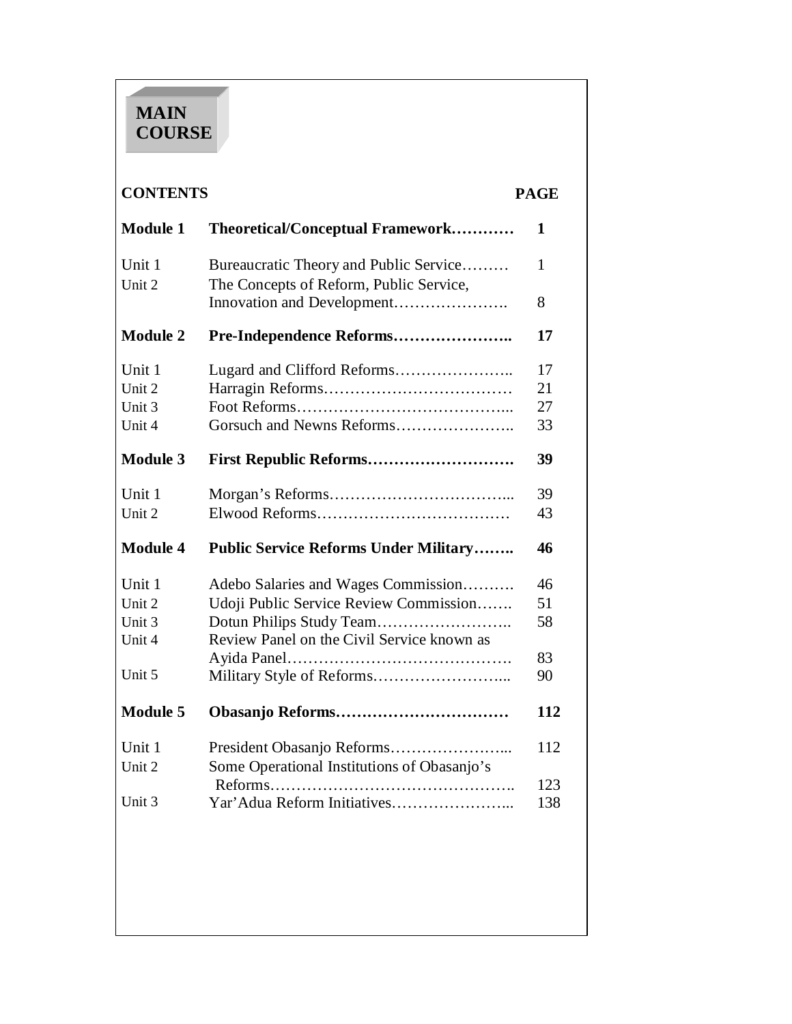# **MAIN COURSE**

#### **CONTENTS PAGE**

| <b>Module 1</b>  | Theoretical/Conceptual Framework                                                  | 1          |
|------------------|-----------------------------------------------------------------------------------|------------|
| Unit 1<br>Unit 2 | Bureaucratic Theory and Public Service<br>The Concepts of Reform, Public Service, | 1          |
|                  | Innovation and Development                                                        | 8          |
| <b>Module 2</b>  |                                                                                   | 17         |
| Unit 1           |                                                                                   | 17         |
| Unit 2           |                                                                                   | 21         |
| Unit 3           |                                                                                   | 27         |
| Unit 4           |                                                                                   | 33         |
| <b>Module 3</b>  |                                                                                   | 39         |
| Unit 1           |                                                                                   | 39         |
| Unit 2           |                                                                                   | 43         |
| <b>Module 4</b>  | <b>Public Service Reforms Under Military</b>                                      | 46         |
| Unit 1           | Adebo Salaries and Wages Commission                                               | 46         |
| Unit 2           | Udoji Public Service Review Commission                                            | 51         |
| Unit 3           |                                                                                   | 58         |
| Unit 4           | Review Panel on the Civil Service known as                                        |            |
|                  | Ayida Panel                                                                       | 83         |
| Unit 5           |                                                                                   | 90         |
| <b>Module 5</b>  |                                                                                   | 112        |
| Unit 1           |                                                                                   | 112        |
| Unit 2           | Some Operational Institutions of Obasanjo's                                       |            |
| Unit 3           |                                                                                   | 123<br>138 |
|                  |                                                                                   |            |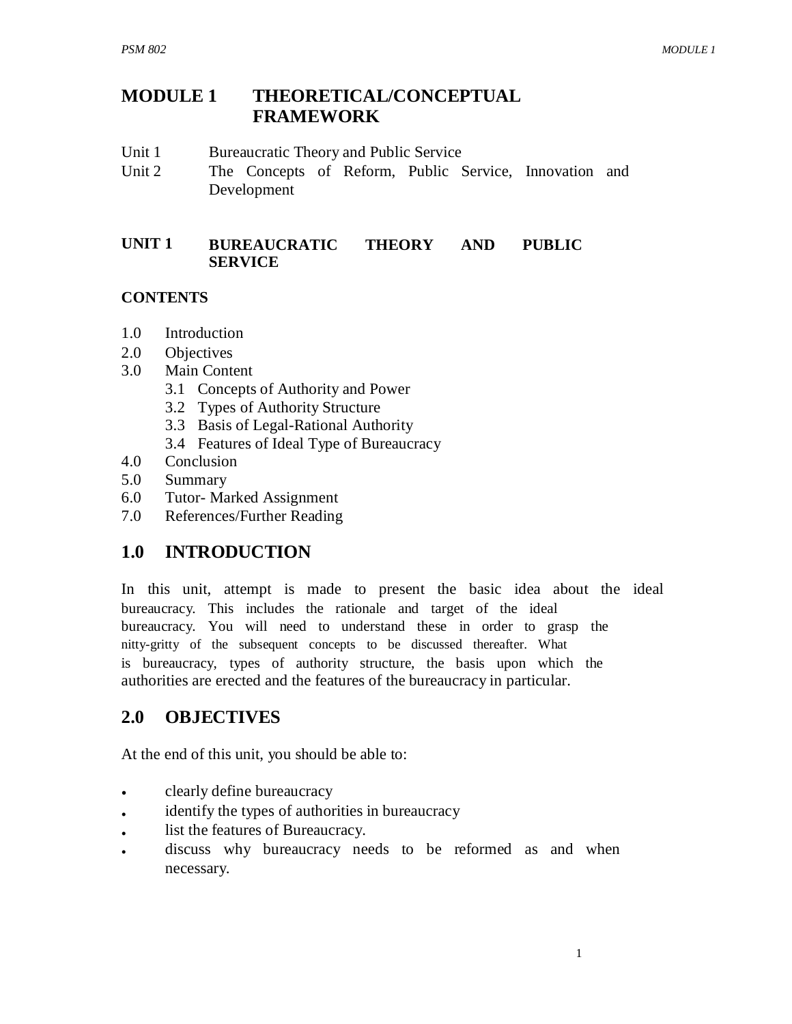#### **MODULE 1 THEORETICAL/CONCEPTUAL FRAMEWORK**

- Unit 1 Bureaucratic Theory and Public Service
- Unit 2 The Concepts of Reform, Public Service, Innovation and Development

#### **UNIT 1 BUREAUCRATIC THEORY AND PUBLIC SERVICE**

#### **CONTENTS**

- 1.0 Introduction
- 2.0 Objectives
- 3.0 Main Content
	- 3.1 Concepts of Authority and Power
	- 3.2 Types of Authority Structure
	- 3.3 Basis of Legal-Rational Authority
	- 3.4 Features of Ideal Type of Bureaucracy
- 4.0 Conclusion
- 5.0 Summary
- 6.0 Tutor- Marked Assignment
- 7.0 References/Further Reading

# **1.0 INTRODUCTION**

In this unit, attempt is made to present the basic idea about the ideal bureaucracy. This includes the rationale and target of the ideal bureaucracy. You will need to understand these in order to grasp the nitty-gritty of the subsequent concepts to be discussed thereafter. What is bureaucracy, types of authority structure, the basis upon which the authorities are erected and the features of the bureaucracy in particular.

# **2.0 OBJECTIVES**

At the end of this unit, you should be able to:

- clearly define bureaucracy
- identify the types of authorities in bureaucracy
- list the features of Bureaucracy.
- discuss why bureaucracy needs to be reformed as and when necessary.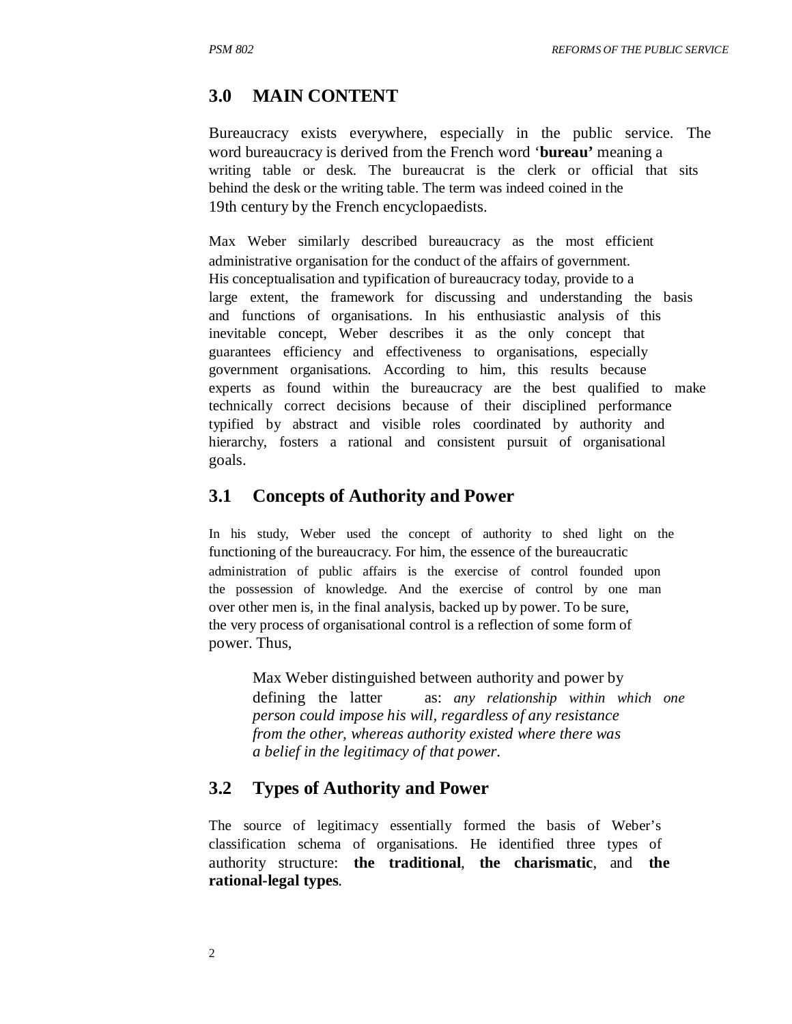#### **3.0 MAIN CONTENT**

Bureaucracy exists everywhere, especially in the public service. The word bureaucracy is derived from the French word '**bureau'** meaning a writing table or desk. The bureaucrat is the clerk or official that sits behind the desk or the writing table. The term was indeed coined in the 19th century by the French encyclopaedists.

Max Weber similarly described bureaucracy as the most efficient administrative organisation for the conduct of the affairs of government. His conceptualisation and typification of bureaucracy today, provide to a large extent, the framework for discussing and understanding the basis and functions of organisations. In his enthusiastic analysis of this inevitable concept, Weber describes it as the only concept that guarantees efficiency and effectiveness to organisations, especially government organisations. According to him, this results because experts as found within the bureaucracy are the best qualified to make technically correct decisions because of their disciplined performance typified by abstract and visible roles coordinated by authority and hierarchy, fosters a rational and consistent pursuit of organisational goals.

#### **3.1 Concepts of Authority and Power**

In his study, Weber used the concept of authority to shed light on the functioning of the bureaucracy. For him, the essence of the bureaucratic administration of public affairs is the exercise of control founded upon the possession of knowledge. And the exercise of control by one man over other men is, in the final analysis, backed up by power. To be sure, the very process of organisational control is a reflection of some form of power. Thus,

Max Weber distinguished between authority and power by defining the latter as: *any relationship within which one person could impose his will, regardless of any resistance from the other, whereas authority existed where there was a belief in the legitimacy of that power.* 

#### **3.2 Types of Authority and Power**

The source of legitimacy essentially formed the basis of Weber's classification schema of organisations. He identified three types of authority structure: **the traditional**, **the charismatic**, and **the rational-legal types**.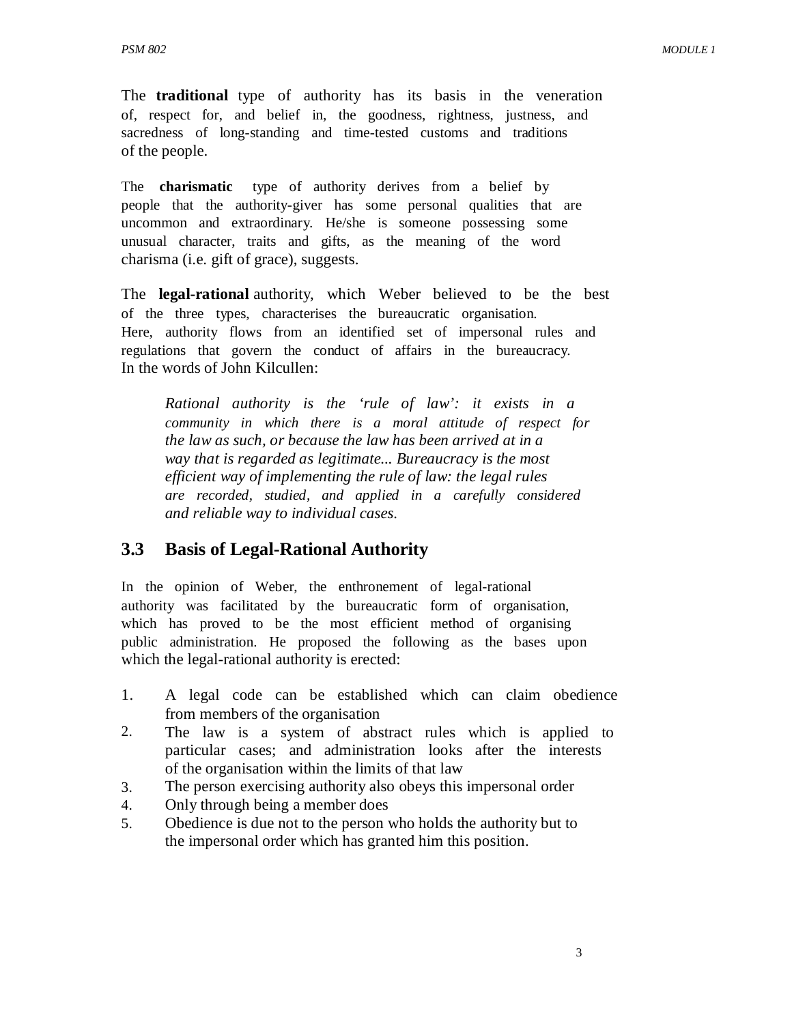The **traditional** type of authority has its basis in the veneration of, respect for, and belief in, the goodness, rightness, justness, and sacredness of long-standing and time-tested customs and traditions of the people.

The **charismatic** type of authority derives from a belief by people that the authority-giver has some personal qualities that are uncommon and extraordinary. He/she is someone possessing some unusual character, traits and gifts, as the meaning of the word charisma (i.e. gift of grace), suggests.

The **legal-rational** authority, which Weber believed to be the best of the three types, characterises the bureaucratic organisation. Here, authority flows from an identified set of impersonal rules and regulations that govern the conduct of affairs in the bureaucracy. In the words of John Kilcullen:

*Rational authority is the 'rule of law': it exists in a community in which there is a moral attitude of respect for the law as such, or because the law has been arrived at in a way that is regarded as legitimate... Bureaucracy is the most efficient way of implementing the rule of law: the legal rules are recorded, studied, and applied in a carefully considered and reliable way to individual cases.* 

# **3.3 Basis of Legal-Rational Authority**

In the opinion of Weber, the enthronement of legal-rational authority was facilitated by the bureaucratic form of organisation, which has proved to be the most efficient method of organising public administration. He proposed the following as the bases upon which the legal-rational authority is erected:

- 1. A legal code can be established which can claim obedience from members of the organisation
- 2. The law is a system of abstract rules which is applied to particular cases; and administration looks after the interests of the organisation within the limits of that law
- 3. The person exercising authority also obeys this impersonal order
- 4. Only through being a member does
- 5. Obedience is due not to the person who holds the authority but to the impersonal order which has granted him this position.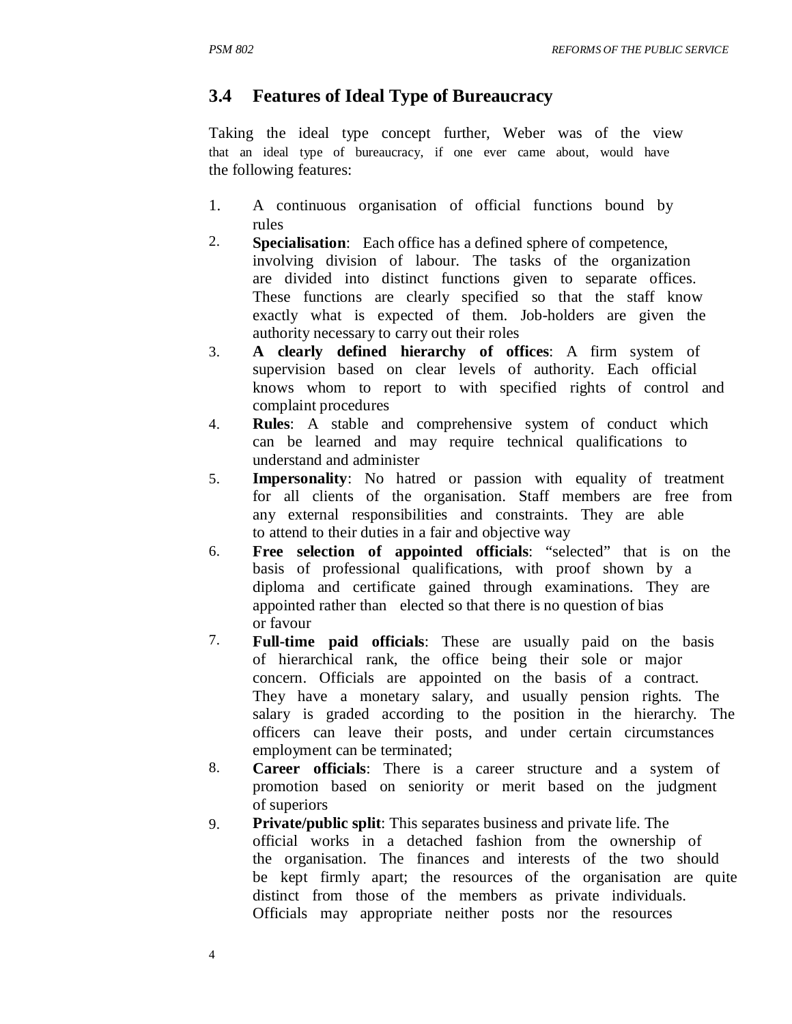# **3.4 Features of Ideal Type of Bureaucracy**

Taking the ideal type concept further, Weber was of the view that an ideal type of bureaucracy, if one ever came about, would have the following features:

- 1. A continuous organisation of official functions bound by rules
- 2. **Specialisation**: Each office has a defined sphere of competence, involving division of labour. The tasks of the organization are divided into distinct functions given to separate offices. These functions are clearly specified so that the staff know exactly what is expected of them. Job-holders are given the authority necessary to carry out their roles
- 3. **A clearly defined hierarchy of offices**: A firm system of supervision based on clear levels of authority. Each official knows whom to report to with specified rights of control and complaint procedures
- 4. **Rules**: A stable and comprehensive system of conduct which can be learned and may require technical qualifications to understand and administer
- 5. **Impersonality**: No hatred or passion with equality of treatment for all clients of the organisation. Staff members are free from any external responsibilities and constraints. They are able to attend to their duties in a fair and objective way
- 6. **Free selection of appointed officials**: "selected" that is on the basis of professional qualifications, with proof shown by a diploma and certificate gained through examinations. They are appointed rather than elected so that there is no question of bias or favour
- 7. **Full-time paid officials**: These are usually paid on the basis of hierarchical rank, the office being their sole or major concern. Officials are appointed on the basis of a contract. They have a monetary salary, and usually pension rights. The salary is graded according to the position in the hierarchy. The officers can leave their posts, and under certain circumstances employment can be terminated;
- 8. **Career officials**: There is a career structure and a system of promotion based on seniority or merit based on the judgment of superiors
- 9. **Private/public split:** This separates business and private life. The official works in a detached fashion from the ownership of the organisation. The finances and interests of the two should be kept firmly apart; the resources of the organisation are quite distinct from those of the members as private individuals. Officials may appropriate neither posts nor the resources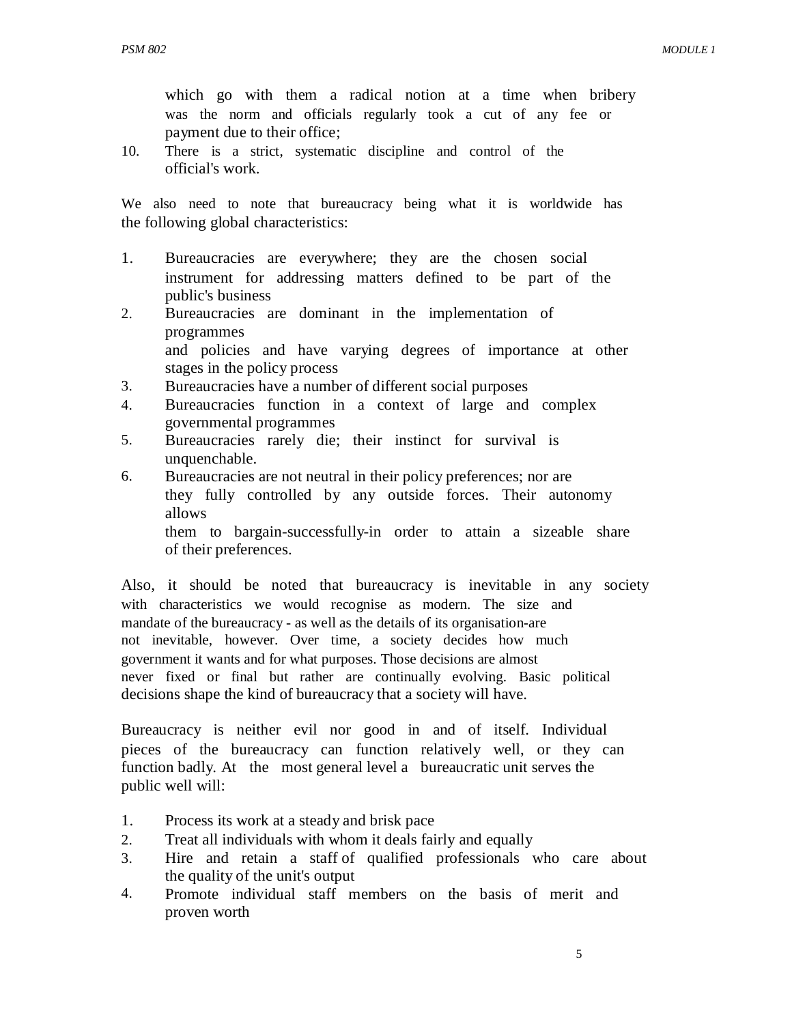which go with them a radical notion at a time when bribery was the norm and officials regularly took a cut of any fee or payment due to their office;

10. There is a strict, systematic discipline and control of the official's work.

We also need to note that bureaucracy being what it is worldwide has the following global characteristics:

- 1. Bureaucracies are everywhere; they are the chosen social instrument for addressing matters defined to be part of the public's business
- 2. Bureaucracies are dominant in the implementation of programmes and policies and have varying degrees of importance at other stages in the policy process
- 3. Bureaucracies have a number of different social purposes
- 4. Bureaucracies function in a context of large and complex governmental programmes
- 5. Bureaucracies rarely die; their instinct for survival is unquenchable.
- 6. Bureaucracies are not neutral in their policy preferences; nor are they fully controlled by any outside forces. Their autonomy allows them to bargain-successfully-in order to attain a sizeable share of their preferences.

Also, it should be noted that bureaucracy is inevitable in any society with characteristics we would recognise as modern. The size and mandate of the bureaucracy - as well as the details of its organisation-are not inevitable, however. Over time, a society decides how much government it wants and for what purposes. Those decisions are almost never fixed or final but rather are continually evolving. Basic political decisions shape the kind of bureaucracy that a society will have.

Bureaucracy is neither evil nor good in and of itself. Individual pieces of the bureaucracy can function relatively well, or they can function badly. At the most general level a bureaucratic unit serves the public well will:

- 1. Process its work at a steady and brisk pace
- 2. Treat all individuals with whom it deals fairly and equally
- 3. Hire and retain a staff of qualified professionals who care about the quality of the unit's output
- 4. Promote individual staff members on the basis of merit and proven worth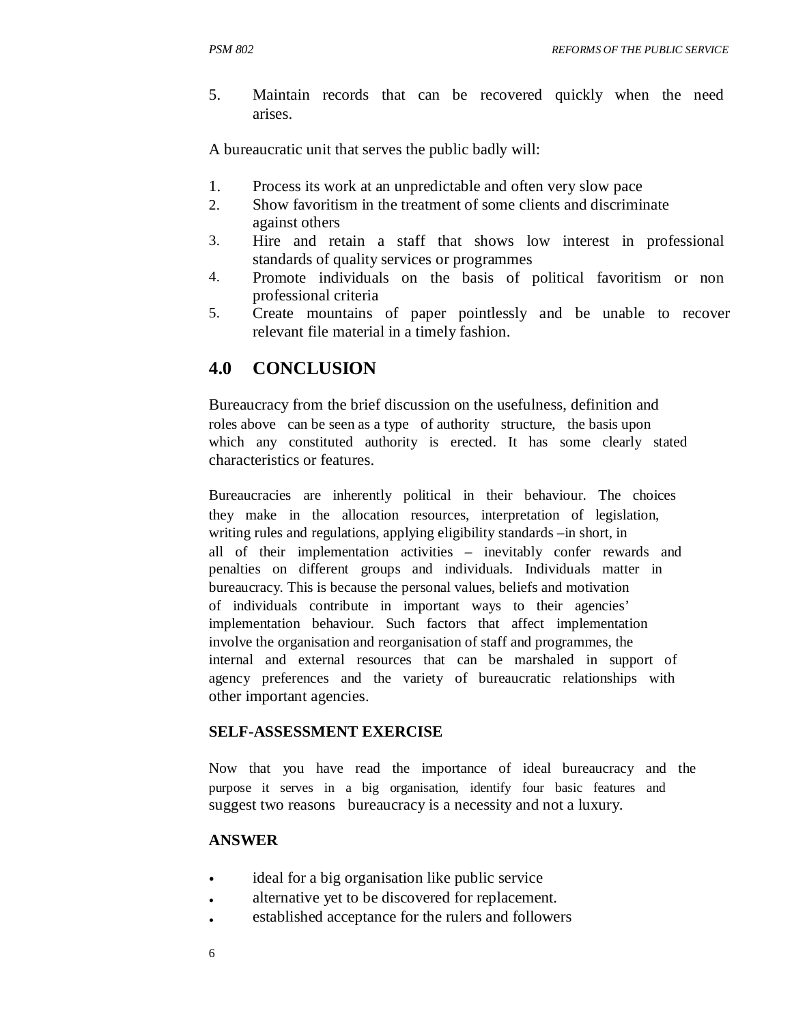5. Maintain records that can be recovered quickly when the need arises.

A bureaucratic unit that serves the public badly will:

- 1. Process its work at an unpredictable and often very slow pace
- 2. Show favoritism in the treatment of some clients and discriminate against others
- 3. Hire and retain a staff that shows low interest in professional standards of quality services or programmes
- 4. Promote individuals on the basis of political favoritism or non professional criteria
- 5. Create mountains of paper pointlessly and be unable to recover relevant file material in a timely fashion.

# **4.0 CONCLUSION**

Bureaucracy from the brief discussion on the usefulness, definition and roles above can be seen as a type of authority structure, the basis upon which any constituted authority is erected. It has some clearly stated characteristics or features.

Bureaucracies are inherently political in their behaviour. The choices they make in the allocation resources, interpretation of legislation, writing rules and regulations, applying eligibility standards –in short, in all of their implementation activities – inevitably confer rewards and penalties on different groups and individuals. Individuals matter in bureaucracy. This is because the personal values, beliefs and motivation of individuals contribute in important ways to their agencies' implementation behaviour. Such factors that affect implementation involve the organisation and reorganisation of staff and programmes, the internal and external resources that can be marshaled in support of agency preferences and the variety of bureaucratic relationships with other important agencies.

#### **SELF-ASSESSMENT EXERCISE**

Now that you have read the importance of ideal bureaucracy and the purpose it serves in a big organisation, identify four basic features and suggest two reasons bureaucracy is a necessity and not a luxury.

#### **ANSWER**

- ideal for a big organisation like public service
- alternative yet to be discovered for replacement.
- established acceptance for the rulers and followers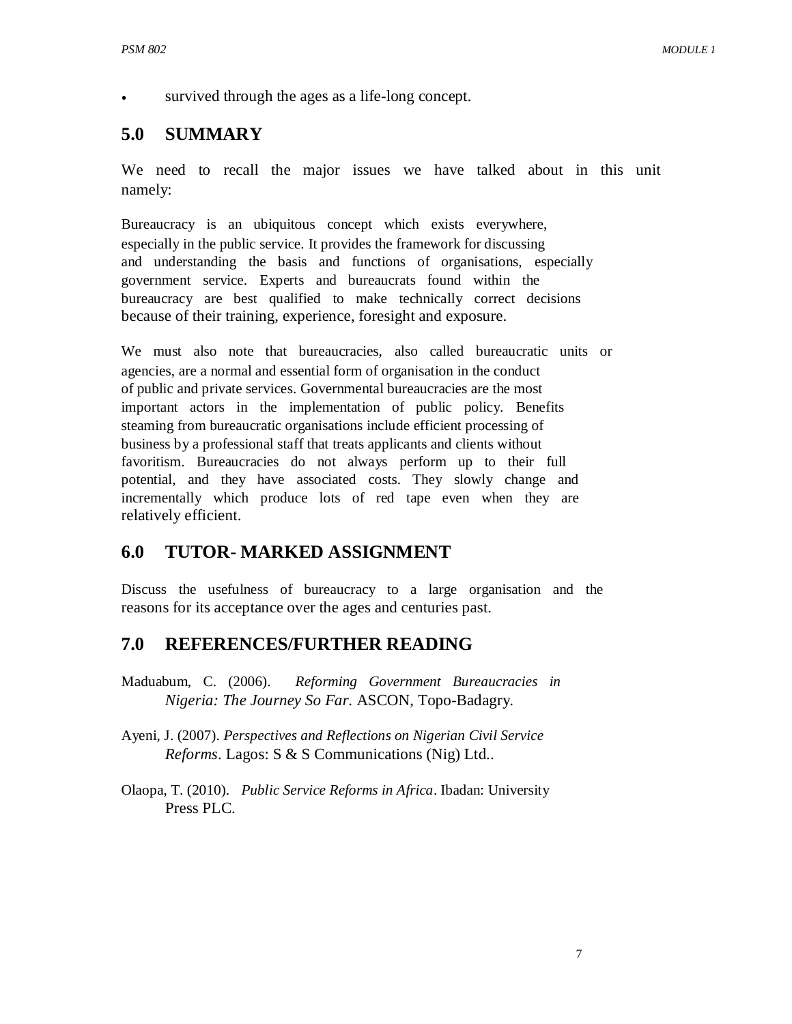survived through the ages as a life-long concept.

#### **5.0 SUMMARY**

We need to recall the major issues we have talked about in this unit namely:

Bureaucracy is an ubiquitous concept which exists everywhere, especially in the public service. It provides the framework for discussing and understanding the basis and functions of organisations, especially government service. Experts and bureaucrats found within the bureaucracy are best qualified to make technically correct decisions because of their training, experience, foresight and exposure.

We must also note that bureaucracies, also called bureaucratic units or agencies, are a normal and essential form of organisation in the conduct of public and private services. Governmental bureaucracies are the most important actors in the implementation of public policy. Benefits steaming from bureaucratic organisations include efficient processing of business by a professional staff that treats applicants and clients without favoritism. Bureaucracies do not always perform up to their full potential, and they have associated costs. They slowly change and incrementally which produce lots of red tape even when they are relatively efficient.

#### **6.0 TUTOR- MARKED ASSIGNMENT**

Discuss the usefulness of bureaucracy to a large organisation and the reasons for its acceptance over the ages and centuries past.

#### **7.0 REFERENCES/FURTHER READING**

- Maduabum, C. (2006). *Reforming Government Bureaucracies in Nigeria: The Journey So Far*. ASCON, Topo-Badagry.
- Ayeni, J. (2007). *Perspectives and Reflections on Nigerian Civil Service Reforms*. Lagos: S & S Communications (Nig) Ltd..
- Olaopa, T. (2010). *Public Service Reforms in Africa*. Ibadan: University Press PLC.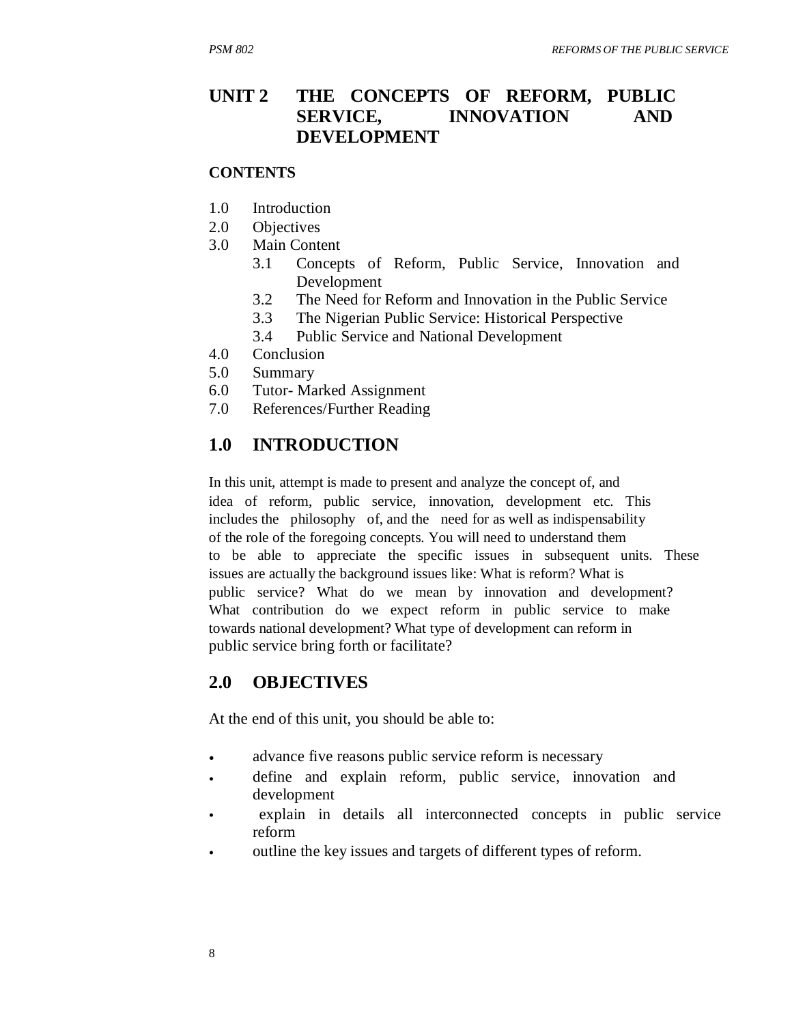#### **UNIT 2 THE CONCEPTS OF REFORM, PUBLIC SERVICE, DEVELOPMENT INNOVATION AND**

#### **CONTENTS**

- 1.0 Introduction
- 2.0 Objectives
- 3.0 Main Content
	- 3.1 Concepts of Reform, Public Service, Innovation and Development
	- 3.2 The Need for Reform and Innovation in the Public Service
	- 3.3 The Nigerian Public Service: Historical Perspective
	- 3.4 Public Service and National Development
- 4.0 Conclusion
- 5.0 Summary
- 6.0 Tutor- Marked Assignment
- 7.0 References/Further Reading

### **1.0 INTRODUCTION**

In this unit, attempt is made to present and analyze the concept of, and idea of reform, public service, innovation, development etc. This includes the philosophy of, and the need for as well as indispensability of the role of the foregoing concepts. You will need to understand them to be able to appreciate the specific issues in subsequent units. These issues are actually the background issues like: What is reform? What is public service? What do we mean by innovation and development? What contribution do we expect reform in public service to make towards national development? What type of development can reform in public service bring forth or facilitate?

### **2.0 OBJECTIVES**

At the end of this unit, you should be able to:

- advance five reasons public service reform is necessary
- define and explain reform, public service, innovation and development
- explain in details all interconnected concepts in public service reform
- outline the key issues and targets of different types of reform.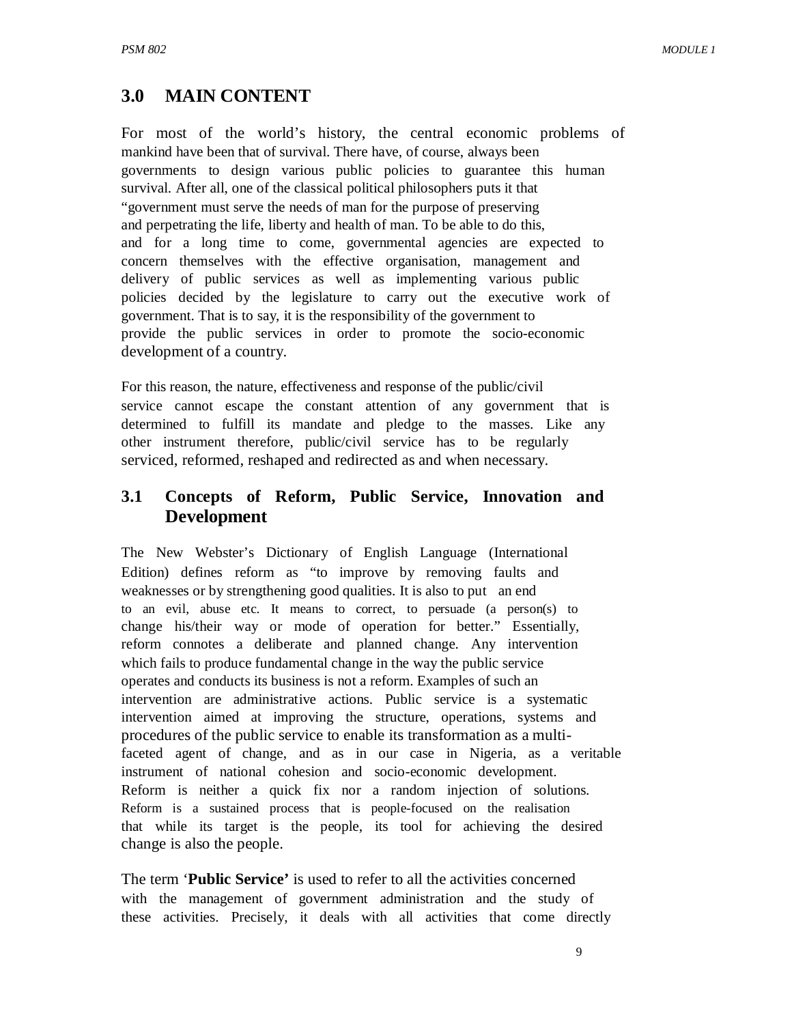### **3.0 MAIN CONTENT**

For most of the world's history, the central economic problems of mankind have been that of survival. There have, of course, always been governments to design various public policies to guarantee this human survival. After all, one of the classical political philosophers puts it that "government must serve the needs of man for the purpose of preserving and perpetrating the life, liberty and health of man. To be able to do this, and for a long time to come, governmental agencies are expected to concern themselves with the effective organisation, management and delivery of public services as well as implementing various public policies decided by the legislature to carry out the executive work of government. That is to say, it is the responsibility of the government to provide the public services in order to promote the socio-economic development of a country.

For this reason, the nature, effectiveness and response of the public/civil service cannot escape the constant attention of any government that is determined to fulfill its mandate and pledge to the masses. Like any other instrument therefore, public/civil service has to be regularly serviced, reformed, reshaped and redirected as and when necessary.

#### **3.1 Concepts of Reform, Public Service, Innovation and Development**

The New Webster's Dictionary of English Language (International Edition) defines reform as "to improve by removing faults and weaknesses or by strengthening good qualities. It is also to put an end to an evil, abuse etc. It means to correct, to persuade (a person(s) to change his/their way or mode of operation for better." Essentially, reform connotes a deliberate and planned change. Any intervention which fails to produce fundamental change in the way the public service operates and conducts its business is not a reform. Examples of such an intervention are administrative actions. Public service is a systematic intervention aimed at improving the structure, operations, systems and procedures of the public service to enable its transformation as a multifaceted agent of change, and as in our case in Nigeria, as a veritable instrument of national cohesion and socio-economic development. Reform is neither a quick fix nor a random injection of solutions. Reform is a sustained process that is people-focused on the realisation that while its target is the people, its tool for achieving the desired change is also the people.

The term '**Public Service'** is used to refer to all the activities concerned with the management of government administration and the study of these activities. Precisely, it deals with all activities that come directly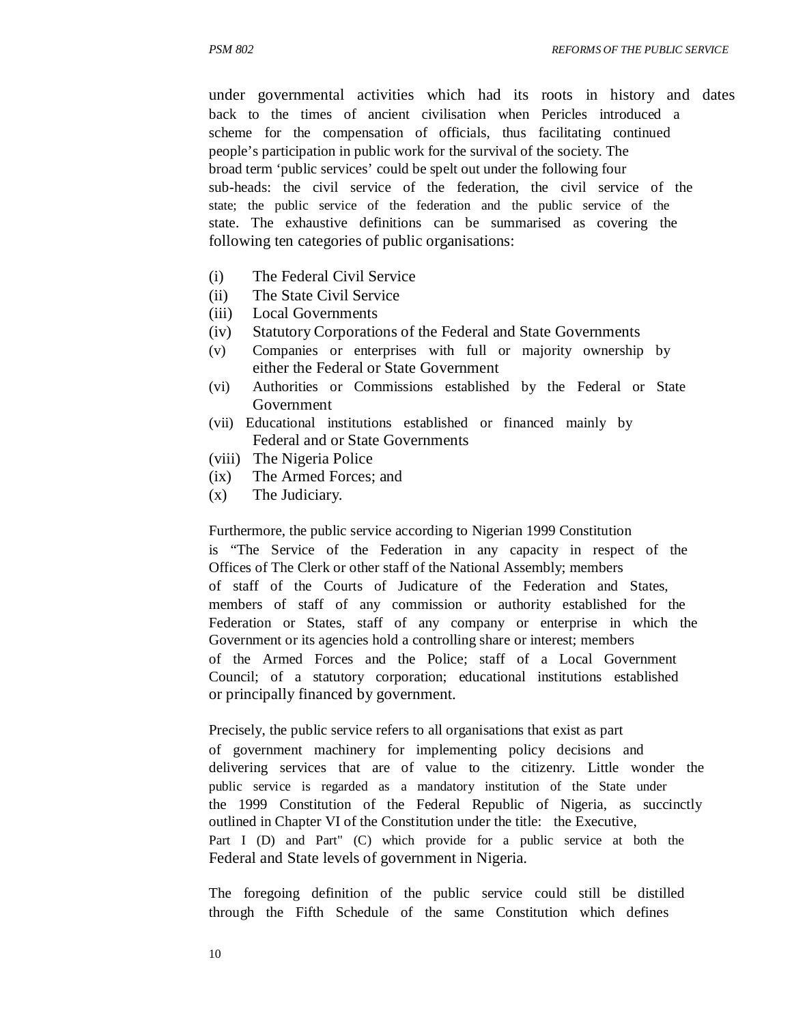under governmental activities which had its roots in history and dates back to the times of ancient civilisation when Pericles introduced a scheme for the compensation of officials, thus facilitating continued people's participation in public work for the survival of the society. The broad term 'public services' could be spelt out under the following four sub-heads: the civil service of the federation, the civil service of the state; the public service of the federation and the public service of the state. The exhaustive definitions can be summarised as covering the following ten categories of public organisations:

- (i) The Federal Civil Service
- (ii) The State Civil Service
- (iii) Local Governments
- (iv) Statutory Corporations of the Federal and State Governments
- (v) Companies or enterprises with full or majority ownership by either the Federal or State Government
- (vi) Authorities or Commissions established by the Federal or State Government
- (vii) Educational institutions established or financed mainly by Federal and or State Governments
- (viii) The Nigeria Police
- (ix) The Armed Forces; and
- (x) The Judiciary.

Furthermore, the public service according to Nigerian 1999 Constitution is "The Service of the Federation in any capacity in respect of the Offices of The Clerk or other staff of the National Assembly; members of staff of the Courts of Judicature of the Federation and States, members of staff of any commission or authority established for the Federation or States, staff of any company or enterprise in which the Government or its agencies hold a controlling share or interest; members of the Armed Forces and the Police; staff of a Local Government Council; of a statutory corporation; educational institutions established or principally financed by government.

Precisely, the public service refers to all organisations that exist as part of government machinery for implementing policy decisions and delivering services that are of value to the citizenry. Little wonder the public service is regarded as a mandatory institution of the State under the 1999 Constitution of the Federal Republic of Nigeria, as succinctly outlined in Chapter VI of the Constitution under the title: the Executive, Part I (D) and Part" (C) which provide for a public service at both the Federal and State levels of government in Nigeria.

The foregoing definition of the public service could still be distilled through the Fifth Schedule of the same Constitution which defines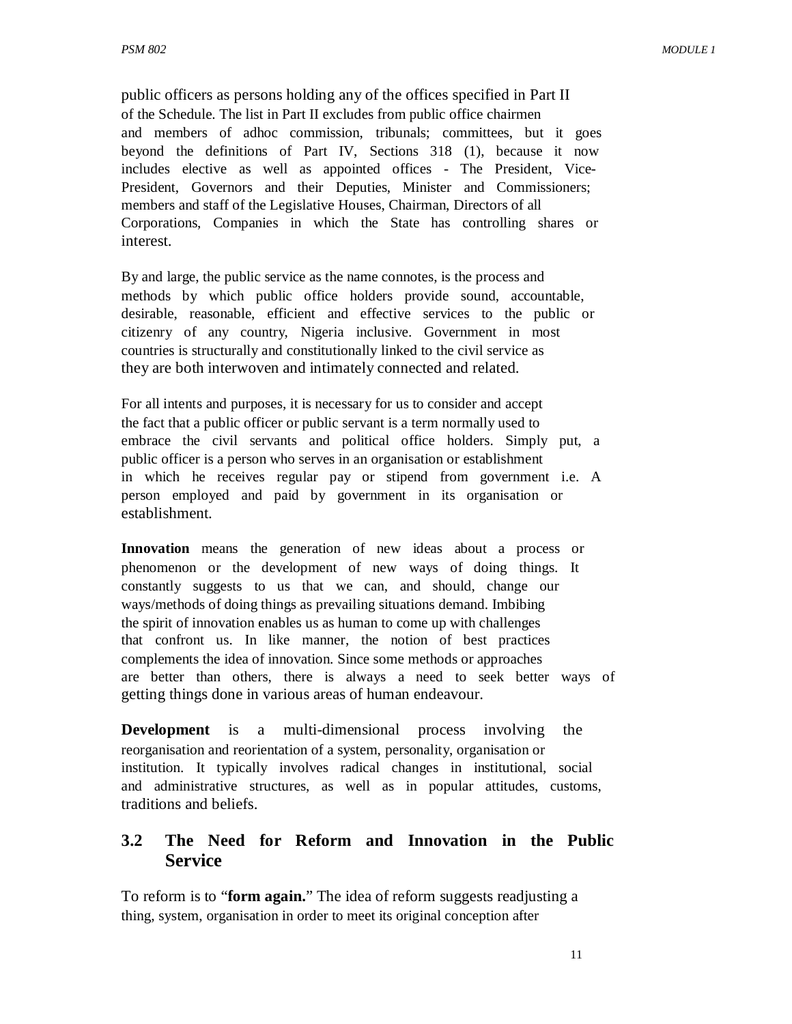public officers as persons holding any of the offices specified in Part II of the Schedule. The list in Part II excludes from public office chairmen and members of adhoc commission, tribunals; committees, but it goes beyond the definitions of Part IV, Sections 318 (1), because it now includes elective as well as appointed offices - The President, Vice-President, Governors and their Deputies, Minister and Commissioners; members and staff of the Legislative Houses, Chairman, Directors of all Corporations, Companies in which the State has controlling shares or interest.

By and large, the public service as the name connotes, is the process and methods by which public office holders provide sound, accountable, desirable, reasonable, efficient and effective services to the public or citizenry of any country, Nigeria inclusive. Government in most countries is structurally and constitutionally linked to the civil service as they are both interwoven and intimately connected and related.

For all intents and purposes, it is necessary for us to consider and accept the fact that a public officer or public servant is a term normally used to embrace the civil servants and political office holders. Simply put, a public officer is a person who serves in an organisation or establishment in which he receives regular pay or stipend from government i.e. A person employed and paid by government in its organisation or establishment.

**Innovation** means the generation of new ideas about a process or phenomenon or the development of new ways of doing things. It constantly suggests to us that we can, and should, change our ways/methods of doing things as prevailing situations demand. Imbibing the spirit of innovation enables us as human to come up with challenges that confront us. In like manner, the notion of best practices complements the idea of innovation. Since some methods or approaches are better than others, there is always a need to seek better ways of getting things done in various areas of human endeavour.

**Development** is a multi-dimensional process involving the reorganisation and reorientation of a system, personality, organisation or institution. It typically involves radical changes in institutional, social and administrative structures, as well as in popular attitudes, customs, traditions and beliefs.

#### **3.2 The Need for Reform and Innovation in the Public Service**

To reform is to "**form again.**" The idea of reform suggests readjusting a thing, system, organisation in order to meet its original conception after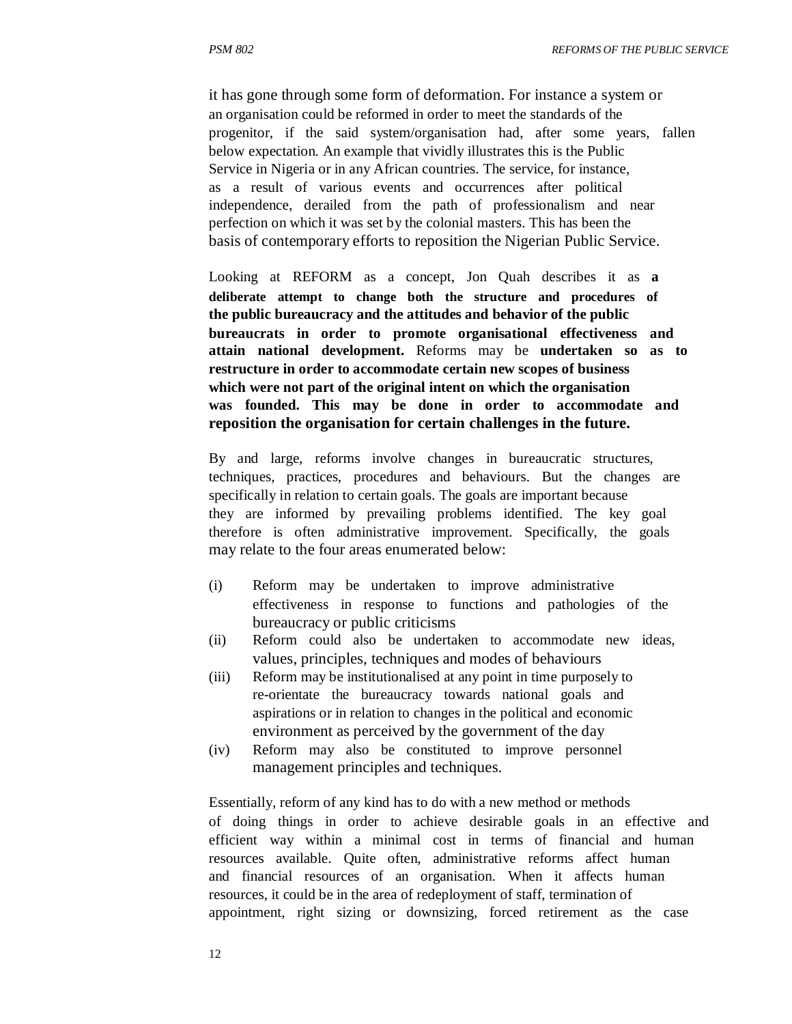it has gone through some form of deformation. For instance a system or an organisation could be reformed in order to meet the standards of the progenitor, if the said system/organisation had, after some years, fallen below expectation. An example that vividly illustrates this is the Public Service in Nigeria or in any African countries. The service, for instance, as a result of various events and occurrences after political independence, derailed from the path of professionalism and near perfection on which it was set by the colonial masters. This has been the basis of contemporary efforts to reposition the Nigerian Public Service.

Looking at REFORM as a concept, Jon Quah describes it as **a deliberate attempt to change both the structure and procedures of the public bureaucracy and the attitudes and behavior of the public bureaucrats in order to promote organisational effectiveness and attain national development.** Reforms may be **undertaken so as to restructure in order to accommodate certain new scopes of business which were not part of the original intent on which the organisation was founded. This may be done in order to accommodate and reposition the organisation for certain challenges in the future.**

By and large, reforms involve changes in bureaucratic structures, techniques, practices, procedures and behaviours. But the changes are specifically in relation to certain goals. The goals are important because they are informed by prevailing problems identified. The key goal therefore is often administrative improvement. Specifically, the goals may relate to the four areas enumerated below:

- (i) Reform may be undertaken to improve administrative effectiveness in response to functions and pathologies of the bureaucracy or public criticisms
- (ii) Reform could also be undertaken to accommodate new ideas, values, principles, techniques and modes of behaviours
- (iii) Reform may be institutionalised at any point in time purposely to re-orientate the bureaucracy towards national goals and aspirations or in relation to changes in the political and economic environment as perceived by the government of the day
- (iv) Reform may also be constituted to improve personnel management principles and techniques.

Essentially, reform of any kind has to do with a new method or methods of doing things in order to achieve desirable goals in an effective and efficient way within a minimal cost in terms of financial and human resources available. Quite often, administrative reforms affect human and financial resources of an organisation. When it affects human resources, it could be in the area of redeployment of staff, termination of appointment, right sizing or downsizing, forced retirement as the case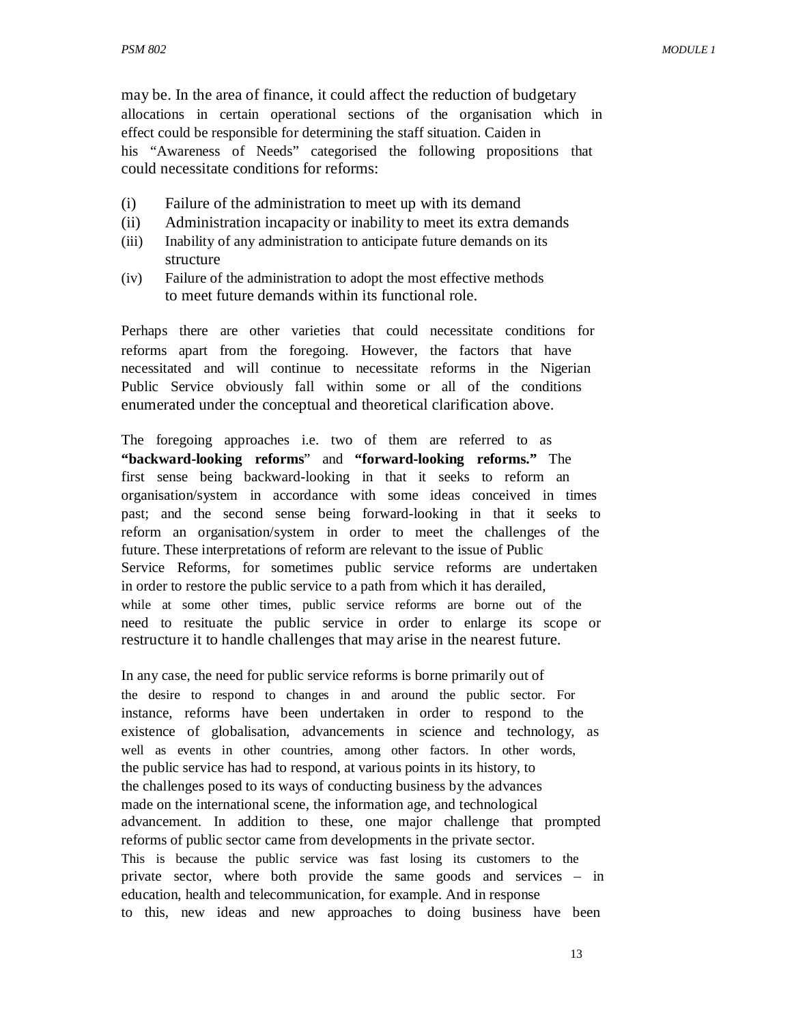may be. In the area of finance, it could affect the reduction of budgetary allocations in certain operational sections of the organisation which in effect could be responsible for determining the staff situation. Caiden in his "Awareness of Needs" categorised the following propositions that could necessitate conditions for reforms:

- (i) Failure of the administration to meet up with its demand
- (ii) Administration incapacity or inability to meet its extra demands
- (iii) Inability of any administration to anticipate future demands on its structure
- (iv) Failure of the administration to adopt the most effective methods to meet future demands within its functional role.

Perhaps there are other varieties that could necessitate conditions for reforms apart from the foregoing. However, the factors that have necessitated and will continue to necessitate reforms in the Nigerian Public Service obviously fall within some or all of the conditions enumerated under the conceptual and theoretical clarification above.

The foregoing approaches i.e. two of them are referred to as **"backward-looking reforms**" and **"forward-looking reforms."** The first sense being backward-looking in that it seeks to reform an organisation/system in accordance with some ideas conceived in times past; and the second sense being forward-looking in that it seeks to reform an organisation/system in order to meet the challenges of the future. These interpretations of reform are relevant to the issue of Public Service Reforms, for sometimes public service reforms are undertaken in order to restore the public service to a path from which it has derailed, while at some other times, public service reforms are borne out of the need to resituate the public service in order to enlarge its scope or restructure it to handle challenges that may arise in the nearest future.

In any case, the need for public service reforms is borne primarily out of the desire to respond to changes in and around the public sector. For instance, reforms have been undertaken in order to respond to the existence of globalisation, advancements in science and technology, as well as events in other countries, among other factors. In other words, the public service has had to respond, at various points in its history, to the challenges posed to its ways of conducting business by the advances made on the international scene, the information age, and technological advancement. In addition to these, one major challenge that prompted reforms of public sector came from developments in the private sector. This is because the public service was fast losing its customers to the private sector, where both provide the same goods and services – in education, health and telecommunication, for example. And in response to this, new ideas and new approaches to doing business have been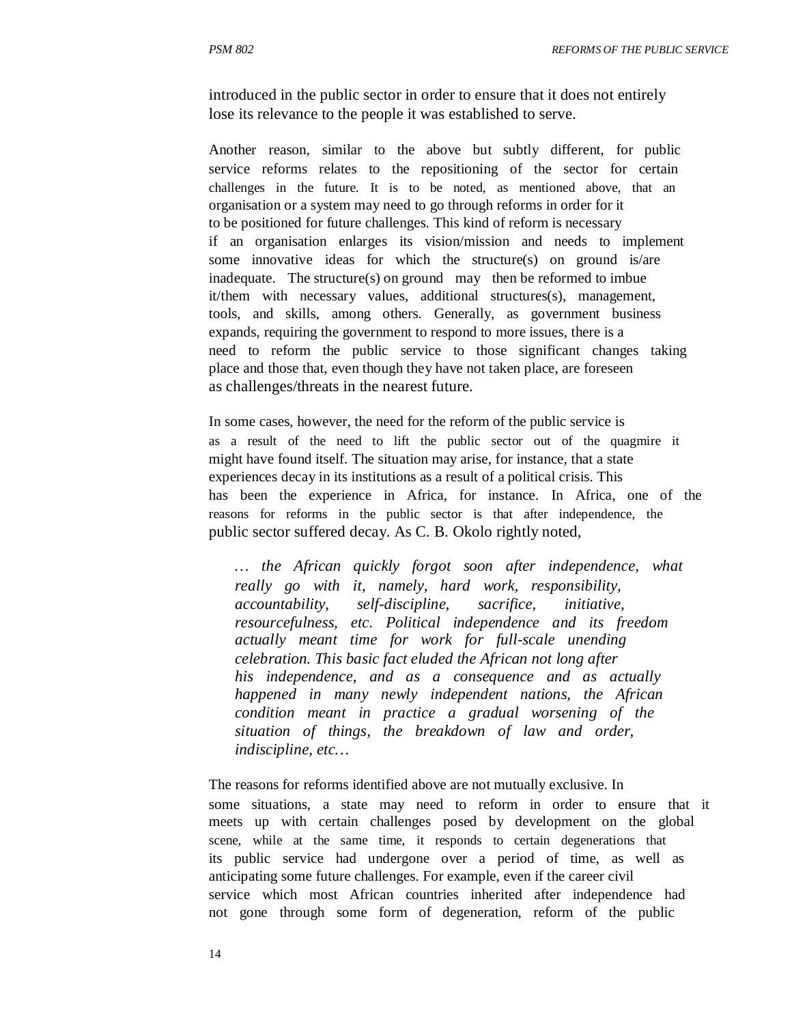introduced in the public sector in order to ensure that it does not entirely lose its relevance to the people it was established to serve.

Another reason, similar to the above but subtly different, for public service reforms relates to the repositioning of the sector for certain challenges in the future. It is to be noted, as mentioned above, that an organisation or a system may need to go through reforms in order for it to be positioned for future challenges. This kind of reform is necessary if an organisation enlarges its vision/mission and needs to implement some innovative ideas for which the structure(s) on ground is/are inadequate. The structure(s) on ground may then be reformed to imbue it/them with necessary values, additional structures(s), management, tools, and skills, among others. Generally, as government business expands, requiring the government to respond to more issues, there is a need to reform the public service to those significant changes taking place and those that, even though they have not taken place, are foreseen as challenges/threats in the nearest future.

In some cases, however, the need for the reform of the public service is as a result of the need to lift the public sector out of the quagmire it might have found itself. The situation may arise, for instance, that a state experiences decay in its institutions as a result of a political crisis. This has been the experience in Africa, for instance. In Africa, one of the reasons for reforms in the public sector is that after independence, the public sector suffered decay. As C. B. Okolo rightly noted,

*… the African quickly forgot soon after independence, what really go with it, namely, hard work, responsibility, accountability, self-discipline, sacrifice, initiative, resourcefulness, etc. Political independence and its freedom actually meant time for work for full-scale unending celebration. This basic fact eluded the African not long after his independence, and as a consequence and as actually happened in many newly independent nations, the African condition meant in practice a gradual worsening of the situation of things, the breakdown of law and order, indiscipline, etc…*

The reasons for reforms identified above are not mutually exclusive. In some situations, a state may need to reform in order to ensure that it meets up with certain challenges posed by development on the global scene, while at the same time, it responds to certain degenerations that its public service had undergone over a period of time, as well as anticipating some future challenges. For example, even if the career civil service which most African countries inherited after independence had not gone through some form of degeneration, reform of the public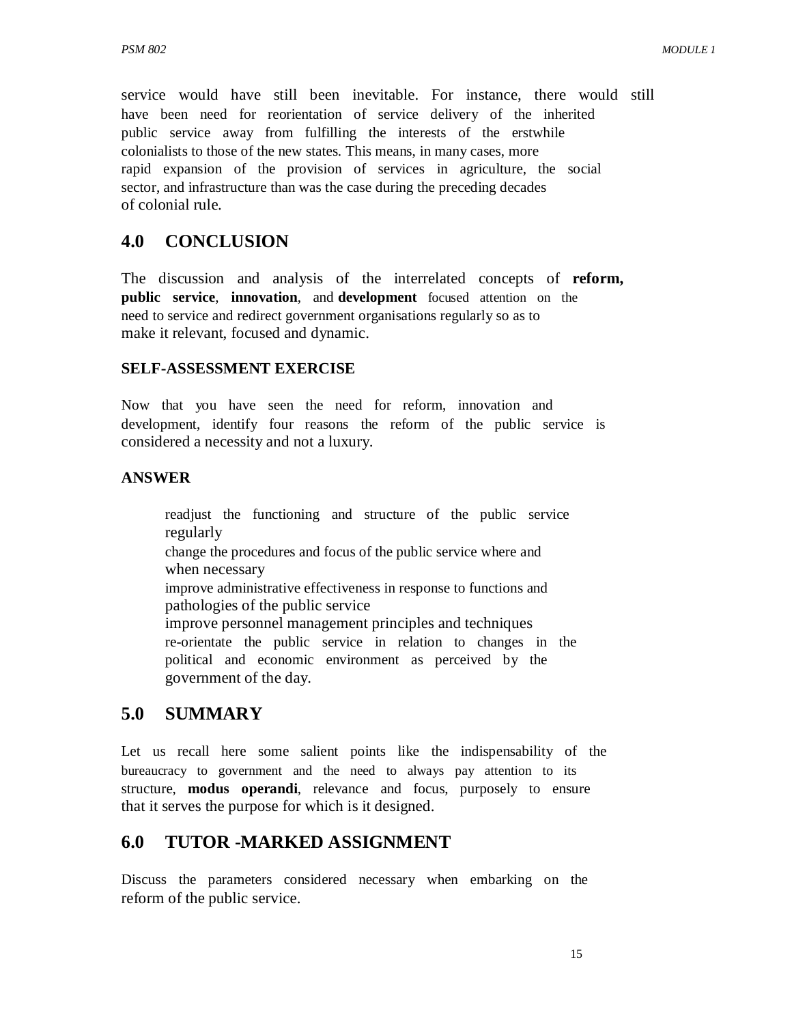service would have still been inevitable. For instance, there would still have been need for reorientation of service delivery of the inherited public service away from fulfilling the interests of the erstwhile colonialists to those of the new states. This means, in many cases, more rapid expansion of the provision of services in agriculture, the social sector, and infrastructure than was the case during the preceding decades of colonial rule.

#### **4.0 CONCLUSION**

The discussion and analysis of the interrelated concepts of **reform, public service**, **innovation**, and **development** focused attention on the need to service and redirect government organisations regularly so as to make it relevant, focused and dynamic.

#### **SELF-ASSESSMENT EXERCISE**

Now that you have seen the need for reform, innovation and development, identify four reasons the reform of the public service is considered a necessity and not a luxury.

#### **ANSWER**

readjust the functioning and structure of the public service regularly change the procedures and focus of the public service where and when necessary improve administrative effectiveness in response to functions and pathologies of the public service improve personnel management principles and techniques re-orientate the public service in relation to changes in the political and economic environment as perceived by the government of the day.

### **5.0 SUMMARY**

Let us recall here some salient points like the indispensability of the bureaucracy to government and the need to always pay attention to its structure, **modus operandi**, relevance and focus, purposely to ensure that it serves the purpose for which is it designed.

### **6.0 TUTOR -MARKED ASSIGNMENT**

Discuss the parameters considered necessary when embarking on the reform of the public service.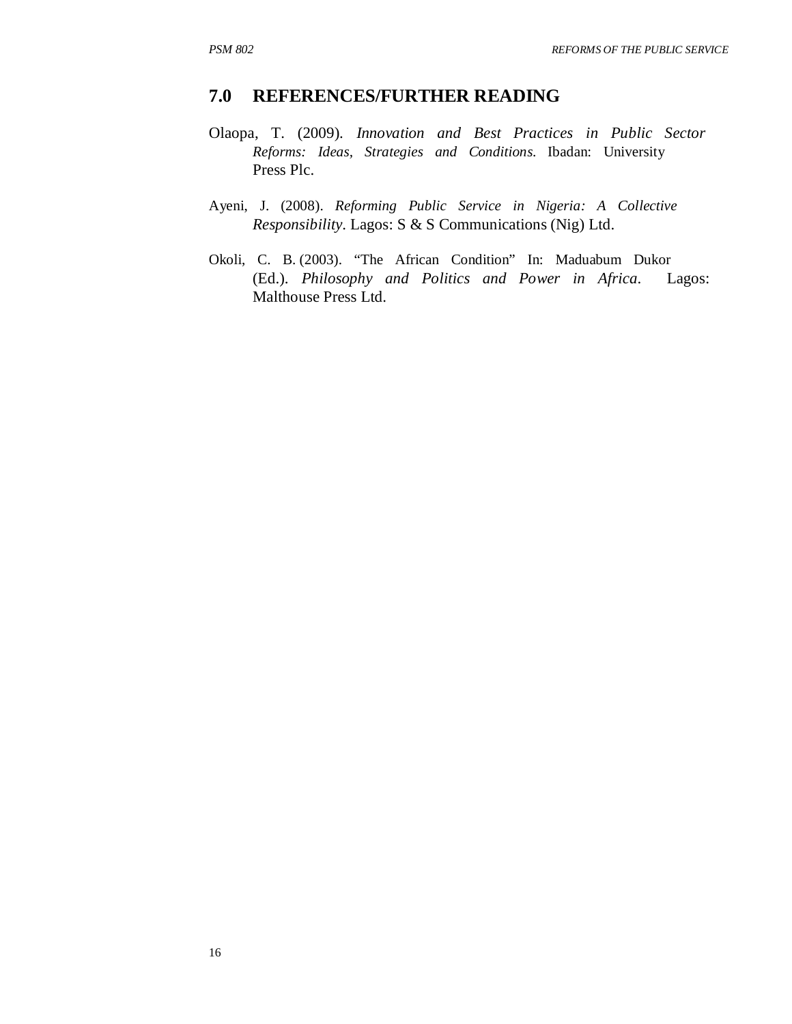#### **7.0 REFERENCES/FURTHER READING**

- Olaopa, T. (2009). *Innovation and Best Practices in Public Sector Reforms: Ideas, Strategies and Conditions*. Ibadan: University Press Plc.
- Ayeni, J. (2008). *Reforming Public Service in Nigeria: A Collective Responsibility*. Lagos: S & S Communications (Nig) Ltd.
- Okoli, C. B. (2003). "The African Condition" In: Maduabum Dukor (Ed.). *Philosophy and Politics and Power in Africa*. Lagos: Malthouse Press Ltd.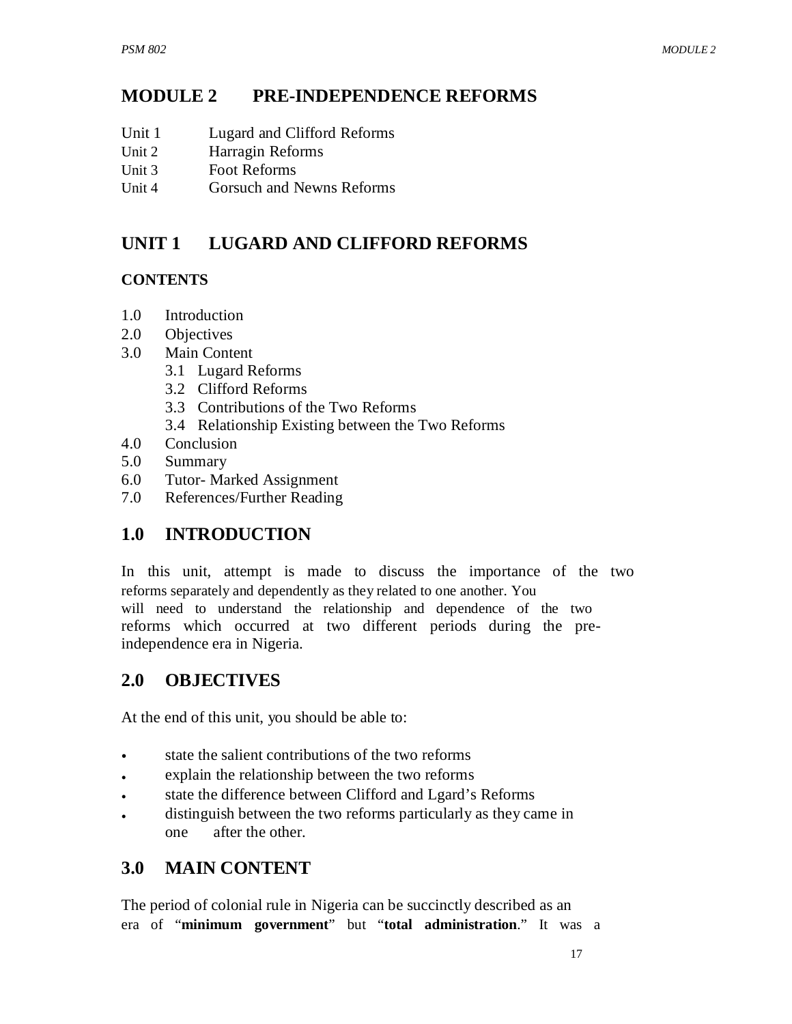#### **MODULE 2 PRE-INDEPENDENCE REFORMS**

- Unit 1 Lugard and Clifford Reforms
- Unit 2 Harragin Reforms
- Unit 3 Foot Reforms
- Unit 4 Gorsuch and Newns Reforms

#### **UNIT 1 LUGARD AND CLIFFORD REFORMS**

#### **CONTENTS**

- 1.0 Introduction
- 2.0 Objectives
- 3.0 Main Content
	- 3.1 Lugard Reforms
	- 3.2 Clifford Reforms
	- 3.3 Contributions of the Two Reforms
	- 3.4 Relationship Existing between the Two Reforms
- 4.0 Conclusion
- 5.0 Summary
- 6.0 Tutor- Marked Assignment
- 7.0 References/Further Reading

# **1.0 INTRODUCTION**

In this unit, attempt is made to discuss the importance of the two reforms separately and dependently as they related to one another. You will need to understand the relationship and dependence of the two reforms which occurred at two different periods during the preindependence era in Nigeria.

# **2.0 OBJECTIVES**

At the end of this unit, you should be able to:

- state the salient contributions of the two reforms
- explain the relationship between the two reforms
- state the difference between Clifford and Lgard's Reforms
- distinguish between the two reforms particularly as they came in one after the other.

# **3.0 MAIN CONTENT**

The period of colonial rule in Nigeria can be succinctly described as an era of "**minimum government**" but "**total administration**." It was a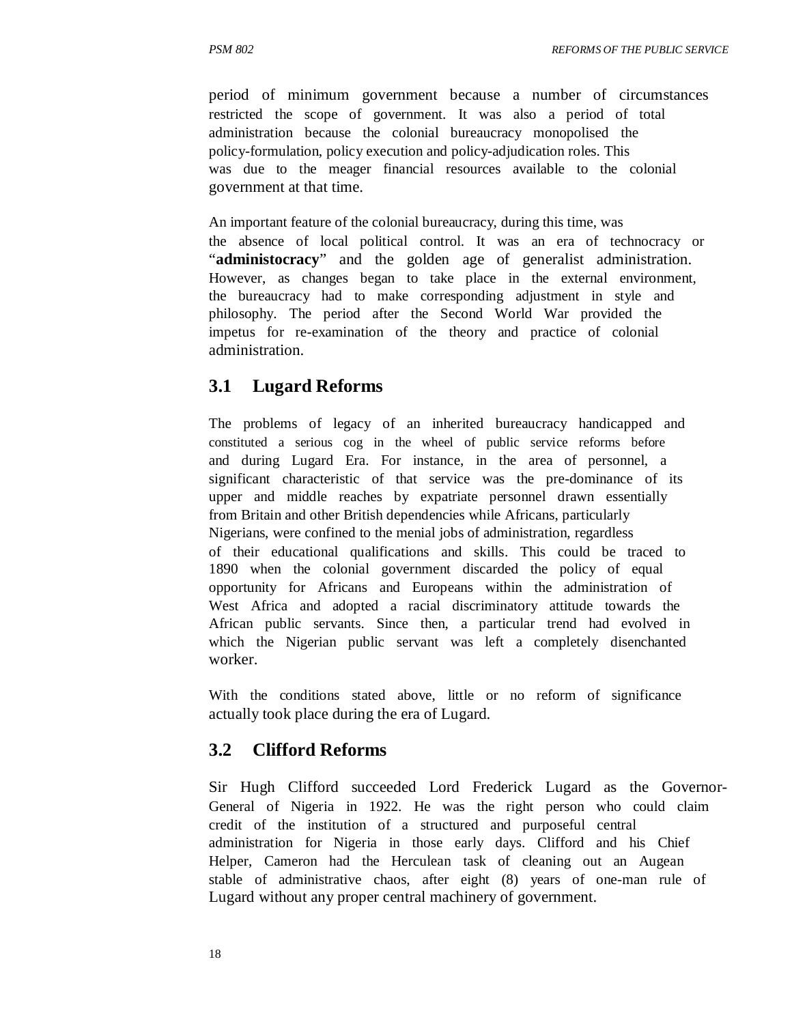period of minimum government because a number of circumstances restricted the scope of government. It was also a period of total administration because the colonial bureaucracy monopolised the policy-formulation, policy execution and policy-adjudication roles. This was due to the meager financial resources available to the colonial government at that time.

An important feature of the colonial bureaucracy, during this time, was the absence of local political control. It was an era of technocracy or "**administocracy**" and the golden age of generalist administration. However, as changes began to take place in the external environment, the bureaucracy had to make corresponding adjustment in style and philosophy. The period after the Second World War provided the impetus for re-examination of the theory and practice of colonial administration.

#### **3.1 Lugard Reforms**

The problems of legacy of an inherited bureaucracy handicapped and constituted a serious cog in the wheel of public service reforms before and during Lugard Era. For instance, in the area of personnel, a significant characteristic of that service was the pre-dominance of its upper and middle reaches by expatriate personnel drawn essentially from Britain and other British dependencies while Africans, particularly Nigerians, were confined to the menial jobs of administration, regardless of their educational qualifications and skills. This could be traced to 1890 when the colonial government discarded the policy of equal opportunity for Africans and Europeans within the administration of West Africa and adopted a racial discriminatory attitude towards the African public servants. Since then, a particular trend had evolved in which the Nigerian public servant was left a completely disenchanted worker.

With the conditions stated above, little or no reform of significance actually took place during the era of Lugard.

#### **3.2 Clifford Reforms**

Sir Hugh Clifford succeeded Lord Frederick Lugard as the Governor-General of Nigeria in 1922. He was the right person who could claim credit of the institution of a structured and purposeful central administration for Nigeria in those early days. Clifford and his Chief Helper, Cameron had the Herculean task of cleaning out an Augean stable of administrative chaos, after eight (8) years of one-man rule of Lugard without any proper central machinery of government.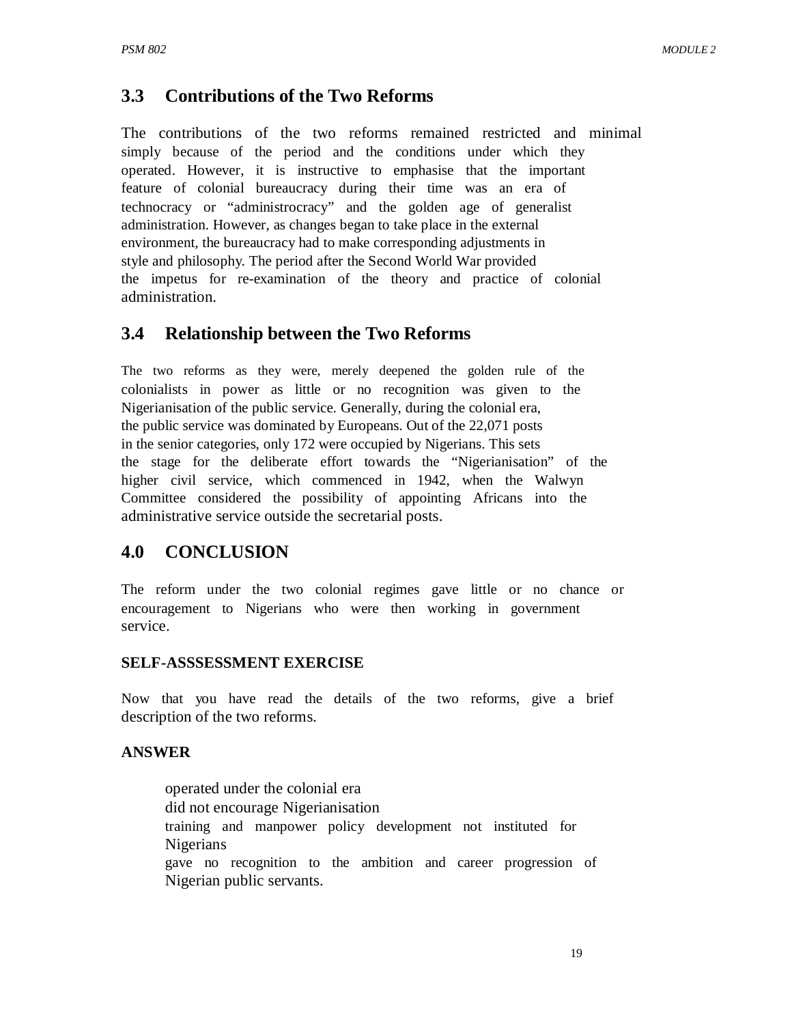### **3.3 Contributions of the Two Reforms**

The contributions of the two reforms remained restricted and minimal simply because of the period and the conditions under which they operated. However, it is instructive to emphasise that the important feature of colonial bureaucracy during their time was an era of technocracy or "administrocracy" and the golden age of generalist administration. However, as changes began to take place in the external environment, the bureaucracy had to make corresponding adjustments in style and philosophy. The period after the Second World War provided the impetus for re-examination of the theory and practice of colonial administration.

### **3.4 Relationship between the Two Reforms**

The two reforms as they were, merely deepened the golden rule of the colonialists in power as little or no recognition was given to the Nigerianisation of the public service. Generally, during the colonial era, the public service was dominated by Europeans. Out of the 22,071 posts in the senior categories, only 172 were occupied by Nigerians. This sets the stage for the deliberate effort towards the "Nigerianisation" of the higher civil service, which commenced in 1942, when the Walwyn Committee considered the possibility of appointing Africans into the administrative service outside the secretarial posts.

### **4.0 CONCLUSION**

The reform under the two colonial regimes gave little or no chance or encouragement to Nigerians who were then working in government service.

#### **SELF-ASSSESSMENT EXERCISE**

Now that you have read the details of the two reforms, give a brief description of the two reforms.

#### **ANSWER**

operated under the colonial era did not encourage Nigerianisation training and manpower policy development not instituted for Nigerians gave no recognition to the ambition and career progression of Nigerian public servants.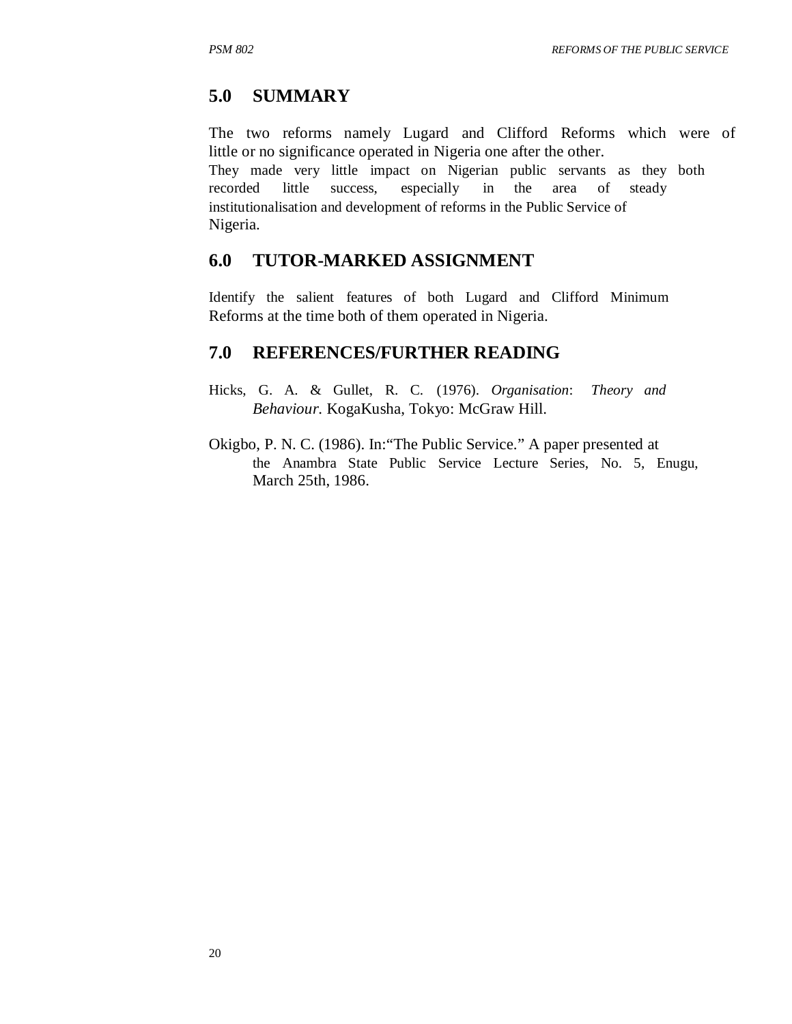## **5.0 SUMMARY**

The two reforms namely Lugard and Clifford Reforms which were of little or no significance operated in Nigeria one after the other. They made very little impact on Nigerian public servants as they both recorded little success, especially in the area of steady institutionalisation and development of reforms in the Public Service of Nigeria.

### **6.0 TUTOR-MARKED ASSIGNMENT**

Identify the salient features of both Lugard and Clifford Minimum Reforms at the time both of them operated in Nigeria.

### **7.0 REFERENCES/FURTHER READING**

- Hicks, G. A. & Gullet, R. C. (1976). *Organisation*: *Theory and Behaviour*. KogaKusha, Tokyo: McGraw Hill.
- Okigbo, P. N. C. (1986). In:"The Public Service." A paper presented at the Anambra State Public Service Lecture Series, No. 5, Enugu, March 25th, 1986.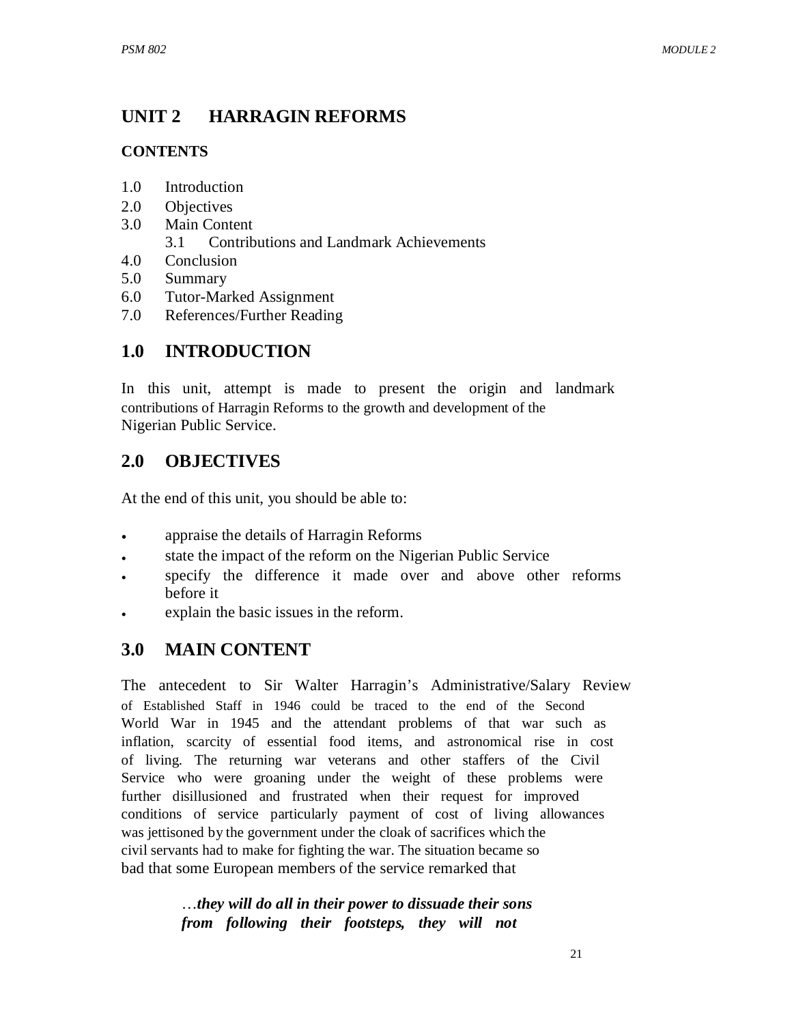#### **UNIT 2 HARRAGIN REFORMS**

#### **CONTENTS**

- 1.0 Introduction
- 2.0 Objectives
- 3.0 Main Content
	- 3.1 Contributions and Landmark Achievements
- 4.0 Conclusion
- 5.0 Summary
- 6.0 Tutor-Marked Assignment
- 7.0 References/Further Reading

# **1.0 INTRODUCTION**

In this unit, attempt is made to present the origin and landmark contributions of Harragin Reforms to the growth and development of the Nigerian Public Service.

# **2.0 OBJECTIVES**

At the end of this unit, you should be able to:

- appraise the details of Harragin Reforms
- state the impact of the reform on the Nigerian Public Service
- specify the difference it made over and above other reforms before it
- explain the basic issues in the reform.

# **3.0 MAIN CONTENT**

The antecedent to Sir Walter Harragin's Administrative/Salary Review of Established Staff in 1946 could be traced to the end of the Second World War in 1945 and the attendant problems of that war such as inflation, scarcity of essential food items, and astronomical rise in cost of living. The returning war veterans and other staffers of the Civil Service who were groaning under the weight of these problems were further disillusioned and frustrated when their request for improved conditions of service particularly payment of cost of living allowances was jettisoned by the government under the cloak of sacrifices which the civil servants had to make for fighting the war. The situation became so bad that some European members of the service remarked that

> …*they will do all in their power to dissuade their sons from following their footsteps, they will not*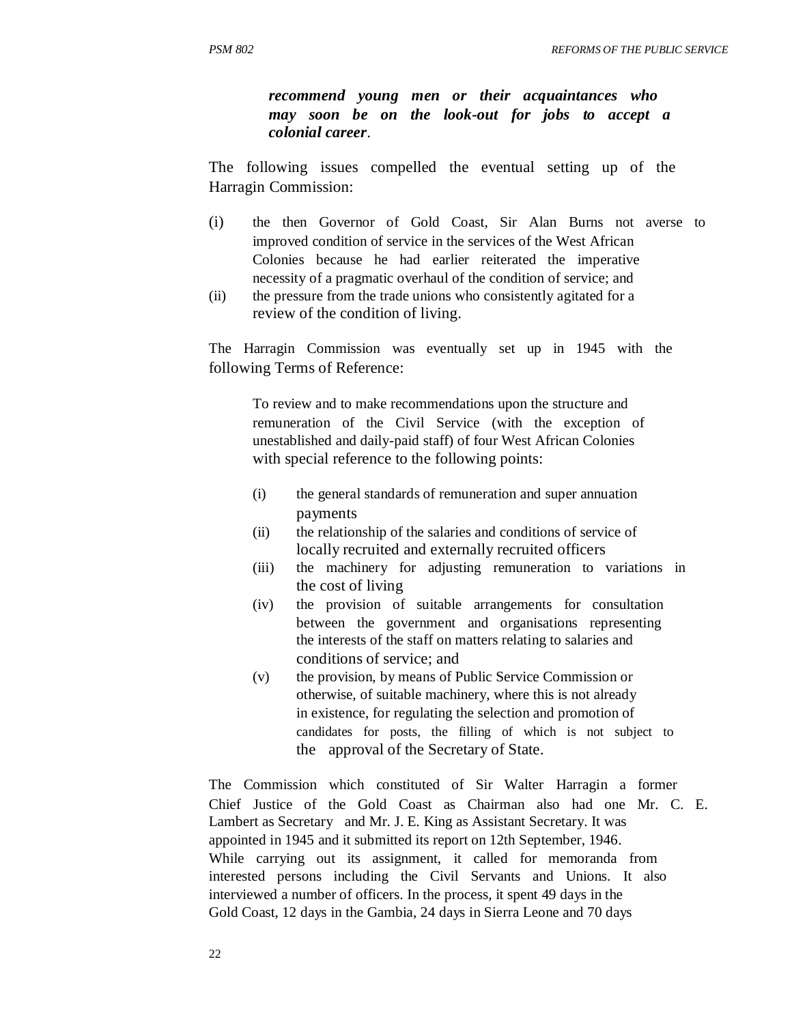*recommend young men or their acquaintances who may soon be on the look-out for jobs to accept a colonial career*.

The following issues compelled the eventual setting up of the Harragin Commission:

- (i) the then Governor of Gold Coast, Sir Alan Burns not averse to improved condition of service in the services of the West African Colonies because he had earlier reiterated the imperative necessity of a pragmatic overhaul of the condition of service; and
- (ii) the pressure from the trade unions who consistently agitated for a review of the condition of living.

The Harragin Commission was eventually set up in 1945 with the following Terms of Reference:

To review and to make recommendations upon the structure and remuneration of the Civil Service (with the exception of unestablished and daily-paid staff) of four West African Colonies with special reference to the following points:

- (i) the general standards of remuneration and super annuation payments
- (ii) the relationship of the salaries and conditions of service of locally recruited and externally recruited officers
- (iii) the machinery for adjusting remuneration to variations in the cost of living
- (iv) the provision of suitable arrangements for consultation between the government and organisations representing the interests of the staff on matters relating to salaries and conditions of service; and
- (v) the provision, by means of Public Service Commission or otherwise, of suitable machinery, where this is not already in existence, for regulating the selection and promotion of candidates for posts, the filling of which is not subject to the approval of the Secretary of State.

The Commission which constituted of Sir Walter Harragin a former Chief Justice of the Gold Coast as Chairman also had one Mr. C. E. Lambert as Secretary and Mr. J. E. King as Assistant Secretary. It was appointed in 1945 and it submitted its report on 12th September, 1946. While carrying out its assignment, it called for memoranda from interested persons including the Civil Servants and Unions. It also interviewed a number of officers. In the process, it spent 49 days in the Gold Coast, 12 days in the Gambia, 24 days in Sierra Leone and 70 days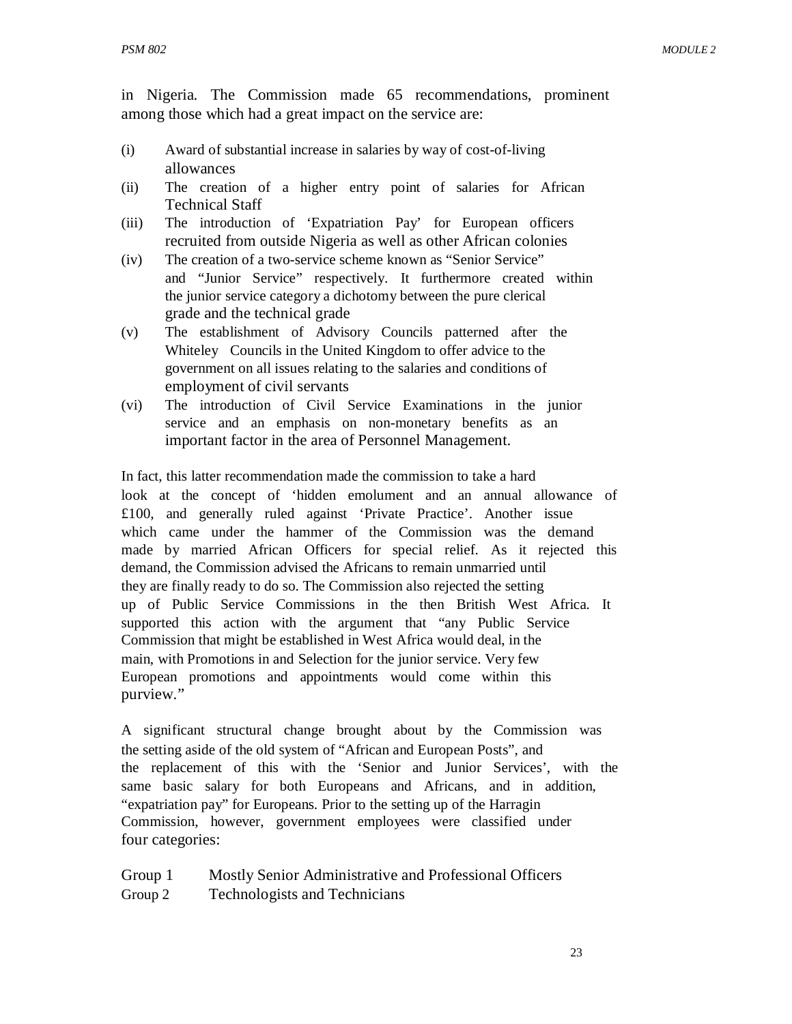in Nigeria. The Commission made 65 recommendations, prominent among those which had a great impact on the service are:

- (i) Award of substantial increase in salaries by way of cost-of-living allowances
- (ii) The creation of a higher entry point of salaries for African Technical Staff
- (iii) The introduction of 'Expatriation Pay' for European officers recruited from outside Nigeria as well as other African colonies
- (iv) The creation of a two-service scheme known as "Senior Service" and "Junior Service" respectively. It furthermore created within the junior service category a dichotomy between the pure clerical grade and the technical grade
- (v) The establishment of Advisory Councils patterned after the Whiteley Councils in the United Kingdom to offer advice to the government on all issues relating to the salaries and conditions of employment of civil servants
- (vi) The introduction of Civil Service Examinations in the junior service and an emphasis on non-monetary benefits as an important factor in the area of Personnel Management.

In fact, this latter recommendation made the commission to take a hard look at the concept of 'hidden emolument and an annual allowance of £100, and generally ruled against 'Private Practice'. Another issue which came under the hammer of the Commission was the demand made by married African Officers for special relief. As it rejected this demand, the Commission advised the Africans to remain unmarried until they are finally ready to do so. The Commission also rejected the setting up of Public Service Commissions in the then British West Africa. It supported this action with the argument that "any Public Service Commission that might be established in West Africa would deal, in the main, with Promotions in and Selection for the junior service. Very few European promotions and appointments would come within this purview."

A significant structural change brought about by the Commission was the setting aside of the old system of "African and European Posts", and the replacement of this with the 'Senior and Junior Services', with the same basic salary for both Europeans and Africans, and in addition, "expatriation pay" for Europeans. Prior to the setting up of the Harragin Commission, however, government employees were classified under four categories:

Group 1 Group 2 Mostly Senior Administrative and Professional Officers Technologists and Technicians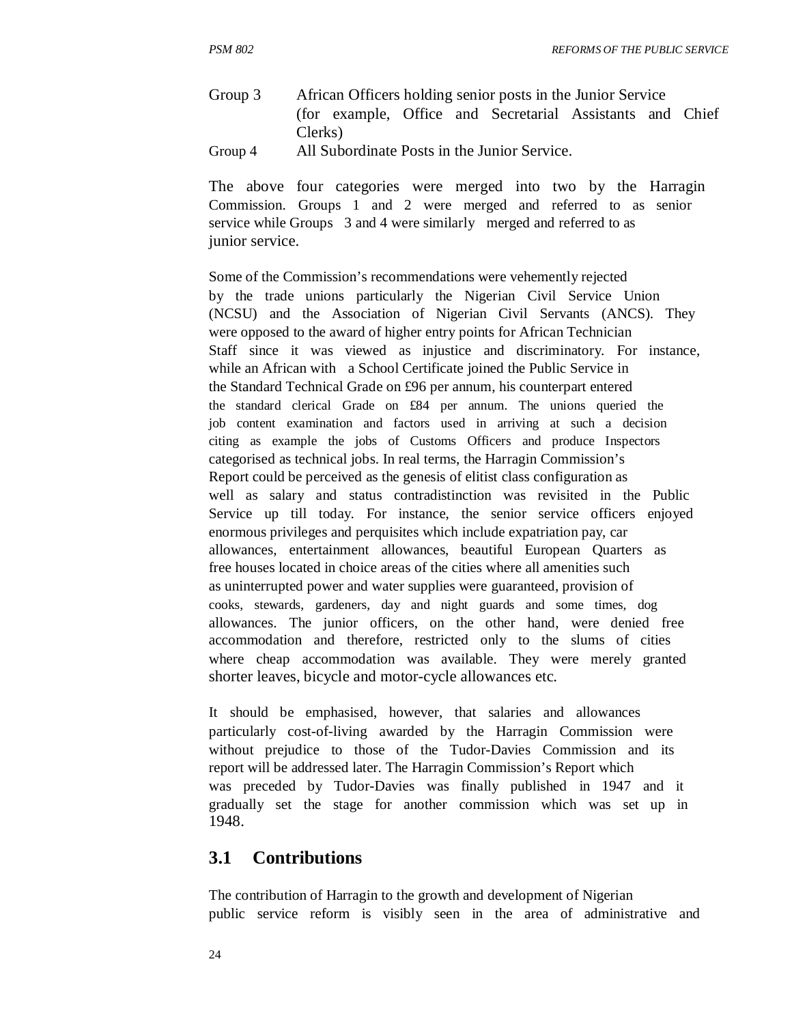Group 3 Group 4 African Officers holding senior posts in the Junior Service (for example, Office and Secretarial Assistants and Chief Clerks) All Subordinate Posts in the Junior Service.

The above four categories were merged into two by the Harragin Commission. Groups 1 and 2 were merged and referred to as senior service while Groups 3 and 4 were similarly merged and referred to as junior service.

Some of the Commission's recommendations were vehemently rejected by the trade unions particularly the Nigerian Civil Service Union (NCSU) and the Association of Nigerian Civil Servants (ANCS). They were opposed to the award of higher entry points for African Technician Staff since it was viewed as injustice and discriminatory. For instance, while an African with a School Certificate joined the Public Service in the Standard Technical Grade on £96 per annum, his counterpart entered the standard clerical Grade on £84 per annum. The unions queried the job content examination and factors used in arriving at such a decision citing as example the jobs of Customs Officers and produce Inspectors categorised as technical jobs. In real terms, the Harragin Commission's Report could be perceived as the genesis of elitist class configuration as well as salary and status contradistinction was revisited in the Public Service up till today. For instance, the senior service officers enjoyed enormous privileges and perquisites which include expatriation pay, car allowances, entertainment allowances, beautiful European Quarters as free houses located in choice areas of the cities where all amenities such as uninterrupted power and water supplies were guaranteed, provision of cooks, stewards, gardeners, day and night guards and some times, dog allowances. The junior officers, on the other hand, were denied free accommodation and therefore, restricted only to the slums of cities where cheap accommodation was available. They were merely granted shorter leaves, bicycle and motor-cycle allowances etc.

It should be emphasised, however, that salaries and allowances particularly cost-of-living awarded by the Harragin Commission were without prejudice to those of the Tudor-Davies Commission and its report will be addressed later. The Harragin Commission's Report which was preceded by Tudor-Davies was finally published in 1947 and it gradually set the stage for another commission which was set up in 1948.

#### **3.1 Contributions**

The contribution of Harragin to the growth and development of Nigerian public service reform is visibly seen in the area of administrative and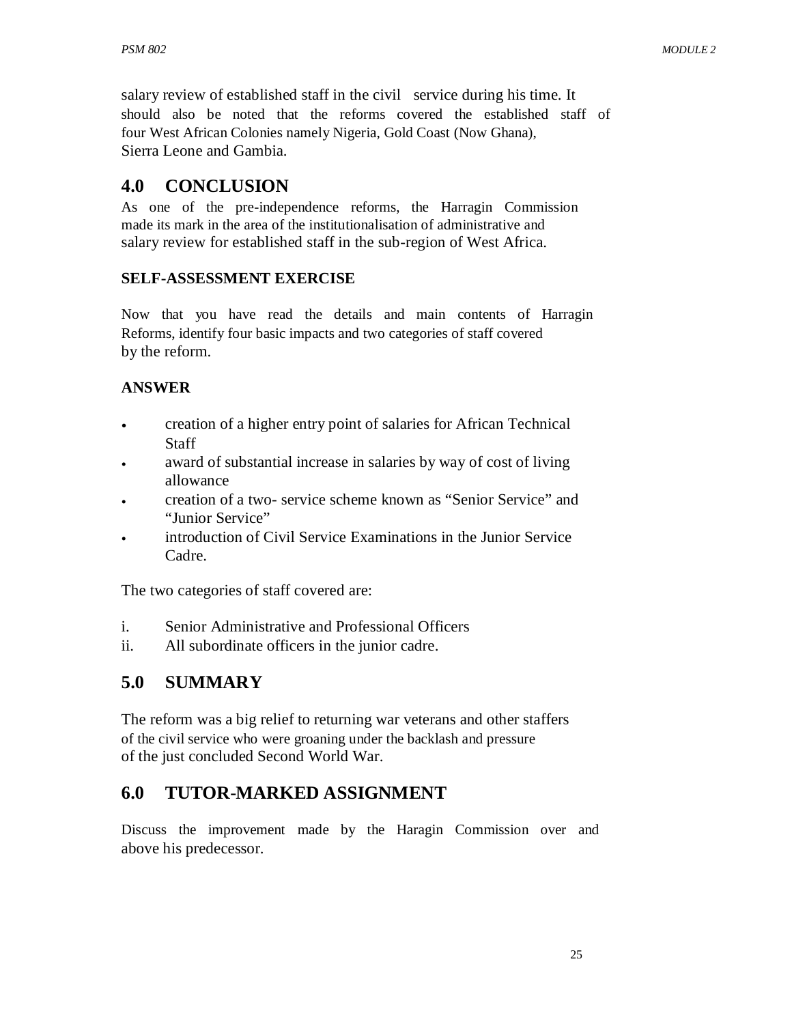salary review of established staff in the civil service during his time. It should also be noted that the reforms covered the established staff of four West African Colonies namely Nigeria, Gold Coast (Now Ghana), Sierra Leone and Gambia.

# **4.0 CONCLUSION**

As one of the pre-independence reforms, the Harragin Commission made its mark in the area of the institutionalisation of administrative and salary review for established staff in the sub-region of West Africa.

#### **SELF-ASSESSMENT EXERCISE**

Now that you have read the details and main contents of Harragin Reforms, identify four basic impacts and two categories of staff covered by the reform.

### **ANSWER**

- creation of a higher entry point of salaries for African Technical Staff
- award of substantial increase in salaries by way of cost of living allowance
- creation of a two- service scheme known as "Senior Service" and "Junior Service"
- introduction of Civil Service Examinations in the Junior Service Cadre.

The two categories of staff covered are:

- i. Senior Administrative and Professional Officers
- ii. All subordinate officers in the junior cadre.

# **5.0 SUMMARY**

The reform was a big relief to returning war veterans and other staffers of the civil service who were groaning under the backlash and pressure of the just concluded Second World War.

# **6.0 TUTOR-MARKED ASSIGNMENT**

Discuss the improvement made by the Haragin Commission over and above his predecessor.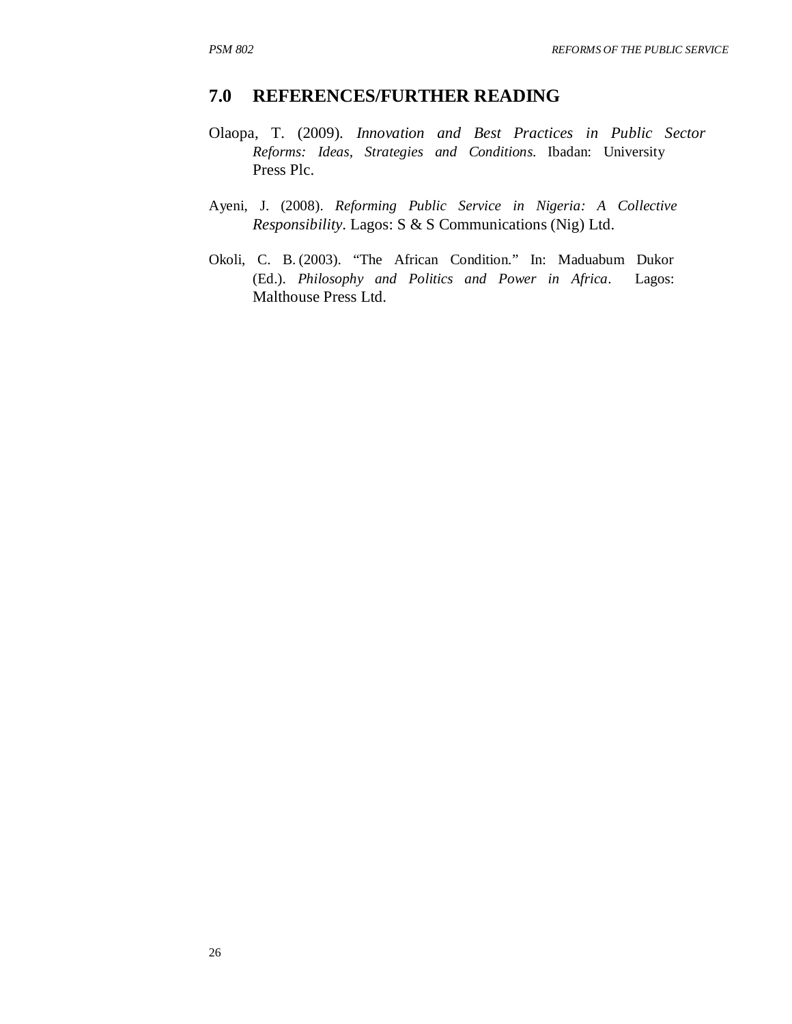## **7.0 REFERENCES/FURTHER READING**

- Olaopa, T. (2009). *Innovation and Best Practices in Public Sector Reforms: Ideas, Strategies and Conditions*. Ibadan: University Press Plc.
- Ayeni, J. (2008). *Reforming Public Service in Nigeria: A Collective Responsibility*. Lagos: S & S Communications (Nig) Ltd.
- Okoli, C. B. (2003). "The African Condition." In: Maduabum Dukor (Ed.). *Philosophy and Politics and Power in Africa*. Lagos: Malthouse Press Ltd.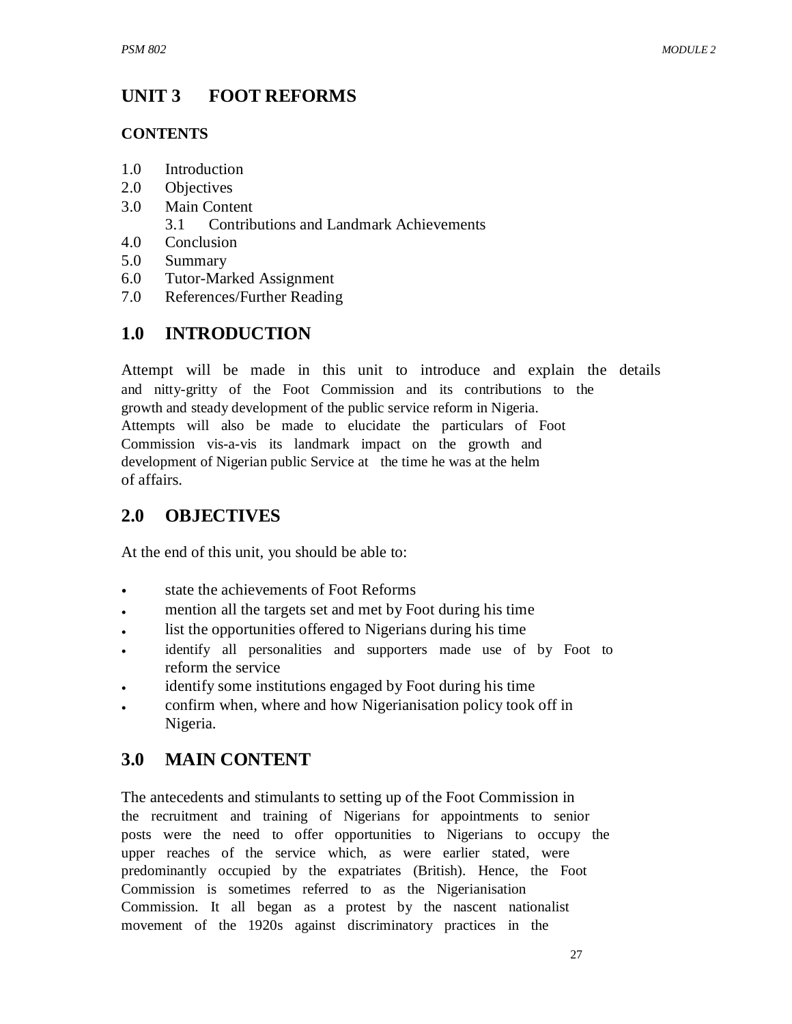#### **UNIT 3 FOOT REFORMS**

## **CONTENTS**

- 1.0 Introduction
- 2.0 Objectives
- 3.0 Main Content
	- 3.1 Contributions and Landmark Achievements
- 4.0 Conclusion
- 5.0 Summary
- 6.0 Tutor-Marked Assignment
- 7.0 References/Further Reading

# **1.0 INTRODUCTION**

Attempt will be made in this unit to introduce and explain the details and nitty-gritty of the Foot Commission and its contributions to the growth and steady development of the public service reform in Nigeria. Attempts will also be made to elucidate the particulars of Foot Commission vis-a-vis its landmark impact on the growth and development of Nigerian public Service at the time he was at the helm of affairs.

# **2.0 OBJECTIVES**

At the end of this unit, you should be able to:

- state the achievements of Foot Reforms
- mention all the targets set and met by Foot during his time
- list the opportunities offered to Nigerians during his time
- identify all personalities and supporters made use of by Foot to reform the service
- identify some institutions engaged by Foot during his time
- confirm when, where and how Nigerianisation policy took off in Nigeria.

# **3.0 MAIN CONTENT**

The antecedents and stimulants to setting up of the Foot Commission in the recruitment and training of Nigerians for appointments to senior posts were the need to offer opportunities to Nigerians to occupy the upper reaches of the service which, as were earlier stated, were predominantly occupied by the expatriates (British). Hence, the Foot Commission is sometimes referred to as the Nigerianisation Commission. It all began as a protest by the nascent nationalist movement of the 1920s against discriminatory practices in the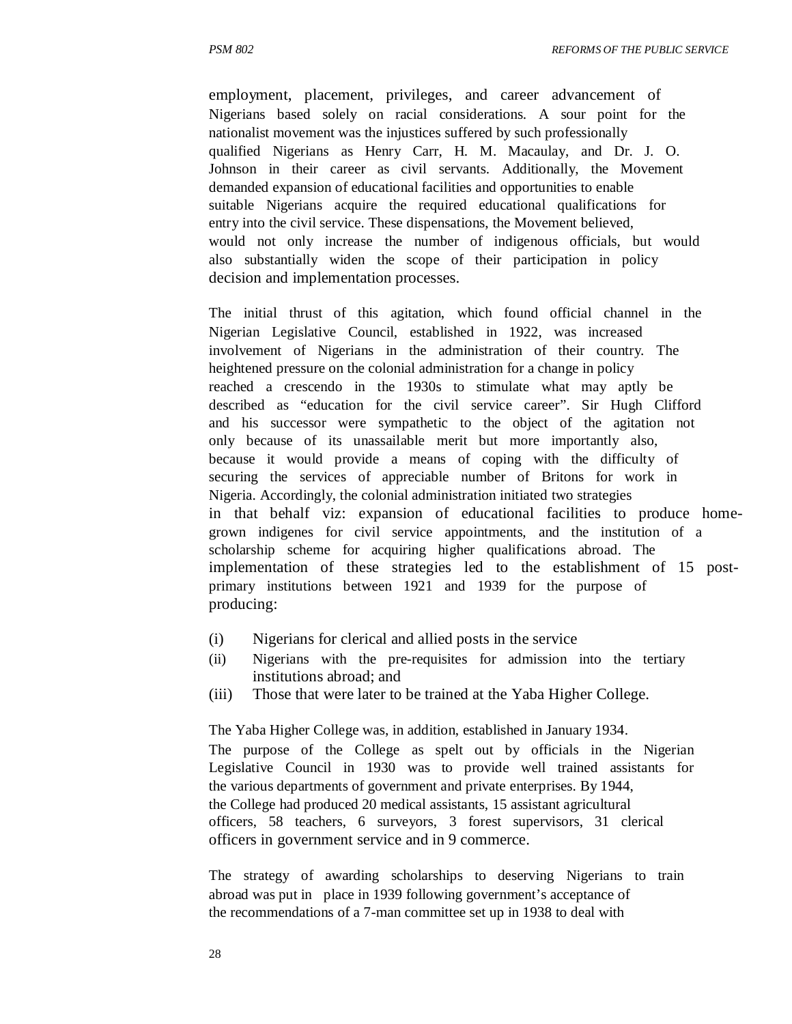employment, placement, privileges, and career advancement of Nigerians based solely on racial considerations. A sour point for the nationalist movement was the injustices suffered by such professionally qualified Nigerians as Henry Carr, H. M. Macaulay, and Dr. J. O. Johnson in their career as civil servants. Additionally, the Movement demanded expansion of educational facilities and opportunities to enable suitable Nigerians acquire the required educational qualifications for entry into the civil service. These dispensations, the Movement believed, would not only increase the number of indigenous officials, but would also substantially widen the scope of their participation in policy decision and implementation processes.

The initial thrust of this agitation, which found official channel in the Nigerian Legislative Council, established in 1922, was increased involvement of Nigerians in the administration of their country. The heightened pressure on the colonial administration for a change in policy reached a crescendo in the 1930s to stimulate what may aptly be described as "education for the civil service career". Sir Hugh Clifford and his successor were sympathetic to the object of the agitation not only because of its unassailable merit but more importantly also, because it would provide a means of coping with the difficulty of securing the services of appreciable number of Britons for work in Nigeria. Accordingly, the colonial administration initiated two strategies in that behalf viz: expansion of educational facilities to produce homegrown indigenes for civil service appointments, and the institution of a scholarship scheme for acquiring higher qualifications abroad. The implementation of these strategies led to the establishment of 15 postprimary institutions between 1921 and 1939 for the purpose of producing:

- (i) Nigerians for clerical and allied posts in the service
- (ii) Nigerians with the pre-requisites for admission into the tertiary institutions abroad; and
- (iii) Those that were later to be trained at the Yaba Higher College.

The Yaba Higher College was, in addition, established in January 1934. The purpose of the College as spelt out by officials in the Nigerian Legislative Council in 1930 was to provide well trained assistants for the various departments of government and private enterprises. By 1944, the College had produced 20 medical assistants, 15 assistant agricultural officers, 58 teachers, 6 surveyors, 3 forest supervisors, 31 clerical officers in government service and in 9 commerce.

The strategy of awarding scholarships to deserving Nigerians to train abroad was put in place in 1939 following government's acceptance of the recommendations of a 7-man committee set up in 1938 to deal with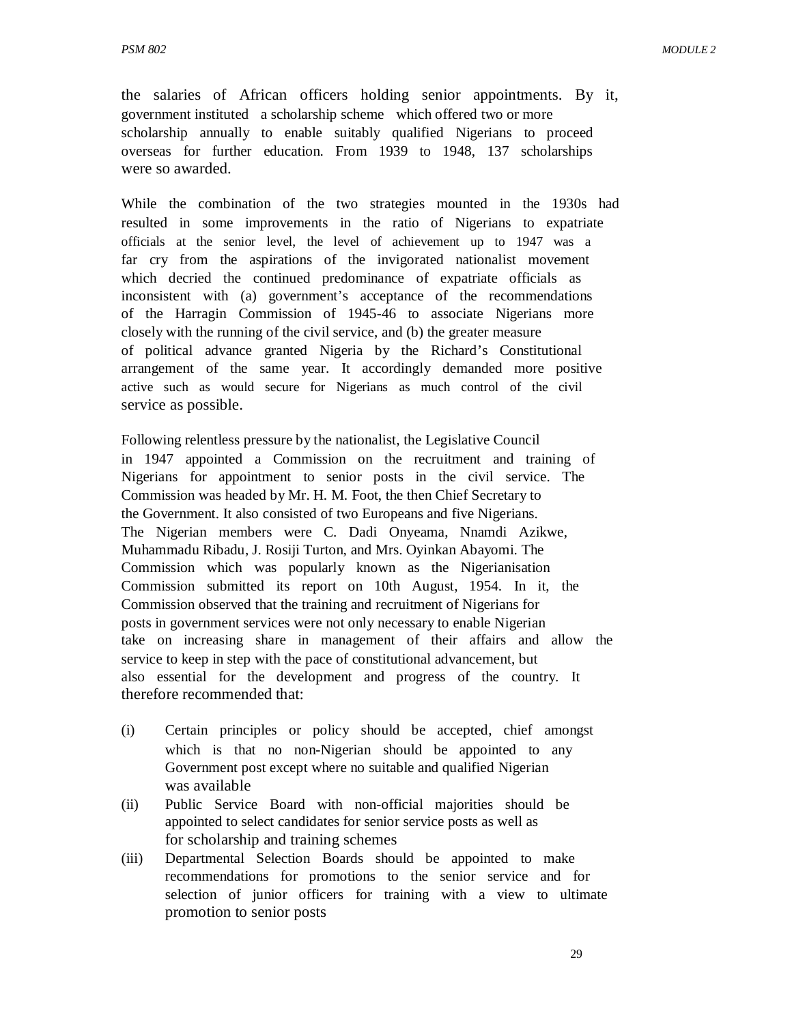the salaries of African officers holding senior appointments. By it, government instituted a scholarship scheme which offered two or more scholarship annually to enable suitably qualified Nigerians to proceed overseas for further education. From 1939 to 1948, 137 scholarships were so awarded.

While the combination of the two strategies mounted in the 1930s had resulted in some improvements in the ratio of Nigerians to expatriate officials at the senior level, the level of achievement up to 1947 was a far cry from the aspirations of the invigorated nationalist movement which decried the continued predominance of expatriate officials as inconsistent with (a) government's acceptance of the recommendations of the Harragin Commission of 1945-46 to associate Nigerians more closely with the running of the civil service, and (b) the greater measure of political advance granted Nigeria by the Richard's Constitutional arrangement of the same year. It accordingly demanded more positive active such as would secure for Nigerians as much control of the civil service as possible.

Following relentless pressure by the nationalist, the Legislative Council in 1947 appointed a Commission on the recruitment and training of Nigerians for appointment to senior posts in the civil service. The Commission was headed by Mr. H. M. Foot, the then Chief Secretary to the Government. It also consisted of two Europeans and five Nigerians. The Nigerian members were C. Dadi Onyeama, Nnamdi Azikwe, Muhammadu Ribadu, J. Rosiji Turton, and Mrs. Oyinkan Abayomi. The Commission which was popularly known as the Nigerianisation Commission submitted its report on 10th August, 1954. In it, the Commission observed that the training and recruitment of Nigerians for posts in government services were not only necessary to enable Nigerian take on increasing share in management of their affairs and allow the service to keep in step with the pace of constitutional advancement, but also essential for the development and progress of the country. It therefore recommended that:

- (i) Certain principles or policy should be accepted, chief amongst which is that no non-Nigerian should be appointed to any Government post except where no suitable and qualified Nigerian was available
- (ii) Public Service Board with non-official majorities should be appointed to select candidates for senior service posts as well as for scholarship and training schemes
- (iii) Departmental Selection Boards should be appointed to make recommendations for promotions to the senior service and for selection of junior officers for training with a view to ultimate promotion to senior posts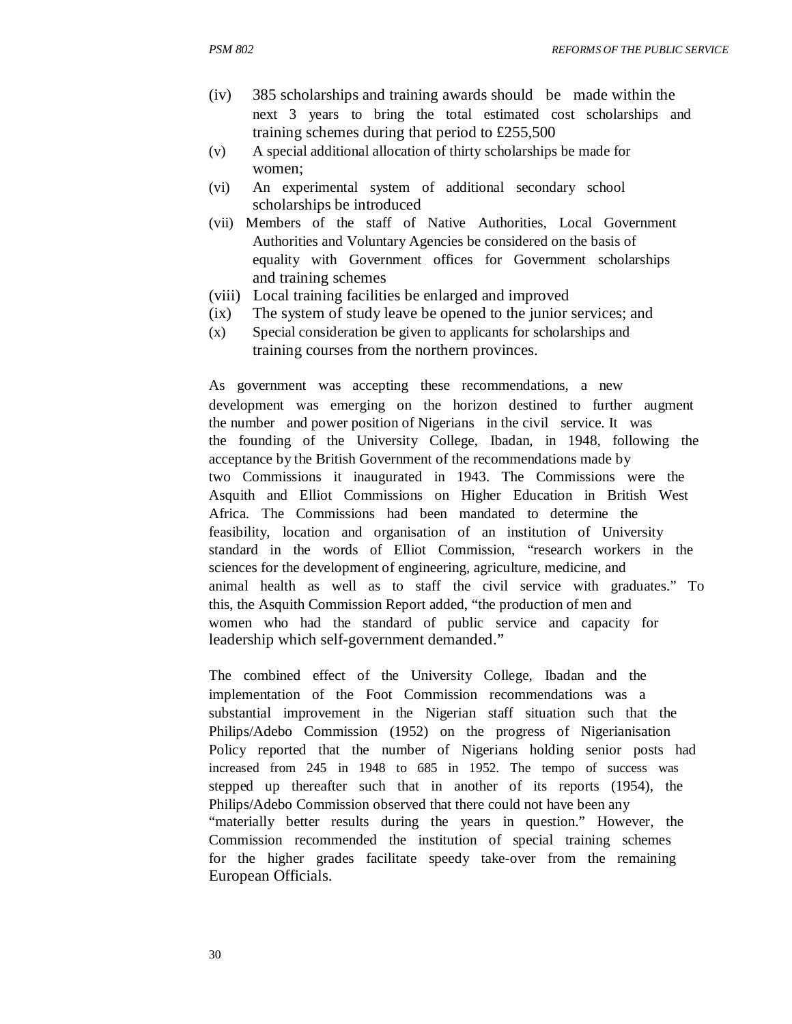- (iv) 385 scholarships and training awards should be made within the next 3 years to bring the total estimated cost scholarships and training schemes during that period to £255,500
- (v) A special additional allocation of thirty scholarships be made for women;
- (vi) An experimental system of additional secondary school scholarships be introduced
- (vii) Members of the staff of Native Authorities, Local Government Authorities and Voluntary Agencies be considered on the basis of equality with Government offices for Government scholarships and training schemes
- (viii) Local training facilities be enlarged and improved
- (ix) The system of study leave be opened to the junior services; and
- (x) Special consideration be given to applicants for scholarships and training courses from the northern provinces.

As government was accepting these recommendations, a new development was emerging on the horizon destined to further augment the number and power position of Nigerians in the civil service. It was the founding of the University College, Ibadan, in 1948, following the acceptance by the British Government of the recommendations made by two Commissions it inaugurated in 1943. The Commissions were the Asquith and Elliot Commissions on Higher Education in British West Africa. The Commissions had been mandated to determine the feasibility, location and organisation of an institution of University standard in the words of Elliot Commission, "research workers in the sciences for the development of engineering, agriculture, medicine, and animal health as well as to staff the civil service with graduates." To this, the Asquith Commission Report added, "the production of men and women who had the standard of public service and capacity for leadership which self-government demanded."

The combined effect of the University College, Ibadan and the implementation of the Foot Commission recommendations was a substantial improvement in the Nigerian staff situation such that the Philips/Adebo Commission (1952) on the progress of Nigerianisation Policy reported that the number of Nigerians holding senior posts had increased from 245 in 1948 to 685 in 1952. The tempo of success was stepped up thereafter such that in another of its reports (1954), the Philips/Adebo Commission observed that there could not have been any "materially better results during the years in question." However, the Commission recommended the institution of special training schemes for the higher grades facilitate speedy take-over from the remaining European Officials.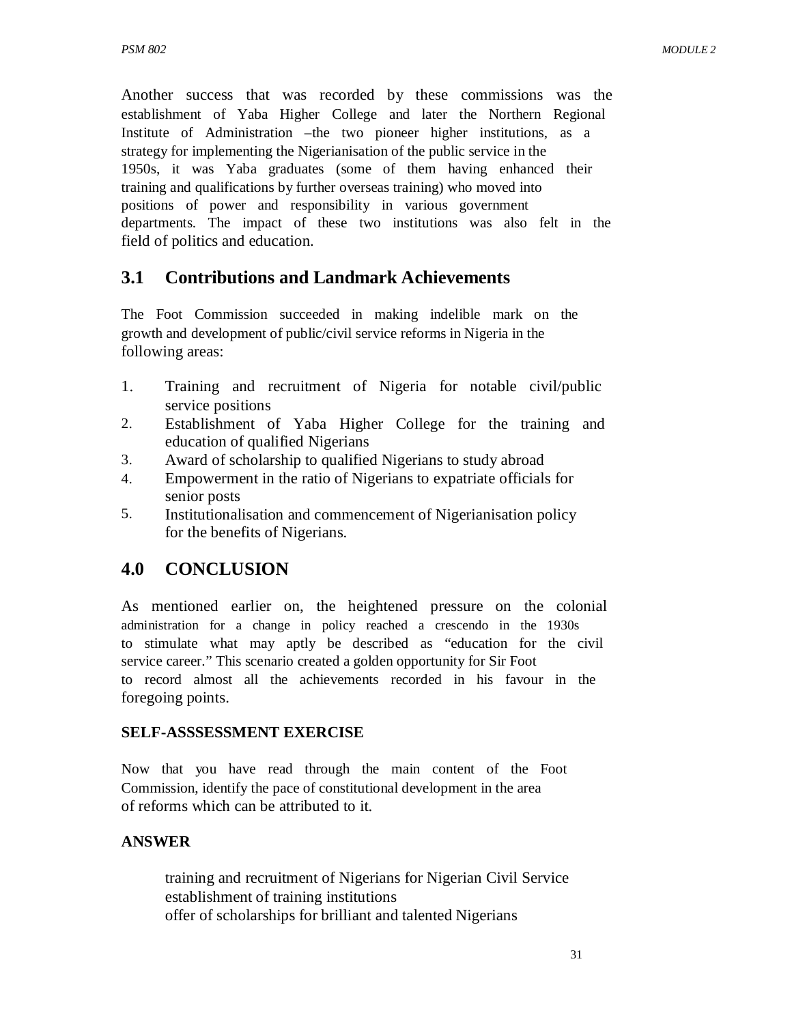Another success that was recorded by these commissions was the establishment of Yaba Higher College and later the Northern Regional Institute of Administration –the two pioneer higher institutions, as a strategy for implementing the Nigerianisation of the public service in the 1950s, it was Yaba graduates (some of them having enhanced their training and qualifications by further overseas training) who moved into positions of power and responsibility in various government departments. The impact of these two institutions was also felt in the field of politics and education.

## **3.1 Contributions and Landmark Achievements**

The Foot Commission succeeded in making indelible mark on the growth and development of public/civil service reforms in Nigeria in the following areas:

- 1. Training and recruitment of Nigeria for notable civil/public service positions
- 2. Establishment of Yaba Higher College for the training and education of qualified Nigerians
- 3. Award of scholarship to qualified Nigerians to study abroad
- 4. Empowerment in the ratio of Nigerians to expatriate officials for senior posts
- 5. Institutionalisation and commencement of Nigerianisation policy for the benefits of Nigerians.

## **4.0 CONCLUSION**

As mentioned earlier on, the heightened pressure on the colonial administration for a change in policy reached a crescendo in the 1930s to stimulate what may aptly be described as "education for the civil service career." This scenario created a golden opportunity for Sir Foot to record almost all the achievements recorded in his favour in the foregoing points.

#### **SELF-ASSSESSMENT EXERCISE**

Now that you have read through the main content of the Foot Commission, identify the pace of constitutional development in the area of reforms which can be attributed to it.

#### **ANSWER**

training and recruitment of Nigerians for Nigerian Civil Service establishment of training institutions offer of scholarships for brilliant and talented Nigerians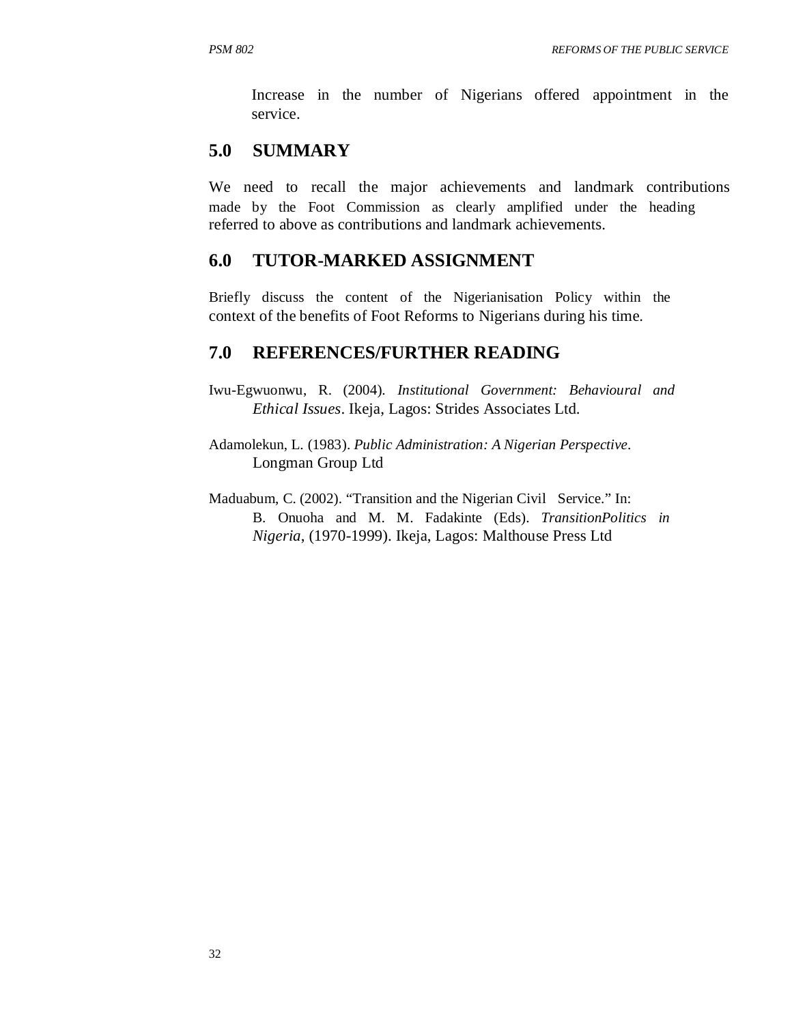Increase in the number of Nigerians offered appointment in the service.

## **5.0 SUMMARY**

We need to recall the major achievements and landmark contributions made by the Foot Commission as clearly amplified under the heading referred to above as contributions and landmark achievements.

#### **6.0 TUTOR-MARKED ASSIGNMENT**

Briefly discuss the content of the Nigerianisation Policy within the context of the benefits of Foot Reforms to Nigerians during his time.

### **7.0 REFERENCES/FURTHER READING**

Iwu-Egwuonwu, R. (2004). *Institutional Government: Behavioural and Ethical Issues*. Ikeja, Lagos: Strides Associates Ltd.

Adamolekun, L. (1983). *Public Administration: A Nigerian Perspective*. Longman Group Ltd

Maduabum, C. (2002). "Transition and the Nigerian Civil Service." In: B. Onuoha and M. M. Fadakinte (Eds). *TransitionPolitics in Nigeria*, (1970-1999). Ikeja, Lagos: Malthouse Press Ltd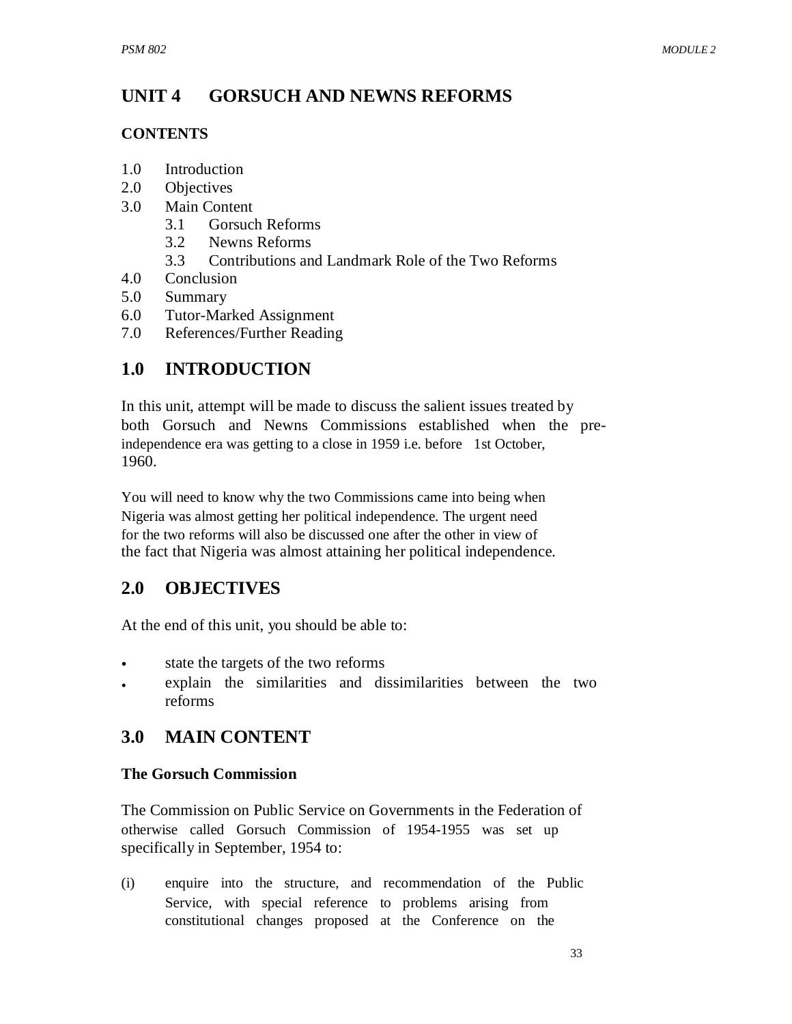#### **UNIT 4 GORSUCH AND NEWNS REFORMS**

### **CONTENTS**

- 1.0 Introduction
- 2.0 Objectives
- 3.0 Main Content
	- 3.1 Gorsuch Reforms
	- 3.2 Newns Reforms
	- 3.3 Contributions and Landmark Role of the Two Reforms
- 4.0 Conclusion
- 5.0 Summary
- 6.0 Tutor-Marked Assignment
- 7.0 References/Further Reading

# **1.0 INTRODUCTION**

In this unit, attempt will be made to discuss the salient issues treated by both Gorsuch and Newns Commissions established when the preindependence era was getting to a close in 1959 i.e. before 1st October, 1960.

You will need to know why the two Commissions came into being when Nigeria was almost getting her political independence. The urgent need for the two reforms will also be discussed one after the other in view of the fact that Nigeria was almost attaining her political independence.

# **2.0 OBJECTIVES**

At the end of this unit, you should be able to:

- state the targets of the two reforms
- explain the similarities and dissimilarities between the two reforms

# **3.0 MAIN CONTENT**

## **The Gorsuch Commission**

The Commission on Public Service on Governments in the Federation of otherwise called Gorsuch Commission of 1954-1955 was set up specifically in September, 1954 to:

(i) enquire into the structure, and recommendation of the Public Service, with special reference to problems arising from constitutional changes proposed at the Conference on the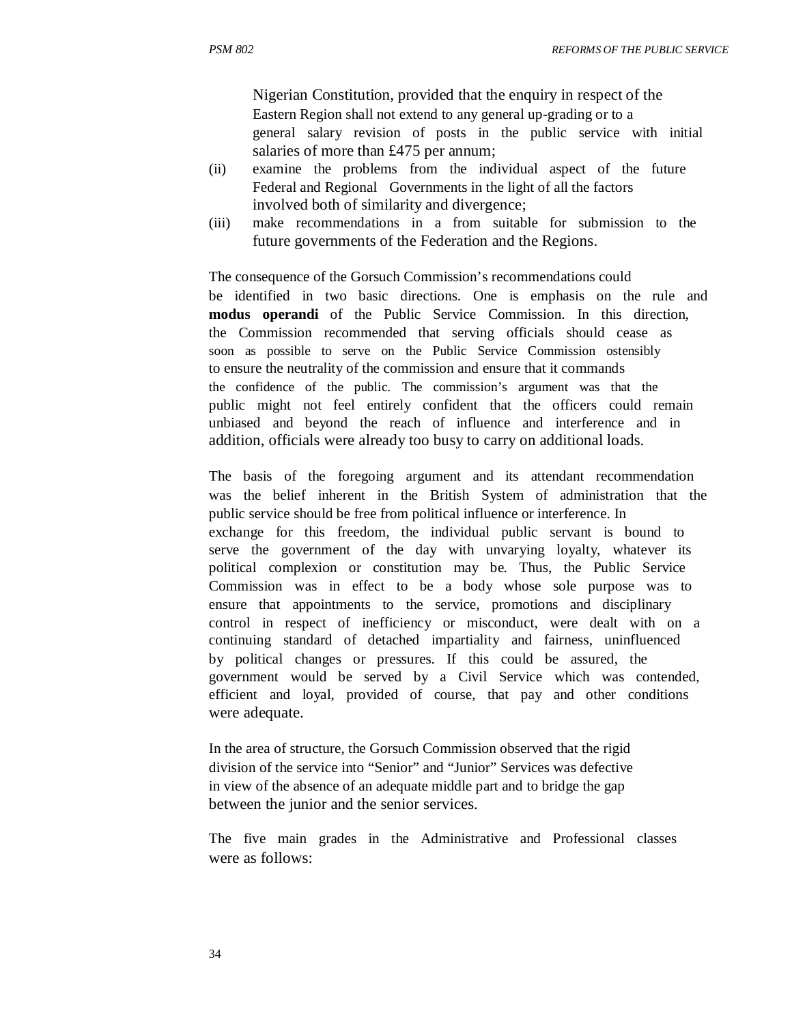Nigerian Constitution, provided that the enquiry in respect of the Eastern Region shall not extend to any general up-grading or to a general salary revision of posts in the public service with initial salaries of more than £475 per annum;

- (ii) examine the problems from the individual aspect of the future Federal and Regional Governments in the light of all the factors involved both of similarity and divergence;
- (iii) make recommendations in a from suitable for submission to the future governments of the Federation and the Regions.

The consequence of the Gorsuch Commission's recommendations could be identified in two basic directions. One is emphasis on the rule and **modus operandi** of the Public Service Commission. In this direction, the Commission recommended that serving officials should cease as soon as possible to serve on the Public Service Commission ostensibly to ensure the neutrality of the commission and ensure that it commands the confidence of the public. The commission's argument was that the public might not feel entirely confident that the officers could remain unbiased and beyond the reach of influence and interference and in addition, officials were already too busy to carry on additional loads.

The basis of the foregoing argument and its attendant recommendation was the belief inherent in the British System of administration that the public service should be free from political influence or interference. In exchange for this freedom, the individual public servant is bound to serve the government of the day with unvarying loyalty, whatever its political complexion or constitution may be. Thus, the Public Service Commission was in effect to be a body whose sole purpose was to ensure that appointments to the service, promotions and disciplinary control in respect of inefficiency or misconduct, were dealt with on a continuing standard of detached impartiality and fairness, uninfluenced by political changes or pressures. If this could be assured, the government would be served by a Civil Service which was contended, efficient and loyal, provided of course, that pay and other conditions were adequate.

In the area of structure, the Gorsuch Commission observed that the rigid division of the service into "Senior" and "Junior" Services was defective in view of the absence of an adequate middle part and to bridge the gap between the junior and the senior services.

The five main grades in the Administrative and Professional classes were as follows: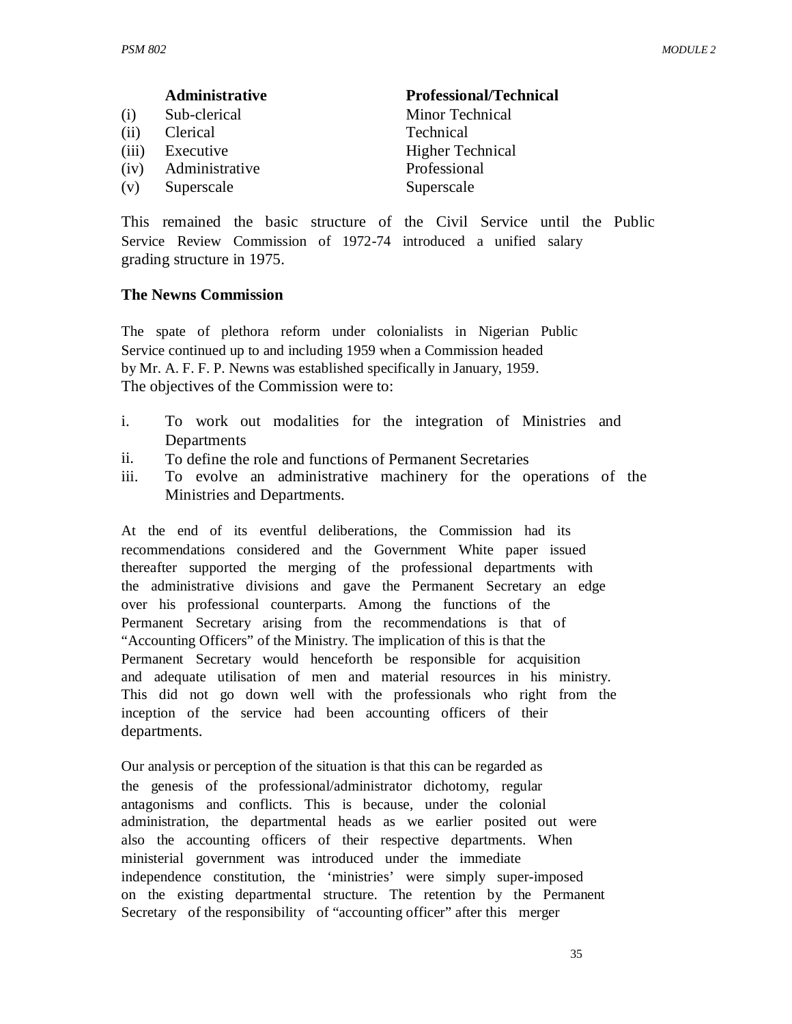|       | Administrative | <b>Professional/Technical</b> |
|-------|----------------|-------------------------------|
| (i)   | Sub-clerical   | Minor Technical               |
| (ii)  | Clerical       | Technical                     |
| (iii) | Executive      | <b>Higher Technical</b>       |
| (iv)  | Administrative | Professional                  |
| (v)   | Superscale     | Superscale                    |

This remained the basic structure of the Civil Service until the Public Service Review Commission of 1972-74 introduced a unified salary grading structure in 1975.

#### **The Newns Commission**

The spate of plethora reform under colonialists in Nigerian Public Service continued up to and including 1959 when a Commission headed by Mr. A. F. F. P. Newns was established specifically in January, 1959. The objectives of the Commission were to:

- i. To work out modalities for the integration of Ministries and Departments
- ii. To define the role and functions of Permanent Secretaries
- iii. To evolve an administrative machinery for the operations of the Ministries and Departments.

At the end of its eventful deliberations, the Commission had its recommendations considered and the Government White paper issued thereafter supported the merging of the professional departments with the administrative divisions and gave the Permanent Secretary an edge over his professional counterparts. Among the functions of the Permanent Secretary arising from the recommendations is that of "Accounting Officers" of the Ministry. The implication of this is that the Permanent Secretary would henceforth be responsible for acquisition and adequate utilisation of men and material resources in his ministry. This did not go down well with the professionals who right from the inception of the service had been accounting officers of their departments.

Our analysis or perception of the situation is that this can be regarded as the genesis of the professional/administrator dichotomy, regular antagonisms and conflicts. This is because, under the colonial administration, the departmental heads as we earlier posited out were also the accounting officers of their respective departments. When ministerial government was introduced under the immediate independence constitution, the 'ministries' were simply super-imposed on the existing departmental structure. The retention by the Permanent Secretary of the responsibility of "accounting officer" after this merger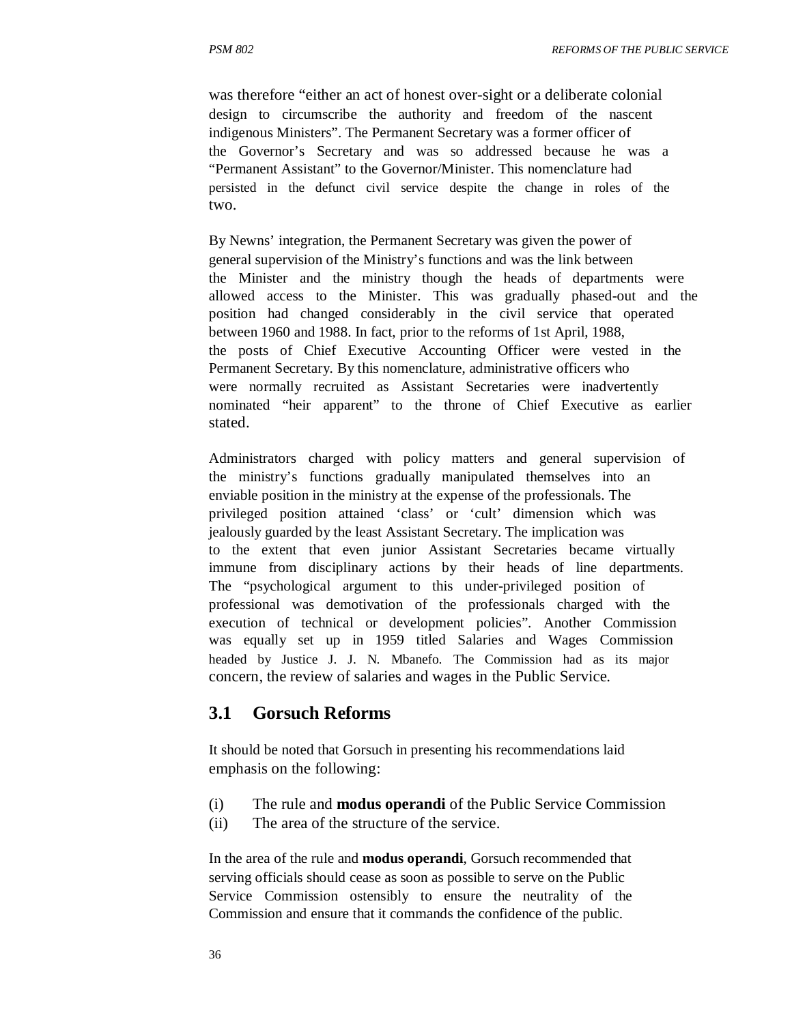was therefore "either an act of honest over-sight or a deliberate colonial design to circumscribe the authority and freedom of the nascent indigenous Ministers". The Permanent Secretary was a former officer of the Governor's Secretary and was so addressed because he was a "Permanent Assistant" to the Governor/Minister. This nomenclature had persisted in the defunct civil service despite the change in roles of the two.

By Newns' integration, the Permanent Secretary was given the power of general supervision of the Ministry's functions and was the link between the Minister and the ministry though the heads of departments were allowed access to the Minister. This was gradually phased-out and the position had changed considerably in the civil service that operated between 1960 and 1988. In fact, prior to the reforms of 1st April, 1988, the posts of Chief Executive Accounting Officer were vested in the Permanent Secretary. By this nomenclature, administrative officers who were normally recruited as Assistant Secretaries were inadvertently nominated "heir apparent" to the throne of Chief Executive as earlier stated.

Administrators charged with policy matters and general supervision of the ministry's functions gradually manipulated themselves into an enviable position in the ministry at the expense of the professionals. The privileged position attained 'class' or 'cult' dimension which was jealously guarded by the least Assistant Secretary. The implication was to the extent that even junior Assistant Secretaries became virtually immune from disciplinary actions by their heads of line departments. The "psychological argument to this under-privileged position of professional was demotivation of the professionals charged with the execution of technical or development policies". Another Commission was equally set up in 1959 titled Salaries and Wages Commission headed by Justice J. J. N. Mbanefo. The Commission had as its major concern, the review of salaries and wages in the Public Service.

## **3.1 Gorsuch Reforms**

It should be noted that Gorsuch in presenting his recommendations laid emphasis on the following:

- (i) The rule and **modus operandi** of the Public Service Commission
- (ii) The area of the structure of the service.

In the area of the rule and **modus operandi**, Gorsuch recommended that serving officials should cease as soon as possible to serve on the Public Service Commission ostensibly to ensure the neutrality of the Commission and ensure that it commands the confidence of the public.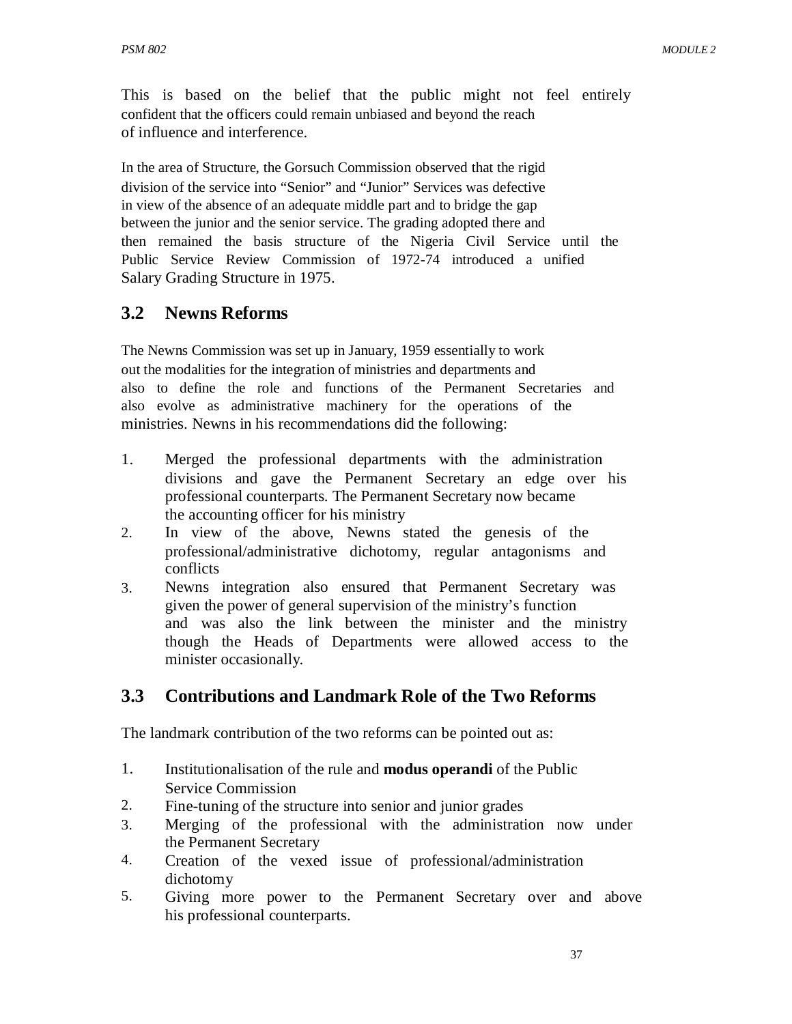This is based on the belief that the public might not feel entirely confident that the officers could remain unbiased and beyond the reach of influence and interference.

In the area of Structure, the Gorsuch Commission observed that the rigid division of the service into "Senior" and "Junior" Services was defective in view of the absence of an adequate middle part and to bridge the gap between the junior and the senior service. The grading adopted there and then remained the basis structure of the Nigeria Civil Service until the Public Service Review Commission of 1972-74 introduced a unified Salary Grading Structure in 1975.

## **3.2 Newns Reforms**

The Newns Commission was set up in January, 1959 essentially to work out the modalities for the integration of ministries and departments and also to define the role and functions of the Permanent Secretaries and also evolve as administrative machinery for the operations of the ministries. Newns in his recommendations did the following:

- 1. Merged the professional departments with the administration divisions and gave the Permanent Secretary an edge over his professional counterparts. The Permanent Secretary now became the accounting officer for his ministry
- 2. In view of the above, Newns stated the genesis of the professional/administrative dichotomy, regular antagonisms and conflicts
- 3. Newns integration also ensured that Permanent Secretary was given the power of general supervision of the ministry's function and was also the link between the minister and the ministry though the Heads of Departments were allowed access to the minister occasionally.

# **3.3 Contributions and Landmark Role of the Two Reforms**

The landmark contribution of the two reforms can be pointed out as:

- 1. Institutionalisation of the rule and **modus operandi** of the Public Service Commission
- 2. Fine-tuning of the structure into senior and junior grades
- 3. Merging of the professional with the administration now under the Permanent Secretary
- 4. Creation of the vexed issue of professional/administration dichotomy
- 5. Giving more power to the Permanent Secretary over and above his professional counterparts.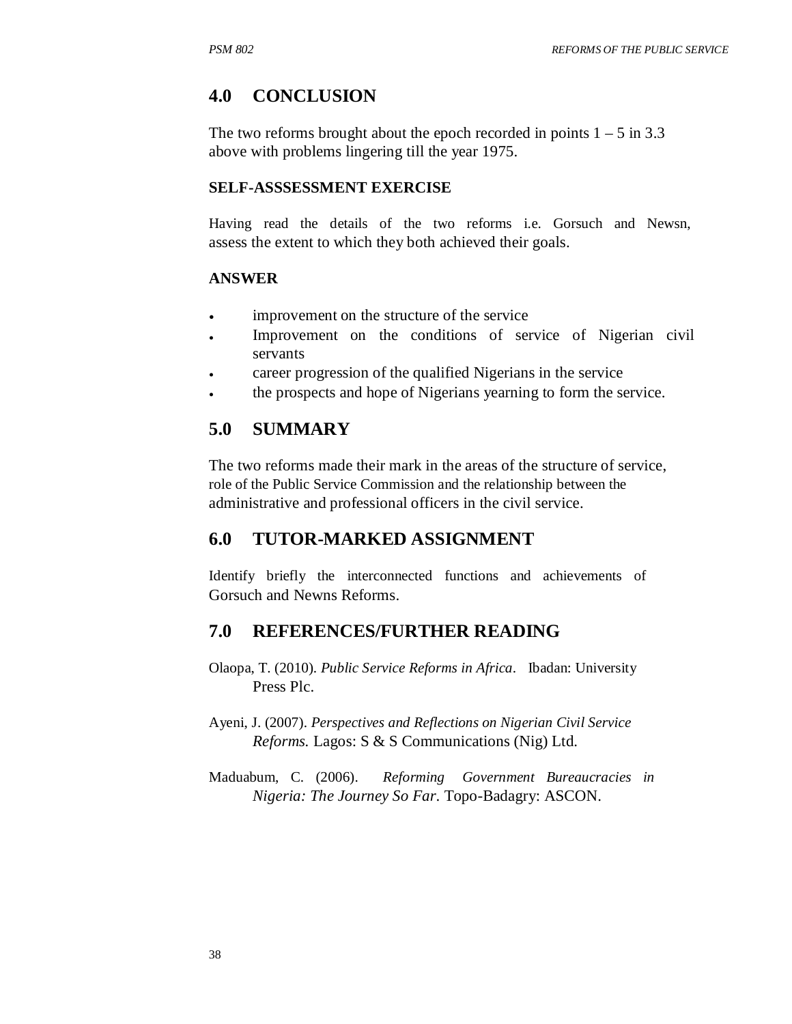## **4.0 CONCLUSION**

The two reforms brought about the epoch recorded in points  $1 - 5$  in 3.3 above with problems lingering till the year 1975.

#### **SELF-ASSSESSMENT EXERCISE**

Having read the details of the two reforms i.e. Gorsuch and Newsn, assess the extent to which they both achieved their goals.

#### **ANSWER**

- improvement on the structure of the service
- Improvement on the conditions of service of Nigerian civil servants
- career progression of the qualified Nigerians in the service
- the prospects and hope of Nigerians yearning to form the service.

## **5.0 SUMMARY**

The two reforms made their mark in the areas of the structure of service, role of the Public Service Commission and the relationship between the administrative and professional officers in the civil service.

## **6.0 TUTOR-MARKED ASSIGNMENT**

Identify briefly the interconnected functions and achievements of Gorsuch and Newns Reforms.

## **7.0 REFERENCES/FURTHER READING**

- Olaopa, T. (2010). *Public Service Reforms in Africa*. Ibadan: University Press Plc.
- Ayeni, J. (2007). *Perspectives and Reflections on Nigerian Civil Service Reforms.* Lagos: S & S Communications (Nig) Ltd.
- Maduabum, C. (2006). *Reforming Government Bureaucracies in Nigeria: The Journey So Far*. Topo-Badagry: ASCON.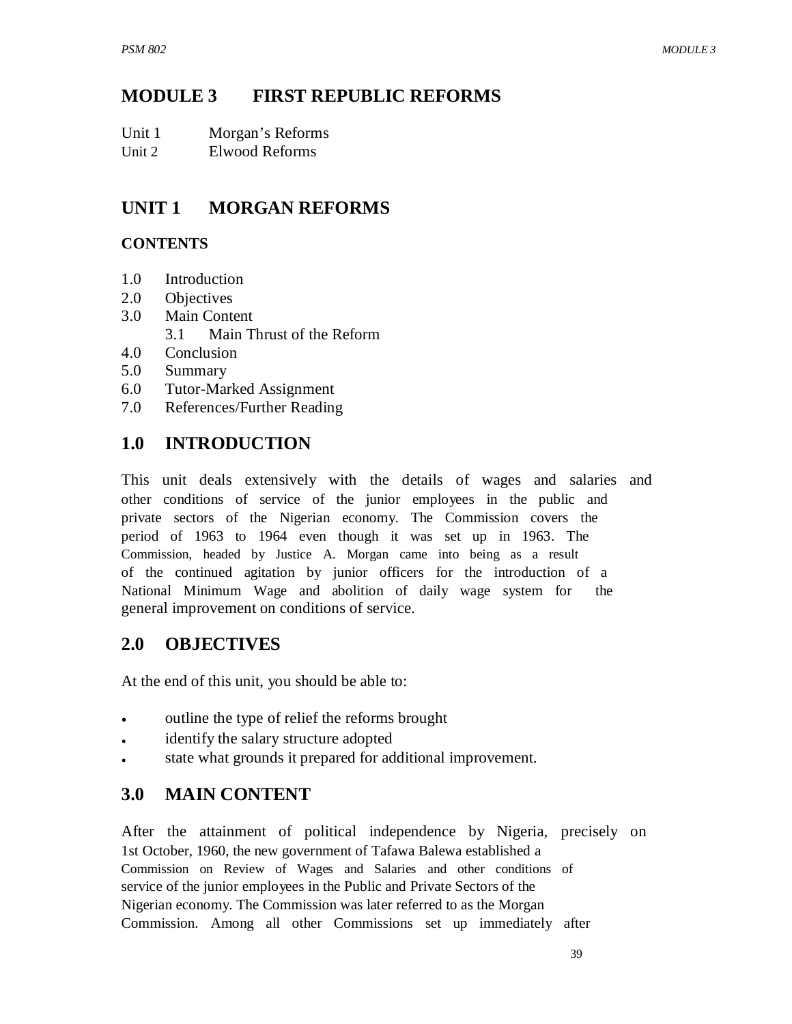# **MODULE 3 FIRST REPUBLIC REFORMS**

| Unit 1 | Morgan's Reforms |
|--------|------------------|
|--------|------------------|

Unit 2 Elwood Reforms

#### **UNIT 1 MORGAN REFORMS**

## **CONTENTS**

- 1.0 Introduction
- 2.0 Objectives
- 3.0 Main Content
	- 3.1 Main Thrust of the Reform
- 4.0 Conclusion
- 5.0 Summary
- 6.0 Tutor-Marked Assignment
- 7.0 References/Further Reading

# **1.0 INTRODUCTION**

This unit deals extensively with the details of wages and salaries and other conditions of service of the junior employees in the public and private sectors of the Nigerian economy. The Commission covers the period of 1963 to 1964 even though it was set up in 1963. The Commission, headed by Justice A. Morgan came into being as a result of the continued agitation by junior officers for the introduction of a National Minimum Wage and abolition of daily wage system for the general improvement on conditions of service.

## **2.0 OBJECTIVES**

At the end of this unit, you should be able to:

- outline the type of relief the reforms brought
- identify the salary structure adopted
- state what grounds it prepared for additional improvement.

# **3.0 MAIN CONTENT**

After the attainment of political independence by Nigeria, precisely on 1st October, 1960, the new government of Tafawa Balewa established a Commission on Review of Wages and Salaries and other conditions of service of the junior employees in the Public and Private Sectors of the Nigerian economy. The Commission was later referred to as the Morgan Commission. Among all other Commissions set up immediately after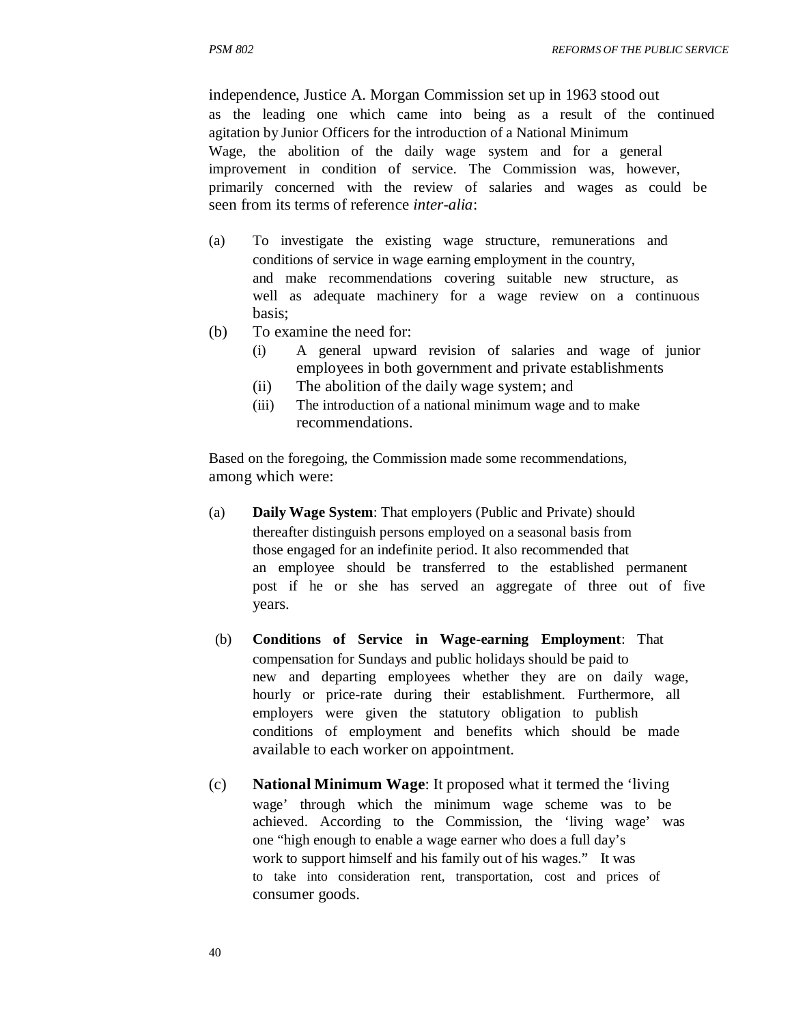independence, Justice A. Morgan Commission set up in 1963 stood out as the leading one which came into being as a result of the continued agitation by Junior Officers for the introduction of a National Minimum Wage, the abolition of the daily wage system and for a general improvement in condition of service. The Commission was, however, primarily concerned with the review of salaries and wages as could be seen from its terms of reference *inter-alia*:

- (a) To investigate the existing wage structure, remunerations and conditions of service in wage earning employment in the country, and make recommendations covering suitable new structure, as well as adequate machinery for a wage review on a continuous basis;
- (b) To examine the need for:
	- (i) A general upward revision of salaries and wage of junior employees in both government and private establishments
	- (ii) The abolition of the daily wage system; and
	- (iii) The introduction of a national minimum wage and to make recommendations.

Based on the foregoing, the Commission made some recommendations, among which were:

- (a) **Daily Wage System**: That employers (Public and Private) should thereafter distinguish persons employed on a seasonal basis from those engaged for an indefinite period. It also recommended that an employee should be transferred to the established permanent post if he or she has served an aggregate of three out of five years.
- (b) **Conditions of Service in Wage-earning Employment**: That compensation for Sundays and public holidays should be paid to new and departing employees whether they are on daily wage, hourly or price-rate during their establishment. Furthermore, all employers were given the statutory obligation to publish conditions of employment and benefits which should be made available to each worker on appointment.
- (c) **National Minimum Wage**: It proposed what it termed the 'living wage' through which the minimum wage scheme was to be achieved. According to the Commission, the 'living wage' was one "high enough to enable a wage earner who does a full day's work to support himself and his family out of his wages." It was to take into consideration rent, transportation, cost and prices of consumer goods.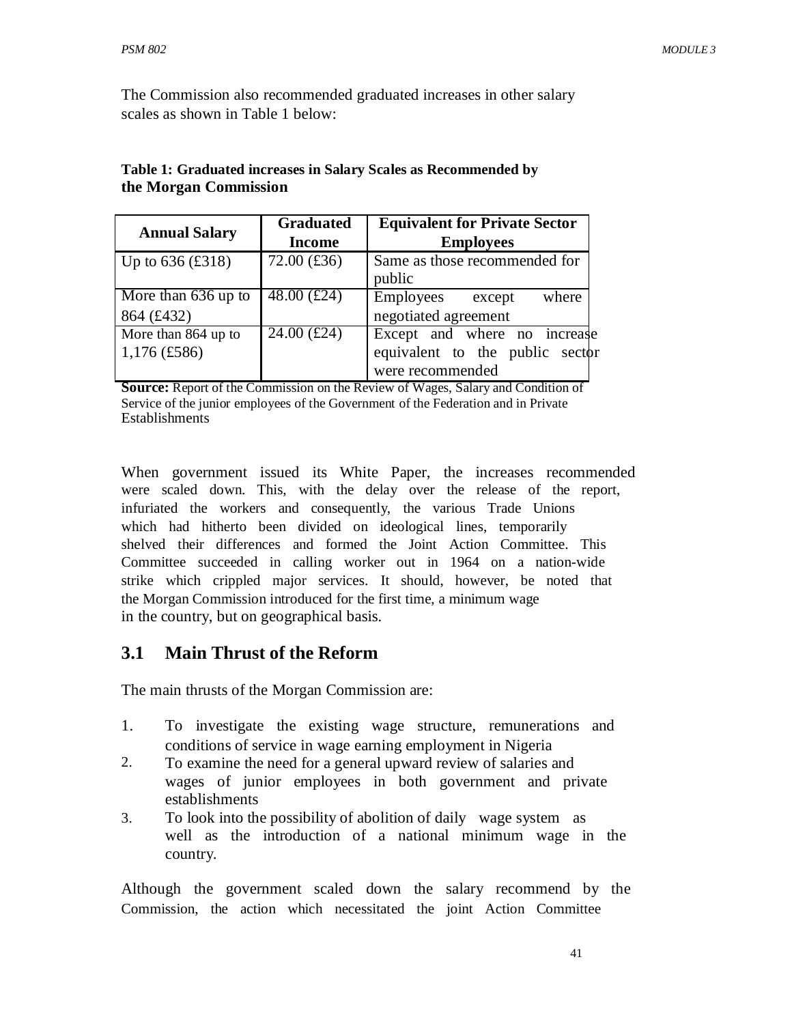The Commission also recommended graduated increases in other salary scales as shown in Table 1 below:

| <b>Annual Salary</b> | <b>Graduated</b> | <b>Equivalent for Private Sector</b> |
|----------------------|------------------|--------------------------------------|
|                      | <b>Income</b>    | <b>Employees</b>                     |
| Up to $636$ (£318)   | $72.00$ (£36)    | Same as those recommended for        |
|                      |                  | public                               |
| More than 636 up to  | 48.00 $(f24)$    | <b>Employees</b><br>where<br>except  |
| 864 (£432)           |                  | negotiated agreement                 |
| More than 864 up to  | $24.00$ (£24)    | Except and where no increase         |
| $1,176$ (£586)       |                  | equivalent to the public sector      |
|                      |                  | were recommended                     |

#### **Table 1: Graduated increases in Salary Scales as Recommended by the Morgan Commission**

**Source:** Report of the Commission on the Review of Wages, Salary and Condition of Service of the junior employees of the Government of the Federation and in Private **Establishments** 

When government issued its White Paper, the increases recommended were scaled down. This, with the delay over the release of the report, infuriated the workers and consequently, the various Trade Unions which had hitherto been divided on ideological lines, temporarily shelved their differences and formed the Joint Action Committee. This Committee succeeded in calling worker out in 1964 on a nation-wide strike which crippled major services. It should, however, be noted that the Morgan Commission introduced for the first time, a minimum wage in the country, but on geographical basis.

## **3.1 Main Thrust of the Reform**

The main thrusts of the Morgan Commission are:

- 1. To investigate the existing wage structure, remunerations and conditions of service in wage earning employment in Nigeria
- 2. To examine the need for a general upward review of salaries and wages of junior employees in both government and private establishments
- 3. To look into the possibility of abolition of daily wage system as well as the introduction of a national minimum wage in the country.

Although the government scaled down the salary recommend by the Commission, the action which necessitated the joint Action Committee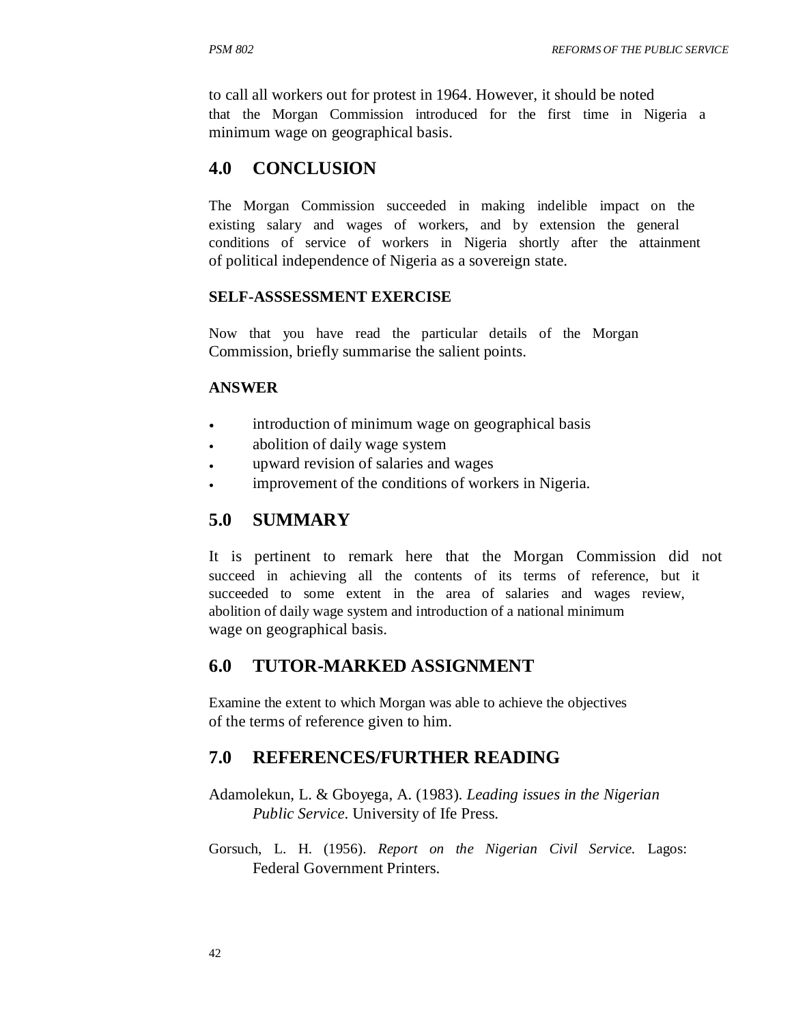to call all workers out for protest in 1964. However, it should be noted that the Morgan Commission introduced for the first time in Nigeria a minimum wage on geographical basis.

## **4.0 CONCLUSION**

The Morgan Commission succeeded in making indelible impact on the existing salary and wages of workers, and by extension the general conditions of service of workers in Nigeria shortly after the attainment of political independence of Nigeria as a sovereign state.

#### **SELF-ASSSESSMENT EXERCISE**

Now that you have read the particular details of the Morgan Commission, briefly summarise the salient points.

#### **ANSWER**

- introduction of minimum wage on geographical basis
- abolition of daily wage system
- upward revision of salaries and wages
- improvement of the conditions of workers in Nigeria.

## **5.0 SUMMARY**

It is pertinent to remark here that the Morgan Commission did not succeed in achieving all the contents of its terms of reference, but it succeeded to some extent in the area of salaries and wages review, abolition of daily wage system and introduction of a national minimum wage on geographical basis.

## **6.0 TUTOR-MARKED ASSIGNMENT**

Examine the extent to which Morgan was able to achieve the objectives of the terms of reference given to him.

## **7.0 REFERENCES/FURTHER READING**

- Adamolekun, L. & Gboyega, A. (1983). *Leading issues in the Nigerian Public Service*. University of Ife Press.
- Gorsuch, L. H. (1956). *Report on the Nigerian Civil Service.* Lagos: Federal Government Printers.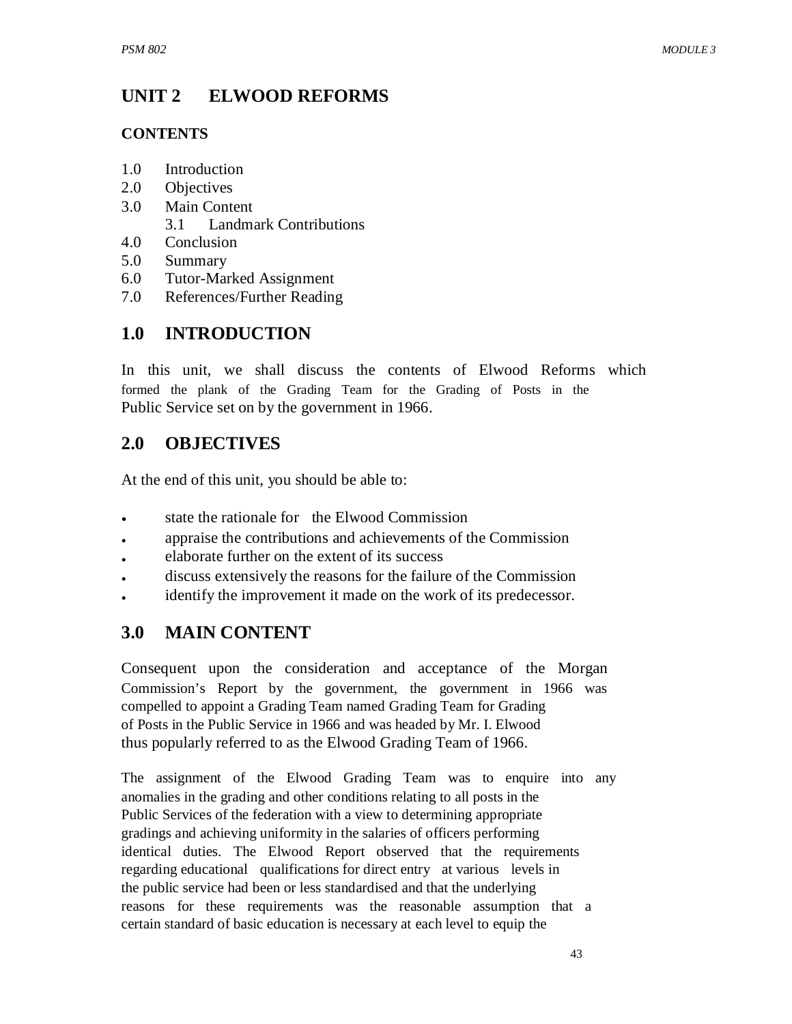#### **UNIT 2 ELWOOD REFORMS**

## **CONTENTS**

- 1.0 Introduction
- 2.0 Objectives
- 3.0 Main Content
	- 3.1 Landmark Contributions
- 4.0 Conclusion
- 5.0 Summary
- 6.0 Tutor-Marked Assignment
- 7.0 References/Further Reading

# **1.0 INTRODUCTION**

In this unit, we shall discuss the contents of Elwood Reforms which formed the plank of the Grading Team for the Grading of Posts in the Public Service set on by the government in 1966.

# **2.0 OBJECTIVES**

At the end of this unit, you should be able to:

- state the rationale for the Elwood Commission
- appraise the contributions and achievements of the Commission
- elaborate further on the extent of its success
- discuss extensively the reasons for the failure of the Commission
- identify the improvement it made on the work of its predecessor.

# **3.0 MAIN CONTENT**

Consequent upon the consideration and acceptance of the Morgan Commission's Report by the government, the government in 1966 was compelled to appoint a Grading Team named Grading Team for Grading of Posts in the Public Service in 1966 and was headed by Mr. I. Elwood thus popularly referred to as the Elwood Grading Team of 1966.

The assignment of the Elwood Grading Team was to enquire into any anomalies in the grading and other conditions relating to all posts in the Public Services of the federation with a view to determining appropriate gradings and achieving uniformity in the salaries of officers performing identical duties. The Elwood Report observed that the requirements regarding educational qualifications for direct entry at various levels in the public service had been or less standardised and that the underlying reasons for these requirements was the reasonable assumption that a certain standard of basic education is necessary at each level to equip the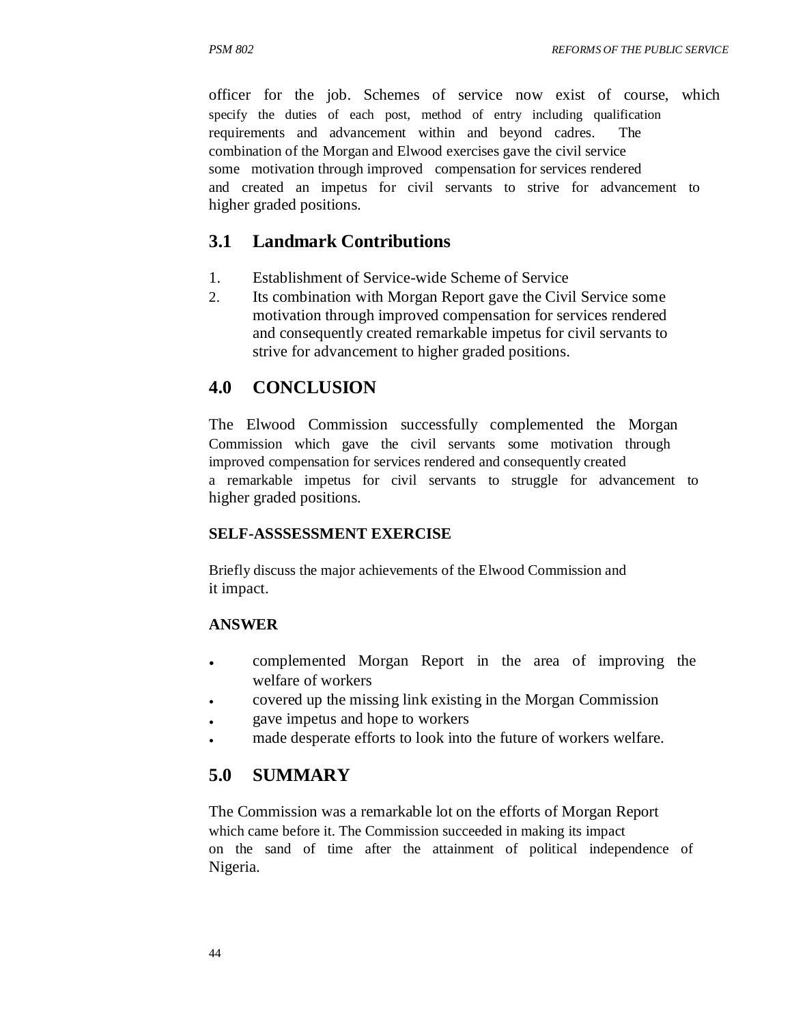officer for the job. Schemes of service now exist of course, which specify the duties of each post, method of entry including qualification requirements and advancement within and beyond cadres. The combination of the Morgan and Elwood exercises gave the civil service some motivation through improved compensation for services rendered and created an impetus for civil servants to strive for advancement to higher graded positions.

## **3.1 Landmark Contributions**

- 1. Establishment of Service-wide Scheme of Service
- 2. Its combination with Morgan Report gave the Civil Service some motivation through improved compensation for services rendered and consequently created remarkable impetus for civil servants to strive for advancement to higher graded positions.

#### **4.0 CONCLUSION**

The Elwood Commission successfully complemented the Morgan Commission which gave the civil servants some motivation through improved compensation for services rendered and consequently created a remarkable impetus for civil servants to struggle for advancement to higher graded positions.

#### **SELF-ASSSESSMENT EXERCISE**

Briefly discuss the major achievements of the Elwood Commission and it impact.

#### **ANSWER**

- complemented Morgan Report in the area of improving the welfare of workers
- covered up the missing link existing in the Morgan Commission
- gave impetus and hope to workers
- made desperate efforts to look into the future of workers welfare.

## **5.0 SUMMARY**

The Commission was a remarkable lot on the efforts of Morgan Report which came before it. The Commission succeeded in making its impact on the sand of time after the attainment of political independence of Nigeria.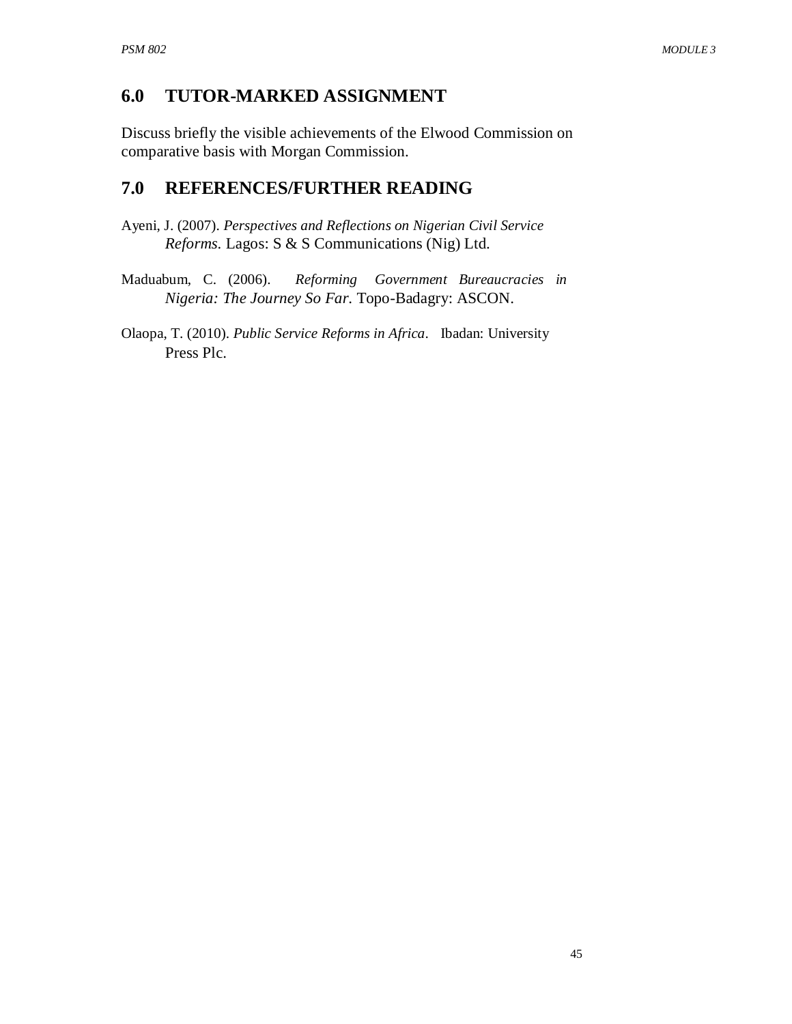## **6.0 TUTOR-MARKED ASSIGNMENT**

Discuss briefly the visible achievements of the Elwood Commission on comparative basis with Morgan Commission.

## **7.0 REFERENCES/FURTHER READING**

- Ayeni, J. (2007). *Perspectives and Reflections on Nigerian Civil Service Reforms.* Lagos: S & S Communications (Nig) Ltd.
- Maduabum, C. (2006). *Reforming Government Bureaucracies in Nigeria: The Journey So Far*. Topo-Badagry: ASCON.
- Olaopa, T. (2010). *Public Service Reforms in Africa*. Ibadan: University Press Plc.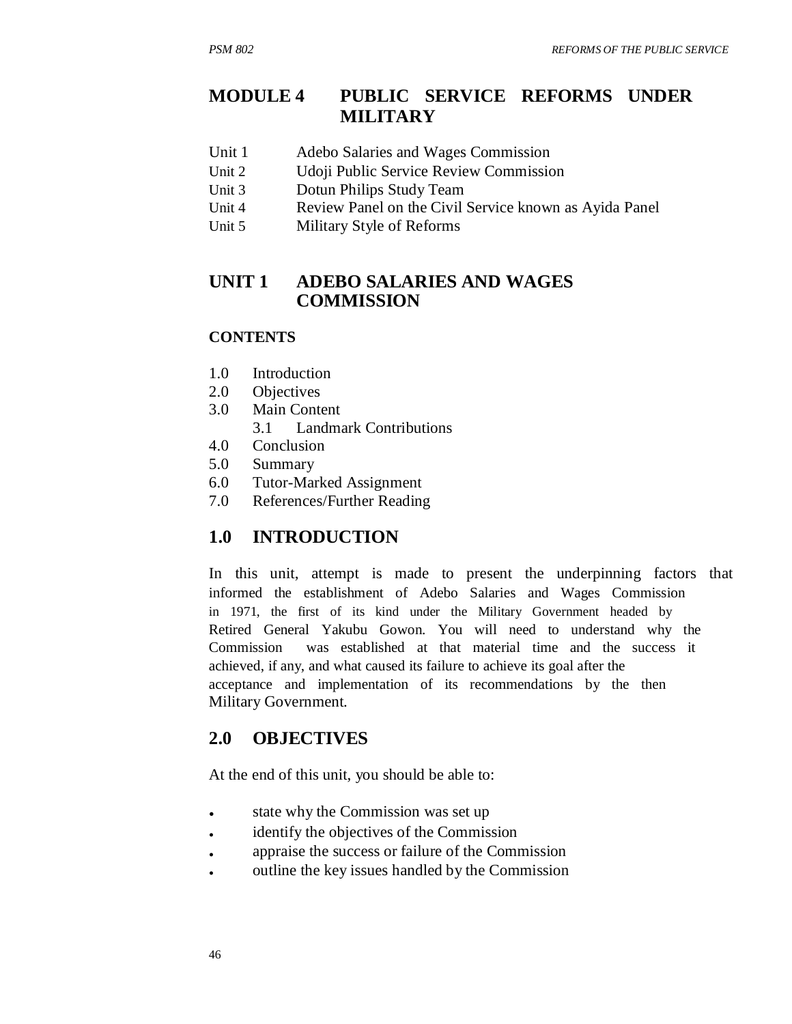## **MODULE 4 PUBLIC SERVICE REFORMS UNDER MILITARY**

- Unit 1 Adebo Salaries and Wages Commission
- Unit 2 Udoji Public Service Review Commission
- Unit 3 Dotun Philips Study Team
- Unit 4 Review Panel on the Civil Service known as Ayida Panel
- Unit 5 Military Style of Reforms

#### **UNIT 1 ADEBO SALARIES AND WAGES COMMISSION**

#### **CONTENTS**

- 1.0 Introduction
- 2.0 Objectives
- 3.0 Main Content
	- 3.1 Landmark Contributions
- 4.0 Conclusion
- 5.0 Summary
- 6.0 Tutor-Marked Assignment
- 7.0 References/Further Reading

## **1.0 INTRODUCTION**

In this unit, attempt is made to present the underpinning factors that informed the establishment of Adebo Salaries and Wages Commission in 1971, the first of its kind under the Military Government headed by Retired General Yakubu Gowon. You will need to understand why the Commission was established at that material time and the success it achieved, if any, and what caused its failure to achieve its goal after the acceptance and implementation of its recommendations by the then Military Government.

## **2.0 OBJECTIVES**

At the end of this unit, you should be able to:

- state why the Commission was set up
- identify the objectives of the Commission
- appraise the success or failure of the Commission
- outline the key issues handled by the Commission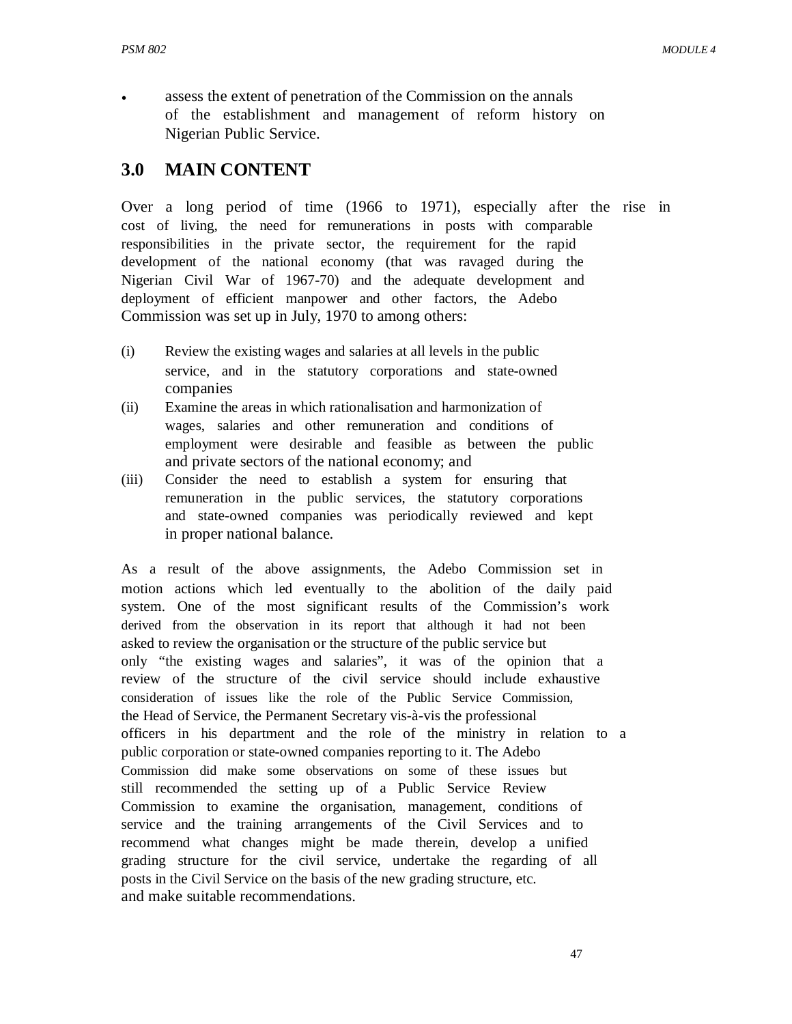assess the extent of penetration of the Commission on the annals of the establishment and management of reform history on Nigerian Public Service.

## **3.0 MAIN CONTENT**

Over a long period of time (1966 to 1971), especially after the rise in cost of living, the need for remunerations in posts with comparable responsibilities in the private sector, the requirement for the rapid development of the national economy (that was ravaged during the Nigerian Civil War of 1967-70) and the adequate development and deployment of efficient manpower and other factors, the Adebo Commission was set up in July, 1970 to among others:

- (i) Review the existing wages and salaries at all levels in the public service, and in the statutory corporations and state-owned companies
- (ii) Examine the areas in which rationalisation and harmonization of wages, salaries and other remuneration and conditions of employment were desirable and feasible as between the public and private sectors of the national economy; and
- (iii) Consider the need to establish a system for ensuring that remuneration in the public services, the statutory corporations and state-owned companies was periodically reviewed and kept in proper national balance.

As a result of the above assignments, the Adebo Commission set in motion actions which led eventually to the abolition of the daily paid system. One of the most significant results of the Commission's work derived from the observation in its report that although it had not been asked to review the organisation or the structure of the public service but only "the existing wages and salaries", it was of the opinion that a review of the structure of the civil service should include exhaustive consideration of issues like the role of the Public Service Commission, the Head of Service, the Permanent Secretary vis-à-vis the professional officers in his department and the role of the ministry in relation to a public corporation or state-owned companies reporting to it. The Adebo Commission did make some observations on some of these issues but still recommended the setting up of a Public Service Review Commission to examine the organisation, management, conditions of service and the training arrangements of the Civil Services and to recommend what changes might be made therein, develop a unified grading structure for the civil service, undertake the regarding of all posts in the Civil Service on the basis of the new grading structure, etc. and make suitable recommendations.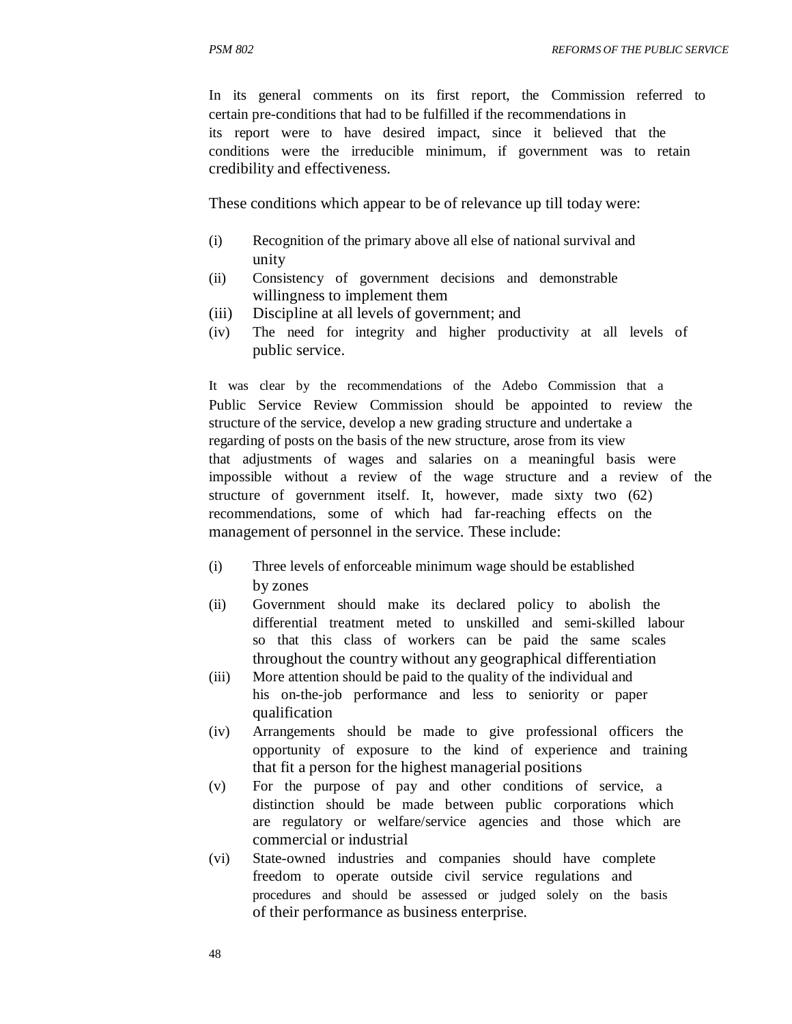In its general comments on its first report, the Commission referred to certain pre-conditions that had to be fulfilled if the recommendations in its report were to have desired impact, since it believed that the conditions were the irreducible minimum, if government was to retain credibility and effectiveness.

These conditions which appear to be of relevance up till today were:

- (i) Recognition of the primary above all else of national survival and unity
- (ii) Consistency of government decisions and demonstrable willingness to implement them
- (iii) Discipline at all levels of government; and
- (iv) The need for integrity and higher productivity at all levels of public service.

It was clear by the recommendations of the Adebo Commission that a Public Service Review Commission should be appointed to review the structure of the service, develop a new grading structure and undertake a regarding of posts on the basis of the new structure, arose from its view that adjustments of wages and salaries on a meaningful basis were impossible without a review of the wage structure and a review of the structure of government itself. It, however, made sixty two (62) recommendations, some of which had far-reaching effects on the management of personnel in the service. These include:

- (i) Three levels of enforceable minimum wage should be established by zones
- (ii) Government should make its declared policy to abolish the differential treatment meted to unskilled and semi-skilled labour so that this class of workers can be paid the same scales throughout the country without any geographical differentiation
- (iii) More attention should be paid to the quality of the individual and his on-the-job performance and less to seniority or paper qualification
- (iv) Arrangements should be made to give professional officers the opportunity of exposure to the kind of experience and training that fit a person for the highest managerial positions
- (v) For the purpose of pay and other conditions of service, a distinction should be made between public corporations which are regulatory or welfare/service agencies and those which are commercial or industrial
- (vi) State-owned industries and companies should have complete freedom to operate outside civil service regulations and procedures and should be assessed or judged solely on the basis of their performance as business enterprise.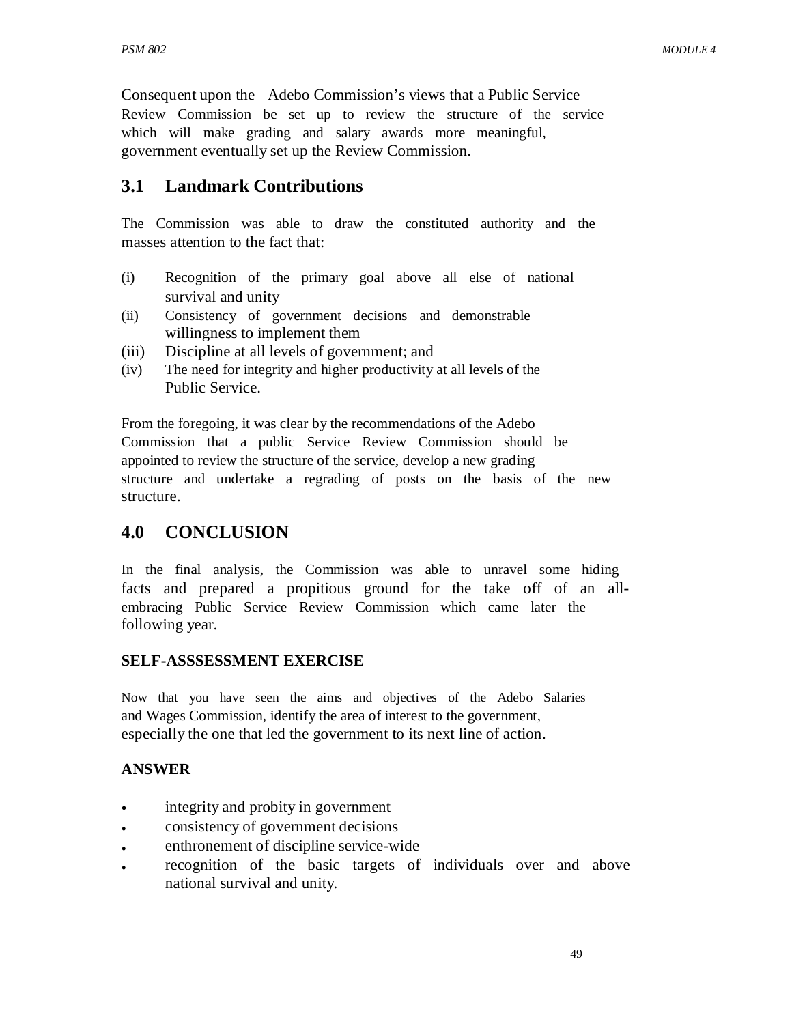Consequent upon the Adebo Commission's views that a Public Service Review Commission be set up to review the structure of the service which will make grading and salary awards more meaningful, government eventually set up the Review Commission.

## **3.1 Landmark Contributions**

The Commission was able to draw the constituted authority and the masses attention to the fact that:

- (i) Recognition of the primary goal above all else of national survival and unity
- (ii) Consistency of government decisions and demonstrable willingness to implement them
- (iii) Discipline at all levels of government; and
- (iv) The need for integrity and higher productivity at all levels of the Public Service.

From the foregoing, it was clear by the recommendations of the Adebo Commission that a public Service Review Commission should be appointed to review the structure of the service, develop a new grading structure and undertake a regrading of posts on the basis of the new structure.

## **4.0 CONCLUSION**

In the final analysis, the Commission was able to unravel some hiding facts and prepared a propitious ground for the take off of an allembracing Public Service Review Commission which came later the following year.

#### **SELF-ASSSESSMENT EXERCISE**

Now that you have seen the aims and objectives of the Adebo Salaries and Wages Commission, identify the area of interest to the government, especially the one that led the government to its next line of action.

#### **ANSWER**

- integrity and probity in government
- consistency of government decisions
- enthronement of discipline service-wide
- recognition of the basic targets of individuals over and above national survival and unity.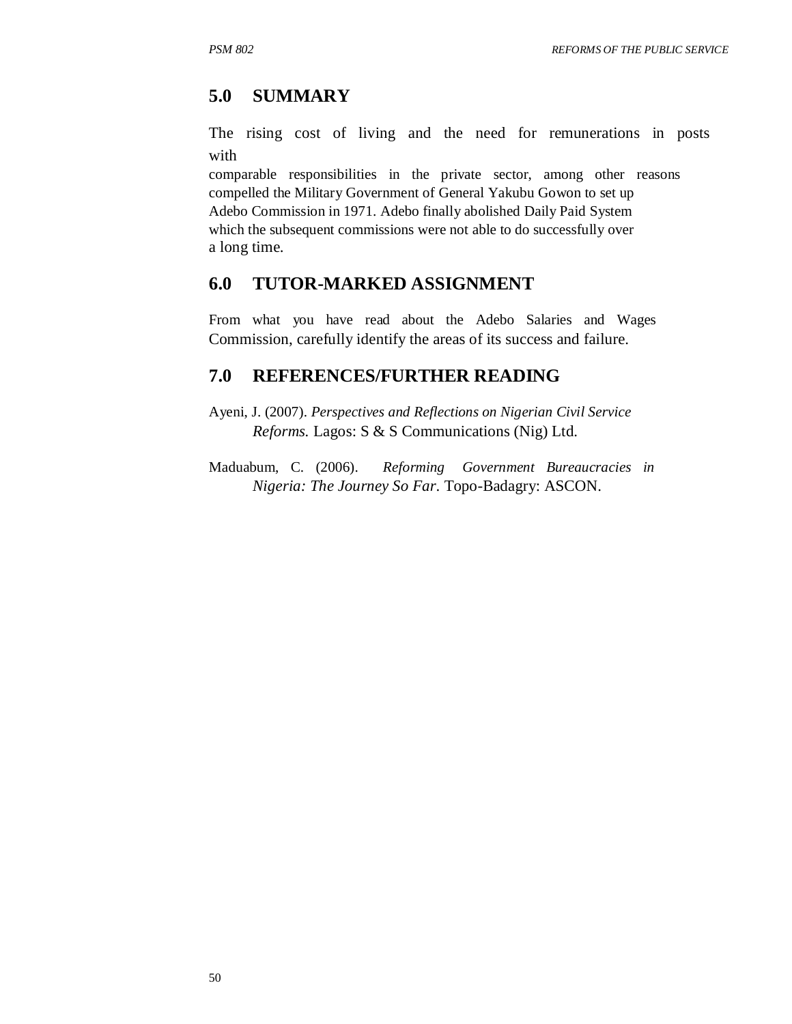## **5.0 SUMMARY**

The rising cost of living and the need for remunerations in posts with

comparable responsibilities in the private sector, among other reasons compelled the Military Government of General Yakubu Gowon to set up Adebo Commission in 1971. Adebo finally abolished Daily Paid System which the subsequent commissions were not able to do successfully over a long time.

## **6.0 TUTOR-MARKED ASSIGNMENT**

From what you have read about the Adebo Salaries and Wages Commission, carefully identify the areas of its success and failure.

## **7.0 REFERENCES/FURTHER READING**

Ayeni, J. (2007). *Perspectives and Reflections on Nigerian Civil Service Reforms.* Lagos: S & S Communications (Nig) Ltd.

Maduabum, C. (2006). *Reforming Government Bureaucracies in Nigeria: The Journey So Far*. Topo-Badagry: ASCON.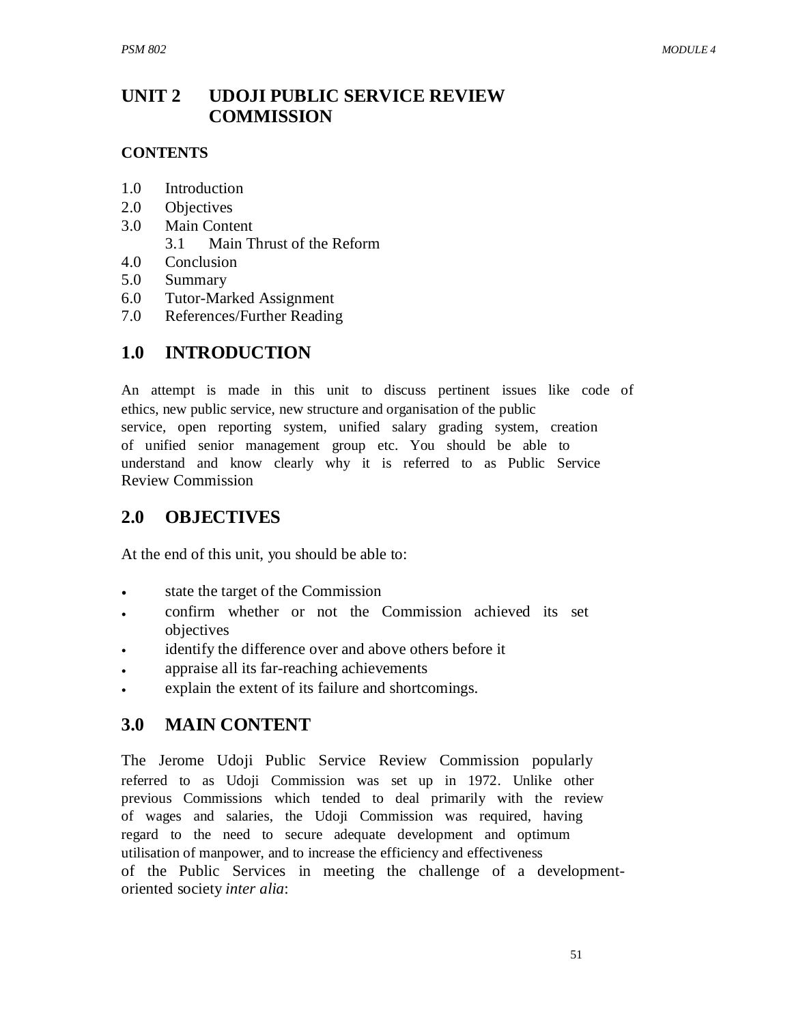#### **UNIT 2 UDOJI PUBLIC SERVICE REVIEW COMMISSION**

## **CONTENTS**

- 1.0 Introduction
- 2.0 Objectives
- 3.0 Main Content
	- 3.1 Main Thrust of the Reform
- 4.0 Conclusion
- 5.0 Summary
- 6.0 Tutor-Marked Assignment
- 7.0 References/Further Reading

# **1.0 INTRODUCTION**

An attempt is made in this unit to discuss pertinent issues like code of ethics, new public service, new structure and organisation of the public service, open reporting system, unified salary grading system, creation of unified senior management group etc. You should be able to understand and know clearly why it is referred to as Public Service Review Commission

# **2.0 OBJECTIVES**

At the end of this unit, you should be able to:

- state the target of the Commission
- confirm whether or not the Commission achieved its set objectives
- identify the difference over and above others before it
- appraise all its far-reaching achievements
- explain the extent of its failure and shortcomings.

## **3.0 MAIN CONTENT**

The Jerome Udoji Public Service Review Commission popularly referred to as Udoji Commission was set up in 1972. Unlike other previous Commissions which tended to deal primarily with the review of wages and salaries, the Udoji Commission was required, having regard to the need to secure adequate development and optimum utilisation of manpower, and to increase the efficiency and effectiveness of the Public Services in meeting the challenge of a developmentoriented society *inter alia*: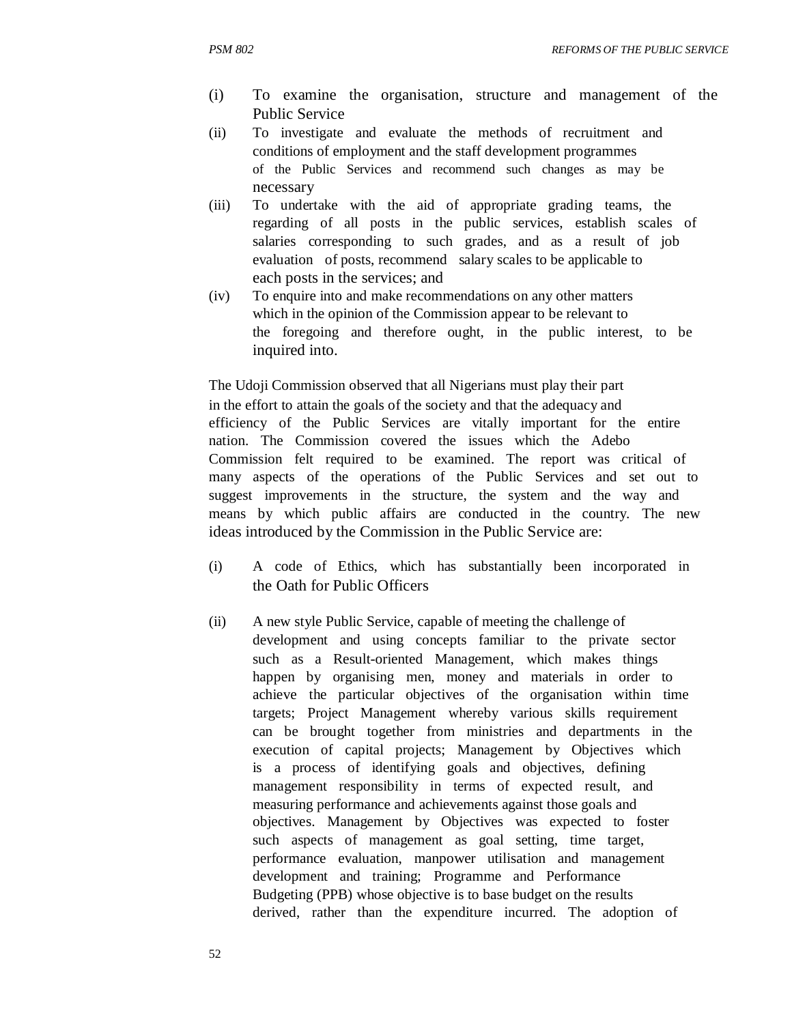- (i) To examine the organisation, structure and management of the Public Service
- (ii) To investigate and evaluate the methods of recruitment and conditions of employment and the staff development programmes of the Public Services and recommend such changes as may be necessary
- (iii) To undertake with the aid of appropriate grading teams, the regarding of all posts in the public services, establish scales of salaries corresponding to such grades, and as a result of job evaluation of posts, recommend salary scales to be applicable to each posts in the services; and
- (iv) To enquire into and make recommendations on any other matters which in the opinion of the Commission appear to be relevant to the foregoing and therefore ought, in the public interest, to be inquired into.

The Udoji Commission observed that all Nigerians must play their part in the effort to attain the goals of the society and that the adequacy and efficiency of the Public Services are vitally important for the entire nation. The Commission covered the issues which the Adebo Commission felt required to be examined. The report was critical of many aspects of the operations of the Public Services and set out to suggest improvements in the structure, the system and the way and means by which public affairs are conducted in the country. The new ideas introduced by the Commission in the Public Service are:

- (i) A code of Ethics, which has substantially been incorporated in the Oath for Public Officers
- (ii) A new style Public Service, capable of meeting the challenge of development and using concepts familiar to the private sector such as a Result-oriented Management, which makes things happen by organising men, money and materials in order to achieve the particular objectives of the organisation within time targets; Project Management whereby various skills requirement can be brought together from ministries and departments in the execution of capital projects; Management by Objectives which is a process of identifying goals and objectives, defining management responsibility in terms of expected result, and measuring performance and achievements against those goals and objectives. Management by Objectives was expected to foster such aspects of management as goal setting, time target, performance evaluation, manpower utilisation and management development and training; Programme and Performance Budgeting (PPB) whose objective is to base budget on the results derived, rather than the expenditure incurred. The adoption of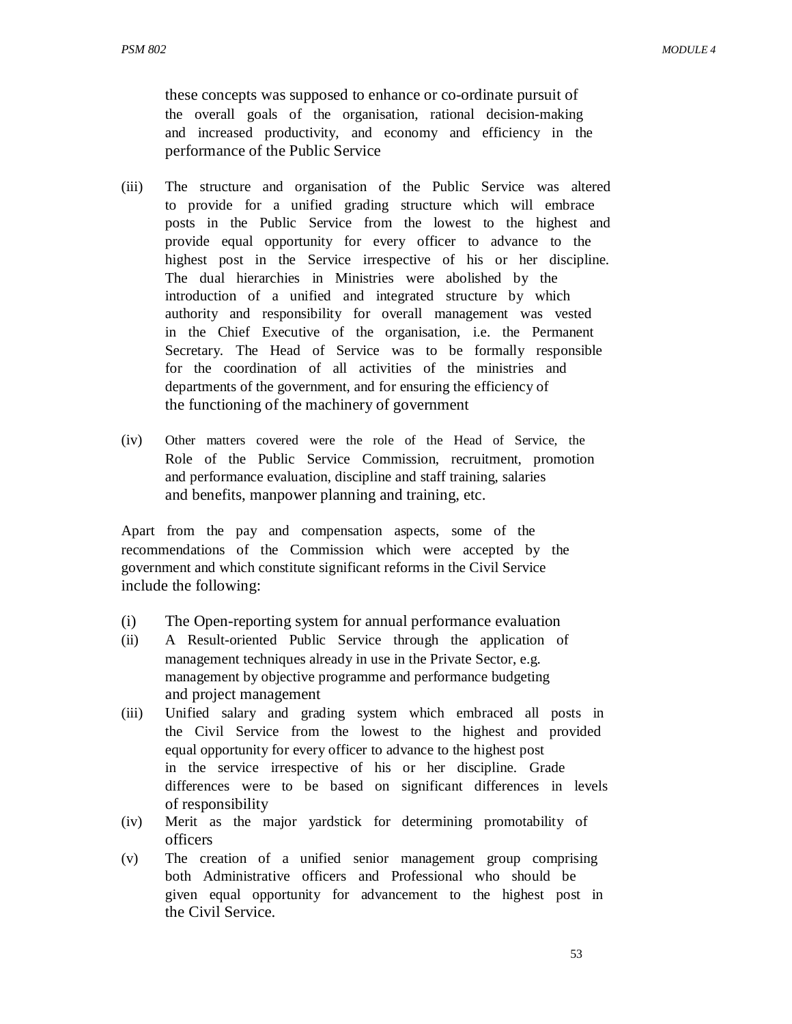these concepts was supposed to enhance or co-ordinate pursuit of the overall goals of the organisation, rational decision-making and increased productivity, and economy and efficiency in the performance of the Public Service

- (iii) The structure and organisation of the Public Service was altered to provide for a unified grading structure which will embrace posts in the Public Service from the lowest to the highest and provide equal opportunity for every officer to advance to the highest post in the Service irrespective of his or her discipline. The dual hierarchies in Ministries were abolished by the introduction of a unified and integrated structure by which authority and responsibility for overall management was vested in the Chief Executive of the organisation, i.e. the Permanent Secretary. The Head of Service was to be formally responsible for the coordination of all activities of the ministries and departments of the government, and for ensuring the efficiency of the functioning of the machinery of government
- (iv) Other matters covered were the role of the Head of Service, the Role of the Public Service Commission, recruitment, promotion and performance evaluation, discipline and staff training, salaries and benefits, manpower planning and training, etc.

Apart from the pay and compensation aspects, some of the recommendations of the Commission which were accepted by the government and which constitute significant reforms in the Civil Service include the following:

- (i) The Open-reporting system for annual performance evaluation
- (ii) A Result-oriented Public Service through the application of management techniques already in use in the Private Sector, e.g. management by objective programme and performance budgeting and project management
- (iii) Unified salary and grading system which embraced all posts in the Civil Service from the lowest to the highest and provided equal opportunity for every officer to advance to the highest post in the service irrespective of his or her discipline. Grade differences were to be based on significant differences in levels of responsibility
- (iv) Merit as the major yardstick for determining promotability of officers
- (v) The creation of a unified senior management group comprising both Administrative officers and Professional who should be given equal opportunity for advancement to the highest post in the Civil Service.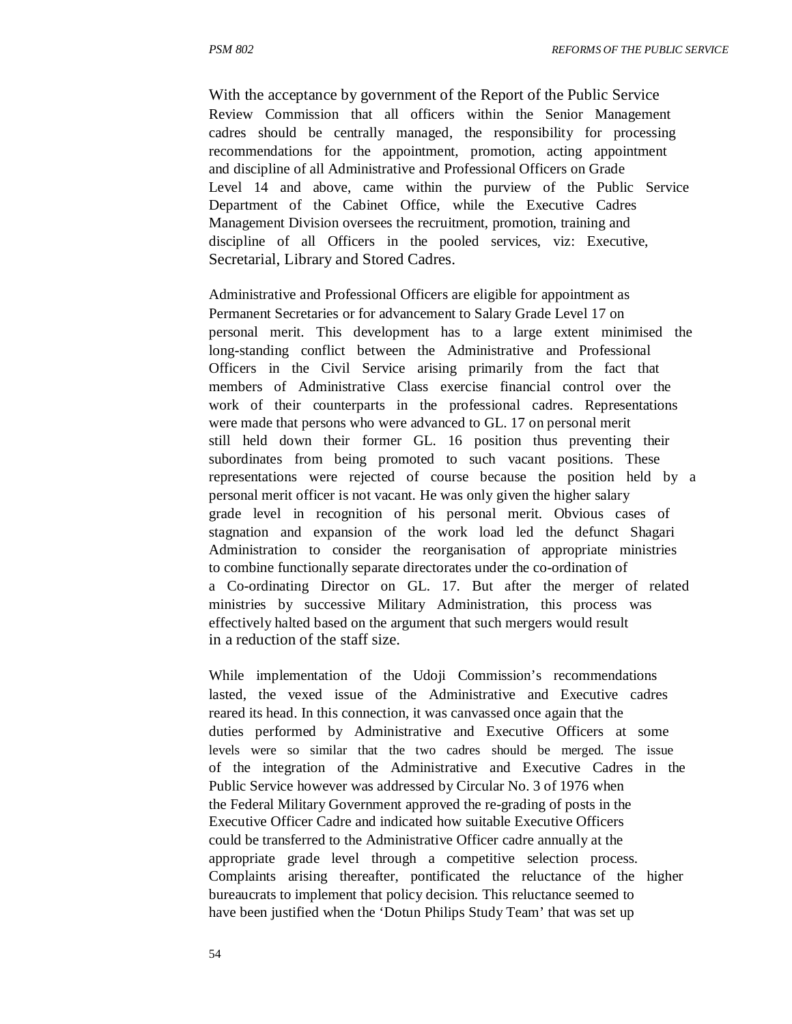With the acceptance by government of the Report of the Public Service Review Commission that all officers within the Senior Management cadres should be centrally managed, the responsibility for processing recommendations for the appointment, promotion, acting appointment and discipline of all Administrative and Professional Officers on Grade Level 14 and above, came within the purview of the Public Service Department of the Cabinet Office, while the Executive Cadres Management Division oversees the recruitment, promotion, training and discipline of all Officers in the pooled services, viz: Executive, Secretarial, Library and Stored Cadres.

Administrative and Professional Officers are eligible for appointment as Permanent Secretaries or for advancement to Salary Grade Level 17 on personal merit. This development has to a large extent minimised the long-standing conflict between the Administrative and Professional Officers in the Civil Service arising primarily from the fact that members of Administrative Class exercise financial control over the work of their counterparts in the professional cadres. Representations were made that persons who were advanced to GL. 17 on personal merit still held down their former GL. 16 position thus preventing their subordinates from being promoted to such vacant positions. These representations were rejected of course because the position held by a personal merit officer is not vacant. He was only given the higher salary grade level in recognition of his personal merit. Obvious cases of stagnation and expansion of the work load led the defunct Shagari Administration to consider the reorganisation of appropriate ministries to combine functionally separate directorates under the co-ordination of a Co-ordinating Director on GL. 17. But after the merger of related ministries by successive Military Administration, this process was effectively halted based on the argument that such mergers would result in a reduction of the staff size.

While implementation of the Udoji Commission's recommendations lasted, the vexed issue of the Administrative and Executive cadres reared its head. In this connection, it was canvassed once again that the duties performed by Administrative and Executive Officers at some levels were so similar that the two cadres should be merged. The issue of the integration of the Administrative and Executive Cadres in the Public Service however was addressed by Circular No. 3 of 1976 when the Federal Military Government approved the re-grading of posts in the Executive Officer Cadre and indicated how suitable Executive Officers could be transferred to the Administrative Officer cadre annually at the appropriate grade level through a competitive selection process. Complaints arising thereafter, pontificated the reluctance of the higher bureaucrats to implement that policy decision. This reluctance seemed to have been justified when the 'Dotun Philips Study Team' that was set up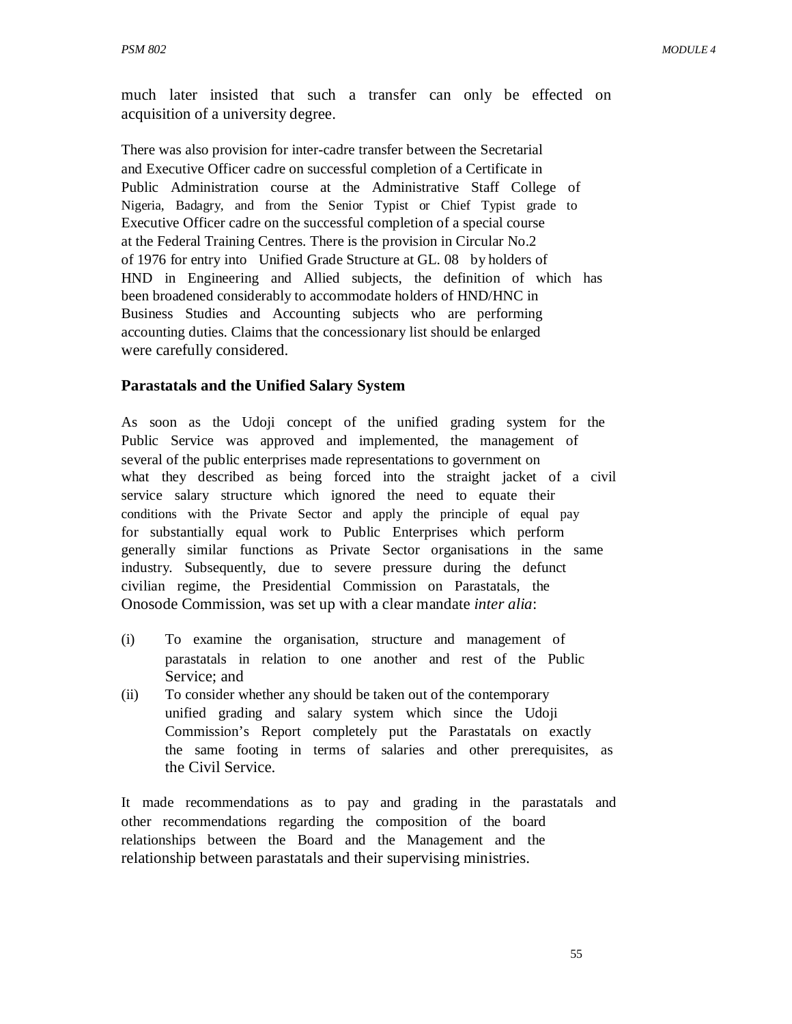much later insisted that such a transfer can only be effected on acquisition of a university degree.

There was also provision for inter-cadre transfer between the Secretarial and Executive Officer cadre on successful completion of a Certificate in Public Administration course at the Administrative Staff College of Nigeria, Badagry, and from the Senior Typist or Chief Typist grade to Executive Officer cadre on the successful completion of a special course at the Federal Training Centres. There is the provision in Circular No.2 of 1976 for entry into Unified Grade Structure at GL. 08 by holders of HND in Engineering and Allied subjects, the definition of which has been broadened considerably to accommodate holders of HND/HNC in Business Studies and Accounting subjects who are performing accounting duties. Claims that the concessionary list should be enlarged were carefully considered.

#### **Parastatals and the Unified Salary System**

As soon as the Udoji concept of the unified grading system for the Public Service was approved and implemented, the management of several of the public enterprises made representations to government on what they described as being forced into the straight jacket of a civil service salary structure which ignored the need to equate their conditions with the Private Sector and apply the principle of equal pay for substantially equal work to Public Enterprises which perform generally similar functions as Private Sector organisations in the same industry. Subsequently, due to severe pressure during the defunct civilian regime, the Presidential Commission on Parastatals, the Onosode Commission, was set up with a clear mandate *inter alia*:

- (i) To examine the organisation, structure and management of parastatals in relation to one another and rest of the Public Service; and
- (ii) To consider whether any should be taken out of the contemporary unified grading and salary system which since the Udoji Commission's Report completely put the Parastatals on exactly the same footing in terms of salaries and other prerequisites, as the Civil Service.

It made recommendations as to pay and grading in the parastatals and other recommendations regarding the composition of the board relationships between the Board and the Management and the relationship between parastatals and their supervising ministries.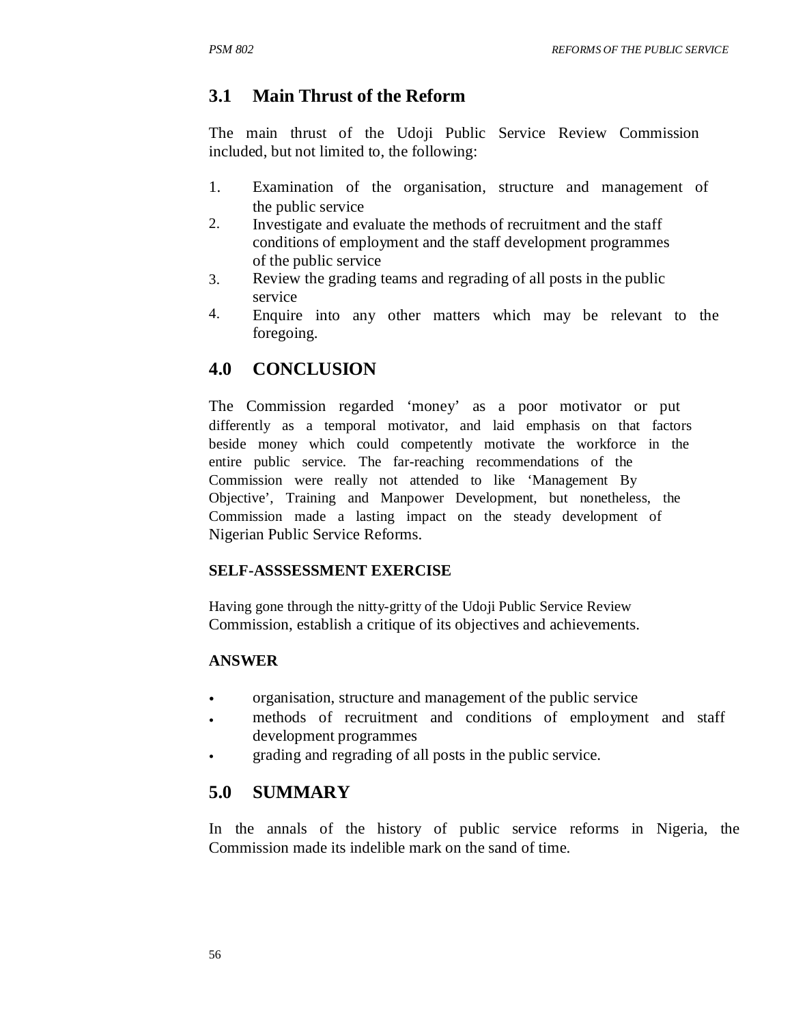## **3.1 Main Thrust of the Reform**

The main thrust of the Udoji Public Service Review Commission included, but not limited to, the following:

- 1. Examination of the organisation, structure and management of the public service
- 2. Investigate and evaluate the methods of recruitment and the staff conditions of employment and the staff development programmes of the public service
- 3. Review the grading teams and regrading of all posts in the public service
- 4. Enquire into any other matters which may be relevant to the foregoing.

## **4.0 CONCLUSION**

The Commission regarded 'money' as a poor motivator or put differently as a temporal motivator, and laid emphasis on that factors beside money which could competently motivate the workforce in the entire public service. The far-reaching recommendations of the Commission were really not attended to like 'Management By Objective', Training and Manpower Development, but nonetheless, the Commission made a lasting impact on the steady development of Nigerian Public Service Reforms.

#### **SELF-ASSSESSMENT EXERCISE**

Having gone through the nitty-gritty of the Udoji Public Service Review Commission, establish a critique of its objectives and achievements.

#### **ANSWER**

- organisation, structure and management of the public service
- methods of recruitment and conditions of employment and staff development programmes
- grading and regrading of all posts in the public service.

## **5.0 SUMMARY**

In the annals of the history of public service reforms in Nigeria, the Commission made its indelible mark on the sand of time.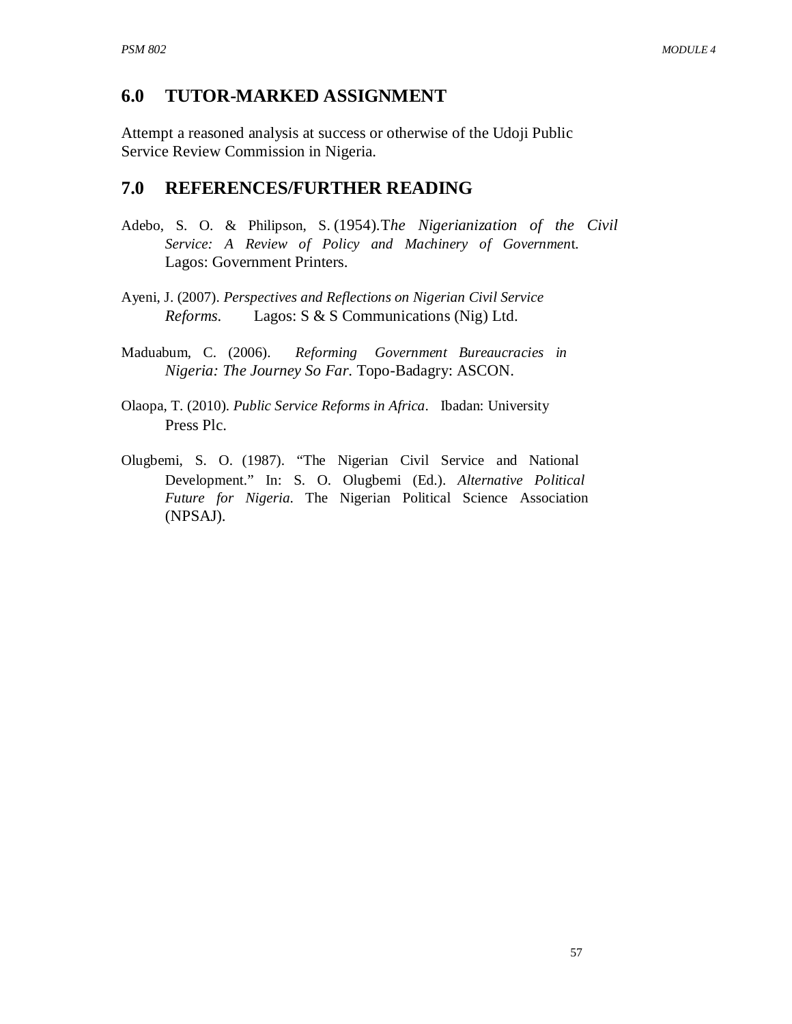### **6.0 TUTOR-MARKED ASSIGNMENT**

Attempt a reasoned analysis at success or otherwise of the Udoji Public Service Review Commission in Nigeria.

### **7.0 REFERENCES/FURTHER READING**

- Adebo, S. O. & Philipson, S. (1954).T*he Nigerianization of the Civil Service: A Review of Policy and Machinery of Governmen*t. Lagos: Government Printers.
- Ayeni, J. (2007). *Perspectives and Reflections on Nigerian Civil Service Reforms.* Lagos: S & S Communications (Nig) Ltd.
- Maduabum, C. (2006). *Reforming Government Bureaucracies in Nigeria: The Journey So Far*. Topo-Badagry: ASCON.
- Olaopa, T. (2010). *Public Service Reforms in Africa*. Ibadan: University Press Plc.
- Olugbemi, S. O. (1987). "The Nigerian Civil Service and National Development." In: S. O. Olugbemi (Ed.). *Alternative Political Future for Nigeria*. The Nigerian Political Science Association (NPSAJ).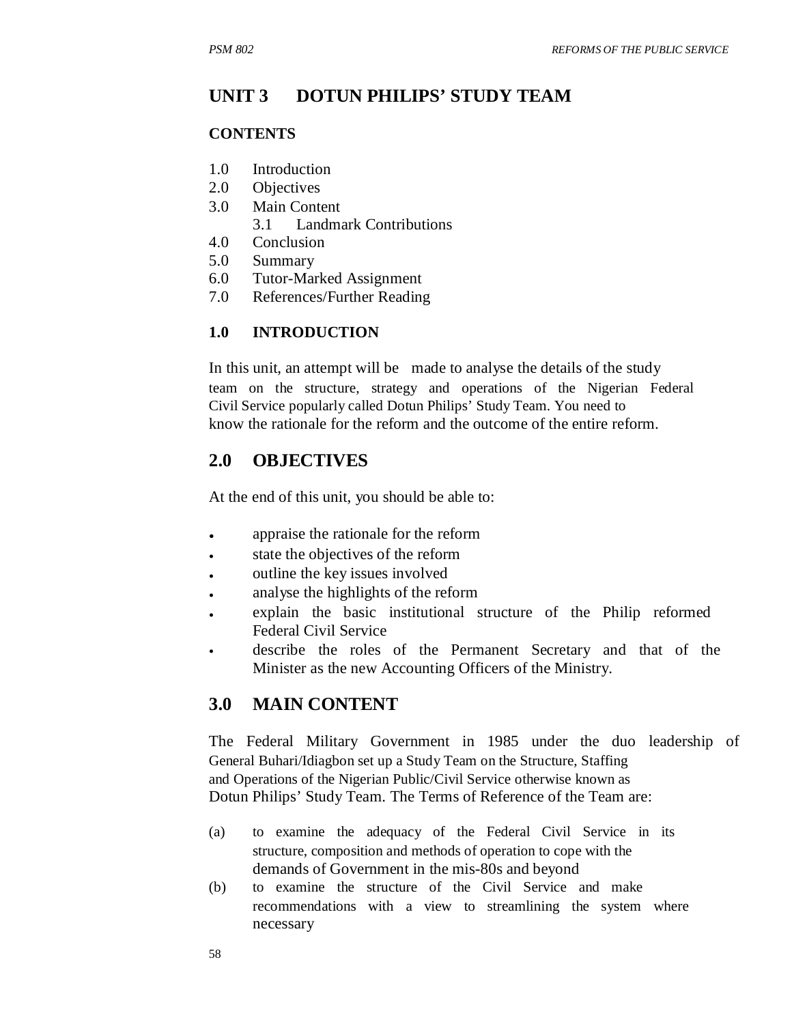#### **UNIT 3 DOTUN PHILIPS' STUDY TEAM**

#### **CONTENTS**

- 1.0 Introduction
- 2.0 Objectives
- 3.0 Main Content
	- 3.1 Landmark Contributions
- 4.0 Conclusion
- 5.0 Summary
- 6.0 Tutor-Marked Assignment
- 7.0 References/Further Reading

#### **1.0 INTRODUCTION**

In this unit, an attempt will be made to analyse the details of the study team on the structure, strategy and operations of the Nigerian Federal Civil Service popularly called Dotun Philips' Study Team. You need to know the rationale for the reform and the outcome of the entire reform.

## **2.0 OBJECTIVES**

At the end of this unit, you should be able to:

- appraise the rationale for the reform
- state the objectives of the reform
- outline the key issues involved
- analyse the highlights of the reform
- explain the basic institutional structure of the Philip reformed Federal Civil Service
- describe the roles of the Permanent Secretary and that of the Minister as the new Accounting Officers of the Ministry.

#### **3.0 MAIN CONTENT**

The Federal Military Government in 1985 under the duo leadership of General Buhari/Idiagbon set up a Study Team on the Structure, Staffing and Operations of the Nigerian Public/Civil Service otherwise known as Dotun Philips' Study Team. The Terms of Reference of the Team are:

- (a) to examine the adequacy of the Federal Civil Service in its structure, composition and methods of operation to cope with the demands of Government in the mis-80s and beyond
- (b) to examine the structure of the Civil Service and make recommendations with a view to streamlining the system where necessary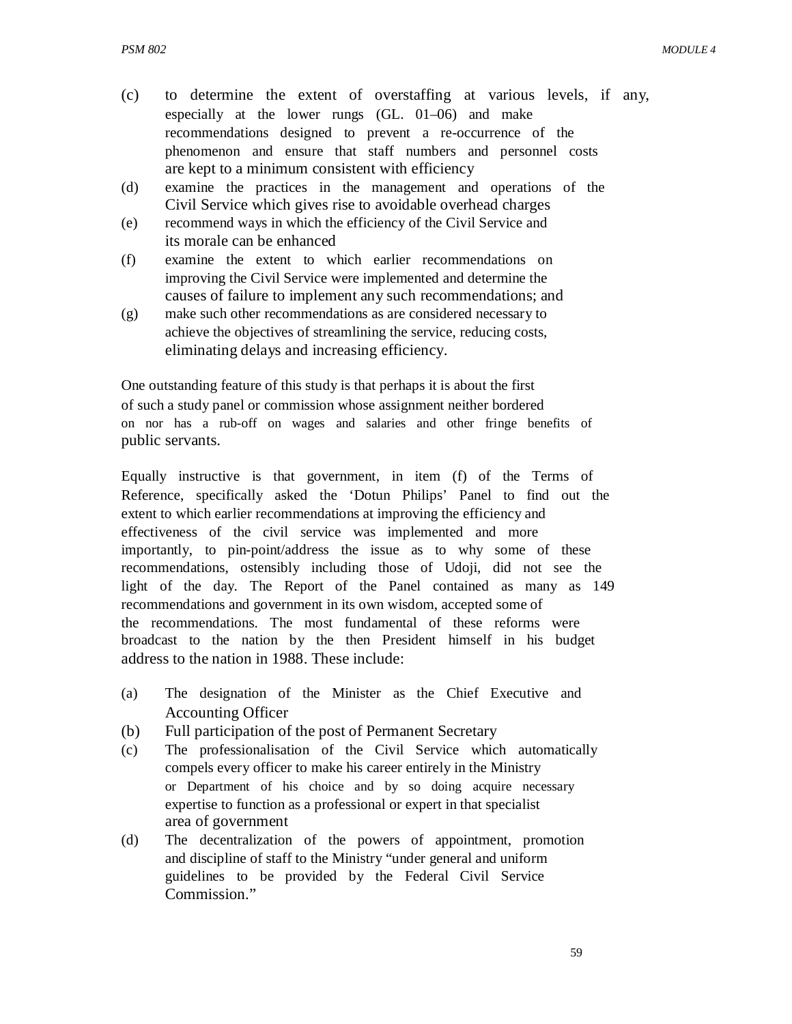- (c) to determine the extent of overstaffing at various levels, if any, especially at the lower rungs (GL. 01–06) and make recommendations designed to prevent a re-occurrence of the phenomenon and ensure that staff numbers and personnel costs are kept to a minimum consistent with efficiency
- (d) examine the practices in the management and operations of the Civil Service which gives rise to avoidable overhead charges
- (e) recommend ways in which the efficiency of the Civil Service and its morale can be enhanced
- (f) examine the extent to which earlier recommendations on improving the Civil Service were implemented and determine the causes of failure to implement any such recommendations; and
- (g) make such other recommendations as are considered necessary to achieve the objectives of streamlining the service, reducing costs, eliminating delays and increasing efficiency.

One outstanding feature of this study is that perhaps it is about the first of such a study panel or commission whose assignment neither bordered on nor has a rub-off on wages and salaries and other fringe benefits of public servants.

Equally instructive is that government, in item (f) of the Terms of Reference, specifically asked the 'Dotun Philips' Panel to find out the extent to which earlier recommendations at improving the efficiency and effectiveness of the civil service was implemented and more importantly, to pin-point/address the issue as to why some of these recommendations, ostensibly including those of Udoji, did not see the light of the day. The Report of the Panel contained as many as 149 recommendations and government in its own wisdom, accepted some of the recommendations. The most fundamental of these reforms were broadcast to the nation by the then President himself in his budget address to the nation in 1988. These include:

- (a) The designation of the Minister as the Chief Executive and Accounting Officer
- (b) Full participation of the post of Permanent Secretary
- (c) The professionalisation of the Civil Service which automatically compels every officer to make his career entirely in the Ministry or Department of his choice and by so doing acquire necessary expertise to function as a professional or expert in that specialist area of government
- (d) The decentralization of the powers of appointment, promotion and discipline of staff to the Ministry "under general and uniform guidelines to be provided by the Federal Civil Service Commission."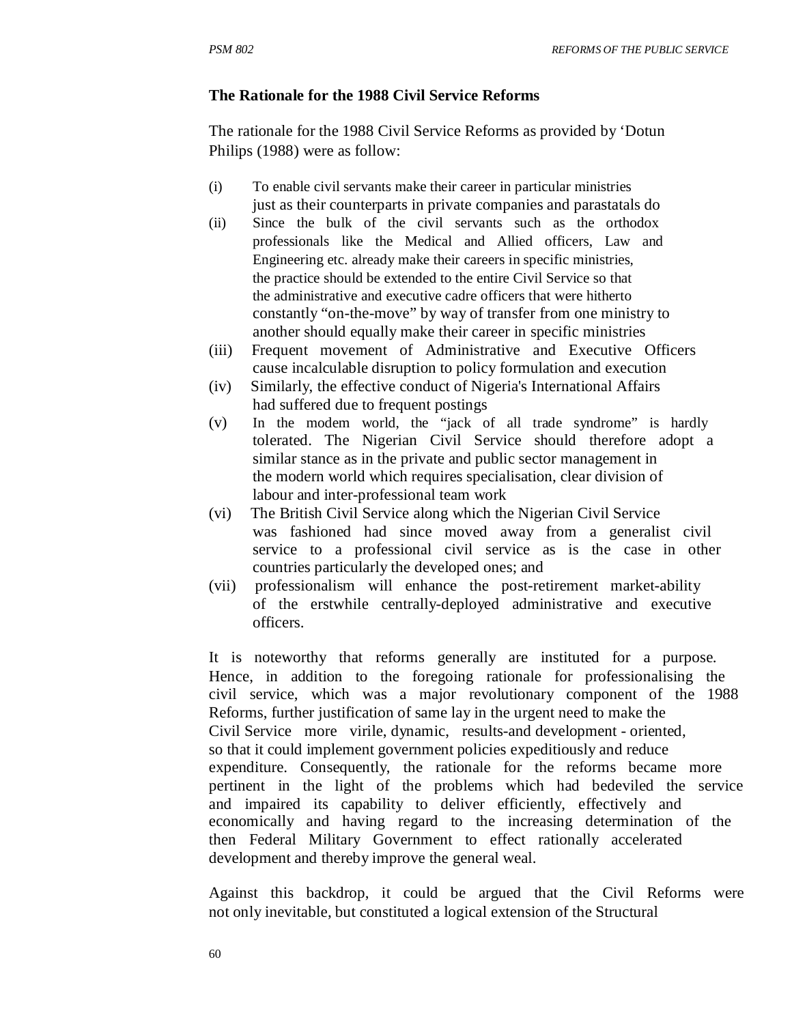#### **The Rationale for the 1988 Civil Service Reforms**

The rationale for the 1988 Civil Service Reforms as provided by 'Dotun Philips (1988) were as follow:

- (i) To enable civil servants make their career in particular ministries just as their counterparts in private companies and parastatals do
- (ii) Since the bulk of the civil servants such as the orthodox professionals like the Medical and Allied officers, Law and Engineering etc. already make their careers in specific ministries, the practice should be extended to the entire Civil Service so that the administrative and executive cadre officers that were hitherto constantly "on-the-move" by way of transfer from one ministry to another should equally make their career in specific ministries
- (iii) Frequent movement of Administrative and Executive Officers cause incalculable disruption to policy formulation and execution
- (iv) Similarly, the effective conduct of Nigeria's International Affairs had suffered due to frequent postings
- (v) In the modem world, the "jack of all trade syndrome" is hardly tolerated. The Nigerian Civil Service should therefore adopt a similar stance as in the private and public sector management in the modern world which requires specialisation, clear division of labour and inter-professional team work
- (vi) The British Civil Service along which the Nigerian Civil Service was fashioned had since moved away from a generalist civil service to a professional civil service as is the case in other countries particularly the developed ones; and
- (vii) professionalism will enhance the post-retirement market-ability of the erstwhile centrally-deployed administrative and executive officers.

It is noteworthy that reforms generally are instituted for a purpose. Hence, in addition to the foregoing rationale for professionalising the civil service, which was a major revolutionary component of the 1988 Reforms, further justification of same lay in the urgent need to make the Civil Service more virile, dynamic, results-and development - oriented, so that it could implement government policies expeditiously and reduce expenditure. Consequently, the rationale for the reforms became more pertinent in the light of the problems which had bedeviled the service and impaired its capability to deliver efficiently, effectively and economically and having regard to the increasing determination of the then Federal Military Government to effect rationally accelerated development and thereby improve the general weal.

Against this backdrop, it could be argued that the Civil Reforms were not only inevitable, but constituted a logical extension of the Structural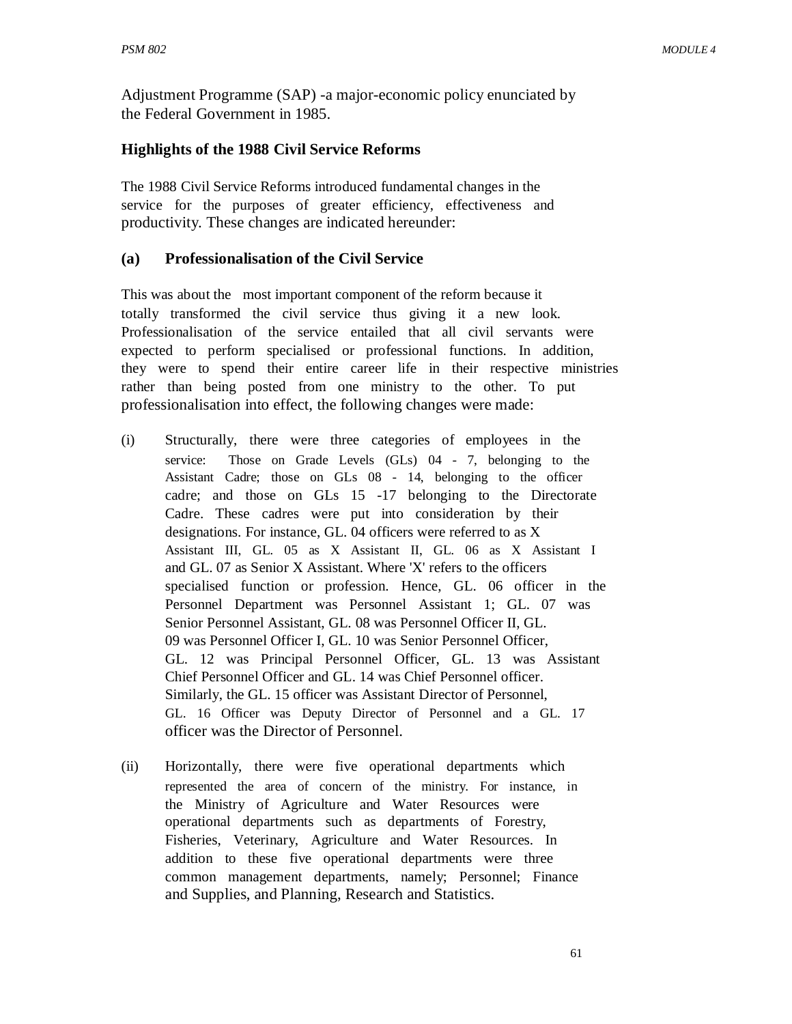Adjustment Programme (SAP) -a major-economic policy enunciated by the Federal Government in 1985.

#### **Highlights of the 1988 Civil Service Reforms**

The 1988 Civil Service Reforms introduced fundamental changes in the service for the purposes of greater efficiency, effectiveness and productivity. These changes are indicated hereunder:

#### **(a) Professionalisation of the Civil Service**

This was about the most important component of the reform because it totally transformed the civil service thus giving it a new look. Professionalisation of the service entailed that all civil servants were expected to perform specialised or professional functions. In addition, they were to spend their entire career life in their respective ministries rather than being posted from one ministry to the other. To put professionalisation into effect, the following changes were made:

- (i) Structurally, there were three categories of employees in the service: Those on Grade Levels (GLs) 04 - 7, belonging to the Assistant Cadre; those on GLs 08 - 14, belonging to the officer cadre; and those on GLs 15 -17 belonging to the Directorate Cadre. These cadres were put into consideration by their designations. For instance, GL. 04 officers were referred to as X Assistant III, GL. 05 as X Assistant II, GL. 06 as X Assistant I and GL. 07 as Senior X Assistant. Where 'X' refers to the officers specialised function or profession. Hence, GL. 06 officer in the Personnel Department was Personnel Assistant 1; GL. 07 was Senior Personnel Assistant, GL. 08 was Personnel Officer II, GL. 09 was Personnel Officer I, GL. 10 was Senior Personnel Officer, GL. 12 was Principal Personnel Officer, GL. 13 was Assistant Chief Personnel Officer and GL. 14 was Chief Personnel officer. Similarly, the GL. 15 officer was Assistant Director of Personnel, GL. 16 Officer was Deputy Director of Personnel and a GL. 17 officer was the Director of Personnel.
- (ii) Horizontally, there were five operational departments which represented the area of concern of the ministry. For instance, in the Ministry of Agriculture and Water Resources were operational departments such as departments of Forestry, Fisheries, Veterinary, Agriculture and Water Resources. In addition to these five operational departments were three common management departments, namely; Personnel; Finance and Supplies, and Planning, Research and Statistics.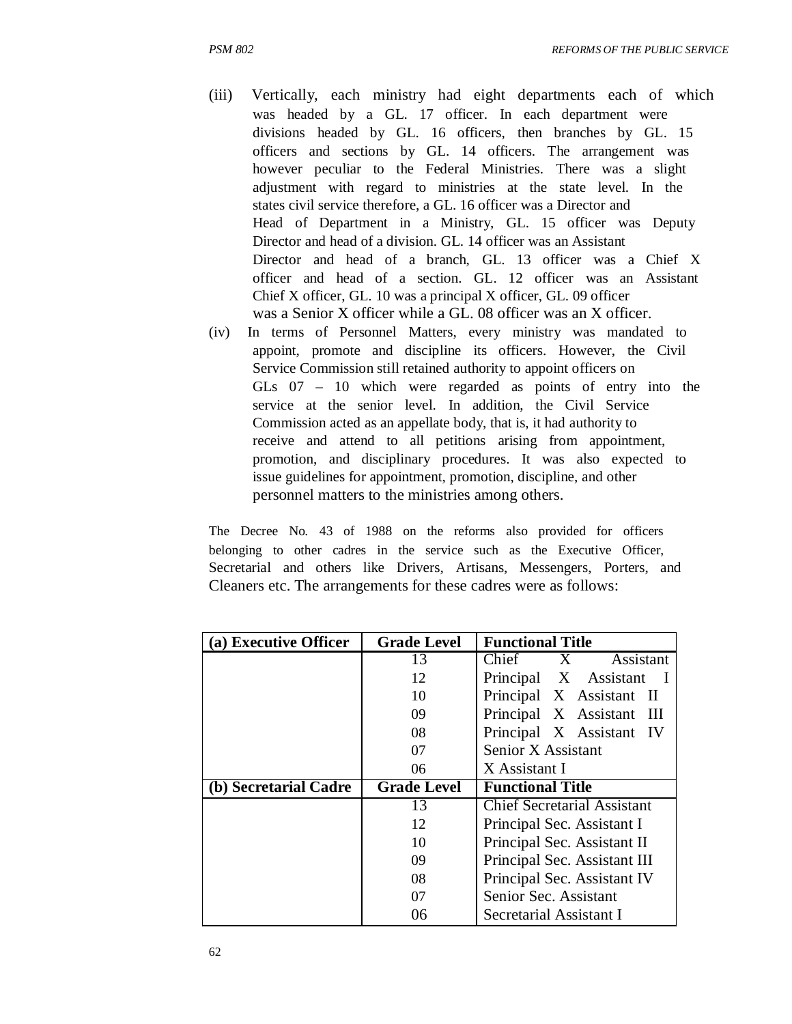- (iii) Vertically, each ministry had eight departments each of which was headed by a GL. 17 officer. In each department were divisions headed by GL. 16 officers, then branches by GL. 15 officers and sections by GL. 14 officers. The arrangement was however peculiar to the Federal Ministries. There was a slight adjustment with regard to ministries at the state level. In the states civil service therefore, a GL. 16 officer was a Director and Head of Department in a Ministry, GL. 15 officer was Deputy Director and head of a division. GL. 14 officer was an Assistant Director and head of a branch, GL. 13 officer was a Chief X officer and head of a section. GL. 12 officer was an Assistant Chief X officer, GL. 10 was a principal X officer, GL. 09 officer was a Senior X officer while a GL. 08 officer was an X officer.
- (iv) In terms of Personnel Matters, every ministry was mandated to appoint, promote and discipline its officers. However, the Civil Service Commission still retained authority to appoint officers on GLs 07 – 10 which were regarded as points of entry into the service at the senior level. In addition, the Civil Service Commission acted as an appellate body, that is, it had authority to receive and attend to all petitions arising from appointment, promotion, and disciplinary procedures. It was also expected to issue guidelines for appointment, promotion, discipline, and other personnel matters to the ministries among others.

The Decree No. 43 of 1988 on the reforms also provided for officers belonging to other cadres in the service such as the Executive Officer, Secretarial and others like Drivers, Artisans, Messengers, Porters, and Cleaners etc. The arrangements for these cadres were as follows:

| (a) Executive Officer | <b>Grade Level</b> | <b>Functional Title</b>               |
|-----------------------|--------------------|---------------------------------------|
|                       | 13                 | Chief<br>Assistant<br>X               |
|                       | 12                 | Principal X Assistant                 |
|                       | 10                 | Principal X Assistant<br>- 11         |
|                       | 09                 | Principal X Assistant<br>$\mathbf{H}$ |
|                       | 08                 | Principal X Assistant IV              |
|                       | 07                 | Senior X Assistant                    |
|                       | 06                 | X Assistant I                         |
| (b) Secretarial Cadre | <b>Grade Level</b> | <b>Functional Title</b>               |
|                       | 13                 | <b>Chief Secretarial Assistant</b>    |
|                       |                    |                                       |
|                       | 12                 | Principal Sec. Assistant I            |
|                       | 10                 | Principal Sec. Assistant II           |
|                       | 09                 | Principal Sec. Assistant III          |
|                       | 08                 | Principal Sec. Assistant IV           |
|                       | 07                 | Senior Sec. Assistant                 |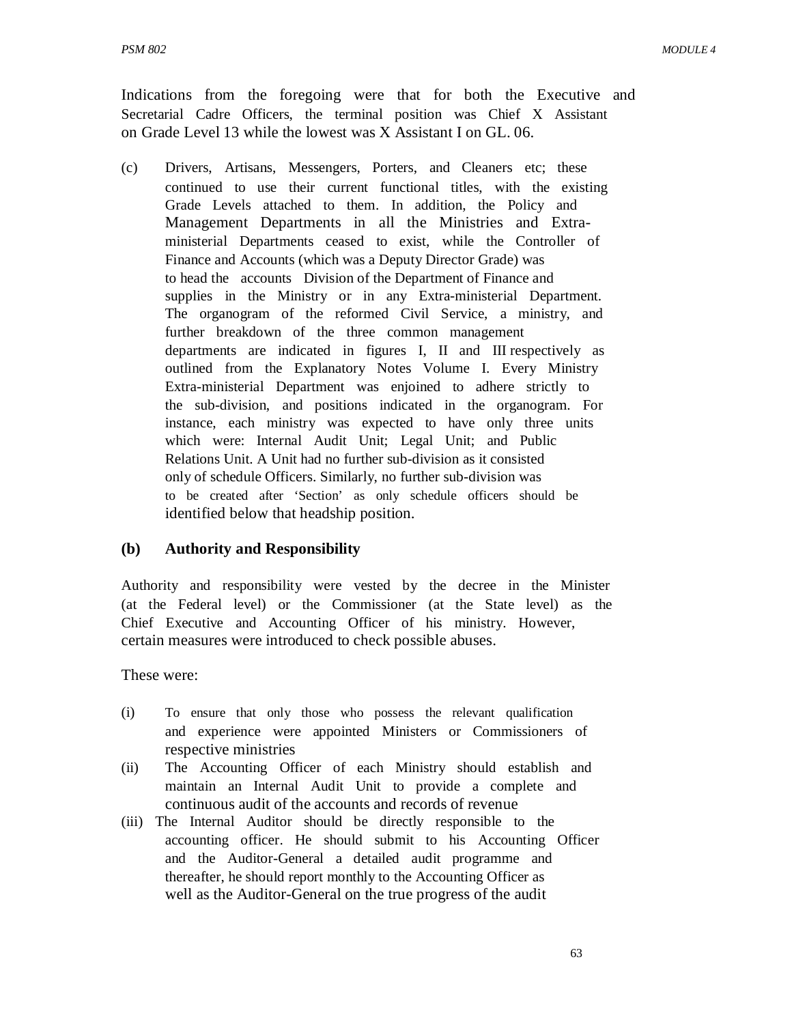Indications from the foregoing were that for both the Executive and Secretarial Cadre Officers, the terminal position was Chief X Assistant on Grade Level 13 while the lowest was X Assistant I on GL. 06.

(c) Drivers, Artisans, Messengers, Porters, and Cleaners etc; these continued to use their current functional titles, with the existing Grade Levels attached to them. In addition, the Policy and Management Departments in all the Ministries and Extraministerial Departments ceased to exist, while the Controller of Finance and Accounts (which was a Deputy Director Grade) was to head the accounts Division of the Department of Finance and supplies in the Ministry or in any Extra-ministerial Department. The organogram of the reformed Civil Service, a ministry, and further breakdown of the three common management departments are indicated in figures I, II and III respectively as outlined from the Explanatory Notes Volume I. Every Ministry Extra-ministerial Department was enjoined to adhere strictly to the sub-division, and positions indicated in the organogram. For instance, each ministry was expected to have only three units which were: Internal Audit Unit; Legal Unit; and Public Relations Unit. A Unit had no further sub-division as it consisted only of schedule Officers. Similarly, no further sub-division was to be created after 'Section' as only schedule officers should be identified below that headship position.

### **(b) Authority and Responsibility**

Authority and responsibility were vested by the decree in the Minister (at the Federal level) or the Commissioner (at the State level) as the Chief Executive and Accounting Officer of his ministry. However, certain measures were introduced to check possible abuses.

These were:

- (i) To ensure that only those who possess the relevant qualification and experience were appointed Ministers or Commissioners of respective ministries
- (ii) The Accounting Officer of each Ministry should establish and maintain an Internal Audit Unit to provide a complete and continuous audit of the accounts and records of revenue
- (iii) The Internal Auditor should be directly responsible to the accounting officer. He should submit to his Accounting Officer and the Auditor-General a detailed audit programme and thereafter, he should report monthly to the Accounting Officer as well as the Auditor-General on the true progress of the audit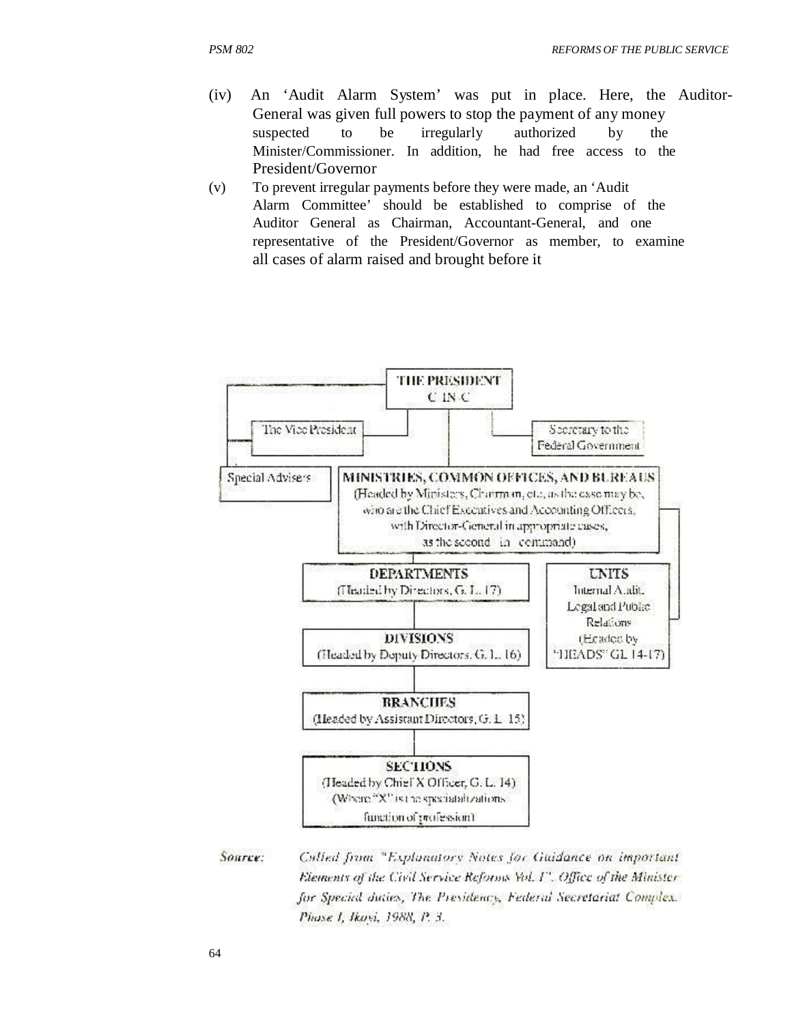- (iv) An 'Audit Alarm System' was put in place. Here, the Auditor-General was given full powers to stop the payment of any money suspected to be irregularly authorized by the Minister/Commissioner. In addition, he had free access to the President/Governor
- (v) To prevent irregular payments before they were made, an 'Audit Alarm Committee' should be established to comprise of the Auditor General as Chairman, Accountant-General, and one representative of the President/Governor as member, to examine all cases of alarm raised and brought before it



Source: Called from "Explanatory Notes for Guidance on important Elements of the Civil Service Reforms Vol. 1". Office of the Ministerfor Special duties, The Presidency, Federal Secretariat Complex. Phose 1, Ikovi, 1988, P. 3.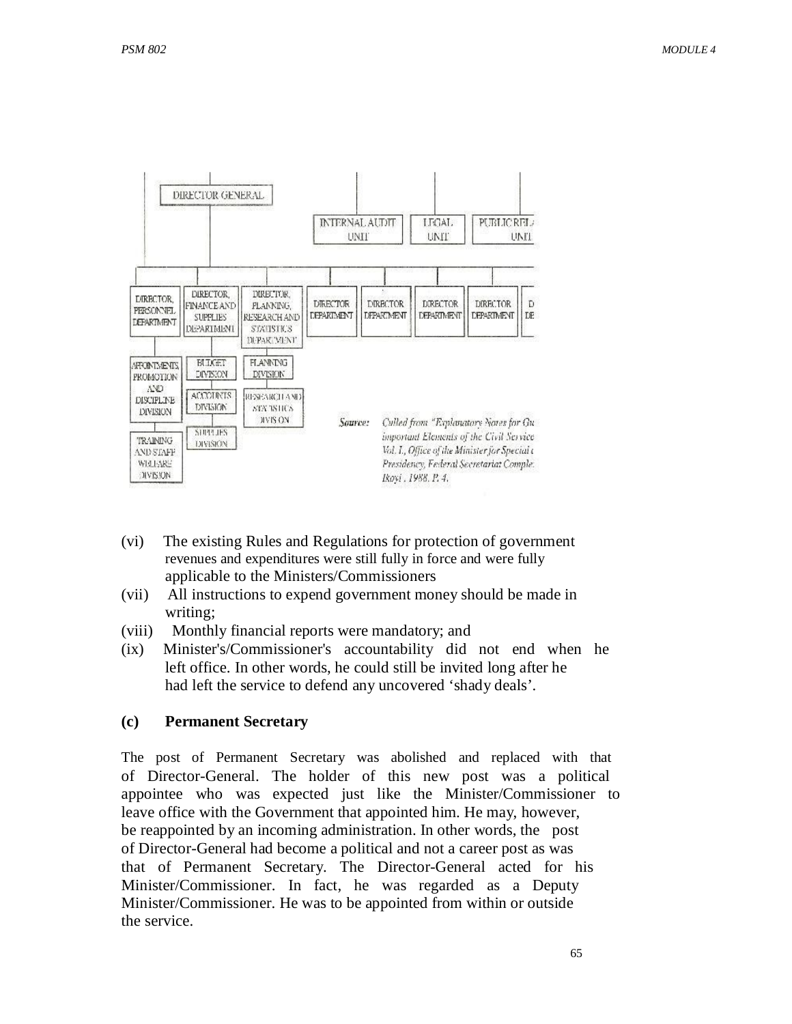

- (vi) The existing Rules and Regulations for protection of government revenues and expenditures were still fully in force and were fully applicable to the Ministers/Commissioners
- (vii) All instructions to expend government money should be made in writing;
- (viii) Monthly financial reports were mandatory; and
- (ix) Minister's/Commissioner's accountability did not end when he left office. In other words, he could still be invited long after he had left the service to defend any uncovered 'shady deals'.

### **(c) Permanent Secretary**

The post of Permanent Secretary was abolished and replaced with that of Director-General. The holder of this new post was a political appointee who was expected just like the Minister/Commissioner to leave office with the Government that appointed him. He may, however, be reappointed by an incoming administration. In other words, the post of Director-General had become a political and not a career post as was that of Permanent Secretary. The Director-General acted for his Minister/Commissioner. In fact, he was regarded as a Deputy Minister/Commissioner. He was to be appointed from within or outside the service.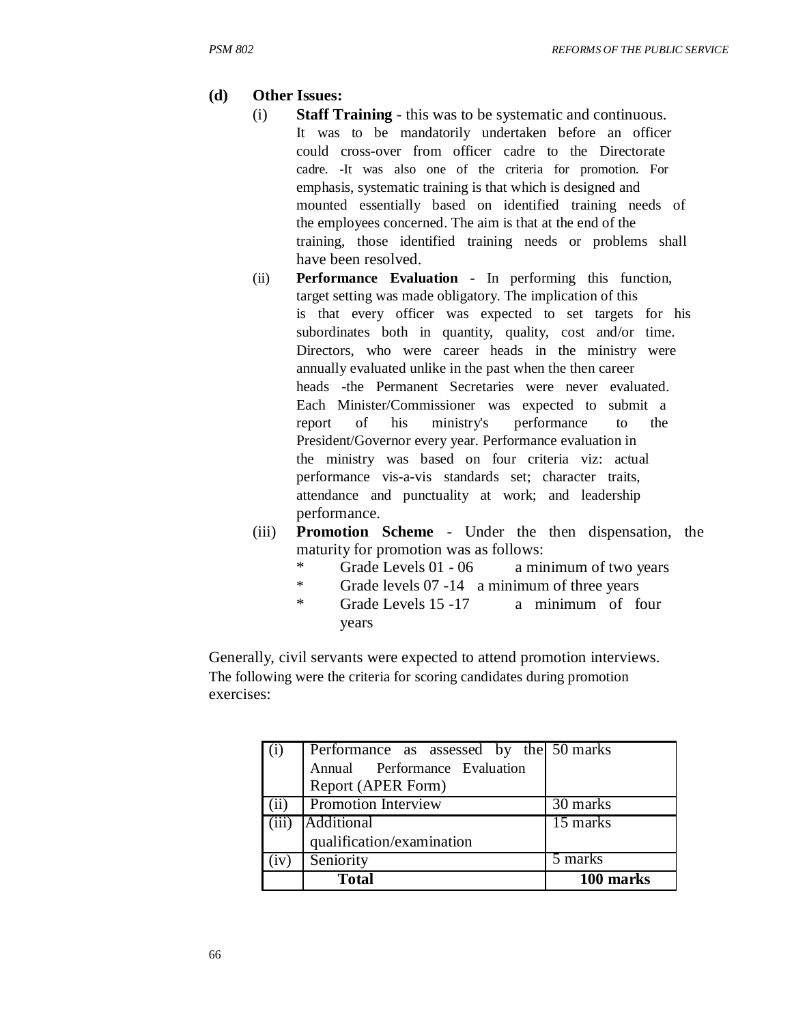### **(d) Other Issues:**

- (i) **Staff Training** this was to be systematic and continuous. It was to be mandatorily undertaken before an officer could cross-over from officer cadre to the Directorate cadre. -It was also one of the criteria for promotion. For emphasis, systematic training is that which is designed and mounted essentially based on identified training needs of the employees concerned. The aim is that at the end of the training, those identified training needs or problems shall have been resolved.
- (ii) **Performance Evaluation**  In performing this function, target setting was made obligatory. The implication of this is that every officer was expected to set targets for his subordinates both in quantity, quality, cost and/or time. Directors, who were career heads in the ministry were annually evaluated unlike in the past when the then career heads -the Permanent Secretaries were never evaluated. Each Minister/Commissioner was expected to submit a report of his ministry's performance to the President/Governor every year. Performance evaluation in the ministry was based on four criteria viz: actual performance vis-a-vis standards set; character traits, attendance and punctuality at work; and leadership performance.
- (iii) **Promotion Scheme**  Under the then dispensation, the maturity for promotion was as follows:
	- \* Grade Levels 01 06 a minimum of two years
	- \* Grade levels 07 -14 a minimum of three years
	- \* Grade Levels 15 -17 years a minimum of four

Generally, civil servants were expected to attend promotion interviews. The following were the criteria for scoring candidates during promotion exercises:

|       | Performance as assessed by the 50 marks |           |
|-------|-----------------------------------------|-----------|
|       | Annual Performance Evaluation           |           |
|       | Report (APER Form)                      |           |
| (ii)  | <b>Promotion Interview</b>              | 30 marks  |
| (iii) | <b>Additional</b>                       | 15 marks  |
|       | qualification/examination               |           |
| 1V)   | Seniority                               | 5 marks   |
|       | <b>Total</b>                            | 100 marks |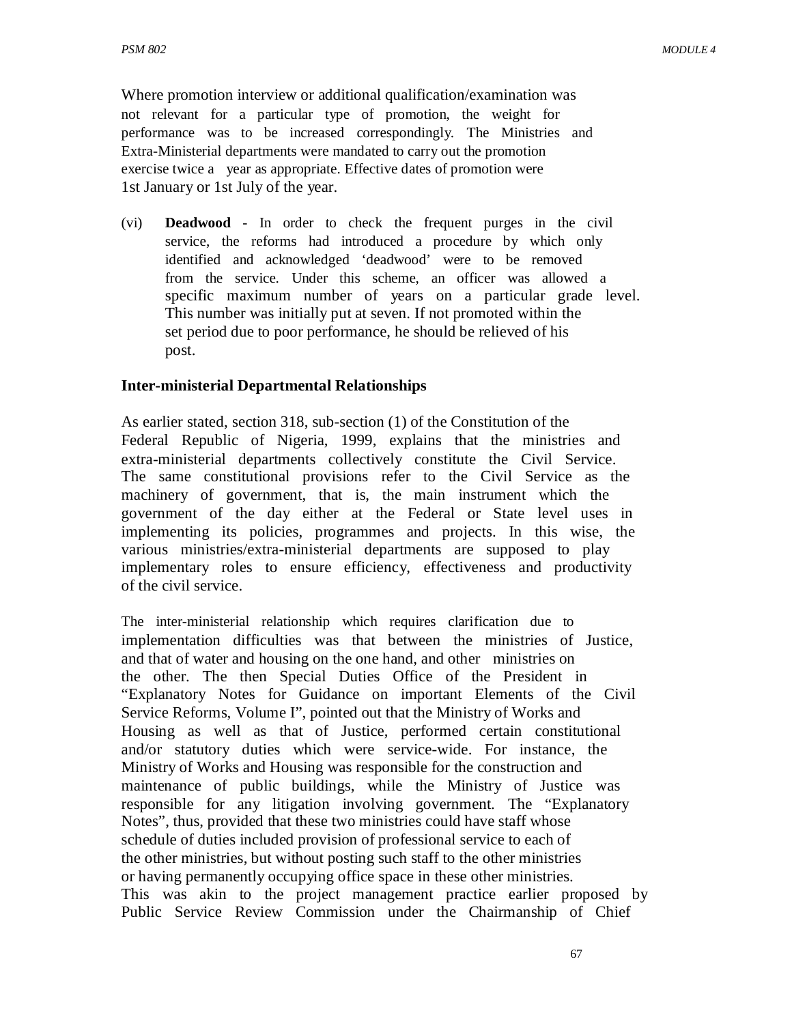Where promotion interview or additional qualification/examination was not relevant for a particular type of promotion, the weight for performance was to be increased correspondingly. The Ministries and Extra-Ministerial departments were mandated to carry out the promotion exercise twice a year as appropriate. Effective dates of promotion were 1st January or 1st July of the year.

(vi) **Deadwood** - In order to check the frequent purges in the civil service, the reforms had introduced a procedure by which only identified and acknowledged 'deadwood' were to be removed from the service. Under this scheme, an officer was allowed a specific maximum number of years on a particular grade level. This number was initially put at seven. If not promoted within the set period due to poor performance, he should be relieved of his post.

### **Inter-ministerial Departmental Relationships**

As earlier stated, section 318, sub-section (1) of the Constitution of the Federal Republic of Nigeria, 1999, explains that the ministries and extra-ministerial departments collectively constitute the Civil Service. The same constitutional provisions refer to the Civil Service as the machinery of government, that is, the main instrument which the government of the day either at the Federal or State level uses in implementing its policies, programmes and projects. In this wise, the various ministries/extra-ministerial departments are supposed to play implementary roles to ensure efficiency, effectiveness and productivity of the civil service.

The inter-ministerial relationship which requires clarification due to implementation difficulties was that between the ministries of Justice, and that of water and housing on the one hand, and other ministries on the other. The then Special Duties Office of the President in "Explanatory Notes for Guidance on important Elements of the Civil Service Reforms, Volume I", pointed out that the Ministry of Works and Housing as well as that of Justice, performed certain constitutional and/or statutory duties which were service-wide. For instance, the Ministry of Works and Housing was responsible for the construction and maintenance of public buildings, while the Ministry of Justice was responsible for any litigation involving government. The "Explanatory Notes", thus, provided that these two ministries could have staff whose schedule of duties included provision of professional service to each of the other ministries, but without posting such staff to the other ministries or having permanently occupying office space in these other ministries. This was akin to the project management practice earlier proposed by Public Service Review Commission under the Chairmanship of Chief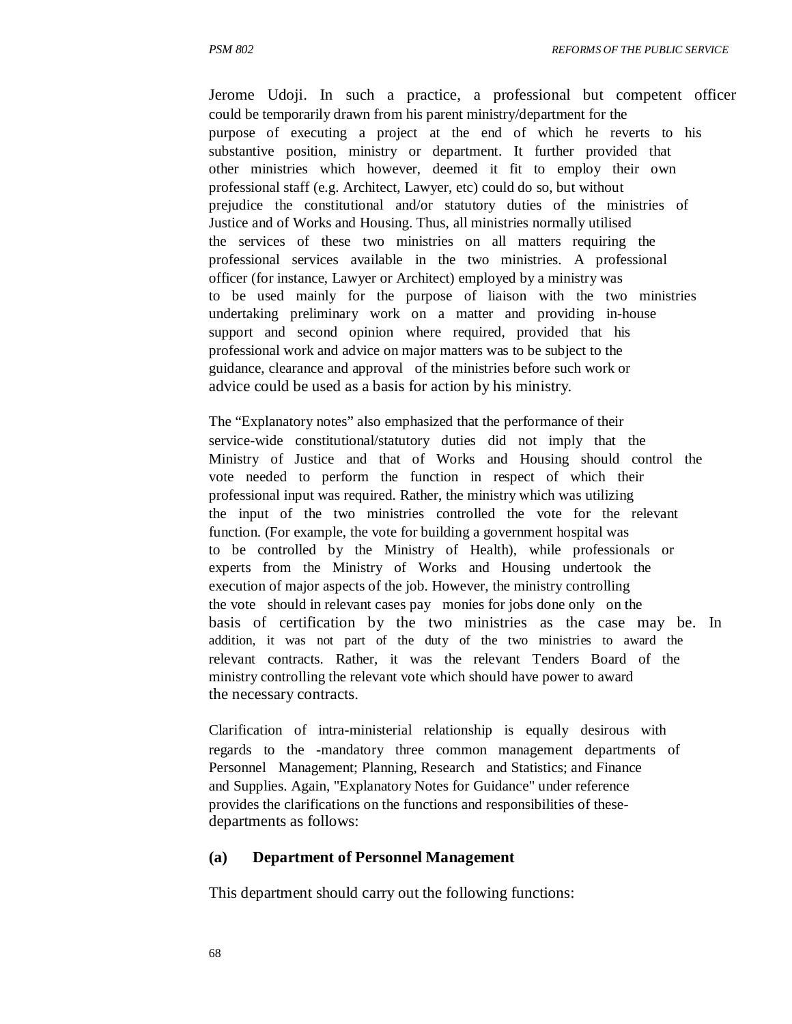Jerome Udoji. In such a practice, a professional but competent officer could be temporarily drawn from his parent ministry/department for the purpose of executing a project at the end of which he reverts to his substantive position, ministry or department. It further provided that other ministries which however, deemed it fit to employ their own professional staff (e.g. Architect, Lawyer, etc) could do so, but without prejudice the constitutional and/or statutory duties of the ministries of Justice and of Works and Housing. Thus, all ministries normally utilised the services of these two ministries on all matters requiring the professional services available in the two ministries. A professional officer (for instance, Lawyer or Architect) employed by a ministry was to be used mainly for the purpose of liaison with the two ministries undertaking preliminary work on a matter and providing in-house support and second opinion where required, provided that his professional work and advice on major matters was to be subject to the guidance, clearance and approval of the ministries before such work or advice could be used as a basis for action by his ministry.

The "Explanatory notes" also emphasized that the performance of their service-wide constitutional/statutory duties did not imply that the Ministry of Justice and that of Works and Housing should control the vote needed to perform the function in respect of which their professional input was required. Rather, the ministry which was utilizing the input of the two ministries controlled the vote for the relevant function. (For example, the vote for building a government hospital was to be controlled by the Ministry of Health), while professionals or experts from the Ministry of Works and Housing undertook the execution of major aspects of the job. However, the ministry controlling the vote should in relevant cases pay monies for jobs done only on the basis of certification by the two ministries as the case may be. In addition, it was not part of the duty of the two ministries to award the relevant contracts. Rather, it was the relevant Tenders Board of the ministry controlling the relevant vote which should have power to award the necessary contracts.

Clarification of intra-ministerial relationship is equally desirous with regards to the -mandatory three common management departments of Personnel Management; Planning, Research and Statistics; and Finance and Supplies. Again, "Explanatory Notes for Guidance" under reference provides the clarifications on the functions and responsibilities of thesedepartments as follows:

#### **(a) Department of Personnel Management**

This department should carry out the following functions: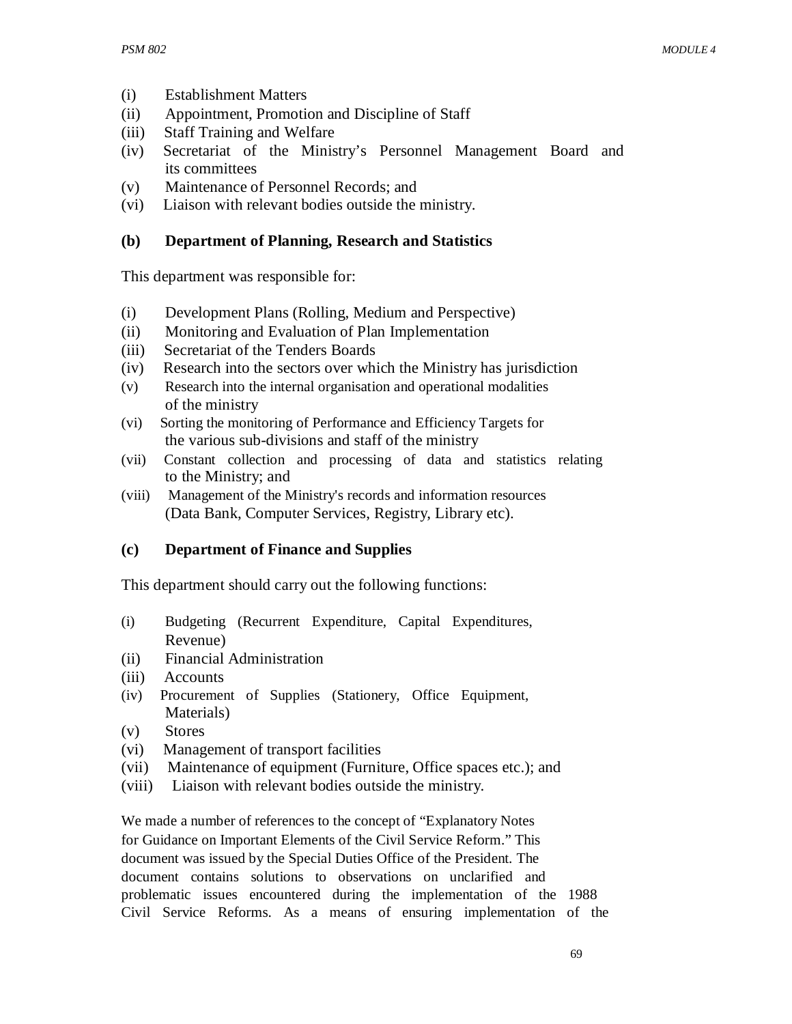- (i) Establishment Matters
- (ii) Appointment, Promotion and Discipline of Staff
- (iii) Staff Training and Welfare
- (iv) Secretariat of the Ministry's Personnel Management Board and its committees
- (v) Maintenance of Personnel Records; and
- (vi) Liaison with relevant bodies outside the ministry.

### **(b) Department of Planning, Research and Statistics**

This department was responsible for:

- (i) Development Plans (Rolling, Medium and Perspective)
- (ii) Monitoring and Evaluation of Plan Implementation
- (iii) Secretariat of the Tenders Boards
- (iv) Research into the sectors over which the Ministry has jurisdiction
- (v) Research into the internal organisation and operational modalities of the ministry
- (vi) Sorting the monitoring of Performance and Efficiency Targets for the various sub-divisions and staff of the ministry
- (vii) Constant collection and processing of data and statistics relating to the Ministry; and
- (viii) Management of the Ministry's records and information resources (Data Bank, Computer Services, Registry, Library etc).

# **(c) Department of Finance and Supplies**

This department should carry out the following functions:

- (i) Budgeting (Recurrent Expenditure, Capital Expenditures, Revenue)
- (ii) Financial Administration
- (iii) Accounts
- (iv) Procurement of Supplies (Stationery, Office Equipment, Materials)
- (v) Stores
- (vi) Management of transport facilities
- (vii) Maintenance of equipment (Furniture, Office spaces etc.); and
- (viii) Liaison with relevant bodies outside the ministry.

We made a number of references to the concept of "Explanatory Notes for Guidance on Important Elements of the Civil Service Reform." This document was issued by the Special Duties Office of the President. The document contains solutions to observations on unclarified and problematic issues encountered during the implementation of the 1988 Civil Service Reforms. As a means of ensuring implementation of the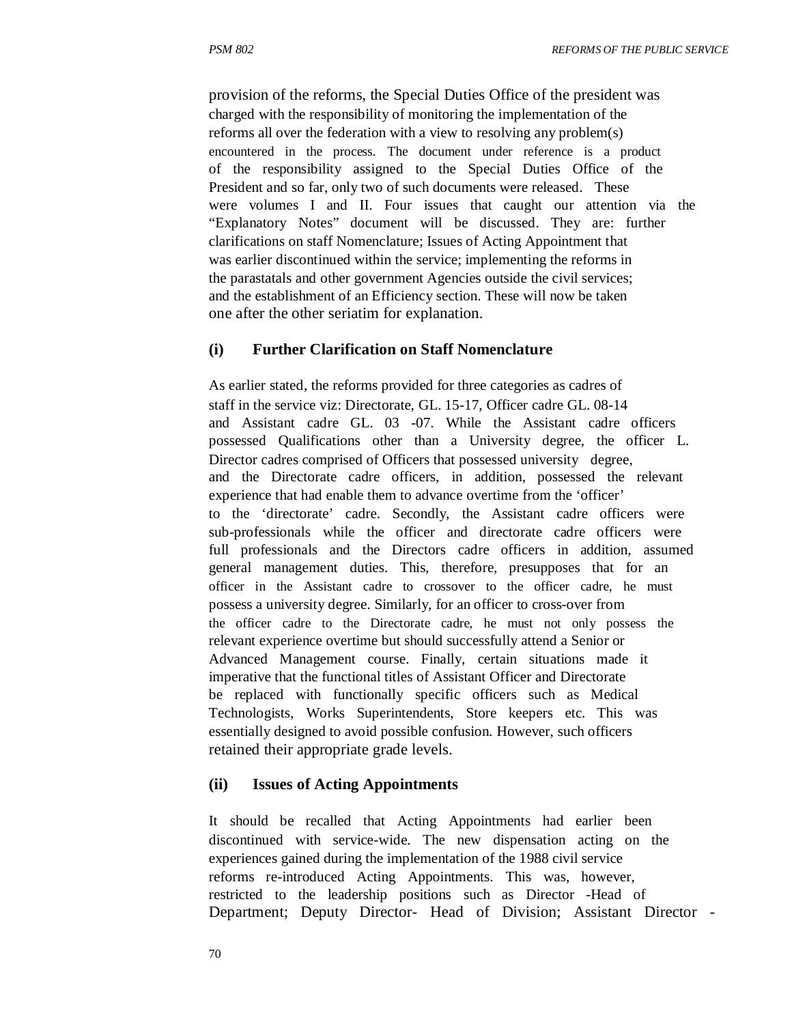provision of the reforms, the Special Duties Office of the president was charged with the responsibility of monitoring the implementation of the reforms all over the federation with a view to resolving any problem(s) encountered in the process. The document under reference is a product of the responsibility assigned to the Special Duties Office of the President and so far, only two of such documents were released. These were volumes I and II. Four issues that caught our attention via the "Explanatory Notes" document will be discussed. They are: further clarifications on staff Nomenclature; Issues of Acting Appointment that was earlier discontinued within the service; implementing the reforms in the parastatals and other government Agencies outside the civil services; and the establishment of an Efficiency section. These will now be taken one after the other seriatim for explanation.

### **(i) Further Clarification on Staff Nomenclature**

As earlier stated, the reforms provided for three categories as cadres of staff in the service viz: Directorate, GL. 15-17, Officer cadre GL. 08-14 and Assistant cadre GL. 03 -07. While the Assistant cadre officers possessed Qualifications other than a University degree, the officer L. Director cadres comprised of Officers that possessed university degree, and the Directorate cadre officers, in addition, possessed the relevant experience that had enable them to advance overtime from the 'officer' to the 'directorate' cadre. Secondly, the Assistant cadre officers were sub-professionals while the officer and directorate cadre officers were full professionals and the Directors cadre officers in addition, assumed general management duties. This, therefore, presupposes that for an officer in the Assistant cadre to crossover to the officer cadre, he must possess a university degree. Similarly, for an officer to cross-over from the officer cadre to the Directorate cadre, he must not only possess the relevant experience overtime but should successfully attend a Senior or Advanced Management course. Finally, certain situations made it imperative that the functional titles of Assistant Officer and Directorate be replaced with functionally specific officers such as Medical Technologists, Works Superintendents, Store keepers etc. This was essentially designed to avoid possible confusion. However, such officers retained their appropriate grade levels.

#### **(ii) Issues of Acting Appointments**

It should be recalled that Acting Appointments had earlier been discontinued with service-wide. The new dispensation acting on the experiences gained during the implementation of the 1988 civil service reforms re-introduced Acting Appointments. This was, however, restricted to the leadership positions such as Director -Head of Department; Deputy Director- Head of Division; Assistant Director -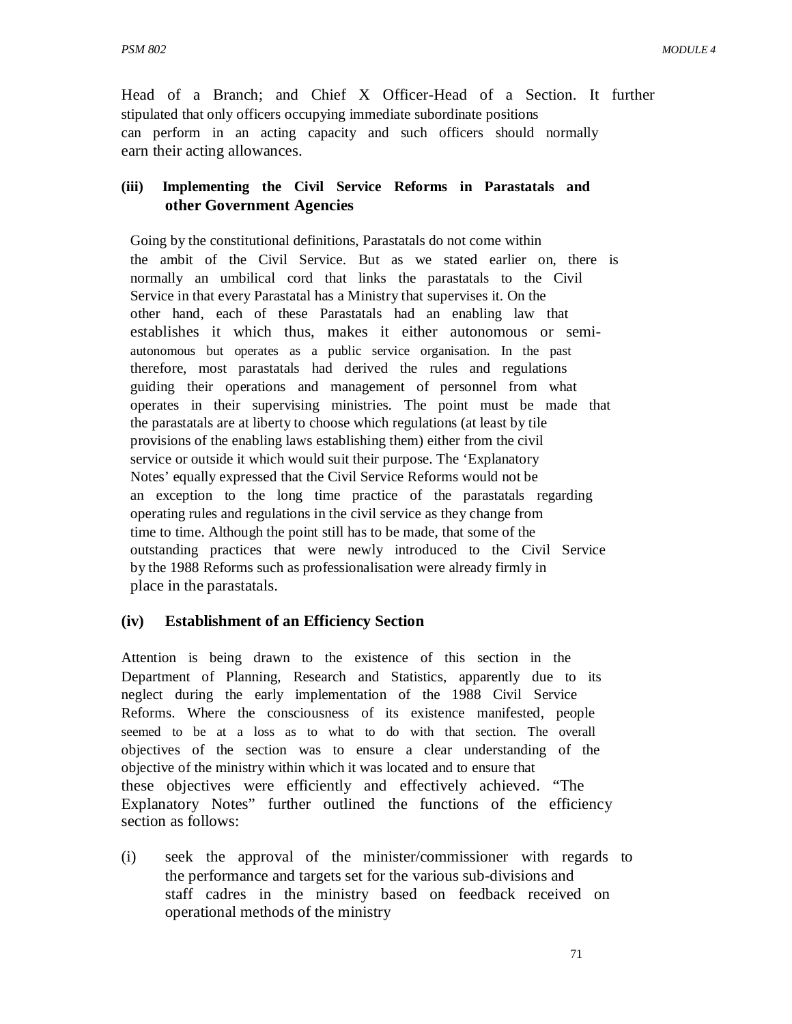Head of a Branch; and Chief X Officer-Head of a Section. It further stipulated that only officers occupying immediate subordinate positions can perform in an acting capacity and such officers should normally earn their acting allowances.

### **(iii) Implementing the Civil Service Reforms in Parastatals and other Government Agencies**

Going by the constitutional definitions, Parastatals do not come within the ambit of the Civil Service. But as we stated earlier on, there is normally an umbilical cord that links the parastatals to the Civil Service in that every Parastatal has a Ministry that supervises it. On the other hand, each of these Parastatals had an enabling law that establishes it which thus, makes it either autonomous or semiautonomous but operates as a public service organisation. In the past therefore, most parastatals had derived the rules and regulations guiding their operations and management of personnel from what operates in their supervising ministries. The point must be made that the parastatals are at liberty to choose which regulations (at least by tile provisions of the enabling laws establishing them) either from the civil service or outside it which would suit their purpose. The 'Explanatory Notes' equally expressed that the Civil Service Reforms would not be an exception to the long time practice of the parastatals regarding operating rules and regulations in the civil service as they change from time to time. Although the point still has to be made, that some of the outstanding practices that were newly introduced to the Civil Service by the 1988 Reforms such as professionalisation were already firmly in place in the parastatals.

### **(iv) Establishment of an Efficiency Section**

Attention is being drawn to the existence of this section in the Department of Planning, Research and Statistics, apparently due to its neglect during the early implementation of the 1988 Civil Service Reforms. Where the consciousness of its existence manifested, people seemed to be at a loss as to what to do with that section. The overall objectives of the section was to ensure a clear understanding of the objective of the ministry within which it was located and to ensure that these objectives were efficiently and effectively achieved. "The Explanatory Notes" further outlined the functions of the efficiency section as follows:

(i) seek the approval of the minister/commissioner with regards to the performance and targets set for the various sub-divisions and staff cadres in the ministry based on feedback received on operational methods of the ministry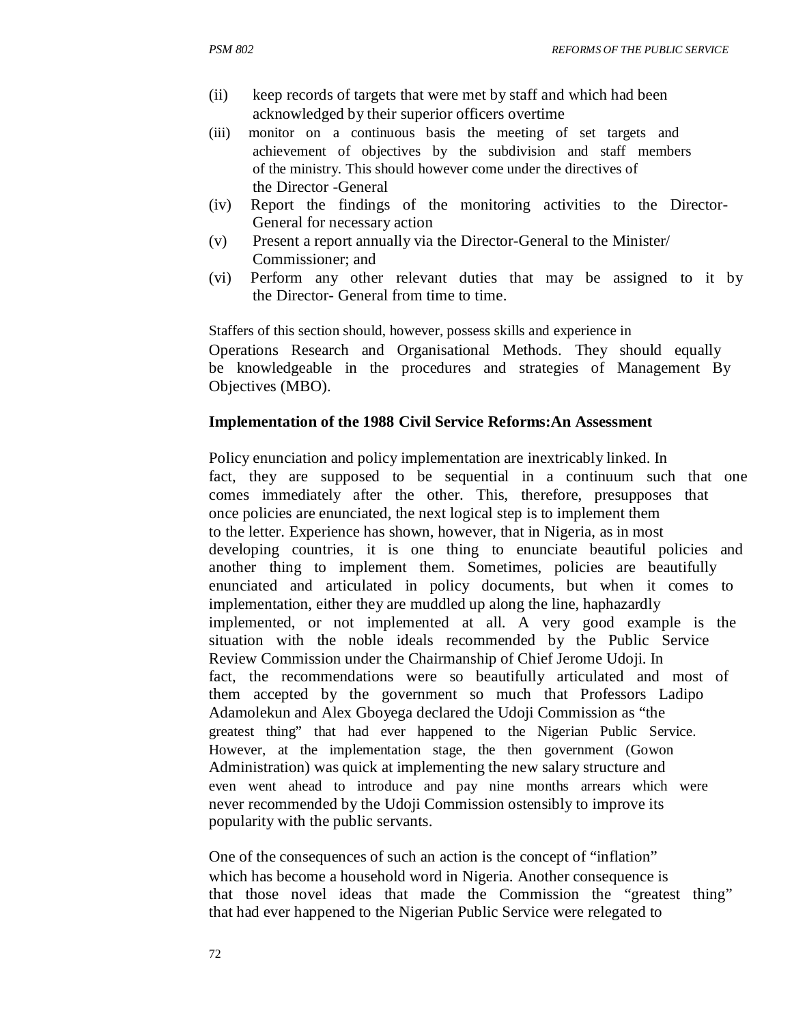- (ii) keep records of targets that were met by staff and which had been acknowledged by their superior officers overtime
- (iii) monitor on a continuous basis the meeting of set targets and achievement of objectives by the subdivision and staff members of the ministry. This should however come under the directives of the Director -General
- (iv) Report the findings of the monitoring activities to the Director-General for necessary action
- (v) Present a report annually via the Director-General to the Minister/ Commissioner; and
- (vi) Perform any other relevant duties that may be assigned to it by the Director- General from time to time.

Staffers of this section should, however, possess skills and experience in Operations Research and Organisational Methods. They should equally be knowledgeable in the procedures and strategies of Management By Objectives (MBO).

### **Implementation of the 1988 Civil Service Reforms:An Assessment**

Policy enunciation and policy implementation are inextricably linked. In fact, they are supposed to be sequential in a continuum such that one comes immediately after the other. This, therefore, presupposes that once policies are enunciated, the next logical step is to implement them to the letter. Experience has shown, however, that in Nigeria, as in most developing countries, it is one thing to enunciate beautiful policies and another thing to implement them. Sometimes, policies are beautifully enunciated and articulated in policy documents, but when it comes to implementation, either they are muddled up along the line, haphazardly implemented, or not implemented at all. A very good example is the situation with the noble ideals recommended by the Public Service Review Commission under the Chairmanship of Chief Jerome Udoji. In fact, the recommendations were so beautifully articulated and most of them accepted by the government so much that Professors Ladipo Adamolekun and Alex Gboyega declared the Udoji Commission as "the greatest thing" that had ever happened to the Nigerian Public Service. However, at the implementation stage, the then government (Gowon Administration) was quick at implementing the new salary structure and even went ahead to introduce and pay nine months arrears which were never recommended by the Udoji Commission ostensibly to improve its popularity with the public servants.

One of the consequences of such an action is the concept of "inflation" which has become a household word in Nigeria. Another consequence is that those novel ideas that made the Commission the "greatest thing" that had ever happened to the Nigerian Public Service were relegated to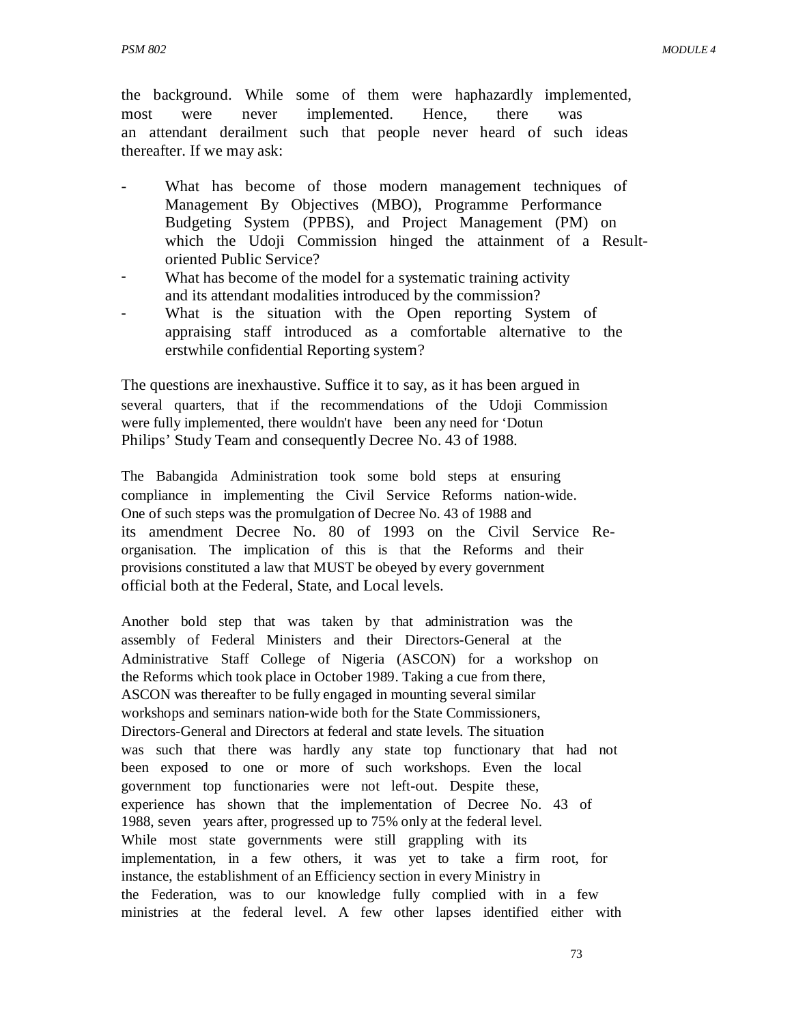the background. While some of them were haphazardly implemented, most were never implemented. Hence, there was an attendant derailment such that people never heard of such ideas thereafter. If we may ask:

- What has become of those modern management techniques of Management By Objectives (MBO), Programme Performance Budgeting System (PPBS), and Project Management (PM) on which the Udoji Commission hinged the attainment of a Resultoriented Public Service?
- What has become of the model for a systematic training activity and its attendant modalities introduced by the commission?
- What is the situation with the Open reporting System of appraising staff introduced as a comfortable alternative to the erstwhile confidential Reporting system?

The questions are inexhaustive. Suffice it to say, as it has been argued in several quarters, that if the recommendations of the Udoji Commission were fully implemented, there wouldn't have been any need for 'Dotun Philips' Study Team and consequently Decree No. 43 of 1988.

The Babangida Administration took some bold steps at ensuring compliance in implementing the Civil Service Reforms nation-wide. One of such steps was the promulgation of Decree No. 43 of 1988 and its amendment Decree No. 80 of 1993 on the Civil Service Reorganisation. The implication of this is that the Reforms and their provisions constituted a law that MUST be obeyed by every government official both at the Federal, State, and Local levels.

Another bold step that was taken by that administration was the assembly of Federal Ministers and their Directors-General at the Administrative Staff College of Nigeria (ASCON) for a workshop on the Reforms which took place in October 1989. Taking a cue from there, ASCON was thereafter to be fully engaged in mounting several similar workshops and seminars nation-wide both for the State Commissioners, Directors-General and Directors at federal and state levels. The situation was such that there was hardly any state top functionary that had not been exposed to one or more of such workshops. Even the local government top functionaries were not left-out. Despite these, experience has shown that the implementation of Decree No. 43 of 1988, seven years after, progressed up to 75% only at the federal level. While most state governments were still grappling with its implementation, in a few others, it was yet to take a firm root, for instance, the establishment of an Efficiency section in every Ministry in the Federation, was to our knowledge fully complied with in a few ministries at the federal level. A few other lapses identified either with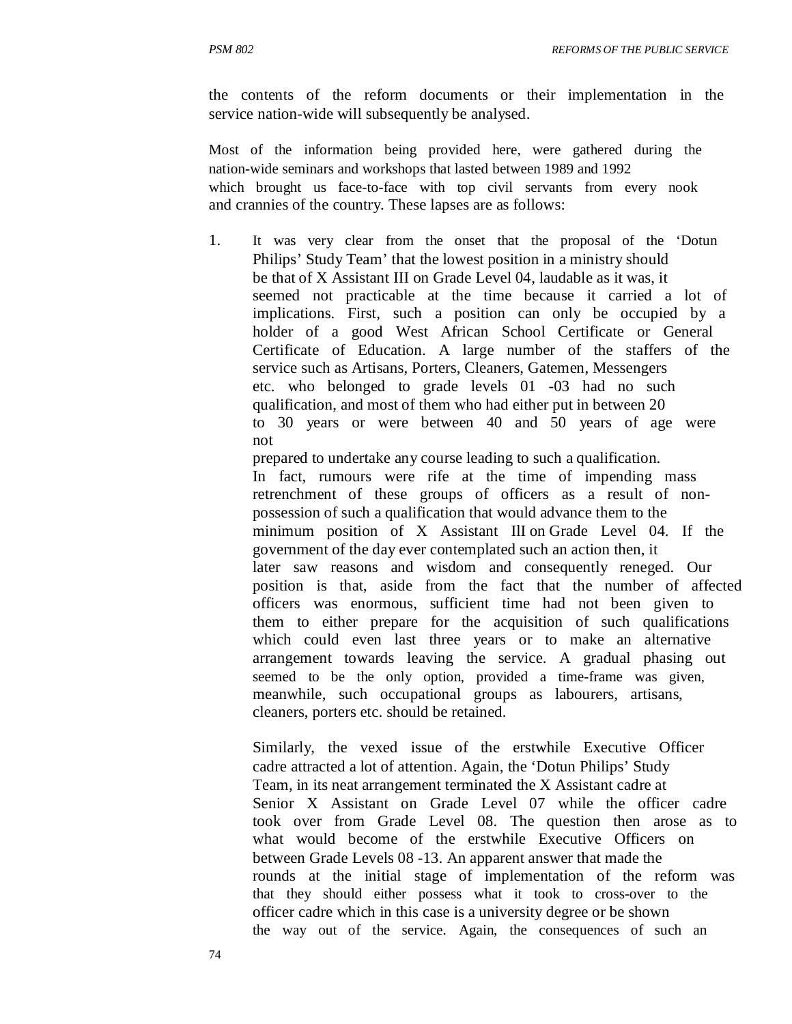the contents of the reform documents or their implementation in the service nation-wide will subsequently be analysed.

Most of the information being provided here, were gathered during the nation-wide seminars and workshops that lasted between 1989 and 1992 which brought us face-to-face with top civil servants from every nook and crannies of the country. These lapses are as follows:

1. It was very clear from the onset that the proposal of the 'Dotun Philips' Study Team' that the lowest position in a ministry should be that of X Assistant III on Grade Level 04, laudable as it was, it seemed not practicable at the time because it carried a lot of implications. First, such a position can only be occupied by a holder of a good West African School Certificate or General Certificate of Education. A large number of the staffers of the service such as Artisans, Porters, Cleaners, Gatemen, Messengers etc. who belonged to grade levels 01 -03 had no such qualification, and most of them who had either put in between 20 to 30 years or were between 40 and 50 years of age were not

prepared to undertake any course leading to such a qualification. In fact, rumours were rife at the time of impending mass retrenchment of these groups of officers as a result of nonpossession of such a qualification that would advance them to the minimum position of X Assistant IlI on Grade Level 04. If the government of the day ever contemplated such an action then, it later saw reasons and wisdom and consequently reneged. Our position is that, aside from the fact that the number of affected officers was enormous, sufficient time had not been given to them to either prepare for the acquisition of such qualifications which could even last three years or to make an alternative arrangement towards leaving the service. A gradual phasing out seemed to be the only option, provided a time-frame was given, meanwhile, such occupational groups as labourers, artisans, cleaners, porters etc. should be retained.

Similarly, the vexed issue of the erstwhile Executive Officer cadre attracted a lot of attention. Again, the 'Dotun Philips' Study Team, in its neat arrangement terminated the X Assistant cadre at Senior X Assistant on Grade Level 07 while the officer cadre took over from Grade Level 08. The question then arose as to what would become of the erstwhile Executive Officers on between Grade Levels 08 -13. An apparent answer that made the rounds at the initial stage of implementation of the reform was that they should either possess what it took to cross-over to the officer cadre which in this case is a university degree or be shown the way out of the service. Again, the consequences of such an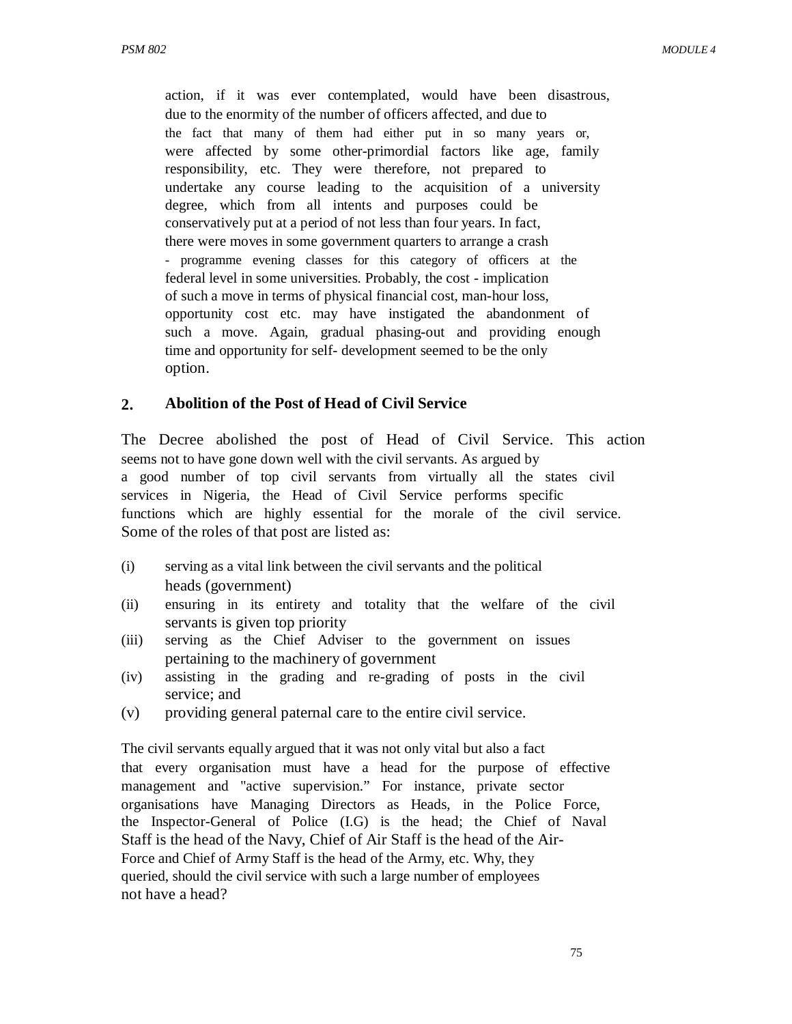action, if it was ever contemplated, would have been disastrous, due to the enormity of the number of officers affected, and due to the fact that many of them had either put in so many years or, were affected by some other-primordial factors like age, family responsibility, etc. They were therefore, not prepared to undertake any course leading to the acquisition of a university degree, which from all intents and purposes could be conservatively put at a period of not less than four years. In fact, there were moves in some government quarters to arrange a crash - programme evening classes for this category of officers at the federal level in some universities. Probably, the cost - implication of such a move in terms of physical financial cost, man-hour loss, opportunity cost etc. may have instigated the abandonment of such a move. Again, gradual phasing-out and providing enough time and opportunity for self- development seemed to be the only option.

#### **2. Abolition of the Post of Head of Civil Service**

The Decree abolished the post of Head of Civil Service. This action seems not to have gone down well with the civil servants. As argued by a good number of top civil servants from virtually all the states civil services in Nigeria, the Head of Civil Service performs specific functions which are highly essential for the morale of the civil service. Some of the roles of that post are listed as:

- (i) serving as a vital link between the civil servants and the political heads (government)
- (ii) ensuring in its entirety and totality that the welfare of the civil servants is given top priority
- (iii) serving as the Chief Adviser to the government on issues pertaining to the machinery of government
- (iv) assisting in the grading and re-grading of posts in the civil service; and
- (v) providing general paternal care to the entire civil service.

The civil servants equally argued that it was not only vital but also a fact that every organisation must have a head for the purpose of effective management and "active supervision." For instance, private sector organisations have Managing Directors as Heads, in the Police Force, the Inspector-General of Police (I.G) is the head; the Chief of Naval Staff is the head of the Navy, Chief of Air Staff is the head of the Air-Force and Chief of Army Staff is the head of the Army, etc. Why, they queried, should the civil service with such a large number of employees not have a head?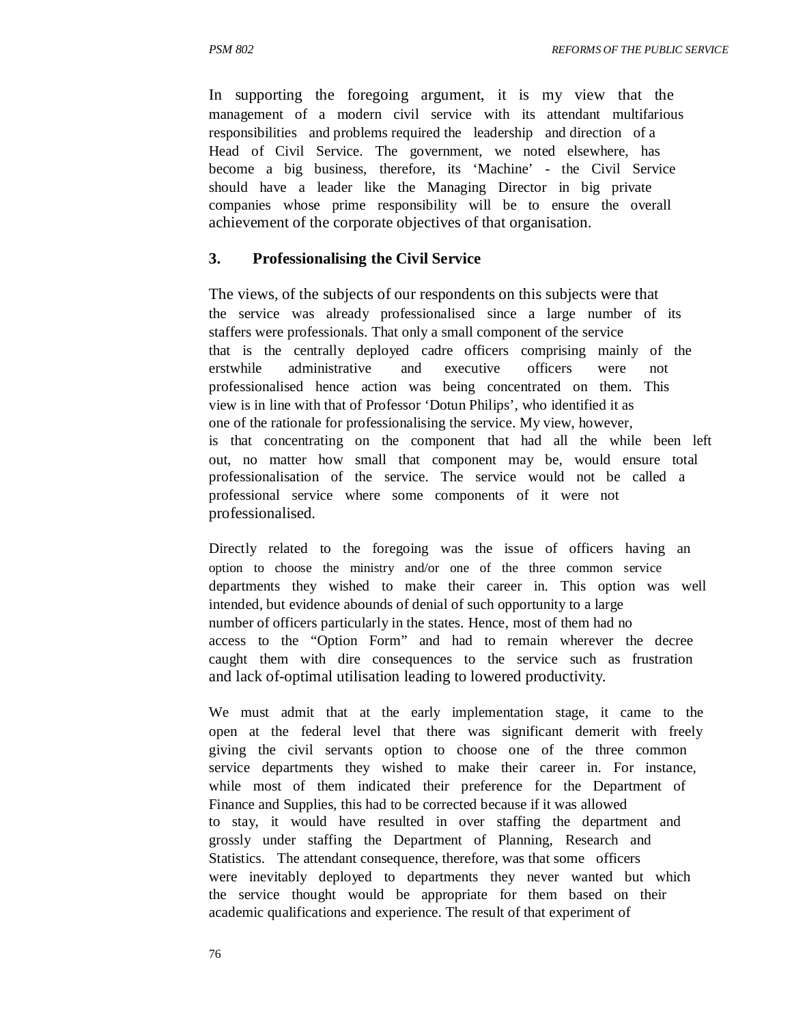In supporting the foregoing argument, it is my view that the management of a modern civil service with its attendant multifarious responsibilities and problems required the leadership and direction of a Head of Civil Service. The government, we noted elsewhere, has become a big business, therefore, its 'Machine' - the Civil Service should have a leader like the Managing Director in big private companies whose prime responsibility will be to ensure the overall achievement of the corporate objectives of that organisation.

#### **3. Professionalising the Civil Service**

The views, of the subjects of our respondents on this subjects were that the service was already professionalised since a large number of its staffers were professionals. That only a small component of the service that is the centrally deployed cadre officers comprising mainly of the erstwhile administrative and executive officers were not professionalised hence action was being concentrated on them. This view is in line with that of Professor 'Dotun Philips', who identified it as one of the rationale for professionalising the service. My view, however, is that concentrating on the component that had all the while been left out, no matter how small that component may be, would ensure total professionalisation of the service. The service would not be called a professional service where some components of it were not professionalised.

Directly related to the foregoing was the issue of officers having an option to choose the ministry and/or one of the three common service departments they wished to make their career in. This option was well intended, but evidence abounds of denial of such opportunity to a large number of officers particularly in the states. Hence, most of them had no access to the "Option Form" and had to remain wherever the decree caught them with dire consequences to the service such as frustration and lack of-optimal utilisation leading to lowered productivity.

We must admit that at the early implementation stage, it came to the open at the federal level that there was significant demerit with freely giving the civil servants option to choose one of the three common service departments they wished to make their career in. For instance, while most of them indicated their preference for the Department of Finance and Supplies, this had to be corrected because if it was allowed to stay, it would have resulted in over staffing the department and grossly under staffing the Department of Planning, Research and Statistics. The attendant consequence, therefore, was that some officers were inevitably deployed to departments they never wanted but which the service thought would be appropriate for them based on their academic qualifications and experience. The result of that experiment of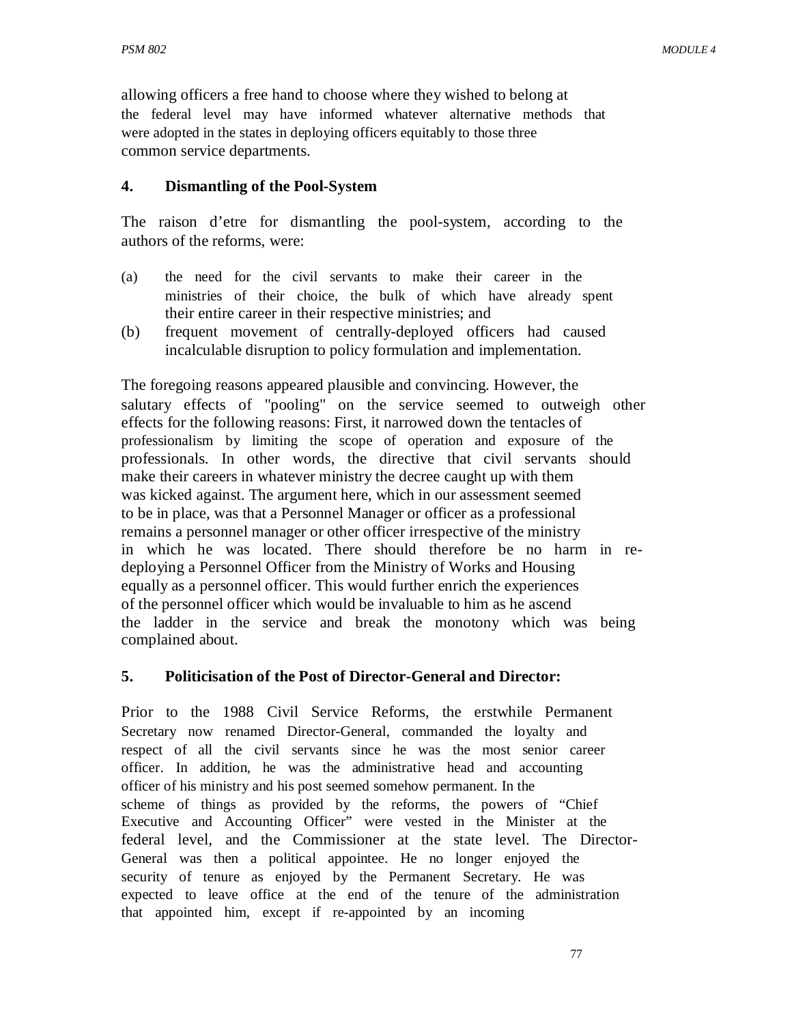allowing officers a free hand to choose where they wished to belong at the federal level may have informed whatever alternative methods that were adopted in the states in deploying officers equitably to those three common service departments.

### **4. Dismantling of the Pool-System**

The raison d'etre for dismantling the pool-system, according to the authors of the reforms, were:

- (a) the need for the civil servants to make their career in the ministries of their choice, the bulk of which have already spent their entire career in their respective ministries; and
- (b) frequent movement of centrally-deployed officers had caused incalculable disruption to policy formulation and implementation.

The foregoing reasons appeared plausible and convincing. However, the salutary effects of "pooling" on the service seemed to outweigh other effects for the following reasons: First, it narrowed down the tentacles of professionalism by limiting the scope of operation and exposure of the professionals. In other words, the directive that civil servants should make their careers in whatever ministry the decree caught up with them was kicked against. The argument here, which in our assessment seemed to be in place, was that a Personnel Manager or officer as a professional remains a personnel manager or other officer irrespective of the ministry in which he was located. There should therefore be no harm in redeploying a Personnel Officer from the Ministry of Works and Housing equally as a personnel officer. This would further enrich the experiences of the personnel officer which would be invaluable to him as he ascend the ladder in the service and break the monotony which was being complained about.

### **5. Politicisation of the Post of Director-General and Director:**

Prior to the 1988 Civil Service Reforms, the erstwhile Permanent Secretary now renamed Director-General, commanded the loyalty and respect of all the civil servants since he was the most senior career officer. In addition, he was the administrative head and accounting officer of his ministry and his post seemed somehow permanent. In the scheme of things as provided by the reforms, the powers of "Chief Executive and Accounting Officer" were vested in the Minister at the federal level, and the Commissioner at the state level. The Director-General was then a political appointee. He no longer enjoyed the security of tenure as enjoyed by the Permanent Secretary. He was expected to leave office at the end of the tenure of the administration that appointed him, except if re-appointed by an incoming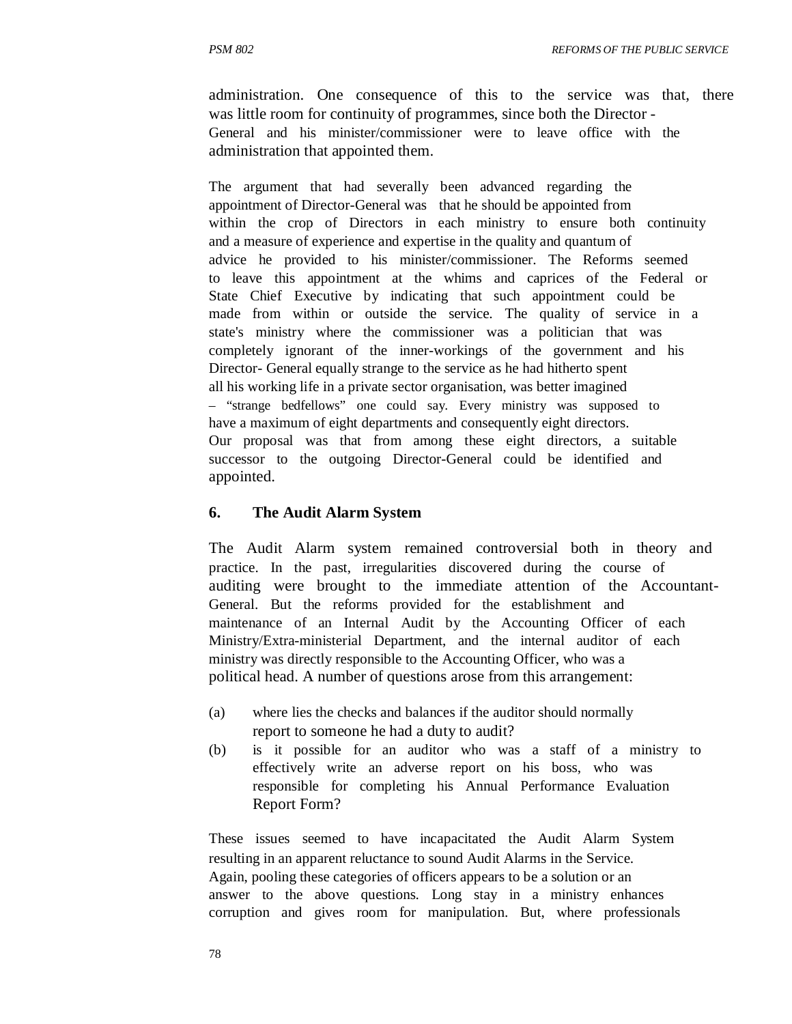administration. One consequence of this to the service was that, there was little room for continuity of programmes, since both the Director - General and his minister/commissioner were to leave office with the administration that appointed them.

The argument that had severally been advanced regarding the appointment of Director-General was that he should be appointed from within the crop of Directors in each ministry to ensure both continuity and a measure of experience and expertise in the quality and quantum of advice he provided to his minister/commissioner. The Reforms seemed to leave this appointment at the whims and caprices of the Federal or State Chief Executive by indicating that such appointment could be made from within or outside the service. The quality of service in a state's ministry where the commissioner was a politician that was completely ignorant of the inner-workings of the government and his Director- General equally strange to the service as he had hitherto spent all his working life in a private sector organisation, was better imagined – "strange bedfellows" one could say. Every ministry was supposed to have a maximum of eight departments and consequently eight directors. Our proposal was that from among these eight directors, a suitable successor to the outgoing Director-General could be identified and appointed.

#### **6. The Audit Alarm System**

The Audit Alarm system remained controversial both in theory and practice. In the past, irregularities discovered during the course of auditing were brought to the immediate attention of the Accountant-General. But the reforms provided for the establishment and maintenance of an Internal Audit by the Accounting Officer of each Ministry/Extra-ministerial Department, and the internal auditor of each ministry was directly responsible to the Accounting Officer, who was a political head. A number of questions arose from this arrangement:

- (a) where lies the checks and balances if the auditor should normally report to someone he had a duty to audit?
- (b) is it possible for an auditor who was a staff of a ministry to effectively write an adverse report on his boss, who was responsible for completing his Annual Performance Evaluation Report Form?

These issues seemed to have incapacitated the Audit Alarm System resulting in an apparent reluctance to sound Audit Alarms in the Service. Again, pooling these categories of officers appears to be a solution or an answer to the above questions. Long stay in a ministry enhances corruption and gives room for manipulation. But, where professionals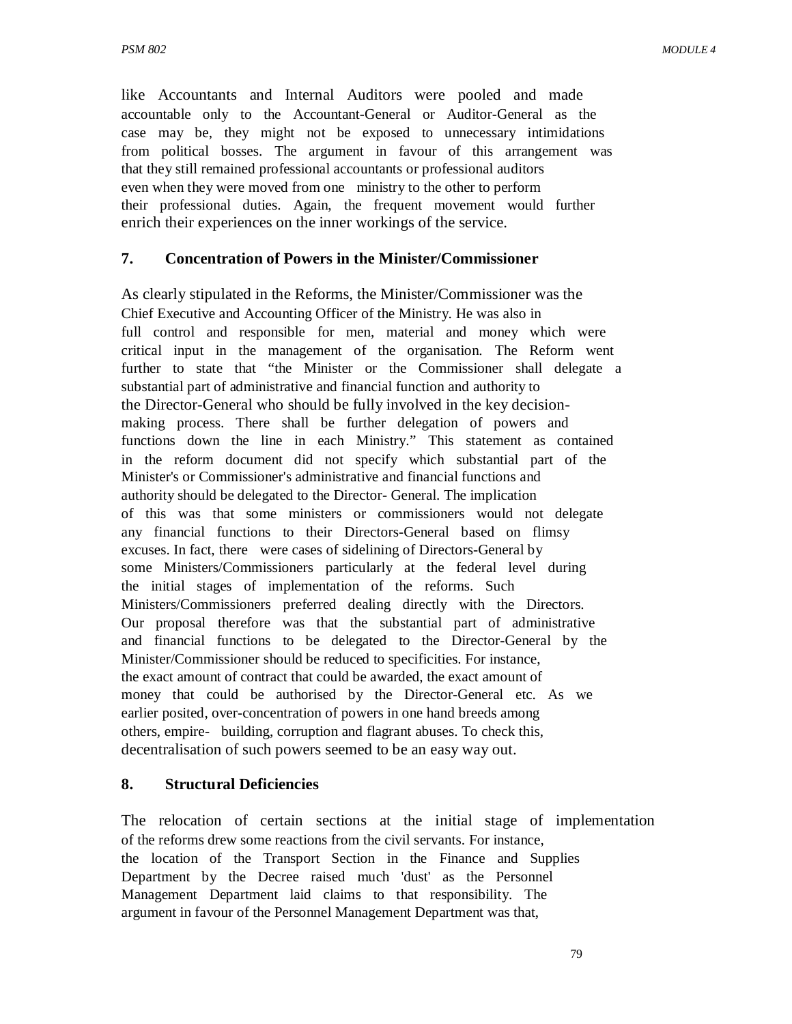like Accountants and Internal Auditors were pooled and made accountable only to the Accountant-General or Auditor-General as the case may be, they might not be exposed to unnecessary intimidations from political bosses. The argument in favour of this arrangement was that they still remained professional accountants or professional auditors even when they were moved from one ministry to the other to perform their professional duties. Again, the frequent movement would further enrich their experiences on the inner workings of the service.

### **7. Concentration of Powers in the Minister/Commissioner**

As clearly stipulated in the Reforms, the Minister/Commissioner was the Chief Executive and Accounting Officer of the Ministry. He was also in full control and responsible for men, material and money which were critical input in the management of the organisation. The Reform went further to state that "the Minister or the Commissioner shall delegate a substantial part of administrative and financial function and authority to the Director-General who should be fully involved in the key decisionmaking process. There shall be further delegation of powers and functions down the line in each Ministry." This statement as contained in the reform document did not specify which substantial part of the Minister's or Commissioner's administrative and financial functions and authority should be delegated to the Director- General. The implication of this was that some ministers or commissioners would not delegate any financial functions to their Directors-General based on flimsy excuses. In fact, there were cases of sidelining of Directors-General by some Ministers/Commissioners particularly at the federal level during the initial stages of implementation of the reforms. Such Ministers/Commissioners preferred dealing directly with the Directors. Our proposal therefore was that the substantial part of administrative and financial functions to be delegated to the Director-General by the Minister/Commissioner should be reduced to specificities. For instance, the exact amount of contract that could be awarded, the exact amount of money that could be authorised by the Director-General etc. As we earlier posited, over-concentration of powers in one hand breeds among others, empire- building, corruption and flagrant abuses. To check this, decentralisation of such powers seemed to be an easy way out.

#### **8. Structural Deficiencies**

The relocation of certain sections at the initial stage of implementation of the reforms drew some reactions from the civil servants. For instance, the location of the Transport Section in the Finance and Supplies Department by the Decree raised much 'dust' as the Personnel Management Department laid claims to that responsibility. The argument in favour of the Personnel Management Department was that,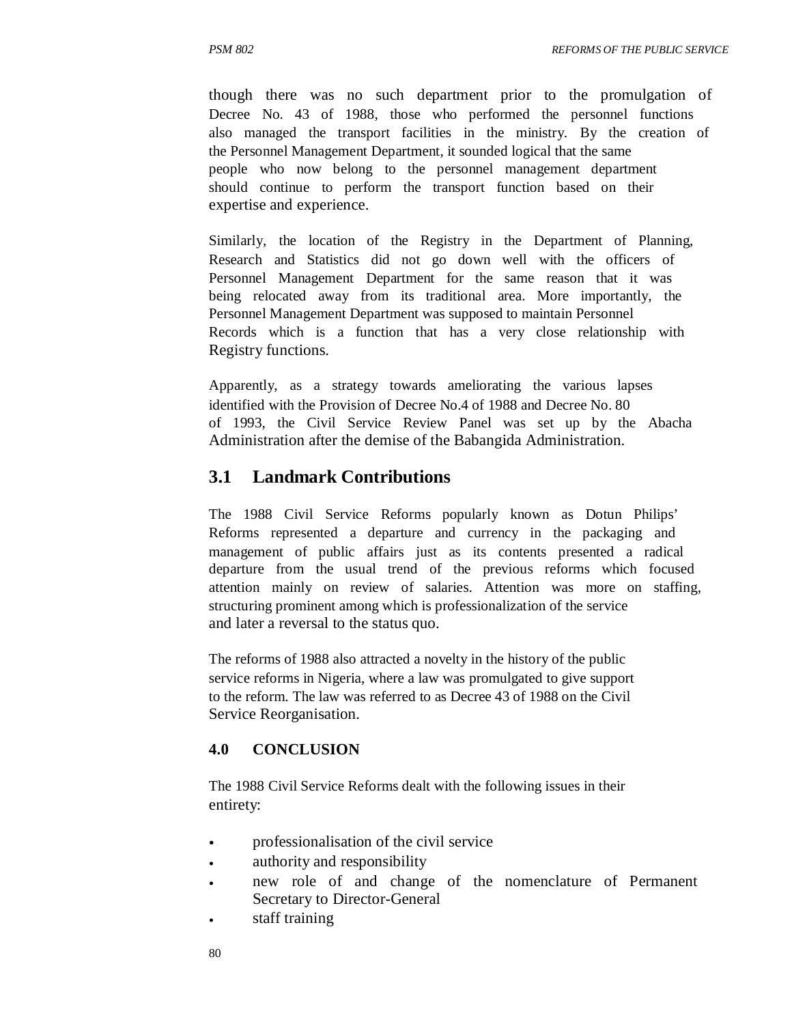though there was no such department prior to the promulgation of Decree No. 43 of 1988, those who performed the personnel functions also managed the transport facilities in the ministry. By the creation of the Personnel Management Department, it sounded logical that the same people who now belong to the personnel management department should continue to perform the transport function based on their expertise and experience.

Similarly, the location of the Registry in the Department of Planning, Research and Statistics did not go down well with the officers of Personnel Management Department for the same reason that it was being relocated away from its traditional area. More importantly, the Personnel Management Department was supposed to maintain Personnel Records which is a function that has a very close relationship with Registry functions.

Apparently, as a strategy towards ameliorating the various lapses identified with the Provision of Decree No.4 of 1988 and Decree No. 80 of 1993, the Civil Service Review Panel was set up by the Abacha Administration after the demise of the Babangida Administration.

### **3.1 Landmark Contributions**

The 1988 Civil Service Reforms popularly known as Dotun Philips' Reforms represented a departure and currency in the packaging and management of public affairs just as its contents presented a radical departure from the usual trend of the previous reforms which focused attention mainly on review of salaries. Attention was more on staffing, structuring prominent among which is professionalization of the service and later a reversal to the status quo.

The reforms of 1988 also attracted a novelty in the history of the public service reforms in Nigeria, where a law was promulgated to give support to the reform. The law was referred to as Decree 43 of 1988 on the Civil Service Reorganisation.

### **4.0 CONCLUSION**

The 1988 Civil Service Reforms dealt with the following issues in their entirety:

- professionalisation of the civil service
- authority and responsibility
- new role of and change of the nomenclature of Permanent Secretary to Director-General
- staff training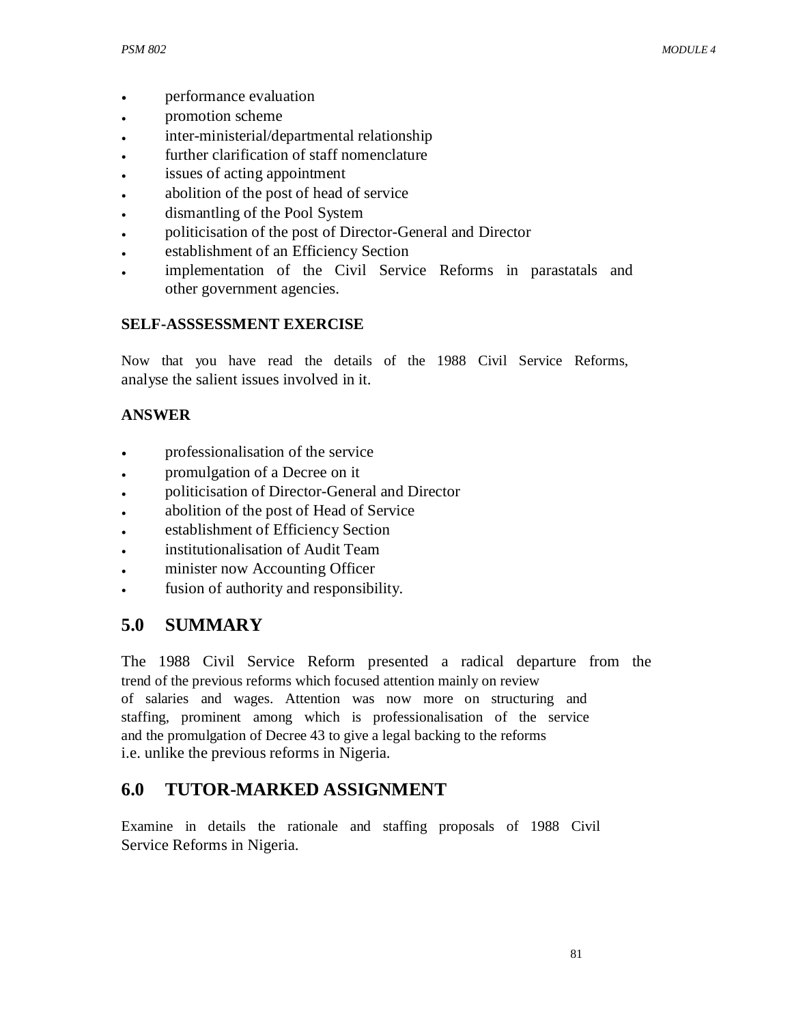- performance evaluation
- promotion scheme
- inter-ministerial/departmental relationship
- further clarification of staff nomenclature
- issues of acting appointment
- abolition of the post of head of service
- dismantling of the Pool System
- politicisation of the post of Director-General and Director
- establishment of an Efficiency Section
- implementation of the Civil Service Reforms in parastatals and other government agencies.

# **SELF-ASSSESSMENT EXERCISE**

Now that you have read the details of the 1988 Civil Service Reforms, analyse the salient issues involved in it.

# **ANSWER**

- professionalisation of the service
- promulgation of a Decree on it
- politicisation of Director-General and Director
- abolition of the post of Head of Service
- establishment of Efficiency Section
- institutionalisation of Audit Team
- minister now Accounting Officer
- fusion of authority and responsibility.

# **5.0 SUMMARY**

The 1988 Civil Service Reform presented a radical departure from the trend of the previous reforms which focused attention mainly on review of salaries and wages. Attention was now more on structuring and staffing, prominent among which is professionalisation of the service and the promulgation of Decree 43 to give a legal backing to the reforms i.e. unlike the previous reforms in Nigeria.

# **6.0 TUTOR-MARKED ASSIGNMENT**

Examine in details the rationale and staffing proposals of 1988 Civil Service Reforms in Nigeria.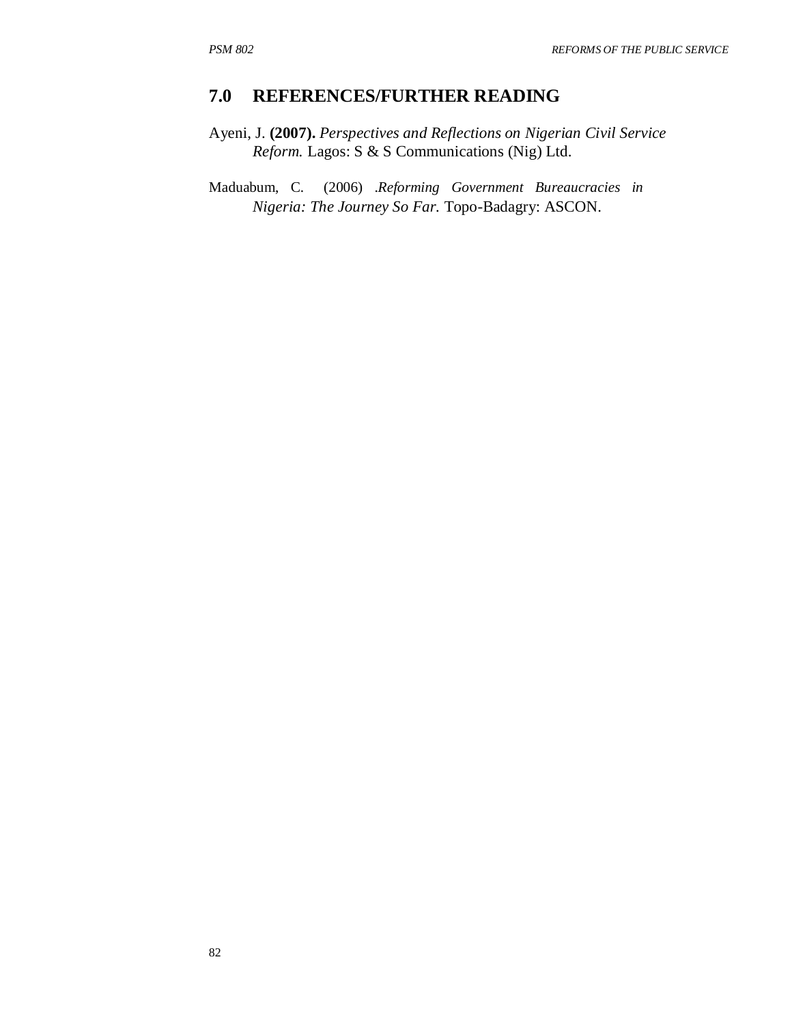# **7.0 REFERENCES/FURTHER READING**

- Ayeni, J. **(2007).** *Perspectives and Reflections on Nigerian Civil Service Reform.* Lagos: S & S Communications (Nig) Ltd.
- Maduabum, C. (2006) .*Reforming Government Bureaucracies in Nigeria: The Journey So Far.* Topo-Badagry: ASCON.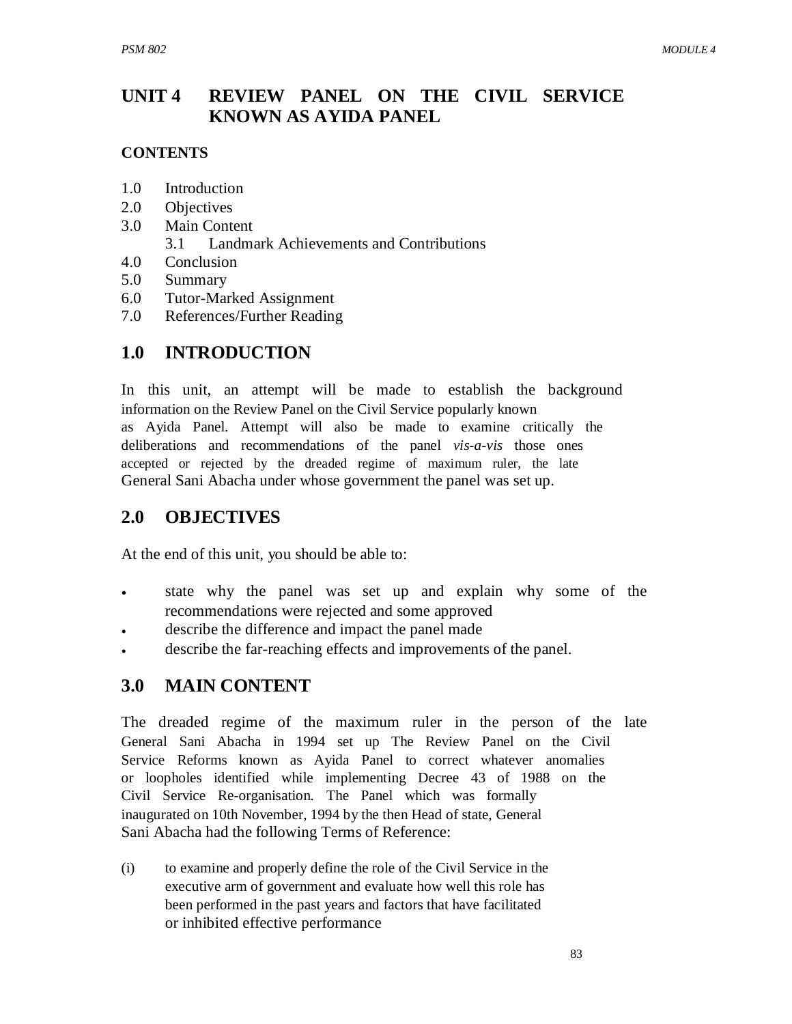#### **UNIT 4 REVIEW PANEL ON THE CIVIL SERVICE KNOWN AS AYIDA PANEL**

### **CONTENTS**

- 1.0 Introduction
- 2.0 Objectives
- 3.0 Main Content
	- 3.1 Landmark Achievements and Contributions
- 4.0 Conclusion
- 5.0 Summary
- 6.0 Tutor-Marked Assignment
- 7.0 References/Further Reading

# **1.0 INTRODUCTION**

In this unit, an attempt will be made to establish the background information on the Review Panel on the Civil Service popularly known as Ayida Panel. Attempt will also be made to examine critically the deliberations and recommendations of the panel *vis-a-vis* those ones accepted or rejected by the dreaded regime of maximum ruler, the late General Sani Abacha under whose government the panel was set up.

# **2.0 OBJECTIVES**

At the end of this unit, you should be able to:

- state why the panel was set up and explain why some of the recommendations were rejected and some approved
- describe the difference and impact the panel made
- describe the far-reaching effects and improvements of the panel.

# **3.0 MAIN CONTENT**

The dreaded regime of the maximum ruler in the person of the late General Sani Abacha in 1994 set up The Review Panel on the Civil Service Reforms known as Ayida Panel to correct whatever anomalies or loopholes identified while implementing Decree 43 of 1988 on the Civil Service Re-organisation. The Panel which was formally inaugurated on 10th November, 1994 by the then Head of state, General Sani Abacha had the following Terms of Reference:

(i) to examine and properly define the role of the Civil Service in the executive arm of government and evaluate how well this role has been performed in the past years and factors that have facilitated or inhibited effective performance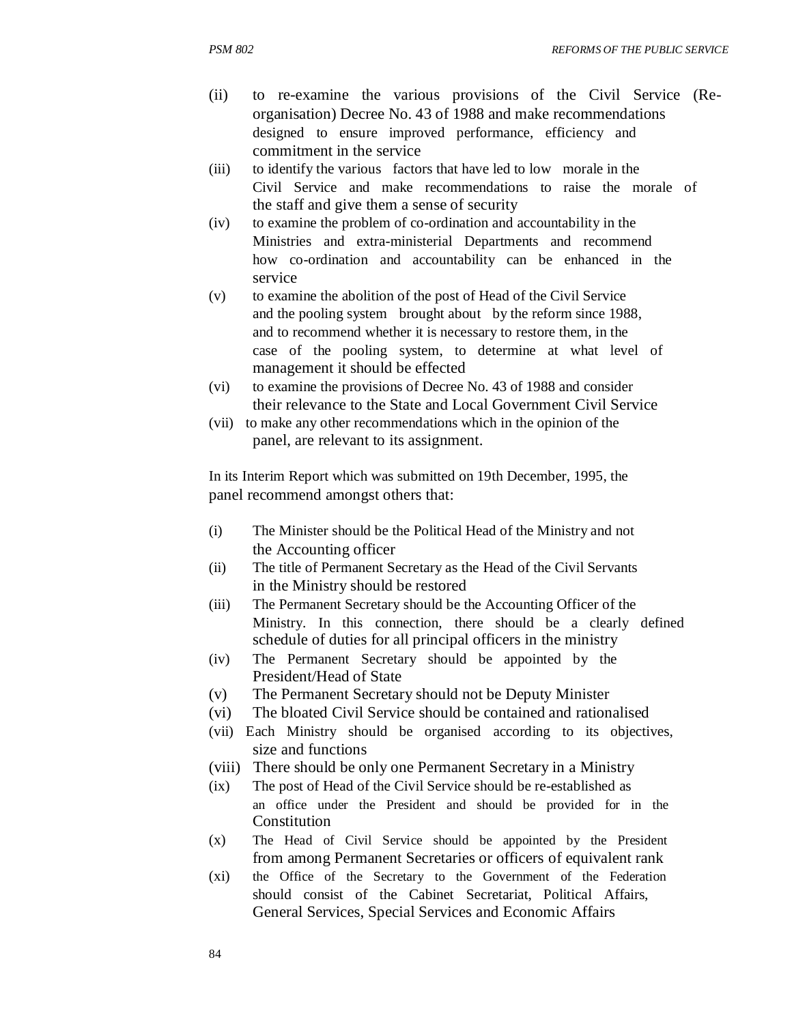- (ii) to re-examine the various provisions of the Civil Service (Reorganisation) Decree No. 43 of 1988 and make recommendations designed to ensure improved performance, efficiency and commitment in the service
- (iii) to identify the various factors that have led to low morale in the Civil Service and make recommendations to raise the morale of the staff and give them a sense of security
- (iv) to examine the problem of co-ordination and accountability in the Ministries and extra-ministerial Departments and recommend how co-ordination and accountability can be enhanced in the service
- (v) to examine the abolition of the post of Head of the Civil Service and the pooling system brought about by the reform since 1988, and to recommend whether it is necessary to restore them, in the case of the pooling system, to determine at what level of management it should be effected
- (vi) to examine the provisions of Decree No. 43 of 1988 and consider their relevance to the State and Local Government Civil Service
- (vii) to make any other recommendations which in the opinion of the panel, are relevant to its assignment.

In its Interim Report which was submitted on 19th December, 1995, the panel recommend amongst others that:

- (i) The Minister should be the Political Head of the Ministry and not the Accounting officer
- (ii) The title of Permanent Secretary as the Head of the Civil Servants in the Ministry should be restored
- (iii) The Permanent Secretary should be the Accounting Officer of the Ministry. In this connection, there should be a clearly defined schedule of duties for all principal officers in the ministry
- (iv) The Permanent Secretary should be appointed by the President/Head of State
- (v) The Permanent Secretary should not be Deputy Minister
- (vi) The bloated Civil Service should be contained and rationalised
- (vii) Each Ministry should be organised according to its objectives, size and functions
- (viii) There should be only one Permanent Secretary in a Ministry
- (ix) The post of Head of the Civil Service should be re-established as an office under the President and should be provided for in the **Constitution**
- (x) The Head of Civil Service should be appointed by the President from among Permanent Secretaries or officers of equivalent rank
- (xi) the Office of the Secretary to the Government of the Federation should consist of the Cabinet Secretariat, Political Affairs, General Services, Special Services and Economic Affairs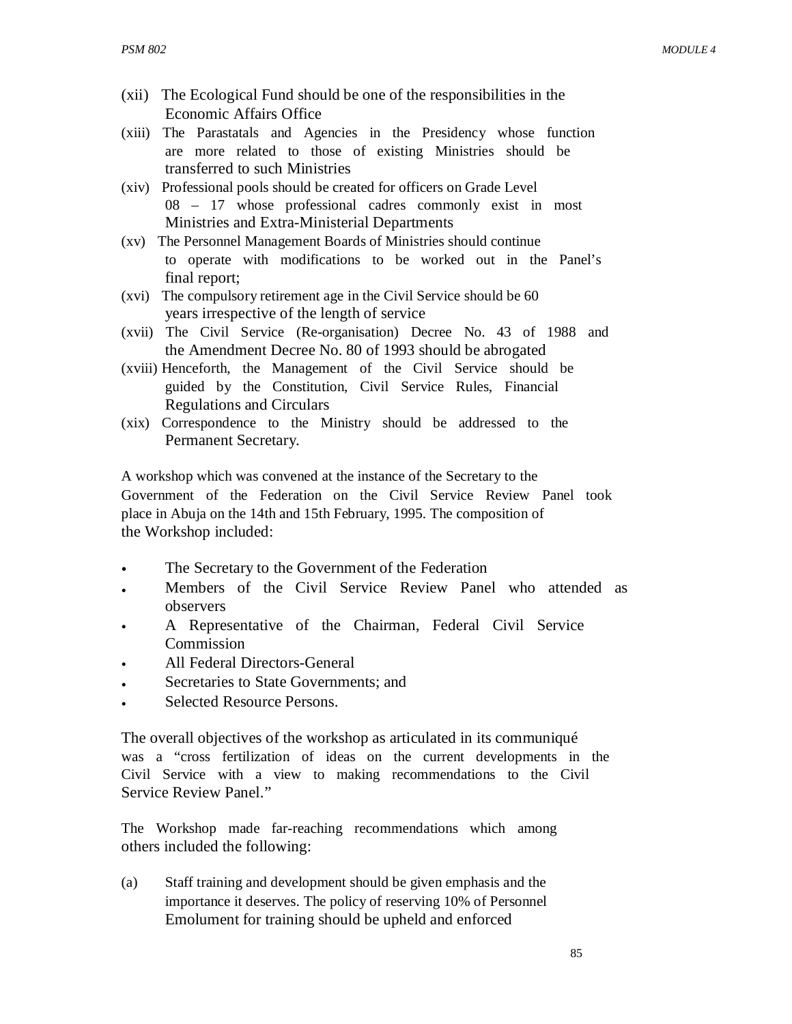- (xii) The Ecological Fund should be one of the responsibilities in the Economic Affairs Office
- (xiii) The Parastatals and Agencies in the Presidency whose function are more related to those of existing Ministries should be transferred to such Ministries
- (xiv) Professional pools should be created for officers on Grade Level 08 – 17 whose professional cadres commonly exist in most Ministries and Extra-Ministerial Departments
- (xv) The Personnel Management Boards of Ministries should continue to operate with modifications to be worked out in the Panel's final report;
- (xvi) The compulsory retirement age in the Civil Service should be 60 years irrespective of the length of service
- (xvii) The Civil Service (Re-organisation) Decree No. 43 of 1988 and the Amendment Decree No. 80 of 1993 should be abrogated
- (xviii) Henceforth, the Management of the Civil Service should be guided by the Constitution, Civil Service Rules, Financial Regulations and Circulars
- (xix) Correspondence to the Ministry should be addressed to the Permanent Secretary.

A workshop which was convened at the instance of the Secretary to the Government of the Federation on the Civil Service Review Panel took place in Abuja on the 14th and 15th February, 1995. The composition of the Workshop included:

- The Secretary to the Government of the Federation
- Members of the Civil Service Review Panel who attended as observers
- A Representative of the Chairman, Federal Civil Service Commission
- All Federal Directors-General
- Secretaries to State Governments; and
- Selected Resource Persons.

The overall objectives of the workshop as articulated in its communiqué was a "cross fertilization of ideas on the current developments in the Civil Service with a view to making recommendations to the Civil Service Review Panel."

The Workshop made far-reaching recommendations which among others included the following:

(a) Staff training and development should be given emphasis and the importance it deserves. The policy of reserving 10% of Personnel Emolument for training should be upheld and enforced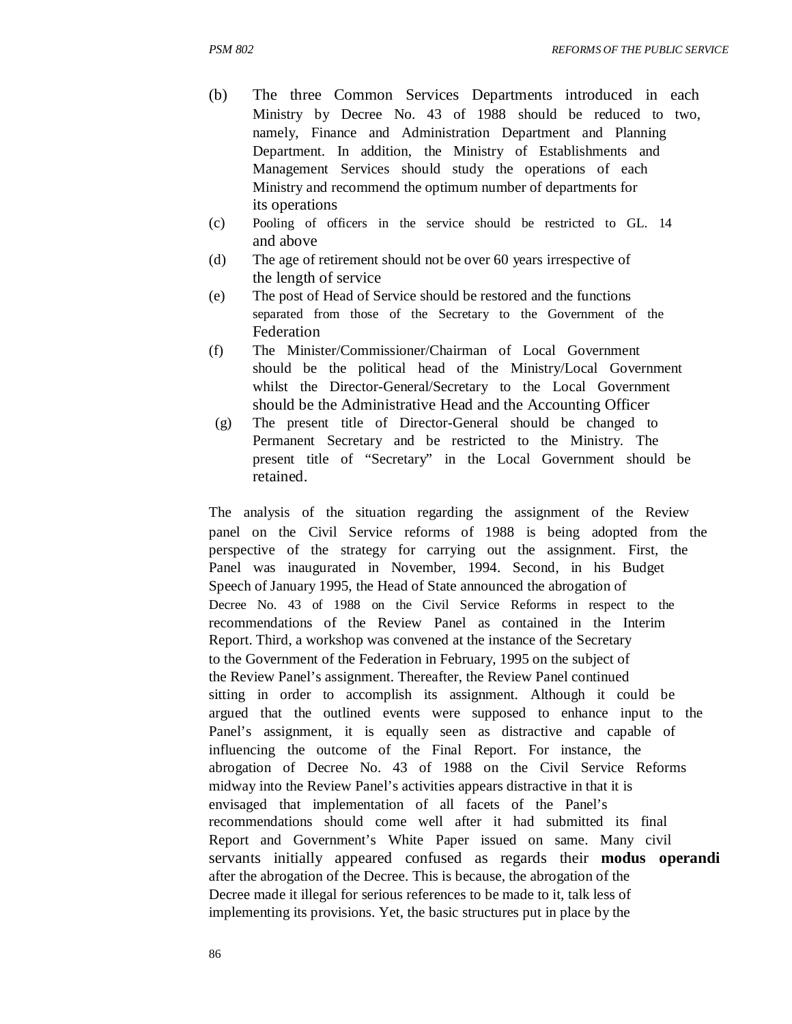- (b) The three Common Services Departments introduced in each Ministry by Decree No. 43 of 1988 should be reduced to two, namely, Finance and Administration Department and Planning Department. In addition, the Ministry of Establishments and Management Services should study the operations of each Ministry and recommend the optimum number of departments for its operations
- (c) Pooling of officers in the service should be restricted to GL. 14 and above
- (d) The age of retirement should not be over 60 years irrespective of the length of service
- (e) The post of Head of Service should be restored and the functions separated from those of the Secretary to the Government of the Federation
- (f) The Minister/Commissioner/Chairman of Local Government should be the political head of the Ministry/Local Government whilst the Director-General/Secretary to the Local Government should be the Administrative Head and the Accounting Officer
- (g) The present title of Director-General should be changed to Permanent Secretary and be restricted to the Ministry. The present title of "Secretary" in the Local Government should be retained.

The analysis of the situation regarding the assignment of the Review panel on the Civil Service reforms of 1988 is being adopted from the perspective of the strategy for carrying out the assignment. First, the Panel was inaugurated in November, 1994. Second, in his Budget Speech of January 1995, the Head of State announced the abrogation of Decree No. 43 of 1988 on the Civil Service Reforms in respect to the recommendations of the Review Panel as contained in the Interim Report. Third, a workshop was convened at the instance of the Secretary to the Government of the Federation in February, 1995 on the subject of the Review Panel's assignment. Thereafter, the Review Panel continued sitting in order to accomplish its assignment. Although it could be argued that the outlined events were supposed to enhance input to the Panel's assignment, it is equally seen as distractive and capable of influencing the outcome of the Final Report. For instance, the abrogation of Decree No. 43 of 1988 on the Civil Service Reforms midway into the Review Panel's activities appears distractive in that it is envisaged that implementation of all facets of the Panel's recommendations should come well after it had submitted its final Report and Government's White Paper issued on same. Many civil servants initially appeared confused as regards their **modus operandi** after the abrogation of the Decree. This is because, the abrogation of the Decree made it illegal for serious references to be made to it, talk less of implementing its provisions. Yet, the basic structures put in place by the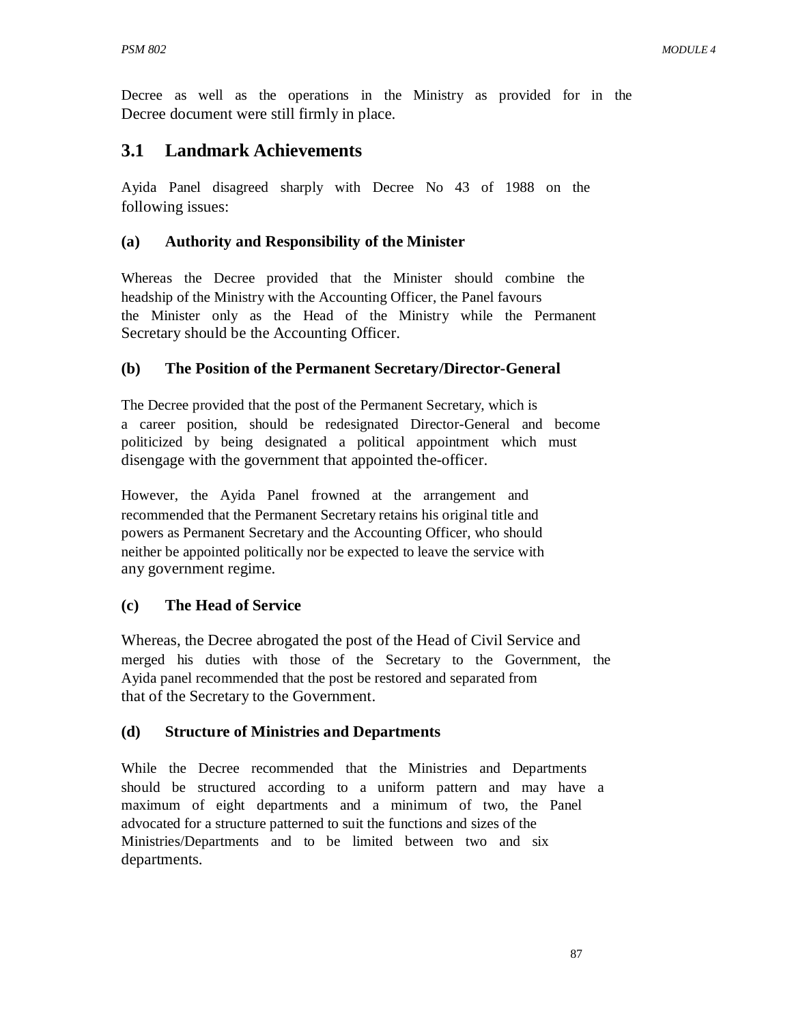Decree as well as the operations in the Ministry as provided for in the Decree document were still firmly in place.

# **3.1 Landmark Achievements**

Ayida Panel disagreed sharply with Decree No 43 of 1988 on the following issues:

### **(a) Authority and Responsibility of the Minister**

Whereas the Decree provided that the Minister should combine the headship of the Ministry with the Accounting Officer, the Panel favours the Minister only as the Head of the Ministry while the Permanent Secretary should be the Accounting Officer.

### **(b) The Position of the Permanent Secretary/Director-General**

The Decree provided that the post of the Permanent Secretary, which is a career position, should be redesignated Director-General and become politicized by being designated a political appointment which must disengage with the government that appointed the-officer.

However, the Ayida Panel frowned at the arrangement and recommended that the Permanent Secretary retains his original title and powers as Permanent Secretary and the Accounting Officer, who should neither be appointed politically nor be expected to leave the service with any government regime.

# **(c) The Head of Service**

Whereas, the Decree abrogated the post of the Head of Civil Service and merged his duties with those of the Secretary to the Government, the Ayida panel recommended that the post be restored and separated from that of the Secretary to the Government.

# **(d) Structure of Ministries and Departments**

While the Decree recommended that the Ministries and Departments should be structured according to a uniform pattern and may have a maximum of eight departments and a minimum of two, the Panel advocated for a structure patterned to suit the functions and sizes of the Ministries/Departments and to be limited between two and six departments.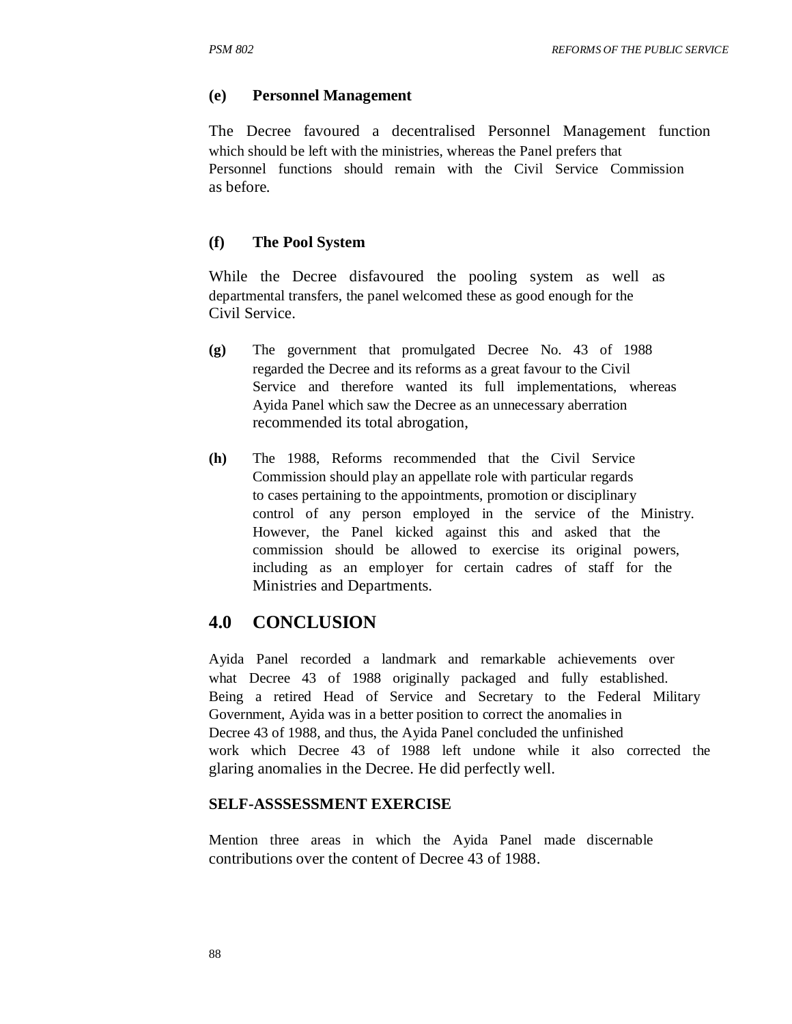### **(e) Personnel Management**

The Decree favoured a decentralised Personnel Management function which should be left with the ministries, whereas the Panel prefers that Personnel functions should remain with the Civil Service Commission as before.

### **(f) The Pool System**

While the Decree disfavoured the pooling system as well as departmental transfers, the panel welcomed these as good enough for the Civil Service.

- **(g)** The government that promulgated Decree No. 43 of 1988 regarded the Decree and its reforms as a great favour to the Civil Service and therefore wanted its full implementations, whereas Ayida Panel which saw the Decree as an unnecessary aberration recommended its total abrogation,
- **(h)** The 1988, Reforms recommended that the Civil Service Commission should play an appellate role with particular regards to cases pertaining to the appointments, promotion or disciplinary control of any person employed in the service of the Ministry. However, the Panel kicked against this and asked that the commission should be allowed to exercise its original powers, including as an employer for certain cadres of staff for the Ministries and Departments.

# **4.0 CONCLUSION**

Ayida Panel recorded a landmark and remarkable achievements over what Decree 43 of 1988 originally packaged and fully established. Being a retired Head of Service and Secretary to the Federal Military Government, Ayida was in a better position to correct the anomalies in Decree 43 of 1988, and thus, the Ayida Panel concluded the unfinished work which Decree 43 of 1988 left undone while it also corrected the glaring anomalies in the Decree. He did perfectly well.

### **SELF-ASSSESSMENT EXERCISE**

Mention three areas in which the Ayida Panel made discernable contributions over the content of Decree 43 of 1988.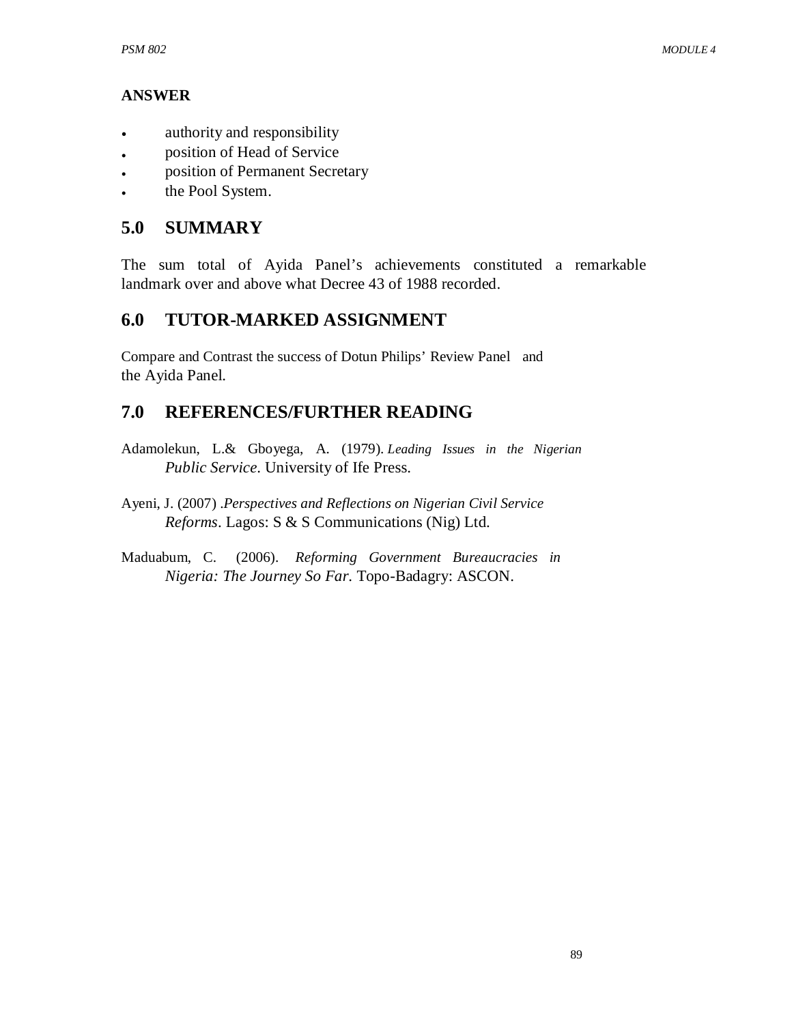# **ANSWER**

- authority and responsibility
- position of Head of Service
- position of Permanent Secretary
- the Pool System.

# **5.0 SUMMARY**

The sum total of Ayida Panel's achievements constituted a remarkable landmark over and above what Decree 43 of 1988 recorded.

# **6.0 TUTOR-MARKED ASSIGNMENT**

Compare and Contrast the success of Dotun Philips' Review Panel and the Ayida Panel.

# **7.0 REFERENCES/FURTHER READING**

- Adamolekun, L.& Gboyega, A. (1979). *Leading Issues in the Nigerian Public Service*. University of Ife Press.
- Ayeni, J. (2007) .*Perspectives and Reflections on Nigerian Civil Service Reforms*. Lagos: S & S Communications (Nig) Ltd.
- Maduabum, C. (2006). *Reforming Government Bureaucracies in Nigeria: The Journey So Far*. Topo-Badagry: ASCON.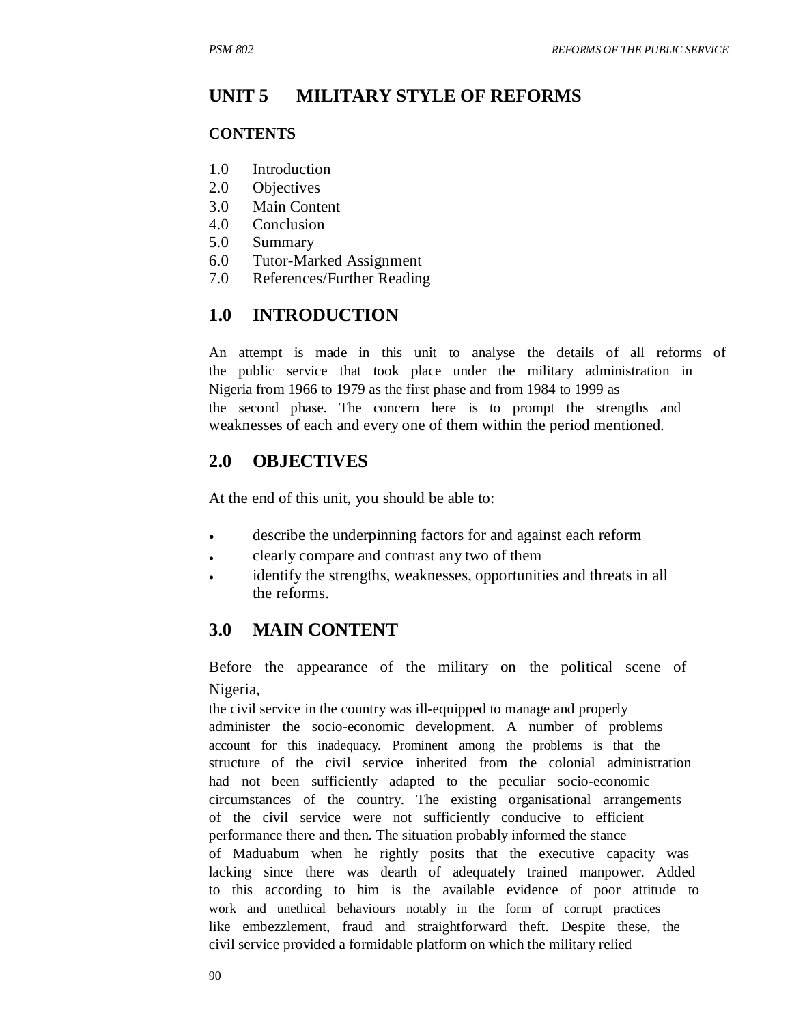#### **UNIT 5 MILITARY STYLE OF REFORMS**

#### **CONTENTS**

- 1.0 Introduction
- 2.0 Objectives
- 3.0 Main Content
- 4.0 Conclusion
- 5.0 Summary
- 6.0 Tutor-Marked Assignment
- 7.0 References/Further Reading

# **1.0 INTRODUCTION**

An attempt is made in this unit to analyse the details of all reforms of the public service that took place under the military administration in Nigeria from 1966 to 1979 as the first phase and from 1984 to 1999 as the second phase. The concern here is to prompt the strengths and weaknesses of each and every one of them within the period mentioned.

# **2.0 OBJECTIVES**

At the end of this unit, you should be able to:

- describe the underpinning factors for and against each reform
- clearly compare and contrast any two of them
- identify the strengths, weaknesses, opportunities and threats in all the reforms.

# **3.0 MAIN CONTENT**

Before the appearance of the military on the political scene of Nigeria,

the civil service in the country was ill-equipped to manage and properly administer the socio-economic development. A number of problems account for this inadequacy. Prominent among the problems is that the structure of the civil service inherited from the colonial administration had not been sufficiently adapted to the peculiar socio-economic circumstances of the country. The existing organisational arrangements of the civil service were not sufficiently conducive to efficient performance there and then. The situation probably informed the stance of Maduabum when he rightly posits that the executive capacity was lacking since there was dearth of adequately trained manpower. Added to this according to him is the available evidence of poor attitude to work and unethical behaviours notably in the form of corrupt practices like embezzlement, fraud and straightforward theft. Despite these, the civil service provided a formidable platform on which the military relied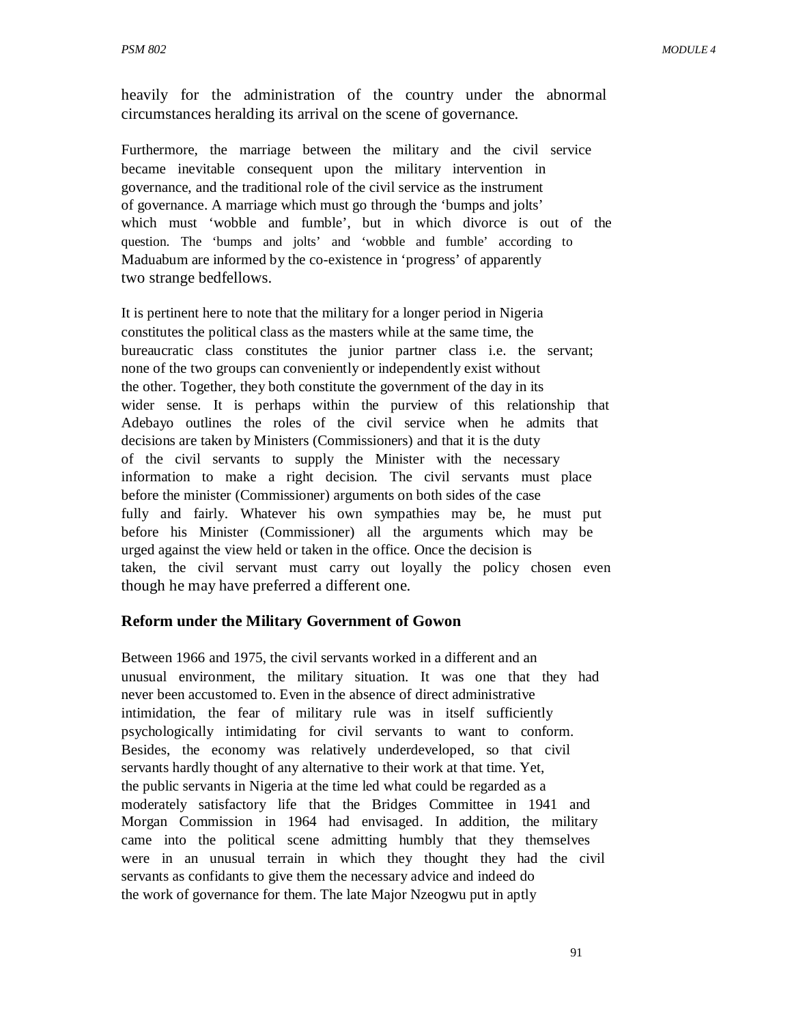heavily for the administration of the country under the abnormal circumstances heralding its arrival on the scene of governance.

Furthermore, the marriage between the military and the civil service became inevitable consequent upon the military intervention in governance, and the traditional role of the civil service as the instrument of governance. A marriage which must go through the 'bumps and jolts' which must 'wobble and fumble', but in which divorce is out of the question. The 'bumps and jolts' and 'wobble and fumble' according to Maduabum are informed by the co-existence in 'progress' of apparently two strange bedfellows.

It is pertinent here to note that the military for a longer period in Nigeria constitutes the political class as the masters while at the same time, the bureaucratic class constitutes the junior partner class i.e. the servant; none of the two groups can conveniently or independently exist without the other. Together, they both constitute the government of the day in its wider sense. It is perhaps within the purview of this relationship that Adebayo outlines the roles of the civil service when he admits that decisions are taken by Ministers (Commissioners) and that it is the duty of the civil servants to supply the Minister with the necessary information to make a right decision. The civil servants must place before the minister (Commissioner) arguments on both sides of the case fully and fairly. Whatever his own sympathies may be, he must put before his Minister (Commissioner) all the arguments which may be urged against the view held or taken in the office. Once the decision is taken, the civil servant must carry out loyally the policy chosen even though he may have preferred a different one.

### **Reform under the Military Government of Gowon**

Between 1966 and 1975, the civil servants worked in a different and an unusual environment, the military situation. It was one that they had never been accustomed to. Even in the absence of direct administrative intimidation, the fear of military rule was in itself sufficiently psychologically intimidating for civil servants to want to conform. Besides, the economy was relatively underdeveloped, so that civil servants hardly thought of any alternative to their work at that time. Yet, the public servants in Nigeria at the time led what could be regarded as a moderately satisfactory life that the Bridges Committee in 1941 and Morgan Commission in 1964 had envisaged. In addition, the military came into the political scene admitting humbly that they themselves were in an unusual terrain in which they thought they had the civil servants as confidants to give them the necessary advice and indeed do the work of governance for them. The late Major Nzeogwu put in aptly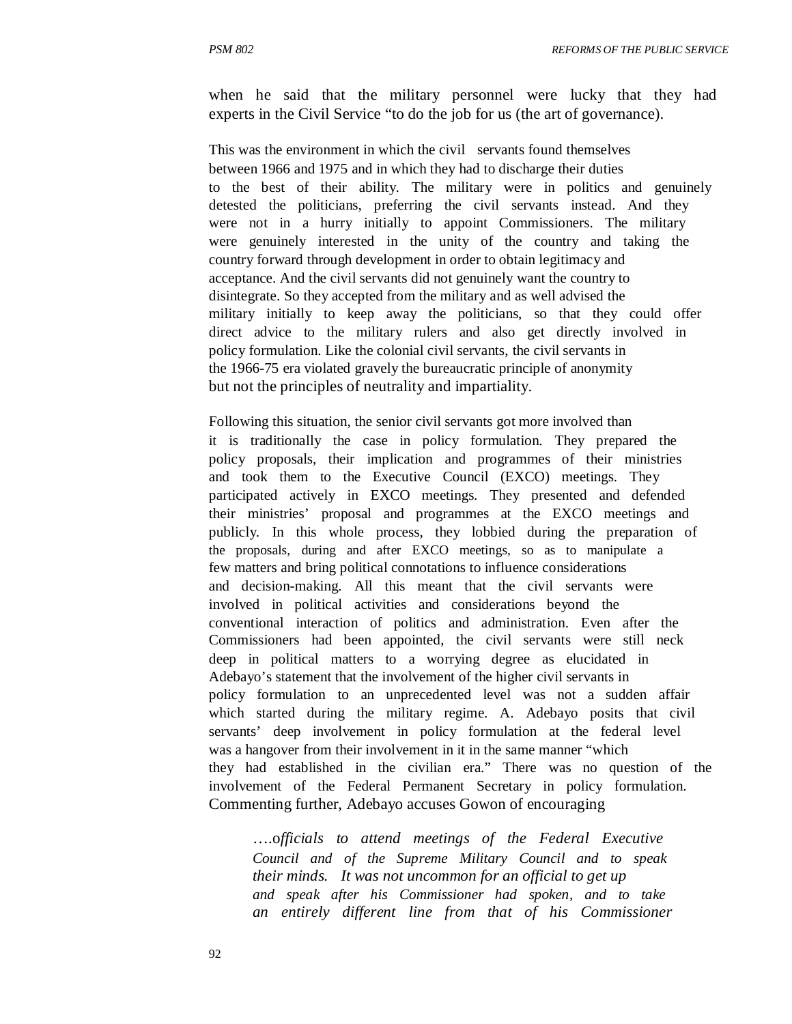when he said that the military personnel were lucky that they had experts in the Civil Service "to do the job for us (the art of governance).

This was the environment in which the civil servants found themselves between 1966 and 1975 and in which they had to discharge their duties to the best of their ability. The military were in politics and genuinely detested the politicians, preferring the civil servants instead. And they were not in a hurry initially to appoint Commissioners. The military were genuinely interested in the unity of the country and taking the country forward through development in order to obtain legitimacy and acceptance. And the civil servants did not genuinely want the country to disintegrate. So they accepted from the military and as well advised the military initially to keep away the politicians, so that they could offer direct advice to the military rulers and also get directly involved in policy formulation. Like the colonial civil servants, the civil servants in the 1966-75 era violated gravely the bureaucratic principle of anonymity but not the principles of neutrality and impartiality.

Following this situation, the senior civil servants got more involved than it is traditionally the case in policy formulation. They prepared the policy proposals, their implication and programmes of their ministries and took them to the Executive Council (EXCO) meetings. They participated actively in EXCO meetings. They presented and defended their ministries' proposal and programmes at the EXCO meetings and publicly. In this whole process, they lobbied during the preparation of the proposals, during and after EXCO meetings, so as to manipulate a few matters and bring political connotations to influence considerations and decision-making. All this meant that the civil servants were involved in political activities and considerations beyond the conventional interaction of politics and administration. Even after the Commissioners had been appointed, the civil servants were still neck deep in political matters to a worrying degree as elucidated in Adebayo's statement that the involvement of the higher civil servants in policy formulation to an unprecedented level was not a sudden affair which started during the military regime. A. Adebayo posits that civil servants' deep involvement in policy formulation at the federal level was a hangover from their involvement in it in the same manner "which they had established in the civilian era." There was no question of the involvement of the Federal Permanent Secretary in policy formulation. Commenting further, Adebayo accuses Gowon of encouraging

….o*fficials to attend meetings of the Federal Executive Council and of the Supreme Military Council and to speak their minds. It was not uncommon for an official to get up and speak after his Commissioner had spoken, and to take an entirely different line from that of his Commissioner*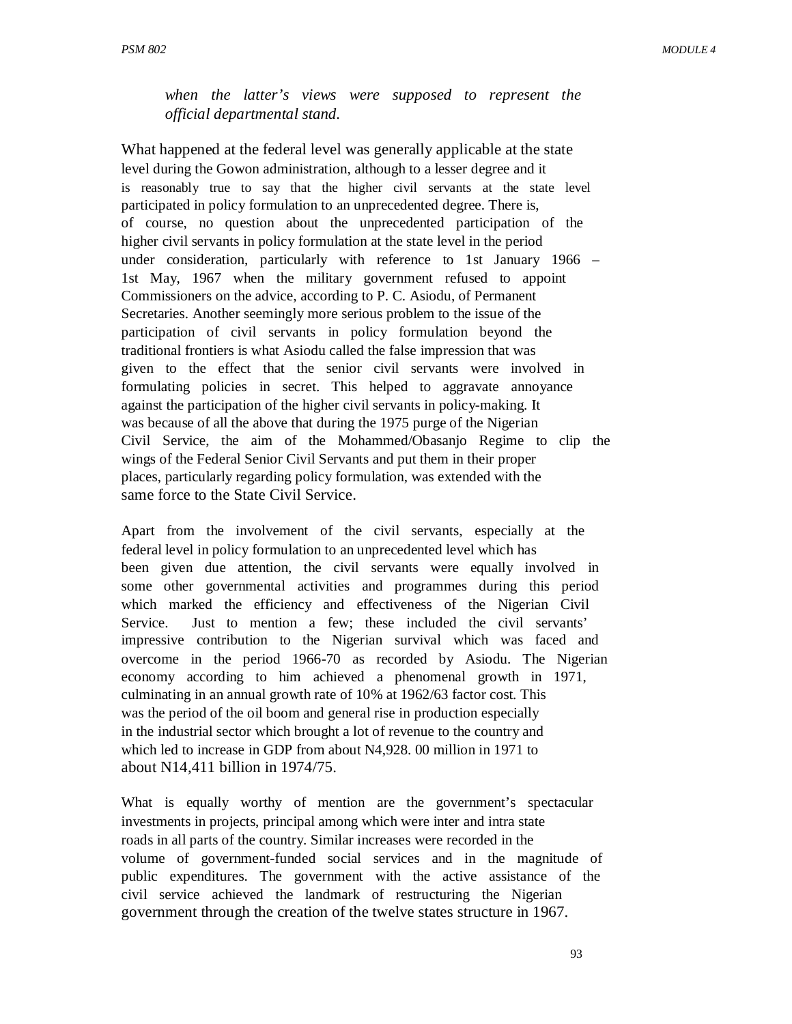*when the latter's views were supposed to represent the official departmental stand.* 

What happened at the federal level was generally applicable at the state level during the Gowon administration, although to a lesser degree and it is reasonably true to say that the higher civil servants at the state level participated in policy formulation to an unprecedented degree. There is, of course, no question about the unprecedented participation of the higher civil servants in policy formulation at the state level in the period under consideration, particularly with reference to 1st January 1966 – 1st May, 1967 when the military government refused to appoint Commissioners on the advice, according to P. C. Asiodu, of Permanent Secretaries. Another seemingly more serious problem to the issue of the participation of civil servants in policy formulation beyond the traditional frontiers is what Asiodu called the false impression that was given to the effect that the senior civil servants were involved in formulating policies in secret. This helped to aggravate annoyance against the participation of the higher civil servants in policy-making. It was because of all the above that during the 1975 purge of the Nigerian Civil Service, the aim of the Mohammed/Obasanjo Regime to clip the wings of the Federal Senior Civil Servants and put them in their proper places, particularly regarding policy formulation, was extended with the same force to the State Civil Service.

Apart from the involvement of the civil servants, especially at the federal level in policy formulation to an unprecedented level which has been given due attention, the civil servants were equally involved in some other governmental activities and programmes during this period which marked the efficiency and effectiveness of the Nigerian Civil Service. Just to mention a few; these included the civil servants' impressive contribution to the Nigerian survival which was faced and overcome in the period 1966-70 as recorded by Asiodu. The Nigerian economy according to him achieved a phenomenal growth in 1971, culminating in an annual growth rate of 10% at 1962/63 factor cost. This was the period of the oil boom and general rise in production especially in the industrial sector which brought a lot of revenue to the country and which led to increase in GDP from about N4,928. 00 million in 1971 to about N14,411 billion in 1974/75.

What is equally worthy of mention are the government's spectacular investments in projects, principal among which were inter and intra state roads in all parts of the country. Similar increases were recorded in the volume of government-funded social services and in the magnitude of public expenditures. The government with the active assistance of the civil service achieved the landmark of restructuring the Nigerian government through the creation of the twelve states structure in 1967.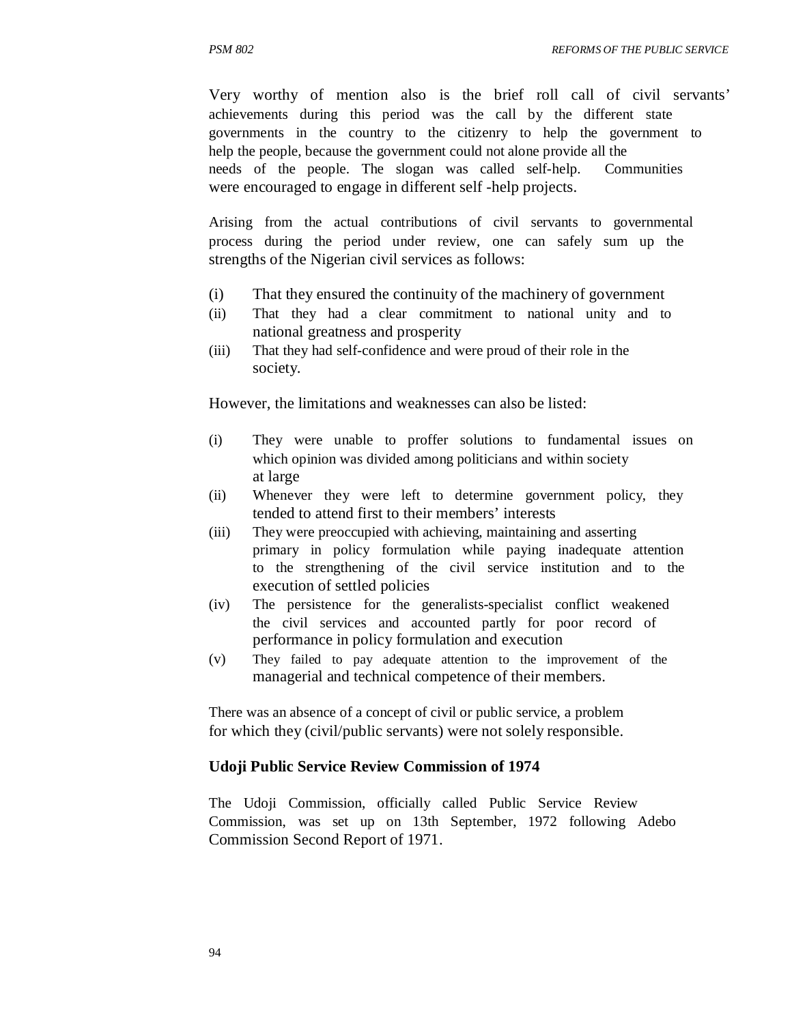Very worthy of mention also is the brief roll call of civil servants' achievements during this period was the call by the different state governments in the country to the citizenry to help the government to help the people, because the government could not alone provide all the needs of the people. The slogan was called self-help. Communities were encouraged to engage in different self -help projects.

Arising from the actual contributions of civil servants to governmental process during the period under review, one can safely sum up the strengths of the Nigerian civil services as follows:

- (i) That they ensured the continuity of the machinery of government
- (ii) That they had a clear commitment to national unity and to national greatness and prosperity
- (iii) That they had self-confidence and were proud of their role in the society.

However, the limitations and weaknesses can also be listed:

- (i) They were unable to proffer solutions to fundamental issues on which opinion was divided among politicians and within society at large
- (ii) Whenever they were left to determine government policy, they tended to attend first to their members' interests
- (iii) They were preoccupied with achieving, maintaining and asserting primary in policy formulation while paying inadequate attention to the strengthening of the civil service institution and to the execution of settled policies
- (iv) The persistence for the generalists-specialist conflict weakened the civil services and accounted partly for poor record of performance in policy formulation and execution
- (v) They failed to pay adequate attention to the improvement of the managerial and technical competence of their members.

There was an absence of a concept of civil or public service, a problem for which they (civil/public servants) were not solely responsible.

#### **Udoji Public Service Review Commission of 1974**

The Udoji Commission, officially called Public Service Review Commission, was set up on 13th September, 1972 following Adebo Commission Second Report of 1971.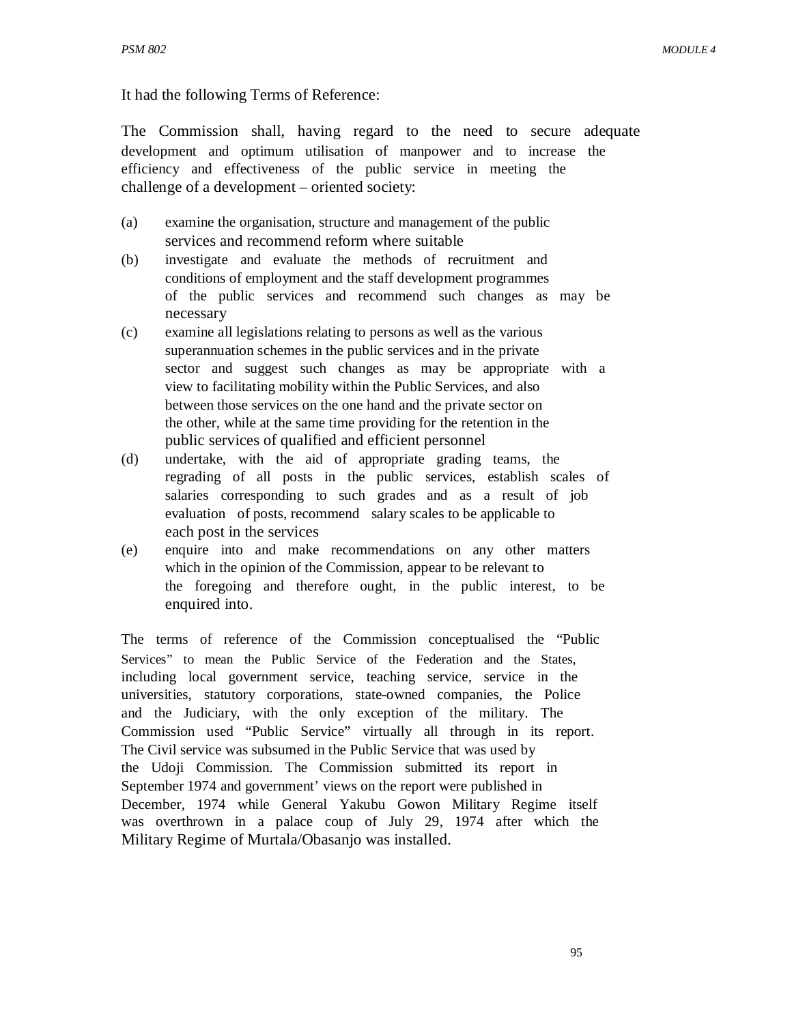It had the following Terms of Reference:

The Commission shall, having regard to the need to secure adequate development and optimum utilisation of manpower and to increase the efficiency and effectiveness of the public service in meeting the challenge of a development – oriented society:

- (a) examine the organisation, structure and management of the public services and recommend reform where suitable
- (b) investigate and evaluate the methods of recruitment and conditions of employment and the staff development programmes of the public services and recommend such changes as may be necessary
- (c) examine all legislations relating to persons as well as the various superannuation schemes in the public services and in the private sector and suggest such changes as may be appropriate with a view to facilitating mobility within the Public Services, and also between those services on the one hand and the private sector on the other, while at the same time providing for the retention in the public services of qualified and efficient personnel
- (d) undertake, with the aid of appropriate grading teams, the regrading of all posts in the public services, establish scales of salaries corresponding to such grades and as a result of job evaluation of posts, recommend salary scales to be applicable to each post in the services
- (e) enquire into and make recommendations on any other matters which in the opinion of the Commission, appear to be relevant to the foregoing and therefore ought, in the public interest, to be enquired into.

The terms of reference of the Commission conceptualised the "Public Services" to mean the Public Service of the Federation and the States, including local government service, teaching service, service in the universities, statutory corporations, state-owned companies, the Police and the Judiciary, with the only exception of the military. The Commission used "Public Service" virtually all through in its report. The Civil service was subsumed in the Public Service that was used by the Udoji Commission. The Commission submitted its report in September 1974 and government' views on the report were published in December, 1974 while General Yakubu Gowon Military Regime itself was overthrown in a palace coup of July 29, 1974 after which the Military Regime of Murtala/Obasanjo was installed.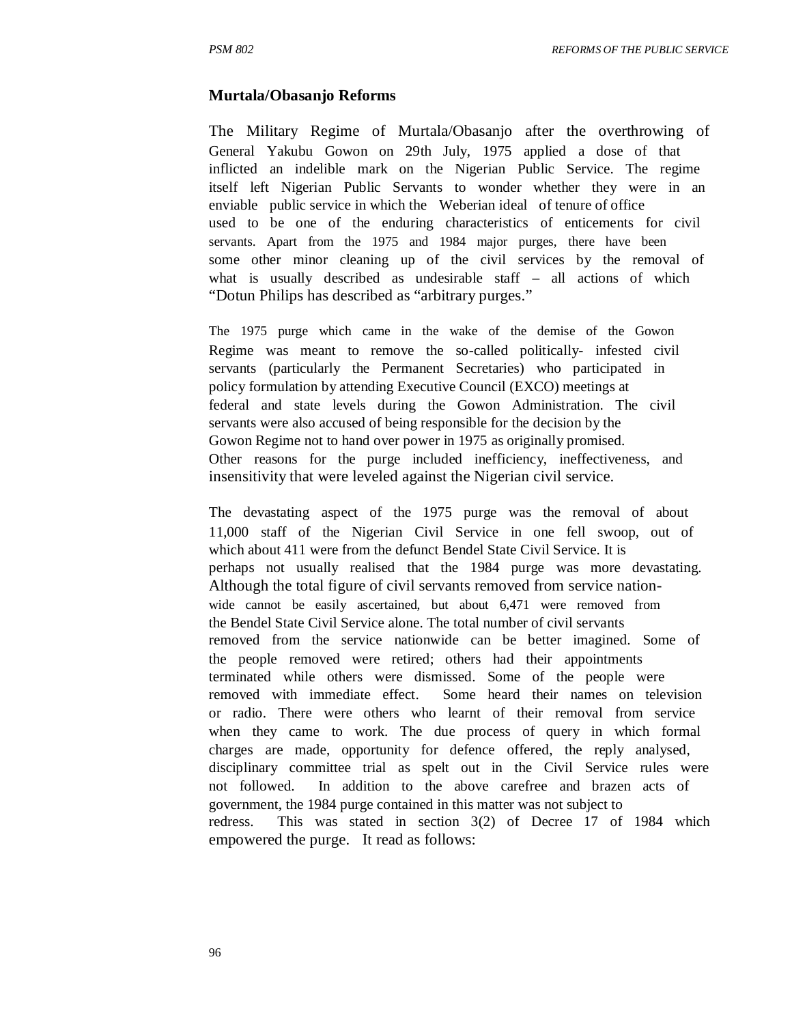### **Murtala/Obasanjo Reforms**

The Military Regime of Murtala/Obasanjo after the overthrowing of General Yakubu Gowon on 29th July, 1975 applied a dose of that inflicted an indelible mark on the Nigerian Public Service. The regime itself left Nigerian Public Servants to wonder whether they were in an enviable public service in which the Weberian ideal of tenure of office used to be one of the enduring characteristics of enticements for civil servants. Apart from the 1975 and 1984 major purges, there have been some other minor cleaning up of the civil services by the removal of what is usually described as undesirable staff – all actions of which "Dotun Philips has described as "arbitrary purges."

The 1975 purge which came in the wake of the demise of the Gowon Regime was meant to remove the so-called politically- infested civil servants (particularly the Permanent Secretaries) who participated in policy formulation by attending Executive Council (EXCO) meetings at federal and state levels during the Gowon Administration. The civil servants were also accused of being responsible for the decision by the Gowon Regime not to hand over power in 1975 as originally promised. Other reasons for the purge included inefficiency, ineffectiveness, and insensitivity that were leveled against the Nigerian civil service.

The devastating aspect of the 1975 purge was the removal of about 11,000 staff of the Nigerian Civil Service in one fell swoop, out of which about 411 were from the defunct Bendel State Civil Service. It is perhaps not usually realised that the 1984 purge was more devastating. Although the total figure of civil servants removed from service nationwide cannot be easily ascertained, but about 6,471 were removed from the Bendel State Civil Service alone. The total number of civil servants removed from the service nationwide can be better imagined. Some of the people removed were retired; others had their appointments terminated while others were dismissed. Some of the people were removed with immediate effect. Some heard their names on television or radio. There were others who learnt of their removal from service when they came to work. The due process of query in which formal charges are made, opportunity for defence offered, the reply analysed, disciplinary committee trial as spelt out in the Civil Service rules were not followed. In addition to the above carefree and brazen acts of government, the 1984 purge contained in this matter was not subject to redress. This was stated in section 3(2) of Decree 17 of 1984 which empowered the purge. It read as follows: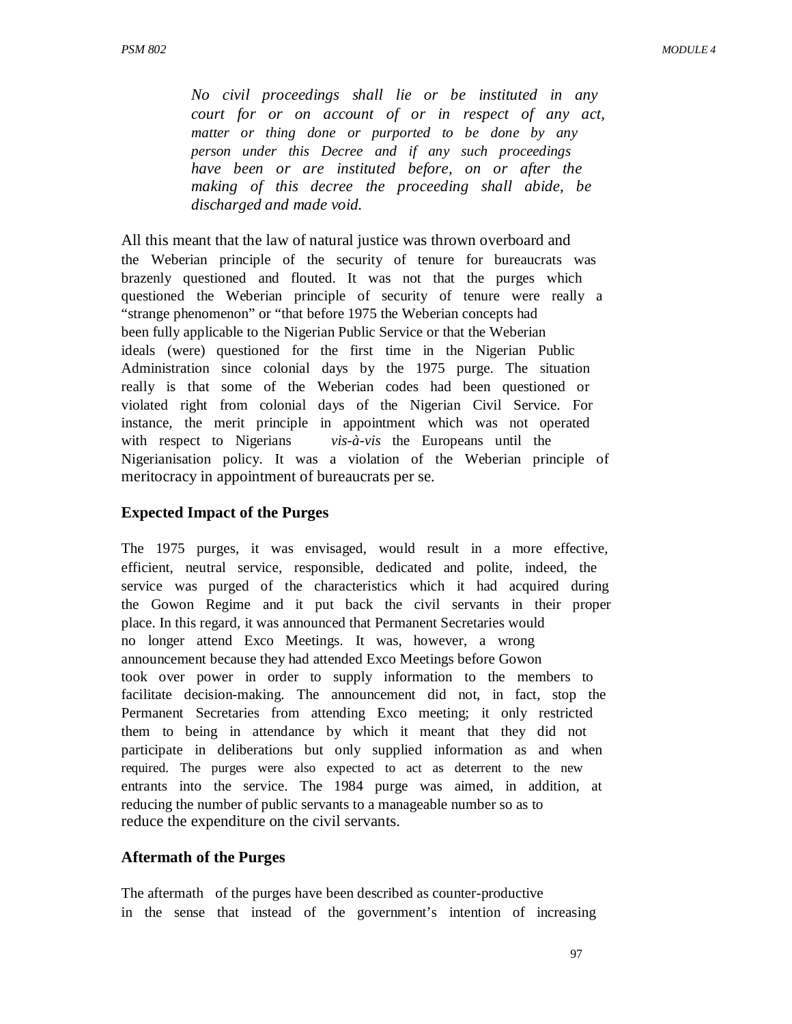*No civil proceedings shall lie or be instituted in any court for or on account of or in respect of any act, matter or thing done or purported to be done by any person under this Decree and if any such proceedings have been or are instituted before, on or after the making of this decree the proceeding shall abide, be discharged and made void.* 

All this meant that the law of natural justice was thrown overboard and the Weberian principle of the security of tenure for bureaucrats was brazenly questioned and flouted. It was not that the purges which questioned the Weberian principle of security of tenure were really a "strange phenomenon" or "that before 1975 the Weberian concepts had been fully applicable to the Nigerian Public Service or that the Weberian ideals (were) questioned for the first time in the Nigerian Public Administration since colonial days by the 1975 purge. The situation really is that some of the Weberian codes had been questioned or violated right from colonial days of the Nigerian Civil Service. For instance, the merit principle in appointment which was not operated with respect to Nigerians *vis-à-vis* the Europeans until the Nigerianisation policy. It was a violation of the Weberian principle of meritocracy in appointment of bureaucrats per se.

#### **Expected Impact of the Purges**

The 1975 purges, it was envisaged, would result in a more effective, efficient, neutral service, responsible, dedicated and polite, indeed, the service was purged of the characteristics which it had acquired during the Gowon Regime and it put back the civil servants in their proper place. In this regard, it was announced that Permanent Secretaries would no longer attend Exco Meetings. It was, however, a wrong announcement because they had attended Exco Meetings before Gowon took over power in order to supply information to the members to facilitate decision-making. The announcement did not, in fact, stop the Permanent Secretaries from attending Exco meeting; it only restricted them to being in attendance by which it meant that they did not participate in deliberations but only supplied information as and when required. The purges were also expected to act as deterrent to the new entrants into the service. The 1984 purge was aimed, in addition, at reducing the number of public servants to a manageable number so as to reduce the expenditure on the civil servants.

### **Aftermath of the Purges**

The aftermath of the purges have been described as counter-productive in the sense that instead of the government's intention of increasing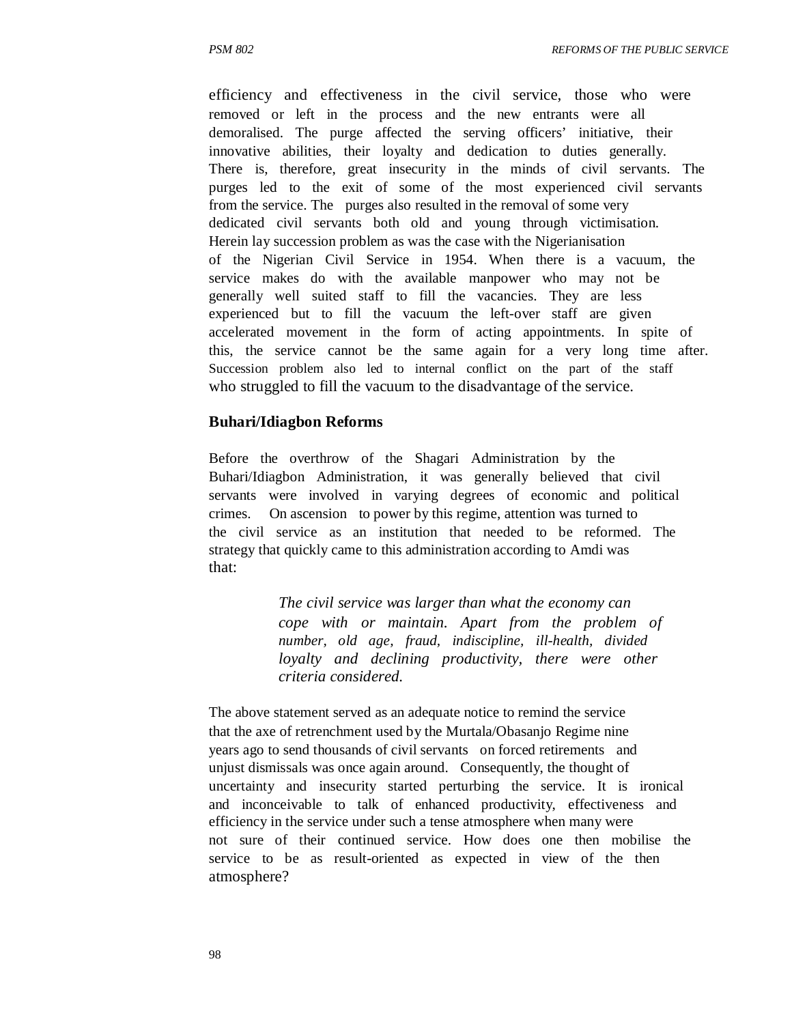efficiency and effectiveness in the civil service, those who were removed or left in the process and the new entrants were all demoralised. The purge affected the serving officers' initiative, their innovative abilities, their loyalty and dedication to duties generally. There is, therefore, great insecurity in the minds of civil servants. The purges led to the exit of some of the most experienced civil servants from the service. The purges also resulted in the removal of some very dedicated civil servants both old and young through victimisation. Herein lay succession problem as was the case with the Nigerianisation of the Nigerian Civil Service in 1954. When there is a vacuum, the service makes do with the available manpower who may not be generally well suited staff to fill the vacancies. They are less experienced but to fill the vacuum the left-over staff are given accelerated movement in the form of acting appointments. In spite of this, the service cannot be the same again for a very long time after. Succession problem also led to internal conflict on the part of the staff who struggled to fill the vacuum to the disadvantage of the service.

### **Buhari/Idiagbon Reforms**

Before the overthrow of the Shagari Administration by the Buhari/Idiagbon Administration, it was generally believed that civil servants were involved in varying degrees of economic and political crimes. On ascension to power by this regime, attention was turned to the civil service as an institution that needed to be reformed. The strategy that quickly came to this administration according to Amdi was that:

> *The civil service was larger than what the economy can cope with or maintain. Apart from the problem of number, old age, fraud, indiscipline, ill-health, divided loyalty and declining productivity, there were other criteria considered.*

The above statement served as an adequate notice to remind the service that the axe of retrenchment used by the Murtala/Obasanjo Regime nine years ago to send thousands of civil servants on forced retirements and unjust dismissals was once again around. Consequently, the thought of uncertainty and insecurity started perturbing the service. It is ironical and inconceivable to talk of enhanced productivity, effectiveness and efficiency in the service under such a tense atmosphere when many were not sure of their continued service. How does one then mobilise the service to be as result-oriented as expected in view of the then atmosphere?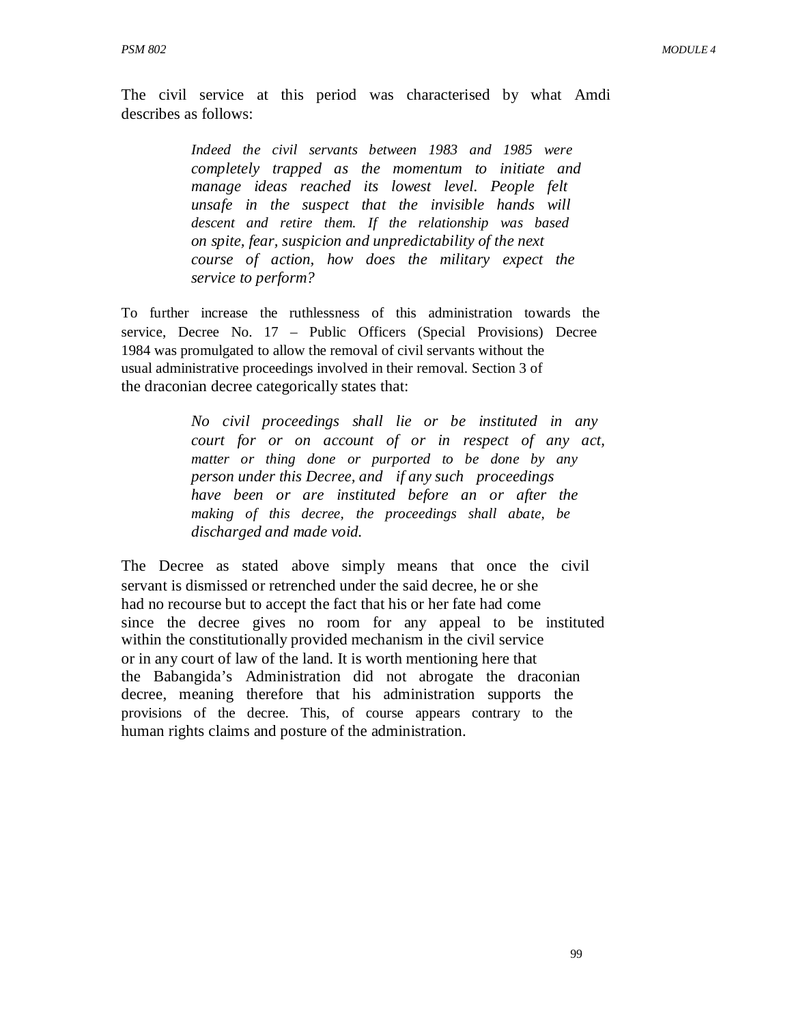The civil service at this period was characterised by what Amdi describes as follows:

> *Indeed the civil servants between 1983 and 1985 were completely trapped as the momentum to initiate and manage ideas reached its lowest level. People felt unsafe in the suspect that the invisible hands will descent and retire them. If the relationship was based on spite, fear, suspicion and unpredictability of the next course of action, how does the military expect the service to perform?*

To further increase the ruthlessness of this administration towards the service, Decree No. 17 – Public Officers (Special Provisions) Decree 1984 was promulgated to allow the removal of civil servants without the usual administrative proceedings involved in their removal. Section 3 of the draconian decree categorically states that:

> *No civil proceedings shall lie or be instituted in any court for or on account of or in respect of any act, matter or thing done or purported to be done by any person under this Decree, and if any such proceedings have been or are instituted before an or after the making of this decree, the proceedings shall abate, be discharged and made void.*

The Decree as stated above simply means that once the civil servant is dismissed or retrenched under the said decree, he or she had no recourse but to accept the fact that his or her fate had come since the decree gives no room for any appeal to be instituted within the constitutionally provided mechanism in the civil service or in any court of law of the land. It is worth mentioning here that the Babangida's Administration did not abrogate the draconian decree, meaning therefore that his administration supports the provisions of the decree. This, of course appears contrary to the human rights claims and posture of the administration.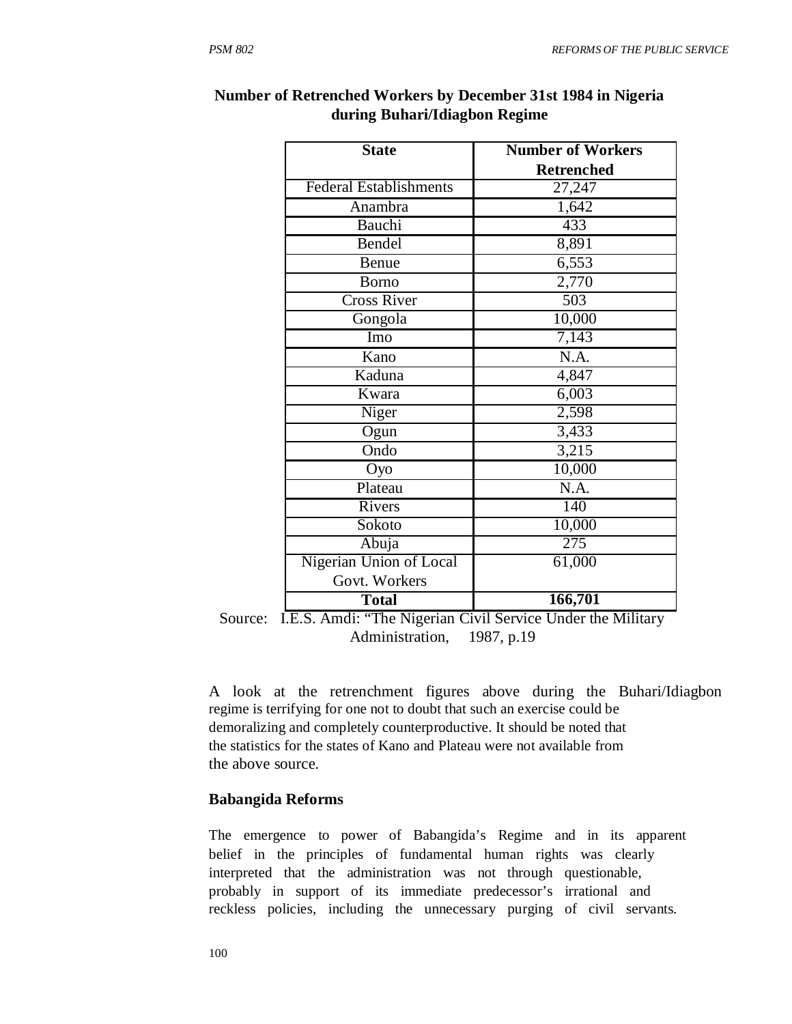| <b>State</b>                  | <b>Number of Workers</b> |
|-------------------------------|--------------------------|
|                               | <b>Retrenched</b>        |
| <b>Federal Establishments</b> | 27,247                   |
| Anambra                       | 1,642                    |
| Bauchi                        | 433                      |
| Bendel                        | 8,891                    |
| Benue                         | 6,553                    |
| Borno                         | 2,770                    |
| <b>Cross River</b>            | 503                      |
| Gongola                       | 10,000                   |
| Imo                           | 7,143                    |
| $\overline{\text{K}}$ ano     | N.A.                     |
| Kaduna                        | 4,847                    |
| Kwara                         | 6,003                    |
| Niger                         | 2,598                    |
| Ogun                          | 3,433                    |
| Ondo                          | 3,215                    |
| Oyo                           | 10,000                   |
| Plateau                       | N.A.                     |
| Rivers                        | 140                      |
| Sokoto                        | 10,000                   |
| Abuja                         | 275                      |
| Nigerian Union of Local       | 61,000                   |
| Govt. Workers                 |                          |
| <b>Total</b>                  | 166,701                  |

### **Number of Retrenched Workers by December 31st 1984 in Nigeria during Buhari/Idiagbon Regime**

Source: I.E.S. Amdi: "The Nigerian Civil Service Under the Military Administration, 1987, p.19

A look at the retrenchment figures above during the Buhari/Idiagbon regime is terrifying for one not to doubt that such an exercise could be demoralizing and completely counterproductive. It should be noted that the statistics for the states of Kano and Plateau were not available from the above source.

### **Babangida Reforms**

The emergence to power of Babangida's Regime and in its apparent belief in the principles of fundamental human rights was clearly interpreted that the administration was not through questionable, probably in support of its immediate predecessor's irrational and reckless policies, including the unnecessary purging of civil servants.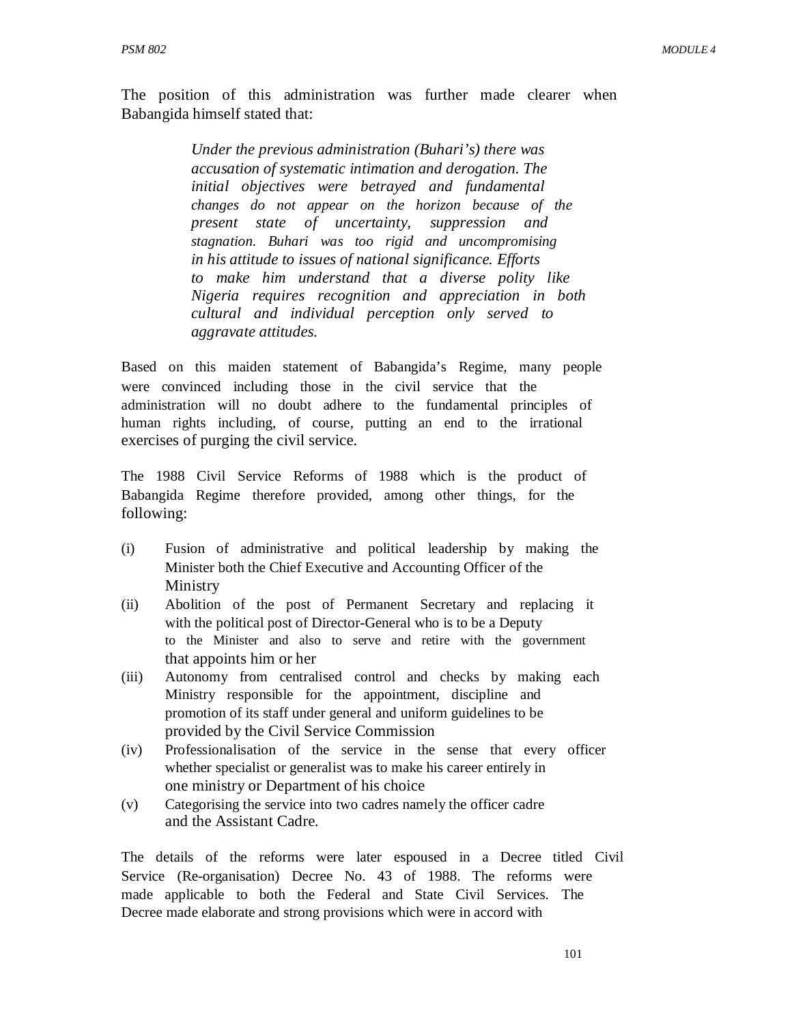The position of this administration was further made clearer when Babangida himself stated that:

> *Under the previous administration (Buhari's) there was accusation of systematic intimation and derogation. The initial objectives were betrayed and fundamental changes do not appear on the horizon because of the present state of uncertainty, suppression and stagnation. Buhari was too rigid and uncompromising in his attitude to issues of national significance. Efforts to make him understand that a diverse polity like Nigeria requires recognition and appreciation in both cultural and individual perception only served to aggravate attitudes.*

Based on this maiden statement of Babangida's Regime, many people were convinced including those in the civil service that the administration will no doubt adhere to the fundamental principles of human rights including, of course, putting an end to the irrational exercises of purging the civil service.

The 1988 Civil Service Reforms of 1988 which is the product of Babangida Regime therefore provided, among other things, for the following:

- (i) Fusion of administrative and political leadership by making the Minister both the Chief Executive and Accounting Officer of the Ministry
- (ii) Abolition of the post of Permanent Secretary and replacing it with the political post of Director-General who is to be a Deputy to the Minister and also to serve and retire with the government that appoints him or her
- (iii) Autonomy from centralised control and checks by making each Ministry responsible for the appointment, discipline and promotion of its staff under general and uniform guidelines to be provided by the Civil Service Commission
- (iv) Professionalisation of the service in the sense that every officer whether specialist or generalist was to make his career entirely in one ministry or Department of his choice
- (v) Categorising the service into two cadres namely the officer cadre and the Assistant Cadre.

The details of the reforms were later espoused in a Decree titled Civil Service (Re-organisation) Decree No. 43 of 1988. The reforms were made applicable to both the Federal and State Civil Services. The Decree made elaborate and strong provisions which were in accord with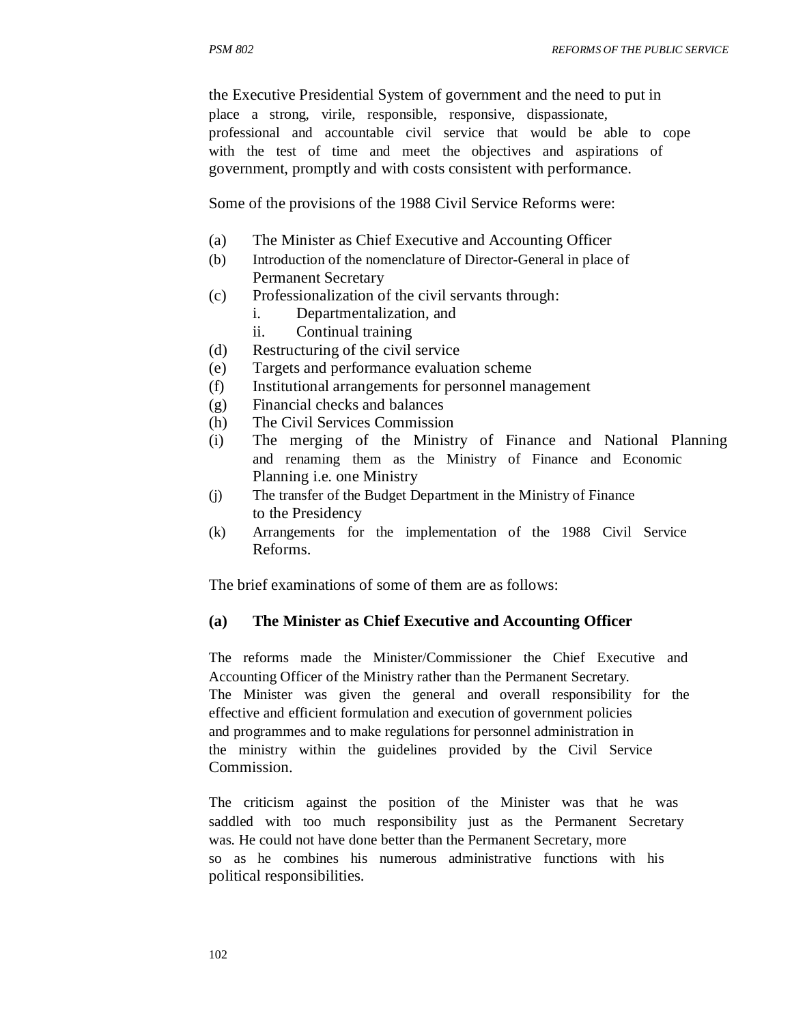the Executive Presidential System of government and the need to put in place a strong, virile, responsible, responsive, dispassionate, professional and accountable civil service that would be able to cope with the test of time and meet the objectives and aspirations of government, promptly and with costs consistent with performance.

Some of the provisions of the 1988 Civil Service Reforms were:

- (a) The Minister as Chief Executive and Accounting Officer
- (b) Introduction of the nomenclature of Director-General in place of Permanent Secretary
- (c) Professionalization of the civil servants through:
	- i. Departmentalization, and
	- ii. Continual training
- (d) Restructuring of the civil service
- (e) Targets and performance evaluation scheme
- (f) Institutional arrangements for personnel management
- (g) Financial checks and balances
- (h) The Civil Services Commission
- (i) The merging of the Ministry of Finance and National Planning and renaming them as the Ministry of Finance and Economic Planning i.e. one Ministry
- (j) The transfer of the Budget Department in the Ministry of Finance to the Presidency
- (k) Arrangements for the implementation of the 1988 Civil Service Reforms.

The brief examinations of some of them are as follows:

### **(a) The Minister as Chief Executive and Accounting Officer**

The reforms made the Minister/Commissioner the Chief Executive and Accounting Officer of the Ministry rather than the Permanent Secretary. The Minister was given the general and overall responsibility for the effective and efficient formulation and execution of government policies and programmes and to make regulations for personnel administration in the ministry within the guidelines provided by the Civil Service Commission.

The criticism against the position of the Minister was that he was saddled with too much responsibility just as the Permanent Secretary was. He could not have done better than the Permanent Secretary, more so as he combines his numerous administrative functions with his political responsibilities.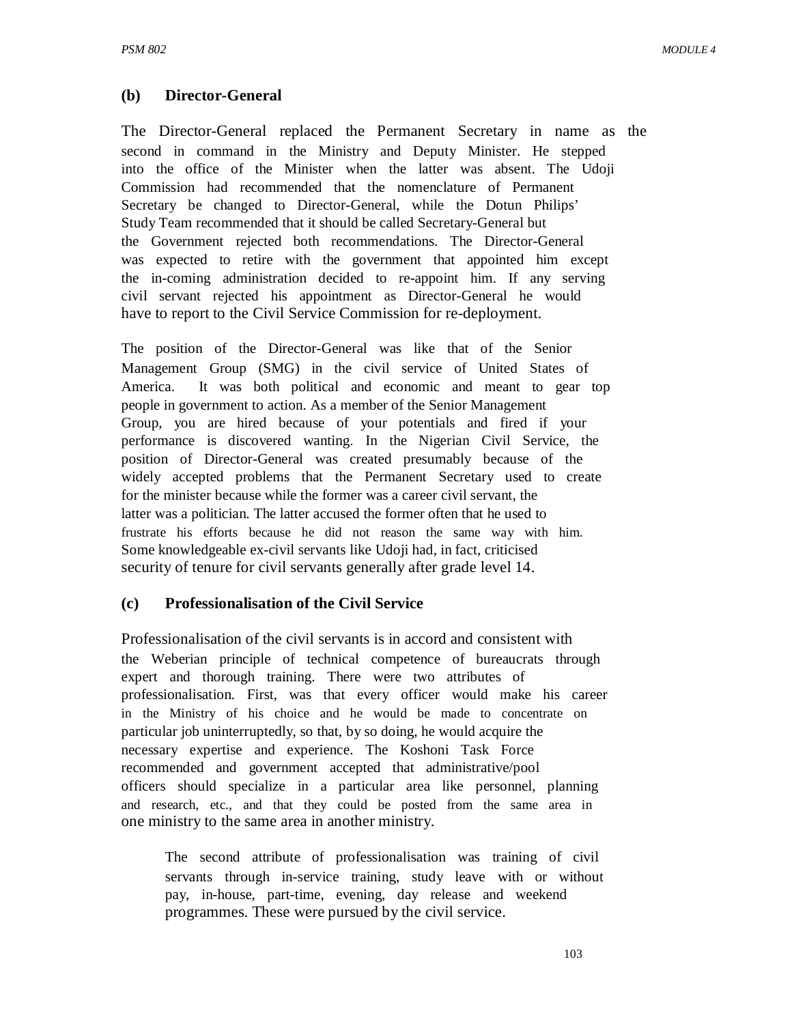### **(b) Director-General**

The Director-General replaced the Permanent Secretary in name as the second in command in the Ministry and Deputy Minister. He stepped into the office of the Minister when the latter was absent. The Udoji Commission had recommended that the nomenclature of Permanent Secretary be changed to Director-General, while the Dotun Philips' Study Team recommended that it should be called Secretary-General but the Government rejected both recommendations. The Director-General was expected to retire with the government that appointed him except the in-coming administration decided to re-appoint him. If any serving civil servant rejected his appointment as Director-General he would have to report to the Civil Service Commission for re-deployment.

The position of the Director-General was like that of the Senior Management Group (SMG) in the civil service of United States of America. It was both political and economic and meant to gear top people in government to action. As a member of the Senior Management Group, you are hired because of your potentials and fired if your performance is discovered wanting. In the Nigerian Civil Service, the position of Director-General was created presumably because of the widely accepted problems that the Permanent Secretary used to create for the minister because while the former was a career civil servant, the latter was a politician. The latter accused the former often that he used to frustrate his efforts because he did not reason the same way with him. Some knowledgeable ex-civil servants like Udoji had, in fact, criticised security of tenure for civil servants generally after grade level 14.

### **(c) Professionalisation of the Civil Service**

Professionalisation of the civil servants is in accord and consistent with the Weberian principle of technical competence of bureaucrats through expert and thorough training. There were two attributes of professionalisation. First, was that every officer would make his career in the Ministry of his choice and he would be made to concentrate on particular job uninterruptedly, so that, by so doing, he would acquire the necessary expertise and experience. The Koshoni Task Force recommended and government accepted that administrative/pool officers should specialize in a particular area like personnel, planning and research, etc., and that they could be posted from the same area in one ministry to the same area in another ministry.

The second attribute of professionalisation was training of civil servants through in-service training, study leave with or without pay, in-house, part-time, evening, day release and weekend programmes. These were pursued by the civil service.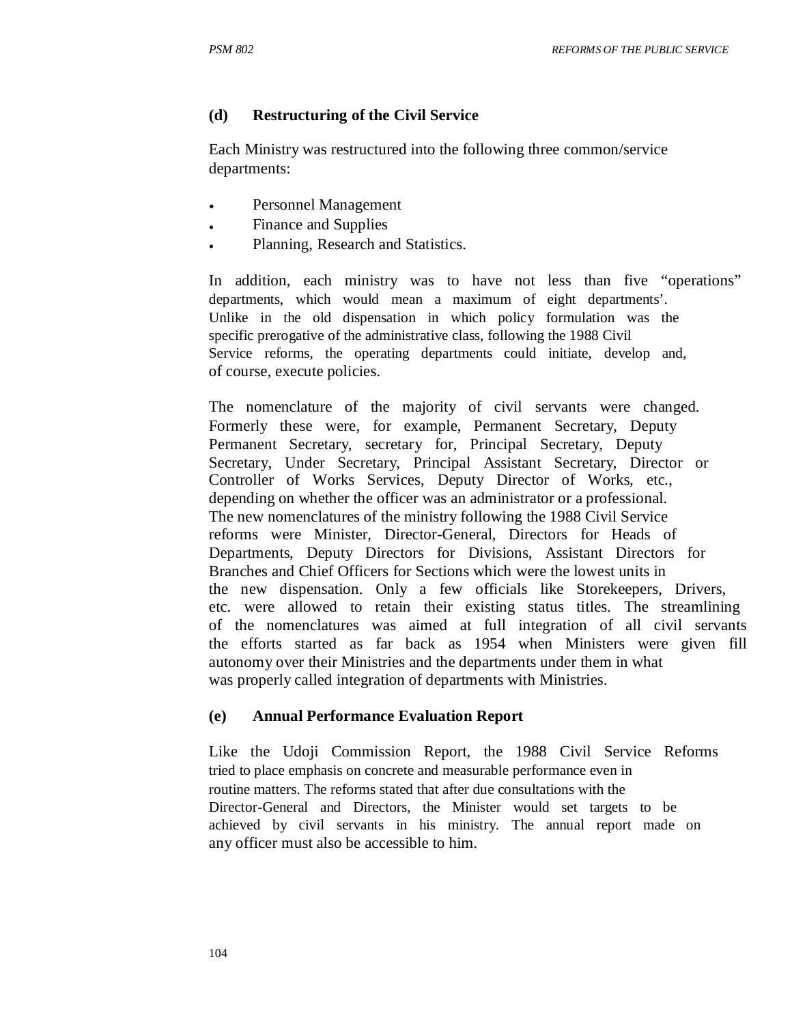### **(d) Restructuring of the Civil Service**

Each Ministry was restructured into the following three common/service departments:

- Personnel Management
- Finance and Supplies
- Planning, Research and Statistics.

In addition, each ministry was to have not less than five "operations" departments, which would mean a maximum of eight departments'. Unlike in the old dispensation in which policy formulation was the specific prerogative of the administrative class, following the 1988 Civil Service reforms, the operating departments could initiate, develop and, of course, execute policies.

The nomenclature of the majority of civil servants were changed. Formerly these were, for example, Permanent Secretary, Deputy Permanent Secretary, secretary for, Principal Secretary, Deputy Secretary, Under Secretary, Principal Assistant Secretary, Director or Controller of Works Services, Deputy Director of Works, etc., depending on whether the officer was an administrator or a professional. The new nomenclatures of the ministry following the 1988 Civil Service reforms were Minister, Director-General, Directors for Heads of Departments, Deputy Directors for Divisions, Assistant Directors for Branches and Chief Officers for Sections which were the lowest units in the new dispensation. Only a few officials like Storekeepers, Drivers, etc. were allowed to retain their existing status titles. The streamlining of the nomenclatures was aimed at full integration of all civil servants the efforts started as far back as 1954 when Ministers were given fill autonomy over their Ministries and the departments under them in what was properly called integration of departments with Ministries.

### **(e) Annual Performance Evaluation Report**

Like the Udoji Commission Report, the 1988 Civil Service Reforms tried to place emphasis on concrete and measurable performance even in routine matters. The reforms stated that after due consultations with the Director-General and Directors, the Minister would set targets to be achieved by civil servants in his ministry. The annual report made on any officer must also be accessible to him.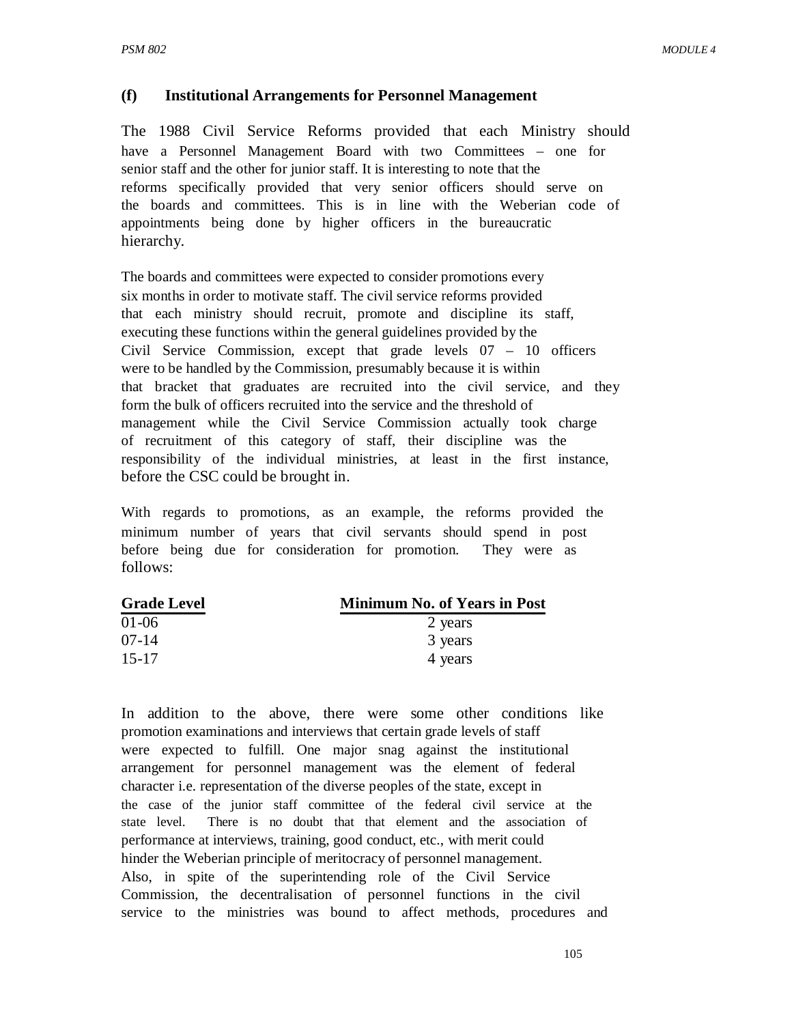### **(f) Institutional Arrangements for Personnel Management**

The 1988 Civil Service Reforms provided that each Ministry should have a Personnel Management Board with two Committees – one for senior staff and the other for junior staff. It is interesting to note that the reforms specifically provided that very senior officers should serve on the boards and committees. This is in line with the Weberian code of appointments being done by higher officers in the bureaucratic hierarchy.

The boards and committees were expected to consider promotions every six months in order to motivate staff. The civil service reforms provided that each ministry should recruit, promote and discipline its staff, executing these functions within the general guidelines provided by the Civil Service Commission, except that grade levels 07 – 10 officers were to be handled by the Commission, presumably because it is within that bracket that graduates are recruited into the civil service, and they form the bulk of officers recruited into the service and the threshold of management while the Civil Service Commission actually took charge of recruitment of this category of staff, their discipline was the responsibility of the individual ministries, at least in the first instance, before the CSC could be brought in.

With regards to promotions, as an example, the reforms provided the minimum number of years that civil servants should spend in post before being due for consideration for promotion. They were as follows:

| <b>Grade Level</b> | <b>Minimum No. of Years in Post</b> |
|--------------------|-------------------------------------|
| $01-06$            | 2 years                             |
| $07-14$            | 3 years                             |
| $15 - 17$          | 4 years                             |

In addition to the above, there were some other conditions like promotion examinations and interviews that certain grade levels of staff were expected to fulfill. One major snag against the institutional arrangement for personnel management was the element of federal character i.e. representation of the diverse peoples of the state, except in the case of the junior staff committee of the federal civil service at the state level. There is no doubt that that element and the association of performance at interviews, training, good conduct, etc., with merit could hinder the Weberian principle of meritocracy of personnel management. Also, in spite of the superintending role of the Civil Service Commission, the decentralisation of personnel functions in the civil service to the ministries was bound to affect methods, procedures and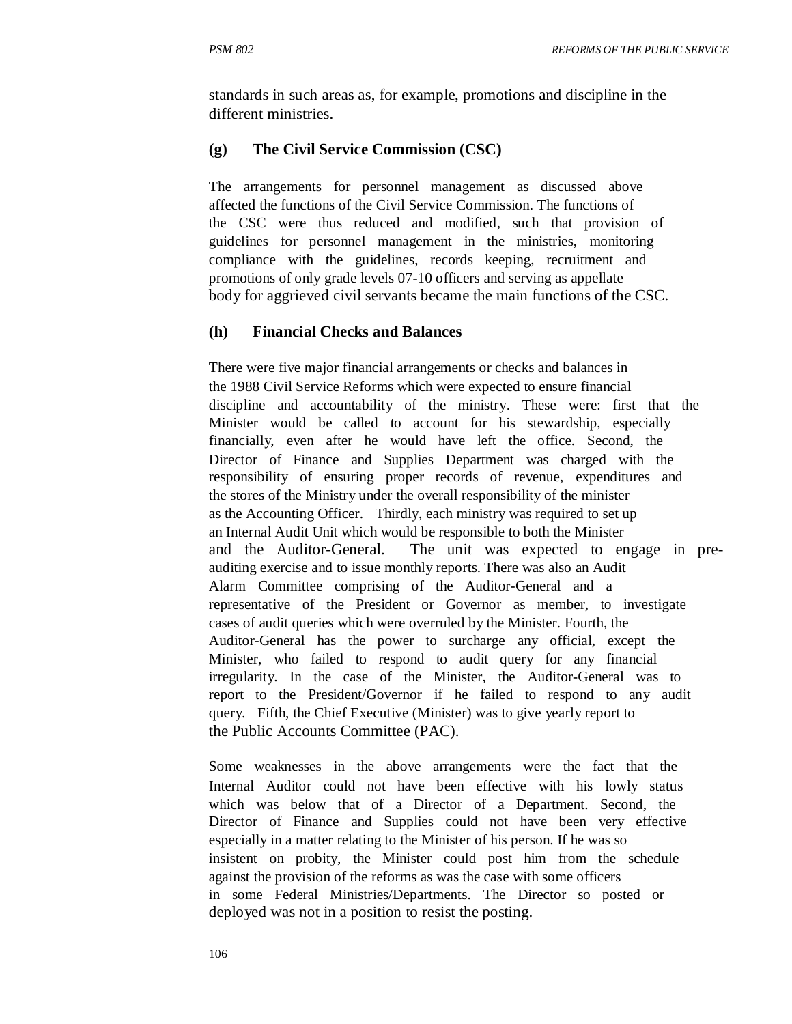standards in such areas as, for example, promotions and discipline in the different ministries.

### **(g) The Civil Service Commission (CSC)**

The arrangements for personnel management as discussed above affected the functions of the Civil Service Commission. The functions of the CSC were thus reduced and modified, such that provision of guidelines for personnel management in the ministries, monitoring compliance with the guidelines, records keeping, recruitment and promotions of only grade levels 07-10 officers and serving as appellate body for aggrieved civil servants became the main functions of the CSC.

### **(h) Financial Checks and Balances**

There were five major financial arrangements or checks and balances in the 1988 Civil Service Reforms which were expected to ensure financial discipline and accountability of the ministry. These were: first that the Minister would be called to account for his stewardship, especially financially, even after he would have left the office. Second, the Director of Finance and Supplies Department was charged with the responsibility of ensuring proper records of revenue, expenditures and the stores of the Ministry under the overall responsibility of the minister as the Accounting Officer. Thirdly, each ministry was required to set up an Internal Audit Unit which would be responsible to both the Minister and the Auditor-General. The unit was expected to engage in preauditing exercise and to issue monthly reports. There was also an Audit Alarm Committee comprising of the Auditor-General and a representative of the President or Governor as member, to investigate cases of audit queries which were overruled by the Minister. Fourth, the Auditor-General has the power to surcharge any official, except the Minister, who failed to respond to audit query for any financial irregularity. In the case of the Minister, the Auditor-General was to report to the President/Governor if he failed to respond to any audit query. Fifth, the Chief Executive (Minister) was to give yearly report to the Public Accounts Committee (PAC).

Some weaknesses in the above arrangements were the fact that the Internal Auditor could not have been effective with his lowly status which was below that of a Director of a Department. Second, the Director of Finance and Supplies could not have been very effective especially in a matter relating to the Minister of his person. If he was so insistent on probity, the Minister could post him from the schedule against the provision of the reforms as was the case with some officers in some Federal Ministries/Departments. The Director so posted or deployed was not in a position to resist the posting.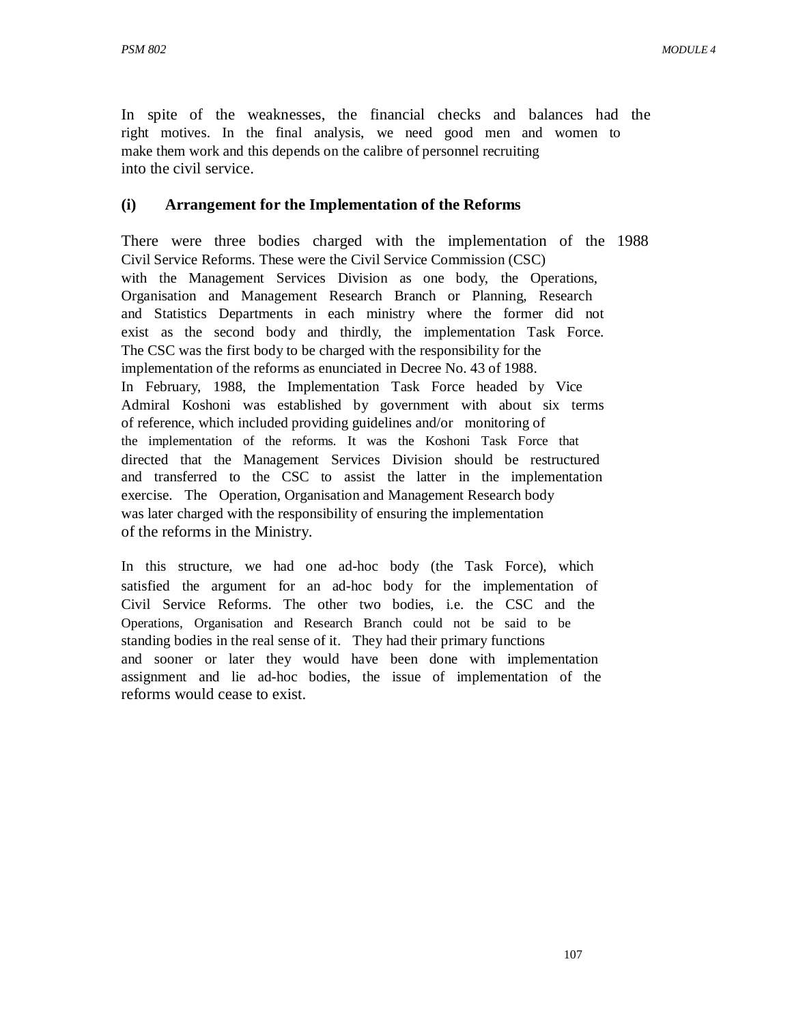In spite of the weaknesses, the financial checks and balances had the right motives. In the final analysis, we need good men and women to make them work and this depends on the calibre of personnel recruiting into the civil service.

### **(i) Arrangement for the Implementation of the Reforms**

There were three bodies charged with the implementation of the 1988 Civil Service Reforms. These were the Civil Service Commission (CSC) with the Management Services Division as one body, the Operations, Organisation and Management Research Branch or Planning, Research and Statistics Departments in each ministry where the former did not exist as the second body and thirdly, the implementation Task Force. The CSC was the first body to be charged with the responsibility for the implementation of the reforms as enunciated in Decree No. 43 of 1988. In February, 1988, the Implementation Task Force headed by Vice Admiral Koshoni was established by government with about six terms of reference, which included providing guidelines and/or monitoring of the implementation of the reforms. It was the Koshoni Task Force that directed that the Management Services Division should be restructured and transferred to the CSC to assist the latter in the implementation exercise. The Operation, Organisation and Management Research body was later charged with the responsibility of ensuring the implementation of the reforms in the Ministry.

In this structure, we had one ad-hoc body (the Task Force), which satisfied the argument for an ad-hoc body for the implementation of Civil Service Reforms. The other two bodies, i.e. the CSC and the Operations, Organisation and Research Branch could not be said to be standing bodies in the real sense of it. They had their primary functions and sooner or later they would have been done with implementation assignment and lie ad-hoc bodies, the issue of implementation of the reforms would cease to exist.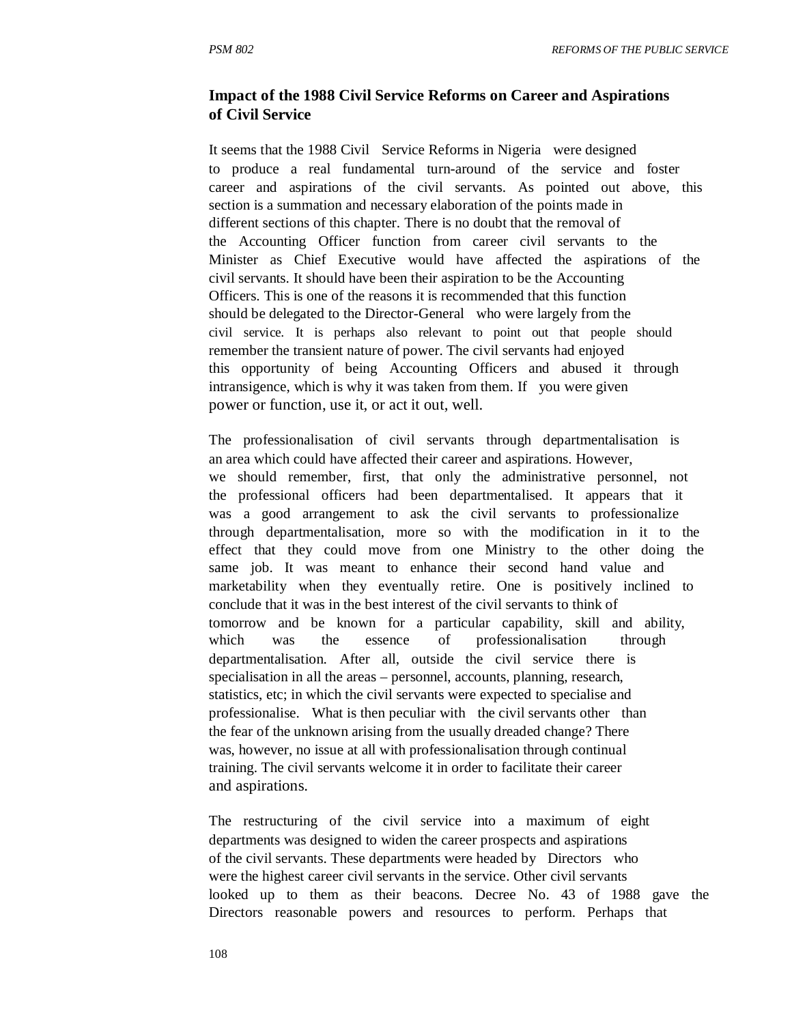### **Impact of the 1988 Civil Service Reforms on Career and Aspirations of Civil Service**

It seems that the 1988 Civil Service Reforms in Nigeria were designed to produce a real fundamental turn-around of the service and foster career and aspirations of the civil servants. As pointed out above, this section is a summation and necessary elaboration of the points made in different sections of this chapter. There is no doubt that the removal of the Accounting Officer function from career civil servants to the Minister as Chief Executive would have affected the aspirations of the civil servants. It should have been their aspiration to be the Accounting Officers. This is one of the reasons it is recommended that this function should be delegated to the Director-General who were largely from the civil service. It is perhaps also relevant to point out that people should remember the transient nature of power. The civil servants had enjoyed this opportunity of being Accounting Officers and abused it through intransigence, which is why it was taken from them. If you were given power or function, use it, or act it out, well.

The professionalisation of civil servants through departmentalisation is an area which could have affected their career and aspirations. However, we should remember, first, that only the administrative personnel, not the professional officers had been departmentalised. It appears that it was a good arrangement to ask the civil servants to professionalize through departmentalisation, more so with the modification in it to the effect that they could move from one Ministry to the other doing the same job. It was meant to enhance their second hand value and marketability when they eventually retire. One is positively inclined to conclude that it was in the best interest of the civil servants to think of tomorrow and be known for a particular capability, skill and ability, which was the essence of professionalisation through departmentalisation. After all, outside the civil service there is specialisation in all the areas – personnel, accounts, planning, research, statistics, etc; in which the civil servants were expected to specialise and professionalise. What is then peculiar with the civil servants other than the fear of the unknown arising from the usually dreaded change? There was, however, no issue at all with professionalisation through continual training. The civil servants welcome it in order to facilitate their career and aspirations.

The restructuring of the civil service into a maximum of eight departments was designed to widen the career prospects and aspirations of the civil servants. These departments were headed by Directors who were the highest career civil servants in the service. Other civil servants looked up to them as their beacons. Decree No. 43 of 1988 gave the Directors reasonable powers and resources to perform. Perhaps that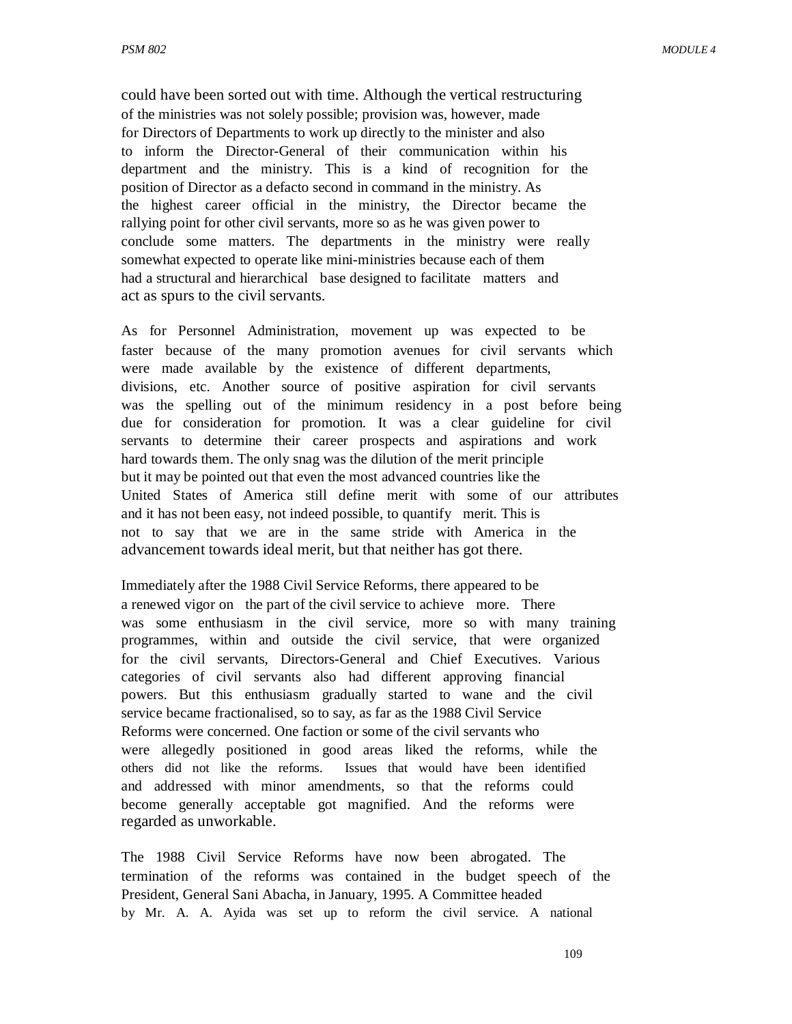could have been sorted out with time. Although the vertical restructuring of the ministries was not solely possible; provision was, however, made for Directors of Departments to work up directly to the minister and also to inform the Director-General of their communication within his department and the ministry. This is a kind of recognition for the position of Director as a defacto second in command in the ministry. As the highest career official in the ministry, the Director became the rallying point for other civil servants, more so as he was given power to conclude some matters. The departments in the ministry were really somewhat expected to operate like mini-ministries because each of them had a structural and hierarchical base designed to facilitate matters and act as spurs to the civil servants.

As for Personnel Administration, movement up was expected to be faster because of the many promotion avenues for civil servants which were made available by the existence of different departments, divisions, etc. Another source of positive aspiration for civil servants was the spelling out of the minimum residency in a post before being due for consideration for promotion. It was a clear guideline for civil servants to determine their career prospects and aspirations and work hard towards them. The only snag was the dilution of the merit principle but it may be pointed out that even the most advanced countries like the United States of America still define merit with some of our attributes and it has not been easy, not indeed possible, to quantify merit. This is not to say that we are in the same stride with America in the advancement towards ideal merit, but that neither has got there.

Immediately after the 1988 Civil Service Reforms, there appeared to be a renewed vigor on the part of the civil service to achieve more. There was some enthusiasm in the civil service, more so with many training programmes, within and outside the civil service, that were organized for the civil servants, Directors-General and Chief Executives. Various categories of civil servants also had different approving financial powers. But this enthusiasm gradually started to wane and the civil service became fractionalised, so to say, as far as the 1988 Civil Service Reforms were concerned. One faction or some of the civil servants who were allegedly positioned in good areas liked the reforms, while the others did not like the reforms. Issues that would have been identified and addressed with minor amendments, so that the reforms could become generally acceptable got magnified. And the reforms were regarded as unworkable.

The 1988 Civil Service Reforms have now been abrogated. The termination of the reforms was contained in the budget speech of the President, General Sani Abacha, in January, 1995. A Committee headed by Mr. A. A. Ayida was set up to reform the civil service. A national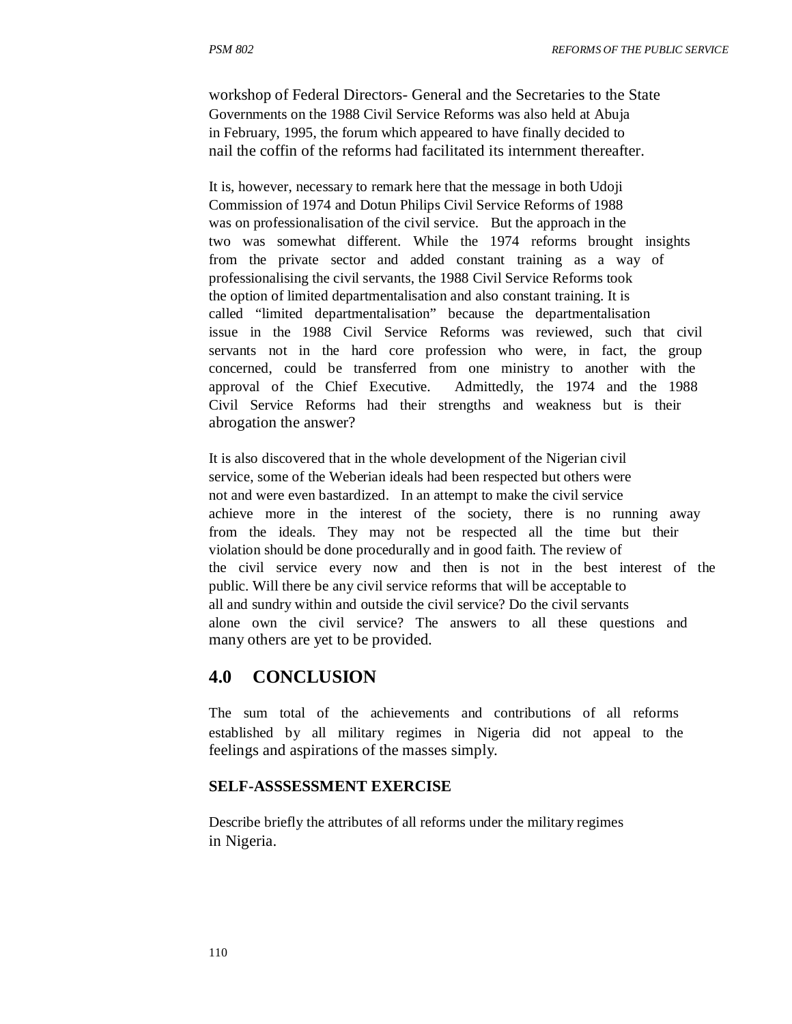workshop of Federal Directors- General and the Secretaries to the State Governments on the 1988 Civil Service Reforms was also held at Abuja in February, 1995, the forum which appeared to have finally decided to nail the coffin of the reforms had facilitated its internment thereafter.

It is, however, necessary to remark here that the message in both Udoji Commission of 1974 and Dotun Philips Civil Service Reforms of 1988 was on professionalisation of the civil service. But the approach in the two was somewhat different. While the 1974 reforms brought insights from the private sector and added constant training as a way of professionalising the civil servants, the 1988 Civil Service Reforms took the option of limited departmentalisation and also constant training. It is called "limited departmentalisation" because the departmentalisation issue in the 1988 Civil Service Reforms was reviewed, such that civil servants not in the hard core profession who were, in fact, the group concerned, could be transferred from one ministry to another with the approval of the Chief Executive. Admittedly, the 1974 and the 1988 Civil Service Reforms had their strengths and weakness but is their abrogation the answer?

It is also discovered that in the whole development of the Nigerian civil service, some of the Weberian ideals had been respected but others were not and were even bastardized. In an attempt to make the civil service achieve more in the interest of the society, there is no running away from the ideals. They may not be respected all the time but their violation should be done procedurally and in good faith. The review of the civil service every now and then is not in the best interest of the public. Will there be any civil service reforms that will be acceptable to all and sundry within and outside the civil service? Do the civil servants alone own the civil service? The answers to all these questions and many others are yet to be provided.

# **4.0 CONCLUSION**

The sum total of the achievements and contributions of all reforms established by all military regimes in Nigeria did not appeal to the feelings and aspirations of the masses simply.

### **SELF-ASSSESSMENT EXERCISE**

Describe briefly the attributes of all reforms under the military regimes in Nigeria.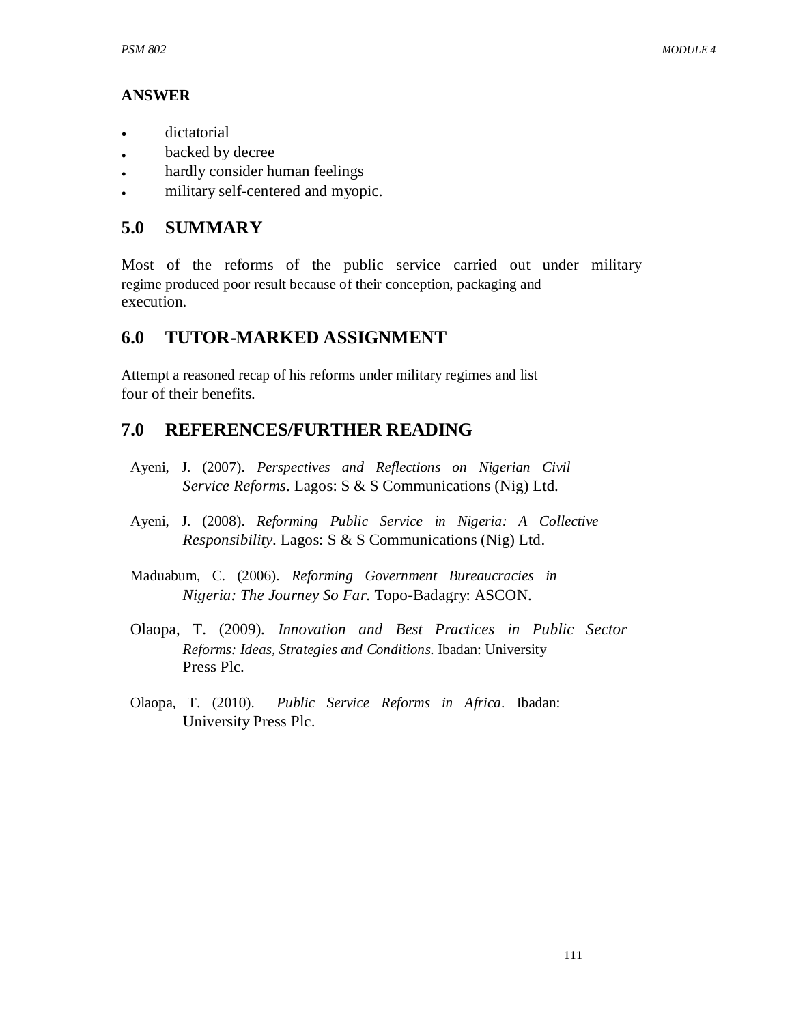# **ANSWER**

- dictatorial
- backed by decree
- hardly consider human feelings
- military self-centered and myopic.

# **5.0 SUMMARY**

Most of the reforms of the public service carried out under military regime produced poor result because of their conception, packaging and execution.

# **6.0 TUTOR-MARKED ASSIGNMENT**

Attempt a reasoned recap of his reforms under military regimes and list four of their benefits.

# **7.0 REFERENCES/FURTHER READING**

- Ayeni, J. (2007). *Perspectives and Reflections on Nigerian Civil Service Reforms*. Lagos: S & S Communications (Nig) Ltd.
- Ayeni, J. (2008). *Reforming Public Service in Nigeria: A Collective Responsibility*. Lagos: S & S Communications (Nig) Ltd.
- Maduabum, C. (2006). *Reforming Government Bureaucracies in Nigeria: The Journey So Far.* Topo-Badagry: ASCON.
- Olaopa, T. (2009). *Innovation and Best Practices in Public Sector Reforms: Ideas, Strategies and Conditions*. Ibadan: University Press Plc.
- Olaopa, T. (2010). *Public Service Reforms in Africa*. Ibadan: University Press Plc.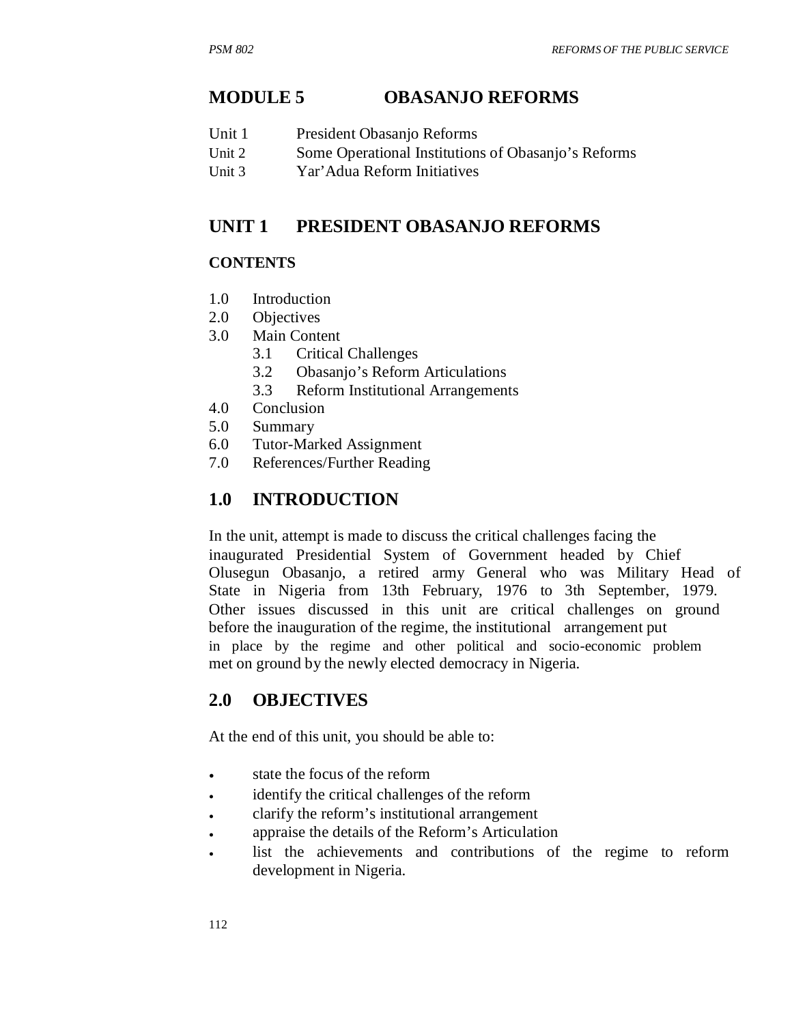# **MODULE 5 OBASANJO REFORMS**

- Unit 1 President Obasanjo Reforms
- Unit 2 Some Operational Institutions of Obasanjo's Reforms
- Unit 3 Yar'Adua Reform Initiatives

#### **UNIT 1 PRESIDENT OBASANJO REFORMS**

### **CONTENTS**

- 1.0 Introduction
- 2.0 Objectives
- 3.0 Main Content
	- 3.1 Critical Challenges
	- 3.2 Obasanjo's Reform Articulations
	- 3.3 Reform Institutional Arrangements
- 4.0 Conclusion
- 5.0 Summary
- 6.0 Tutor-Marked Assignment
- 7.0 References/Further Reading

# **1.0 INTRODUCTION**

In the unit, attempt is made to discuss the critical challenges facing the inaugurated Presidential System of Government headed by Chief Olusegun Obasanjo, a retired army General who was Military Head of State in Nigeria from 13th February, 1976 to 3th September, 1979. Other issues discussed in this unit are critical challenges on ground before the inauguration of the regime, the institutional arrangement put in place by the regime and other political and socio-economic problem met on ground by the newly elected democracy in Nigeria.

# **2.0 OBJECTIVES**

At the end of this unit, you should be able to:

- state the focus of the reform
- identify the critical challenges of the reform
- clarify the reform's institutional arrangement
- appraise the details of the Reform's Articulation
- list the achievements and contributions of the regime to reform development in Nigeria.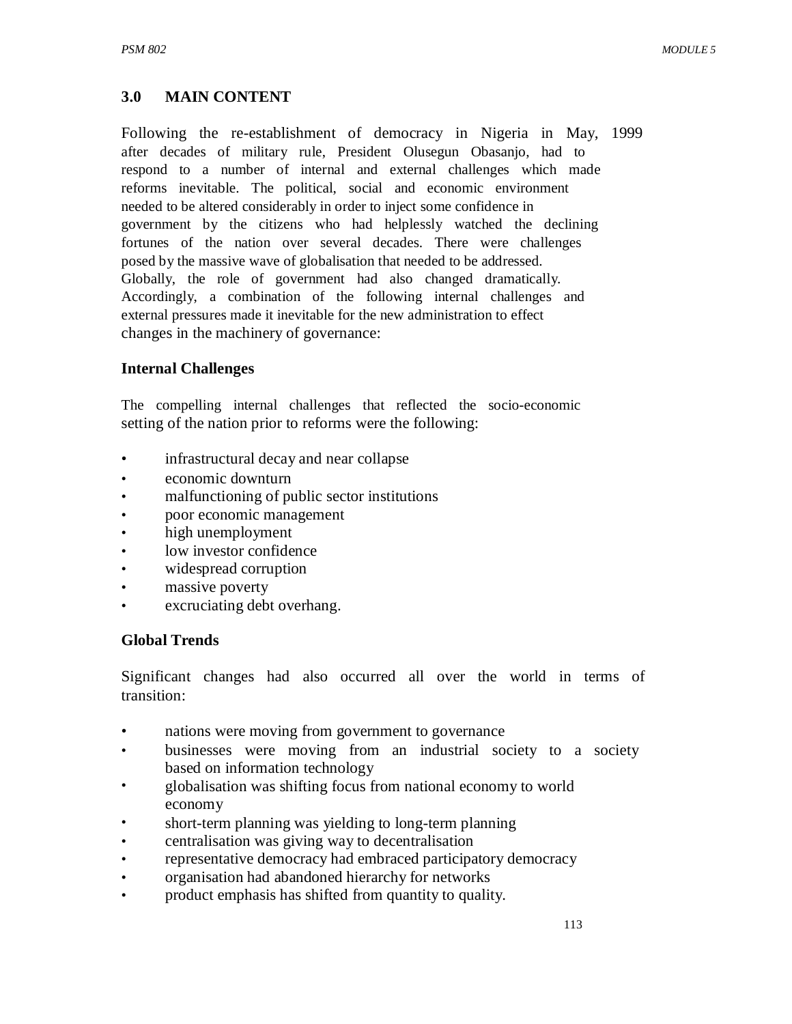# **3.0 MAIN CONTENT**

Following the re-establishment of democracy in Nigeria in May, 1999 after decades of military rule, President Olusegun Obasanjo, had to respond to a number of internal and external challenges which made reforms inevitable. The political, social and economic environment needed to be altered considerably in order to inject some confidence in government by the citizens who had helplessly watched the declining fortunes of the nation over several decades. There were challenges posed by the massive wave of globalisation that needed to be addressed. Globally, the role of government had also changed dramatically. Accordingly, a combination of the following internal challenges and external pressures made it inevitable for the new administration to effect changes in the machinery of governance:

### **Internal Challenges**

The compelling internal challenges that reflected the socio-economic setting of the nation prior to reforms were the following:

- infrastructural decay and near collapse
- economic downturn
- malfunctioning of public sector institutions
- poor economic management
- high unemployment
- low investor confidence
- widespread corruption
- massive poverty
- excruciating debt overhang.

### **Global Trends**

Significant changes had also occurred all over the world in terms of transition:

- nations were moving from government to governance
- businesses were moving from an industrial society to a society based on information technology
- globalisation was shifting focus from national economy to world economy
- short-term planning was yielding to long-term planning
- centralisation was giving way to decentralisation
- representative democracy had embraced participatory democracy
- organisation had abandoned hierarchy for networks
- product emphasis has shifted from quantity to quality.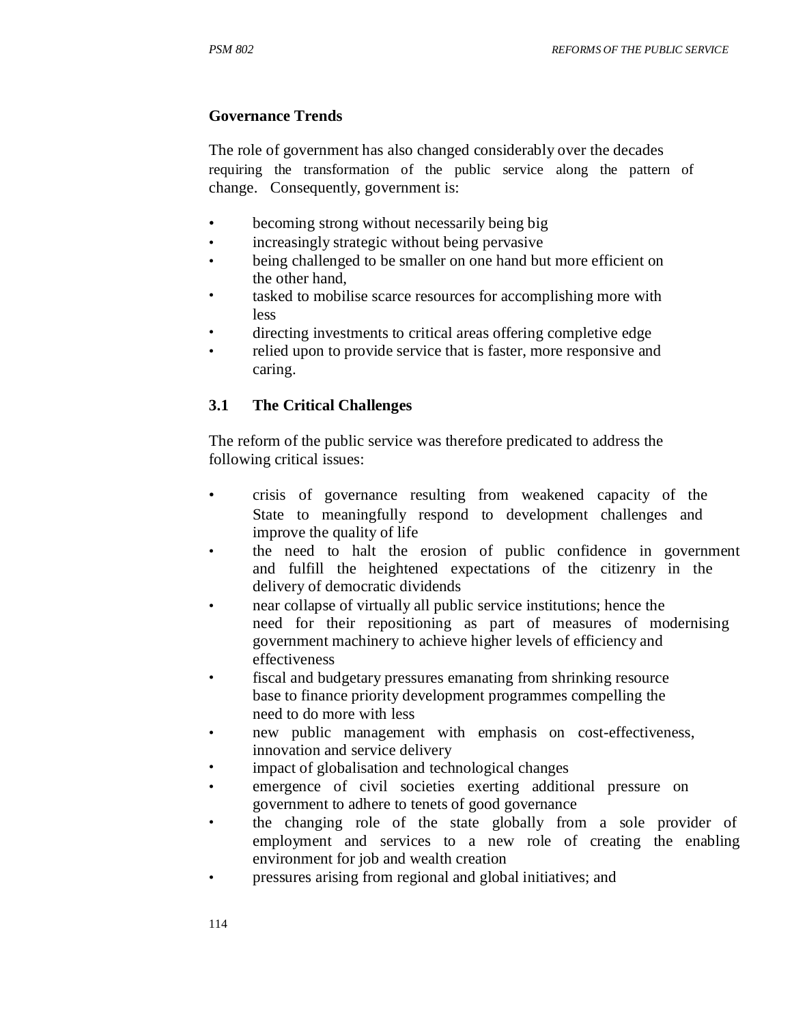### **Governance Trends**

The role of government has also changed considerably over the decades requiring the transformation of the public service along the pattern of change. Consequently, government is:

- becoming strong without necessarily being big
- increasingly strategic without being pervasive
- being challenged to be smaller on one hand but more efficient on the other hand,
- tasked to mobilise scarce resources for accomplishing more with less
- directing investments to critical areas offering completive edge
- relied upon to provide service that is faster, more responsive and caring.

## **3.1 The Critical Challenges**

The reform of the public service was therefore predicated to address the following critical issues:

- crisis of governance resulting from weakened capacity of the State to meaningfully respond to development challenges and improve the quality of life
- the need to halt the erosion of public confidence in government and fulfill the heightened expectations of the citizenry in the delivery of democratic dividends
- near collapse of virtually all public service institutions; hence the need for their repositioning as part of measures of modernising government machinery to achieve higher levels of efficiency and effectiveness
- fiscal and budgetary pressures emanating from shrinking resource base to finance priority development programmes compelling the need to do more with less
- new public management with emphasis on cost-effectiveness, innovation and service delivery
- impact of globalisation and technological changes
- emergence of civil societies exerting additional pressure on government to adhere to tenets of good governance
- the changing role of the state globally from a sole provider of employment and services to a new role of creating the enabling environment for job and wealth creation
- pressures arising from regional and global initiatives; and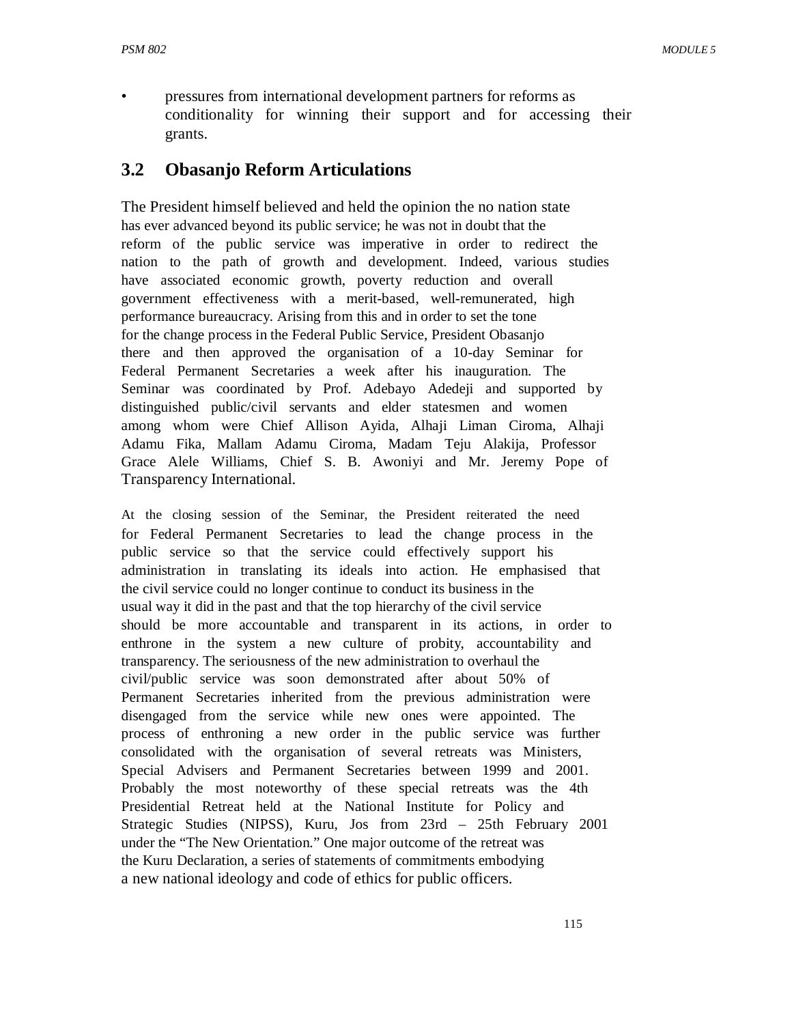• pressures from international development partners for reforms as conditionality for winning their support and for accessing their grants.

# **3.2 Obasanjo Reform Articulations**

The President himself believed and held the opinion the no nation state has ever advanced beyond its public service; he was not in doubt that the reform of the public service was imperative in order to redirect the nation to the path of growth and development. Indeed, various studies have associated economic growth, poverty reduction and overall government effectiveness with a merit-based, well-remunerated, high performance bureaucracy. Arising from this and in order to set the tone for the change process in the Federal Public Service, President Obasanjo there and then approved the organisation of a 10-day Seminar for Federal Permanent Secretaries a week after his inauguration. The Seminar was coordinated by Prof. Adebayo Adedeji and supported by distinguished public/civil servants and elder statesmen and women among whom were Chief Allison Ayida, Alhaji Liman Ciroma, Alhaji Adamu Fika, Mallam Adamu Ciroma, Madam Teju Alakija, Professor Grace Alele Williams, Chief S. B. Awoniyi and Mr. Jeremy Pope of Transparency International.

At the closing session of the Seminar, the President reiterated the need for Federal Permanent Secretaries to lead the change process in the public service so that the service could effectively support his administration in translating its ideals into action. He emphasised that the civil service could no longer continue to conduct its business in the usual way it did in the past and that the top hierarchy of the civil service should be more accountable and transparent in its actions, in order to enthrone in the system a new culture of probity, accountability and transparency. The seriousness of the new administration to overhaul the civil/public service was soon demonstrated after about 50% of Permanent Secretaries inherited from the previous administration were disengaged from the service while new ones were appointed. The process of enthroning a new order in the public service was further consolidated with the organisation of several retreats was Ministers, Special Advisers and Permanent Secretaries between 1999 and 2001. Probably the most noteworthy of these special retreats was the 4th Presidential Retreat held at the National Institute for Policy and Strategic Studies (NIPSS), Kuru, Jos from 23rd – 25th February 2001 under the "The New Orientation." One major outcome of the retreat was the Kuru Declaration, a series of statements of commitments embodying a new national ideology and code of ethics for public officers.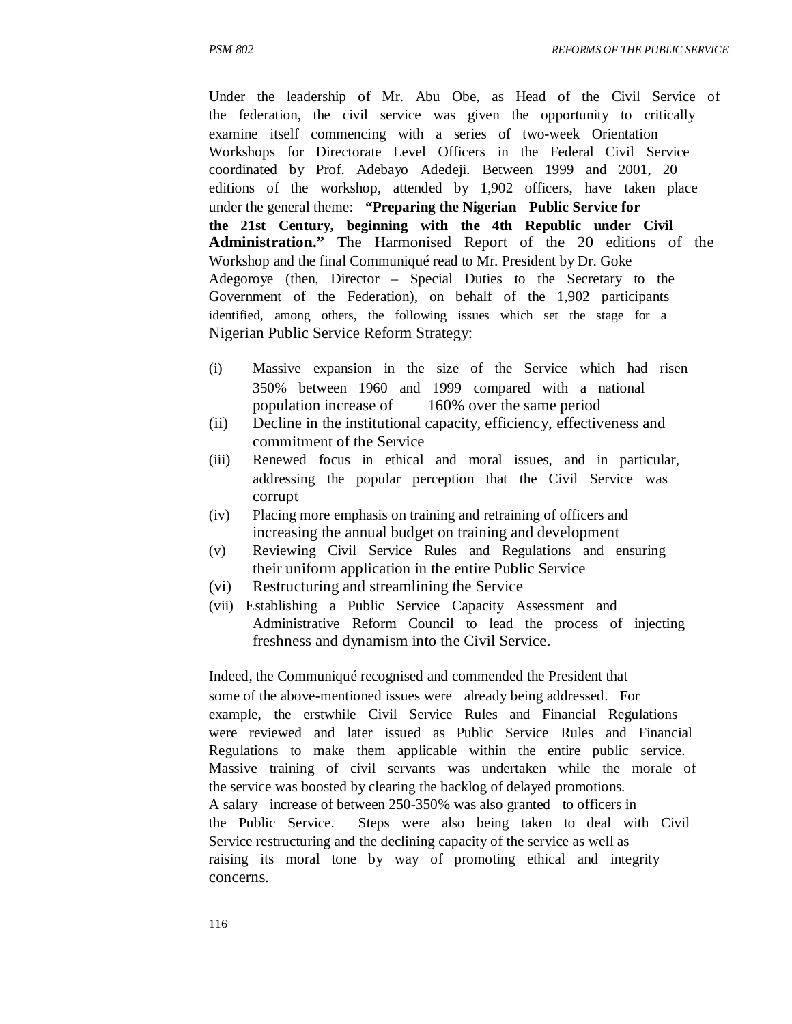Under the leadership of Mr. Abu Obe, as Head of the Civil Service of the federation, the civil service was given the opportunity to critically examine itself commencing with a series of two-week Orientation Workshops for Directorate Level Officers in the Federal Civil Service coordinated by Prof. Adebayo Adedeji. Between 1999 and 2001, 20 editions of the workshop, attended by 1,902 officers, have taken place under the general theme: **"Preparing the Nigerian Public Service for the 21st Century, beginning with the 4th Republic under Civil Administration."** The Harmonised Report of the 20 editions of the Workshop and the final Communiqué read to Mr. President by Dr. Goke Adegoroye (then, Director – Special Duties to the Secretary to the Government of the Federation), on behalf of the 1,902 participants identified, among others, the following issues which set the stage for a Nigerian Public Service Reform Strategy:

- (i) Massive expansion in the size of the Service which had risen 350% between 1960 and 1999 compared with a national population increase of 160% over the same period
- (ii) Decline in the institutional capacity, efficiency, effectiveness and commitment of the Service
- (iii) Renewed focus in ethical and moral issues, and in particular, addressing the popular perception that the Civil Service was corrupt
- (iv) Placing more emphasis on training and retraining of officers and increasing the annual budget on training and development
- (v) Reviewing Civil Service Rules and Regulations and ensuring their uniform application in the entire Public Service
- (vi) Restructuring and streamlining the Service
- (vii) Establishing a Public Service Capacity Assessment and Administrative Reform Council to lead the process of injecting freshness and dynamism into the Civil Service.

Indeed, the Communiqué recognised and commended the President that some of the above-mentioned issues were already being addressed. For example, the erstwhile Civil Service Rules and Financial Regulations were reviewed and later issued as Public Service Rules and Financial Regulations to make them applicable within the entire public service. Massive training of civil servants was undertaken while the morale of the service was boosted by clearing the backlog of delayed promotions. A salary increase of between 250-350% was also granted to officers in the Public Service. Steps were also being taken to deal with Civil Service restructuring and the declining capacity of the service as well as raising its moral tone by way of promoting ethical and integrity concerns.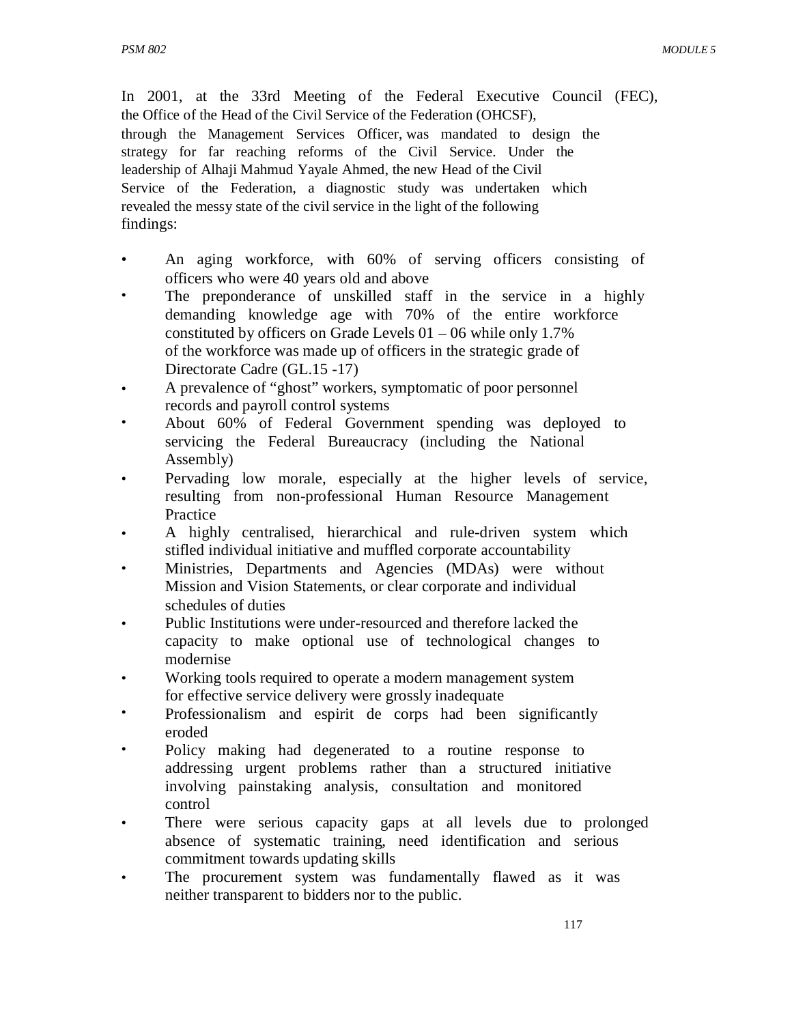In 2001, at the 33rd Meeting of the Federal Executive Council (FEC), the Office of the Head of the Civil Service of the Federation (OHCSF), through the Management Services Officer, was mandated to design the strategy for far reaching reforms of the Civil Service. Under the leadership of Alhaji Mahmud Yayale Ahmed, the new Head of the Civil Service of the Federation, a diagnostic study was undertaken which revealed the messy state of the civil service in the light of the following findings:

- An aging workforce, with 60% of serving officers consisting of officers who were 40 years old and above
- The preponderance of unskilled staff in the service in a highly demanding knowledge age with 70% of the entire workforce constituted by officers on Grade Levels 01 – 06 while only 1.7% of the workforce was made up of officers in the strategic grade of Directorate Cadre (GL.15 -17)
- A prevalence of "ghost" workers, symptomatic of poor personnel records and payroll control systems
- About 60% of Federal Government spending was deployed to servicing the Federal Bureaucracy (including the National Assembly)
- Pervading low morale, especially at the higher levels of service, resulting from non-professional Human Resource Management **Practice**
- A highly centralised, hierarchical and rule-driven system which stifled individual initiative and muffled corporate accountability
- Ministries, Departments and Agencies (MDAs) were without Mission and Vision Statements, or clear corporate and individual schedules of duties
- Public Institutions were under-resourced and therefore lacked the capacity to make optional use of technological changes to modernise
- Working tools required to operate a modern management system for effective service delivery were grossly inadequate
- Professionalism and espirit de corps had been significantly eroded
- Policy making had degenerated to a routine response to addressing urgent problems rather than a structured initiative involving painstaking analysis, consultation and monitored control
- There were serious capacity gaps at all levels due to prolonged absence of systematic training, need identification and serious commitment towards updating skills
- The procurement system was fundamentally flawed as it was neither transparent to bidders nor to the public.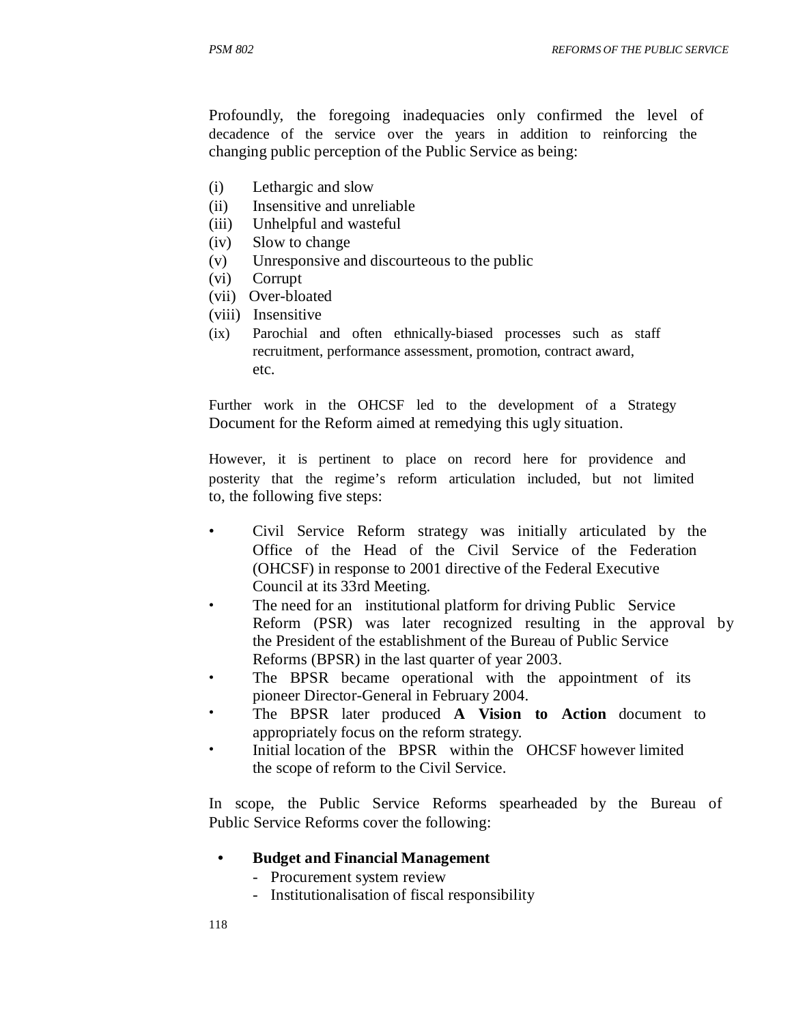Profoundly, the foregoing inadequacies only confirmed the level of decadence of the service over the years in addition to reinforcing the changing public perception of the Public Service as being:

- (i) Lethargic and slow
- (ii) Insensitive and unreliable
- (iii) Unhelpful and wasteful
- (iv) Slow to change
- (v) Unresponsive and discourteous to the public
- (vi) Corrupt
- (vii) Over-bloated
- (viii) Insensitive
- (ix) Parochial and often ethnically-biased processes such as staff recruitment, performance assessment, promotion, contract award, etc.

Further work in the OHCSF led to the development of a Strategy Document for the Reform aimed at remedying this ugly situation.

However, it is pertinent to place on record here for providence and posterity that the regime's reform articulation included, but not limited to, the following five steps:

- Civil Service Reform strategy was initially articulated by the Office of the Head of the Civil Service of the Federation (OHCSF) in response to 2001 directive of the Federal Executive Council at its 33rd Meeting.
- The need for an institutional platform for driving Public Service Reform (PSR) was later recognized resulting in the approval by the President of the establishment of the Bureau of Public Service Reforms (BPSR) in the last quarter of year 2003.
- The BPSR became operational with the appointment of its pioneer Director-General in February 2004.
- The BPSR later produced **A Vision to Action** document to appropriately focus on the reform strategy.
- Initial location of the BPSR within the OHCSF however limited the scope of reform to the Civil Service.

In scope, the Public Service Reforms spearheaded by the Bureau of Public Service Reforms cover the following:

- **• Budget and Financial Management** 
	- Procurement system review
	- Institutionalisation of fiscal responsibility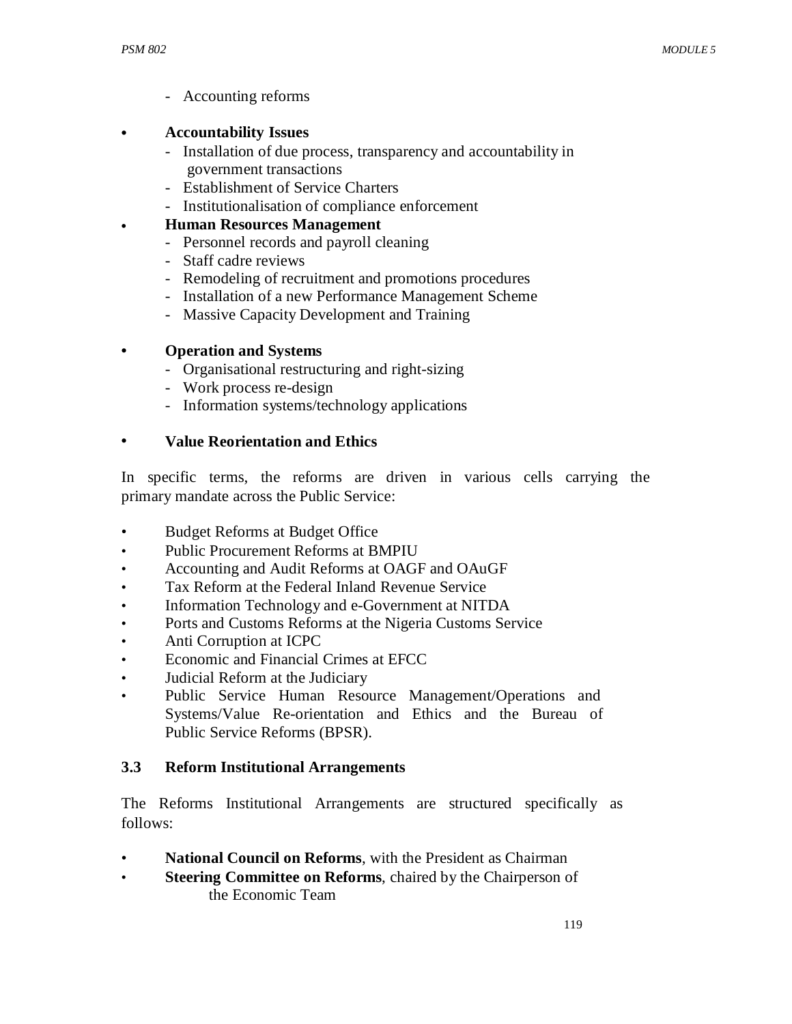- Accounting reforms
- **• Accountability Issues** 
	- Installation of due process, transparency and accountability in government transactions
	- Establishment of Service Charters
	- Institutionalisation of compliance enforcement
- **• Human Resources Management** 
	- Personnel records and payroll cleaning
	- Staff cadre reviews
	- Remodeling of recruitment and promotions procedures
	- Installation of a new Performance Management Scheme
	- Massive Capacity Development and Training

#### **• Operation and Systems**

- Organisational restructuring and right-sizing
- Work process re-design
- Information systems/technology applications

#### **• Value Reorientation and Ethics**

In specific terms, the reforms are driven in various cells carrying the primary mandate across the Public Service:

- Budget Reforms at Budget Office
- Public Procurement Reforms at BMPIU
- Accounting and Audit Reforms at OAGF and OAuGF
- Tax Reform at the Federal Inland Revenue Service
- Information Technology and e-Government at NITDA
- Ports and Customs Reforms at the Nigeria Customs Service
- Anti Corruption at ICPC
- Economic and Financial Crimes at EFCC
- Judicial Reform at the Judiciary
- Public Service Human Resource Management/Operations and Systems/Value Re-orientation and Ethics and the Bureau of Public Service Reforms (BPSR).

### **3.3 Reform Institutional Arrangements**

The Reforms Institutional Arrangements are structured specifically as follows:

- **National Council on Reforms**, with the President as Chairman
- **Steering Committee on Reforms**, chaired by the Chairperson of the Economic Team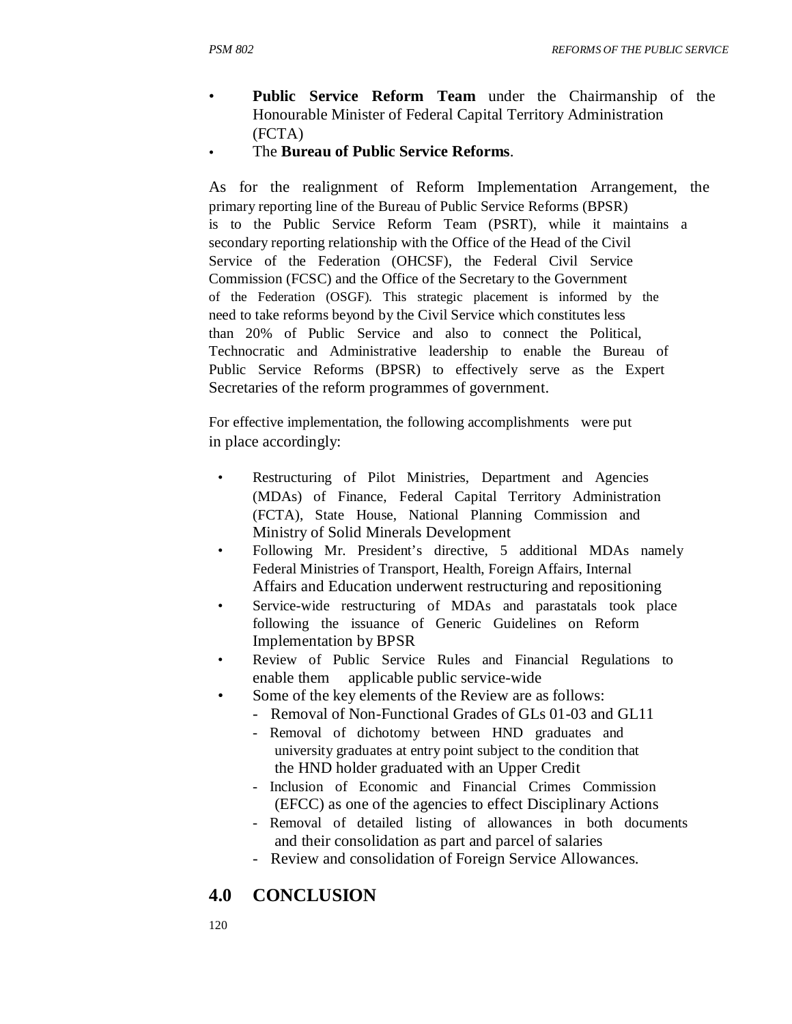- **Public Service Reform Team** under the Chairmanship of the Honourable Minister of Federal Capital Territory Administration (FCTA)
- The **Bureau of Public Service Reforms**.

As for the realignment of Reform Implementation Arrangement, the primary reporting line of the Bureau of Public Service Reforms (BPSR) is to the Public Service Reform Team (PSRT), while it maintains a secondary reporting relationship with the Office of the Head of the Civil Service of the Federation (OHCSF), the Federal Civil Service Commission (FCSC) and the Office of the Secretary to the Government of the Federation (OSGF). This strategic placement is informed by the need to take reforms beyond by the Civil Service which constitutes less than 20% of Public Service and also to connect the Political, Technocratic and Administrative leadership to enable the Bureau of Public Service Reforms (BPSR) to effectively serve as the Expert Secretaries of the reform programmes of government.

For effective implementation, the following accomplishments were put in place accordingly:

- Restructuring of Pilot Ministries, Department and Agencies (MDAs) of Finance, Federal Capital Territory Administration (FCTA), State House, National Planning Commission and Ministry of Solid Minerals Development
- Following Mr. President's directive, 5 additional MDAs namely Federal Ministries of Transport, Health, Foreign Affairs, Internal Affairs and Education underwent restructuring and repositioning
- Service-wide restructuring of MDAs and parastatals took place following the issuance of Generic Guidelines on Reform Implementation by BPSR
- Review of Public Service Rules and Financial Regulations to enable them applicable public service-wide
- Some of the key elements of the Review are as follows:
	- Removal of Non-Functional Grades of GLs 01-03 and GL11
	- Removal of dichotomy between HND graduates and university graduates at entry point subject to the condition that the HND holder graduated with an Upper Credit
	- Inclusion of Economic and Financial Crimes Commission (EFCC) as one of the agencies to effect Disciplinary Actions
	- Removal of detailed listing of allowances in both documents and their consolidation as part and parcel of salaries
	- Review and consolidation of Foreign Service Allowances.

# **4.0 CONCLUSION**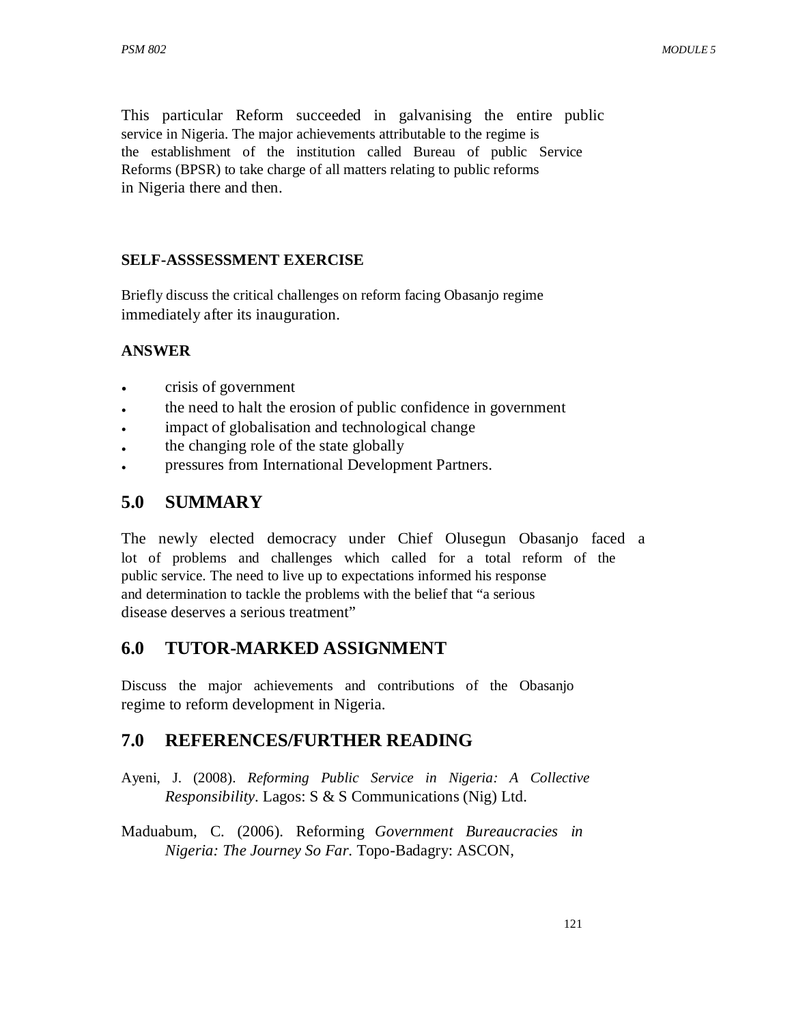This particular Reform succeeded in galvanising the entire public service in Nigeria. The major achievements attributable to the regime is the establishment of the institution called Bureau of public Service Reforms (BPSR) to take charge of all matters relating to public reforms in Nigeria there and then.

### **SELF-ASSSESSMENT EXERCISE**

Briefly discuss the critical challenges on reform facing Obasanjo regime immediately after its inauguration.

### **ANSWER**

- crisis of government
- the need to halt the erosion of public confidence in government
- impact of globalisation and technological change
- the changing role of the state globally
- pressures from International Development Partners.

# **5.0 SUMMARY**

The newly elected democracy under Chief Olusegun Obasanjo faced a lot of problems and challenges which called for a total reform of the public service. The need to live up to expectations informed his response and determination to tackle the problems with the belief that "a serious disease deserves a serious treatment"

# **6.0 TUTOR-MARKED ASSIGNMENT**

Discuss the major achievements and contributions of the Obasanjo regime to reform development in Nigeria.

# **7.0 REFERENCES/FURTHER READING**

- Ayeni, J. (2008). *Reforming Public Service in Nigeria: A Collective Responsibility*. Lagos: S & S Communications (Nig) Ltd.
- Maduabum, C. (2006). Reforming *Government Bureaucracies in Nigeria: The Journey So Far*. Topo-Badagry: ASCON,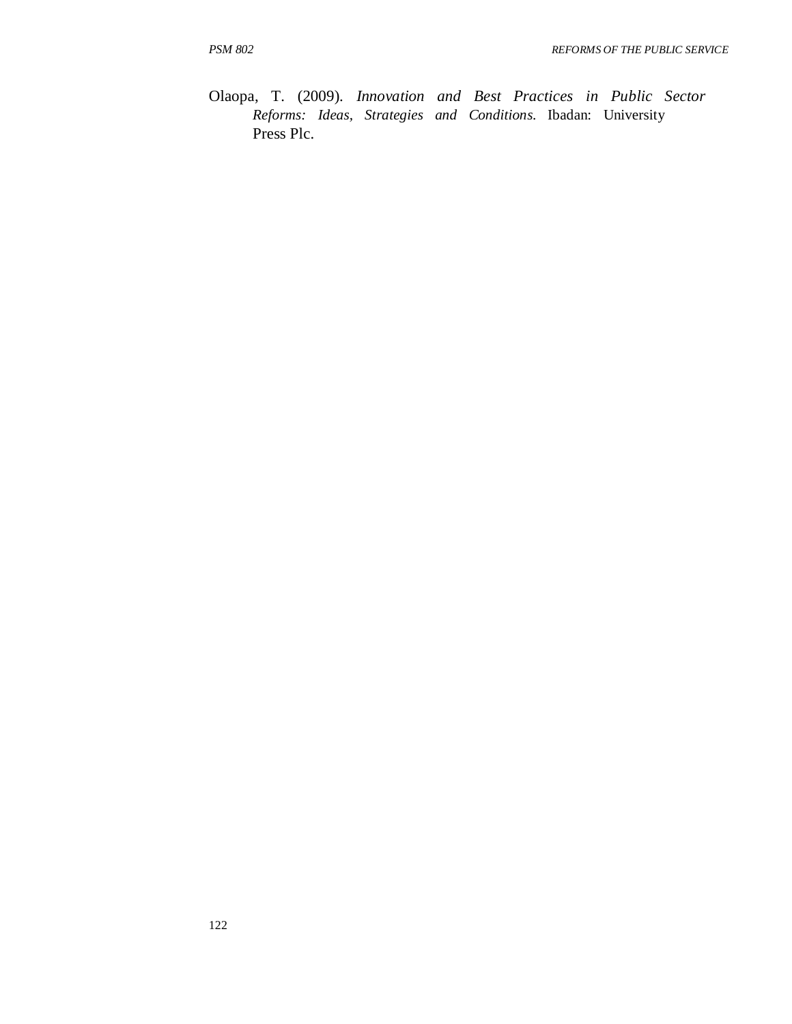Olaopa, T. (2009). *Innovation and Best Practices in Public Sector Reforms: Ideas, Strategies and Conditions*. Ibadan: University Press Plc.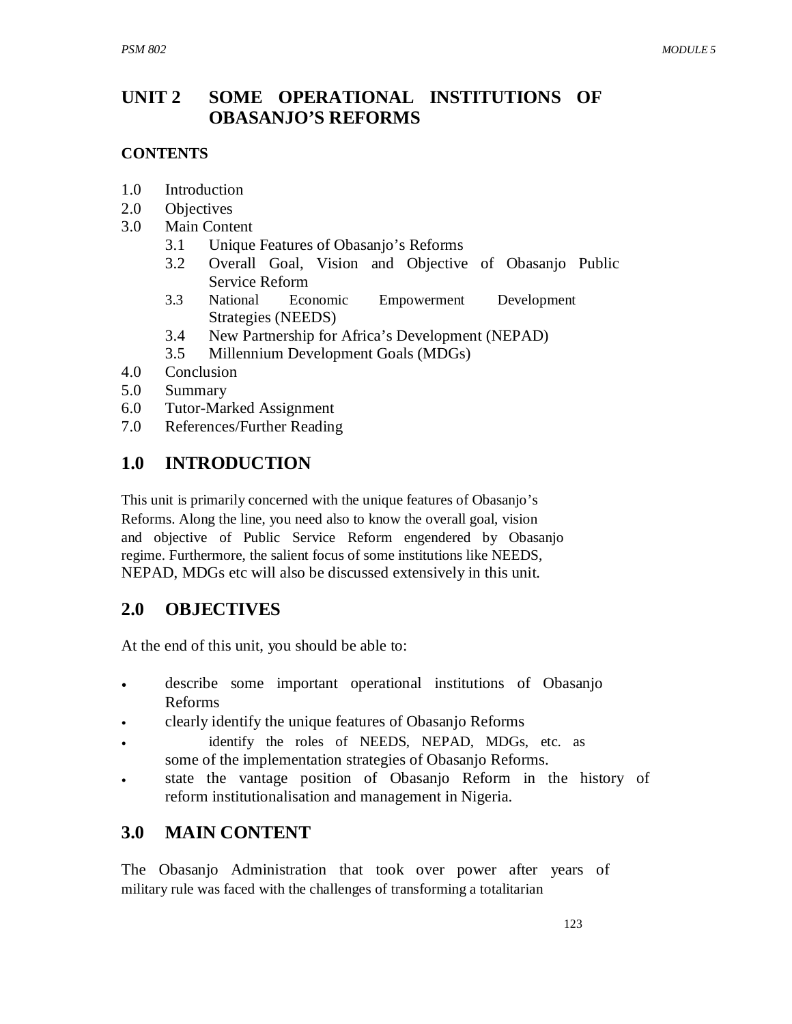### **UNIT 2 SOME OPERATIONAL INSTITUTIONS OF OBASANJO'S REFORMS**

## **CONTENTS**

- 1.0 Introduction
- 2.0 Objectives
- 3.0 Main Content
	- 3.1 Unique Features of Obasanjo's Reforms
	- 3.2 Overall Goal, Vision and Objective of Obasanjo Public Service Reform
	- 3.3 National Economic Empowerment Development Strategies (NEEDS)
	- 3.4 New Partnership for Africa's Development (NEPAD)
	- 3.5 Millennium Development Goals (MDGs)
- 4.0 Conclusion
- 5.0 Summary
- 6.0 Tutor-Marked Assignment
- 7.0 References/Further Reading

# **1.0 INTRODUCTION**

This unit is primarily concerned with the unique features of Obasanjo's Reforms. Along the line, you need also to know the overall goal, vision and objective of Public Service Reform engendered by Obasanjo regime. Furthermore, the salient focus of some institutions like NEEDS, NEPAD, MDGs etc will also be discussed extensively in this unit.

# **2.0 OBJECTIVES**

At the end of this unit, you should be able to:

- describe some important operational institutions of Obasanjo Reforms
- clearly identify the unique features of Obasanjo Reforms
- identify the roles of NEEDS, NEPAD, MDGs, etc. as some of the implementation strategies of Obasanjo Reforms.
- state the vantage position of Obasanjo Reform in the history of reform institutionalisation and management in Nigeria.

# **3.0 MAIN CONTENT**

The Obasanjo Administration that took over power after years of military rule was faced with the challenges of transforming a totalitarian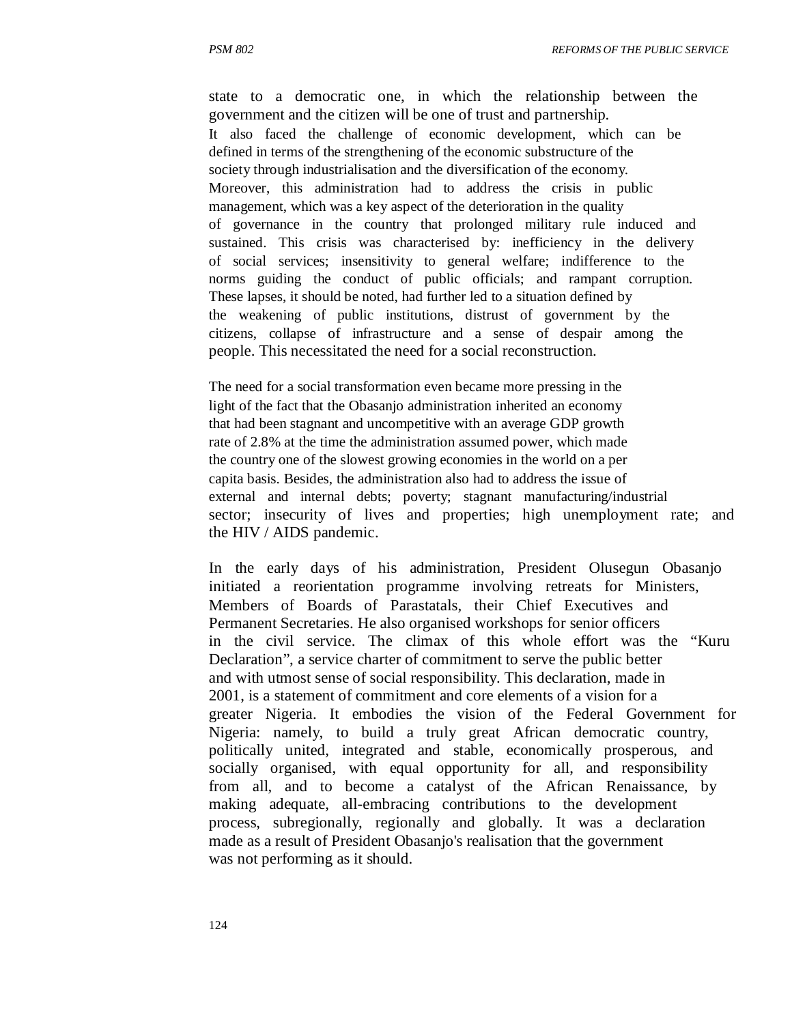state to a democratic one, in which the relationship between the government and the citizen will be one of trust and partnership. It also faced the challenge of economic development, which can be defined in terms of the strengthening of the economic substructure of the society through industrialisation and the diversification of the economy. Moreover, this administration had to address the crisis in public management, which was a key aspect of the deterioration in the quality of governance in the country that prolonged military rule induced and sustained. This crisis was characterised by: inefficiency in the delivery of social services; insensitivity to general welfare; indifference to the norms guiding the conduct of public officials; and rampant corruption. These lapses, it should be noted, had further led to a situation defined by the weakening of public institutions, distrust of government by the citizens, collapse of infrastructure and a sense of despair among the people. This necessitated the need for a social reconstruction.

The need for a social transformation even became more pressing in the light of the fact that the Obasanjo administration inherited an economy that had been stagnant and uncompetitive with an average GDP growth rate of 2.8% at the time the administration assumed power, which made the country one of the slowest growing economies in the world on a per capita basis. Besides, the administration also had to address the issue of external and internal debts; poverty; stagnant manufacturing/industrial sector; insecurity of lives and properties; high unemployment rate; and the HIV / AIDS pandemic.

In the early days of his administration, President Olusegun Obasanjo initiated a reorientation programme involving retreats for Ministers, Members of Boards of Parastatals, their Chief Executives and Permanent Secretaries. He also organised workshops for senior officers in the civil service. The climax of this whole effort was the "Kuru Declaration", a service charter of commitment to serve the public better and with utmost sense of social responsibility. This declaration, made in 2001, is a statement of commitment and core elements of a vision for a greater Nigeria. It embodies the vision of the Federal Government for Nigeria: namely, to build a truly great African democratic country, politically united, integrated and stable, economically prosperous, and socially organised, with equal opportunity for all, and responsibility from all, and to become a catalyst of the African Renaissance, by making adequate, all-embracing contributions to the development process, subregionally, regionally and globally. It was a declaration made as a result of President Obasanjo's realisation that the government was not performing as it should.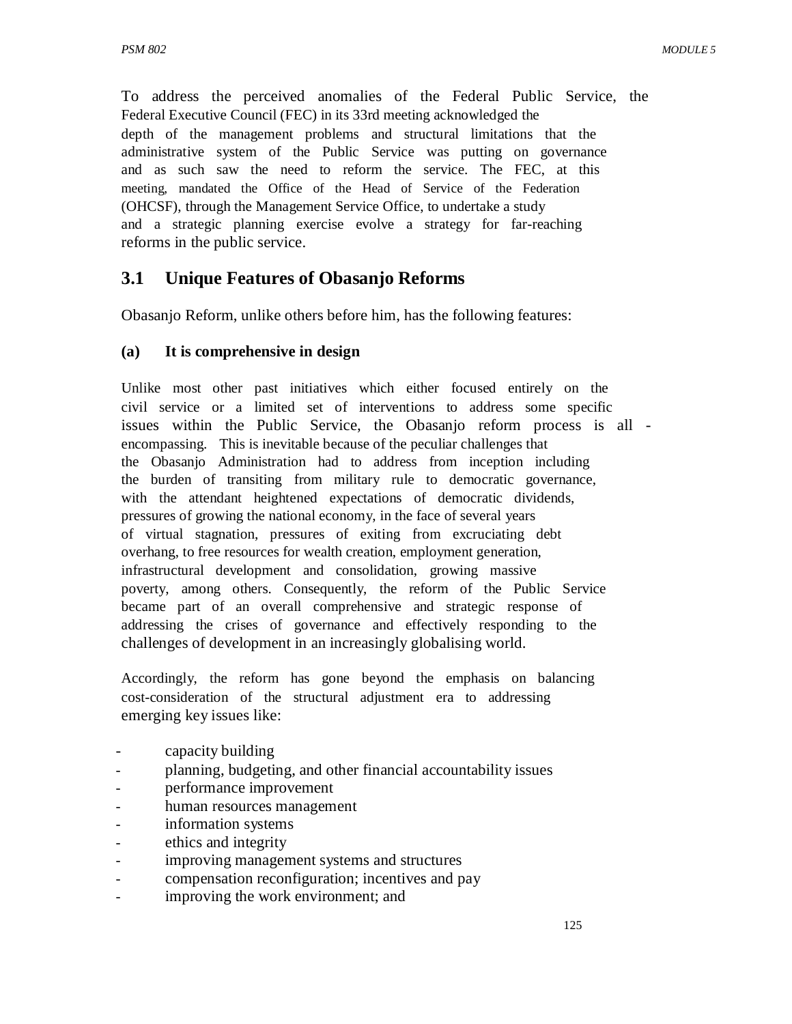To address the perceived anomalies of the Federal Public Service, the Federal Executive Council (FEC) in its 33rd meeting acknowledged the depth of the management problems and structural limitations that the administrative system of the Public Service was putting on governance and as such saw the need to reform the service. The FEC, at this meeting, mandated the Office of the Head of Service of the Federation (OHCSF), through the Management Service Office, to undertake a study and a strategic planning exercise evolve a strategy for far-reaching reforms in the public service.

# **3.1 Unique Features of Obasanjo Reforms**

Obasanjo Reform, unlike others before him, has the following features:

### **(a) It is comprehensive in design**

Unlike most other past initiatives which either focused entirely on the civil service or a limited set of interventions to address some specific issues within the Public Service, the Obasanjo reform process is all encompassing. This is inevitable because of the peculiar challenges that the Obasanjo Administration had to address from inception including the burden of transiting from military rule to democratic governance, with the attendant heightened expectations of democratic dividends, pressures of growing the national economy, in the face of several years of virtual stagnation, pressures of exiting from excruciating debt overhang, to free resources for wealth creation, employment generation, infrastructural development and consolidation, growing massive poverty, among others. Consequently, the reform of the Public Service became part of an overall comprehensive and strategic response of addressing the crises of governance and effectively responding to the challenges of development in an increasingly globalising world.

Accordingly, the reform has gone beyond the emphasis on balancing cost-consideration of the structural adjustment era to addressing emerging key issues like:

- capacity building
- planning, budgeting, and other financial accountability issues
- performance improvement
- human resources management
- information systems
- ethics and integrity
- improving management systems and structures
- compensation reconfiguration; incentives and pay
- improving the work environment; and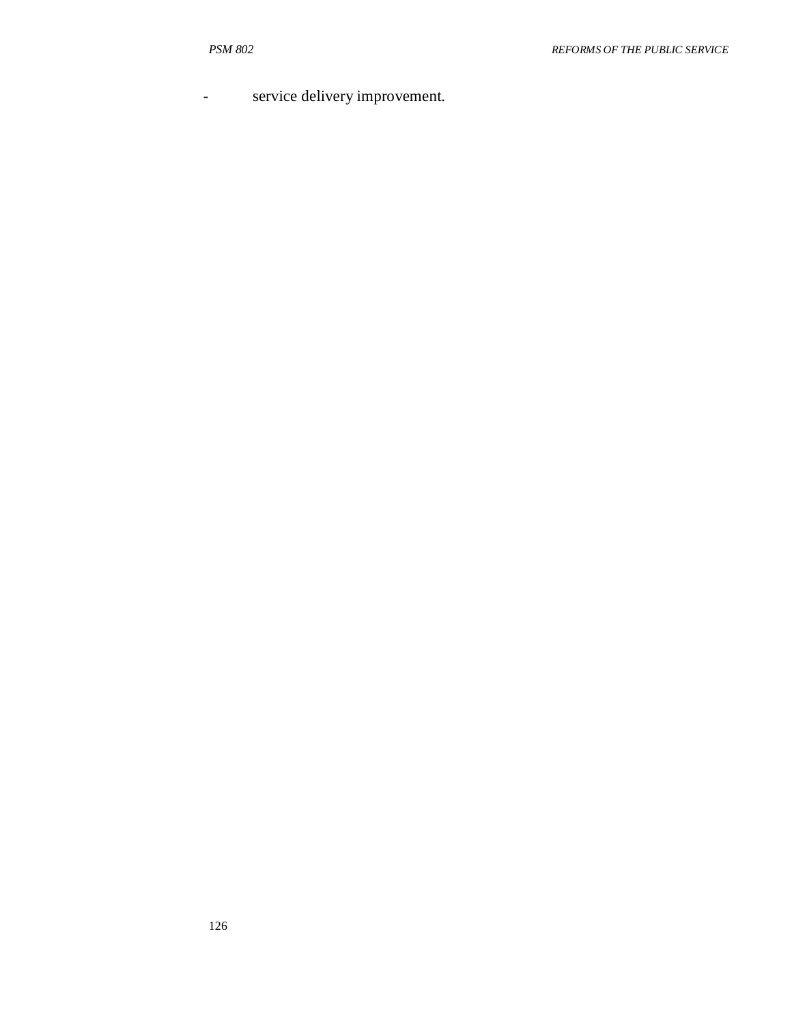service delivery improvement.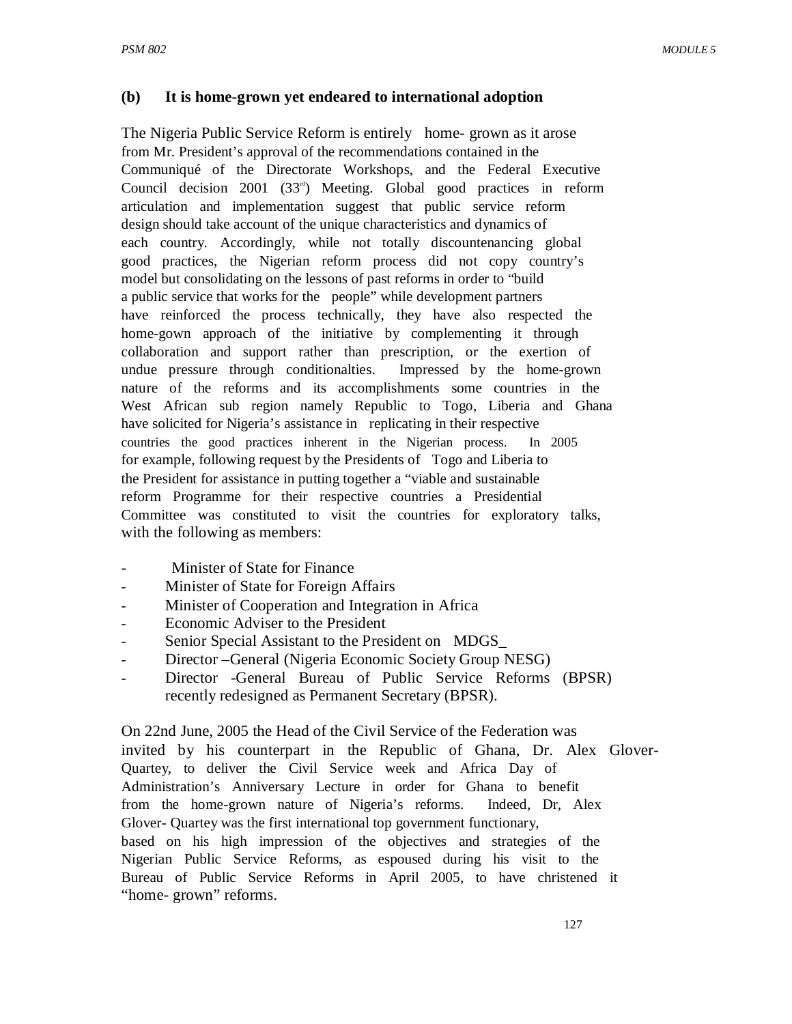### **(b) It is home-grown yet endeared to international adoption**

The Nigeria Public Service Reform is entirely home- grown as it arose from Mr. President's approval of the recommendations contained in the Communiqué of the Directorate Workshops, and the Federal Executive Council decision 2001 (33<sup> $d$ </sup>) Meeting. Global good practices in reform articulation and implementation suggest that public service reform design should take account of the unique characteristics and dynamics of each country. Accordingly, while not totally discountenancing global good practices, the Nigerian reform process did not copy country's model but consolidating on the lessons of past reforms in order to "build a public service that works for the people" while development partners have reinforced the process technically, they have also respected the home-gown approach of the initiative by complementing it through collaboration and support rather than prescription, or the exertion of undue pressure through conditionalties. Impressed by the home-grown nature of the reforms and its accomplishments some countries in the West African sub region namely Republic to Togo, Liberia and Ghana have solicited for Nigeria's assistance in replicating in their respective countries the good practices inherent in the Nigerian process. In 2005 for example, following request by the Presidents of Togo and Liberia to the President for assistance in putting together a "viable and sustainable reform Programme for their respective countries a Presidential Committee was constituted to visit the countries for exploratory talks, with the following as members:

- Minister of State for Finance
- Minister of State for Foreign Affairs
- Minister of Cooperation and Integration in Africa
- Economic Adviser to the President
- Senior Special Assistant to the President on MDGS\_
- Director –General (Nigeria Economic Society Group NESG)
- Director -General Bureau of Public Service Reforms (BPSR) recently redesigned as Permanent Secretary (BPSR).

On 22nd June, 2005 the Head of the Civil Service of the Federation was invited by his counterpart in the Republic of Ghana, Dr. Alex Glover-Quartey, to deliver the Civil Service week and Africa Day of Administration's Anniversary Lecture in order for Ghana to benefit from the home-grown nature of Nigeria's reforms. Indeed, Dr, Alex Glover- Quartey was the first international top government functionary, based on his high impression of the objectives and strategies of the Nigerian Public Service Reforms, as espoused during his visit to the Bureau of Public Service Reforms in April 2005, to have christened it "home- grown" reforms.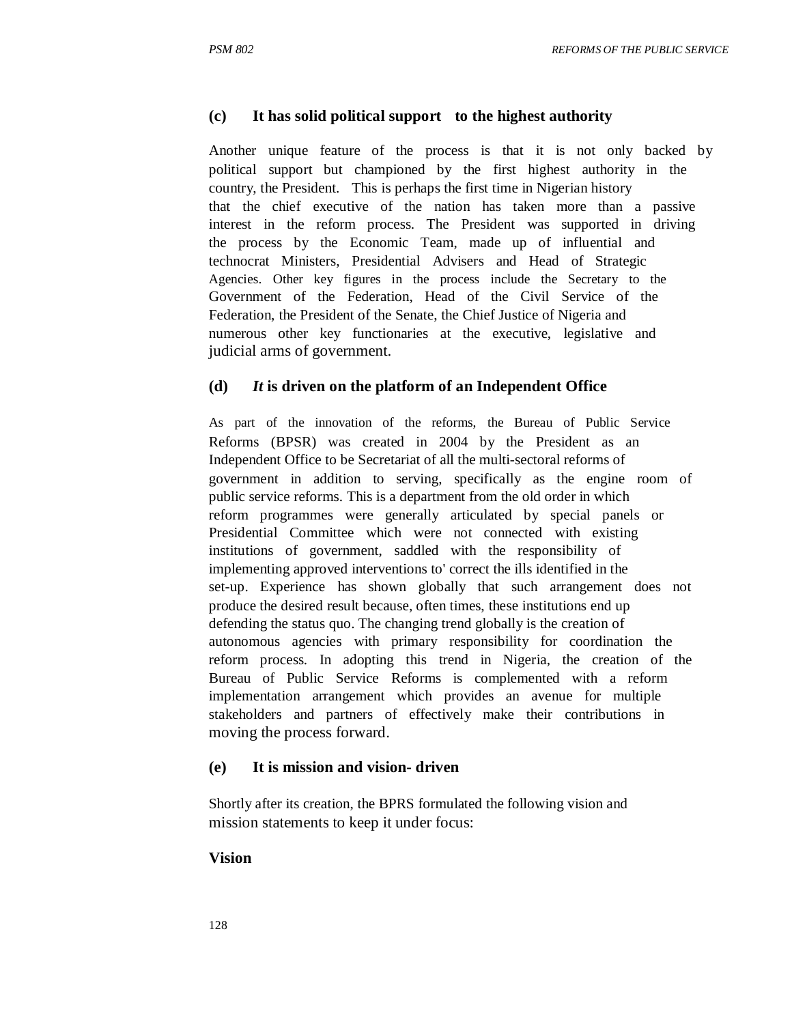### **(c) It has solid political support to the highest authority**

Another unique feature of the process is that it is not only backed by political support but championed by the first highest authority in the country, the President. This is perhaps the first time in Nigerian history that the chief executive of the nation has taken more than a passive interest in the reform process. The President was supported in driving the process by the Economic Team, made up of influential and technocrat Ministers, Presidential Advisers and Head of Strategic Agencies. Other key figures in the process include the Secretary to the Government of the Federation, Head of the Civil Service of the Federation, the President of the Senate, the Chief Justice of Nigeria and numerous other key functionaries at the executive, legislative and judicial arms of government.

### **(d)** *It* **is driven on the platform of an Independent Office**

As part of the innovation of the reforms, the Bureau of Public Service Reforms (BPSR) was created in 2004 by the President as an Independent Office to be Secretariat of all the multi-sectoral reforms of government in addition to serving, specifically as the engine room of public service reforms. This is a department from the old order in which reform programmes were generally articulated by special panels or Presidential Committee which were not connected with existing institutions of government, saddled with the responsibility of implementing approved interventions to' correct the ills identified in the set-up. Experience has shown globally that such arrangement does not produce the desired result because, often times, these institutions end up defending the status quo. The changing trend globally is the creation of autonomous agencies with primary responsibility for coordination the reform process. In adopting this trend in Nigeria, the creation of the Bureau of Public Service Reforms is complemented with a reform implementation arrangement which provides an avenue for multiple stakeholders and partners of effectively make their contributions in moving the process forward.

### **(e) It is mission and vision- driven**

Shortly after its creation, the BPRS formulated the following vision and mission statements to keep it under focus:

### **Vision**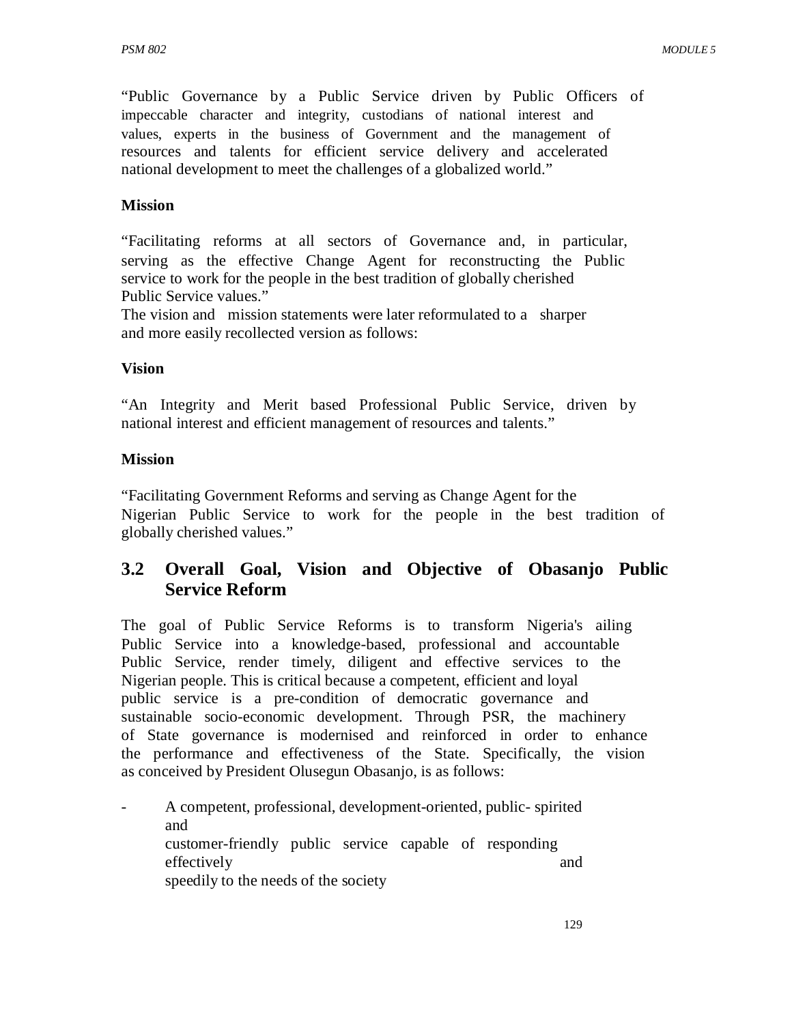"Public Governance by a Public Service driven by Public Officers of impeccable character and integrity, custodians of national interest and values, experts in the business of Government and the management of resources and talents for efficient service delivery and accelerated national development to meet the challenges of a globalized world."

## **Mission**

"Facilitating reforms at all sectors of Governance and, in particular, serving as the effective Change Agent for reconstructing the Public service to work for the people in the best tradition of globally cherished Public Service values."

The vision and mission statements were later reformulated to a sharper and more easily recollected version as follows:

### **Vision**

"An Integrity and Merit based Professional Public Service, driven by national interest and efficient management of resources and talents."

## **Mission**

"Facilitating Government Reforms and serving as Change Agent for the Nigerian Public Service to work for the people in the best tradition of globally cherished values."

# **3.2 Overall Goal, Vision and Objective of Obasanjo Public Service Reform**

The goal of Public Service Reforms is to transform Nigeria's ailing Public Service into a knowledge-based, professional and accountable Public Service, render timely, diligent and effective services to the Nigerian people. This is critical because a competent, efficient and loyal public service is a pre-condition of democratic governance and sustainable socio-economic development. Through PSR, the machinery of State governance is modernised and reinforced in order to enhance the performance and effectiveness of the State. Specifically, the vision as conceived by President Olusegun Obasanjo, is as follows:

- A competent, professional, development-oriented, public- spirited and customer-friendly public service capable of responding effectively and and and and  $\alpha$ speedily to the needs of the society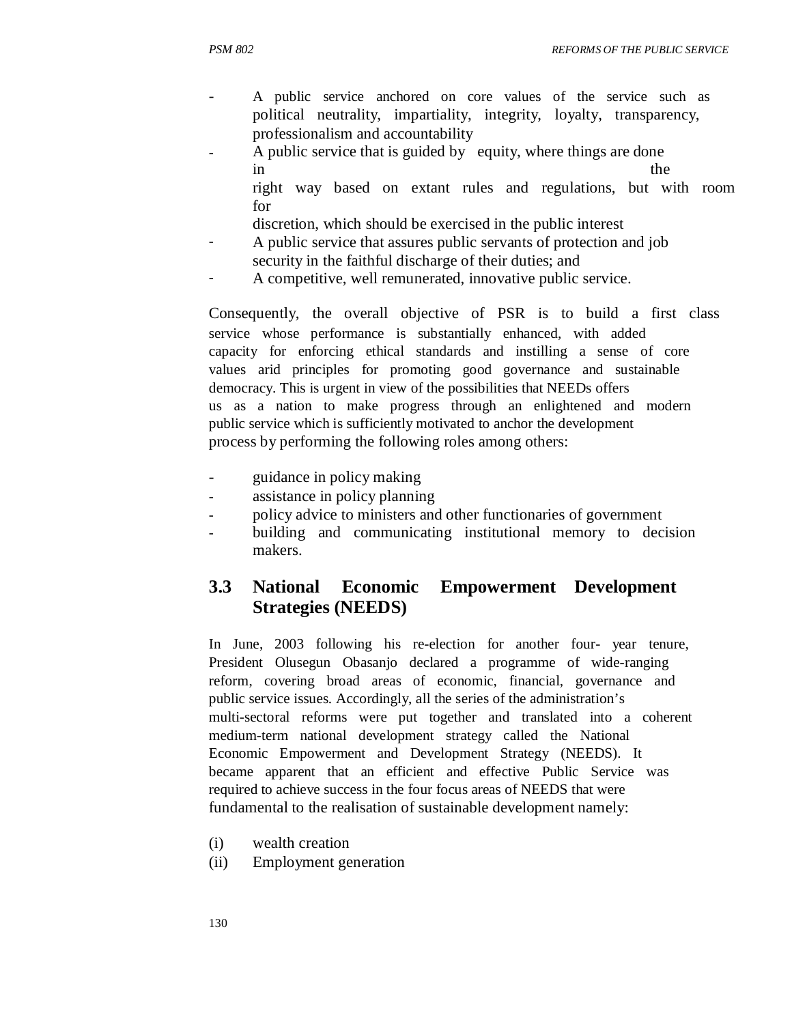- A public service anchored on core values of the service such as political neutrality, impartiality, integrity, loyalty, transparency, professionalism and accountability
- A public service that is guided by equity, where things are done in the theorem is the theorem of the theorem in the theorem is the theorem in the theorem in the theorem is the theorem in the theorem in the theorem is the theorem in the theorem in the theorem is the theorem in the theor
	- right way based on extant rules and regulations, but with room for
	- discretion, which should be exercised in the public interest
- A public service that assures public servants of protection and job security in the faithful discharge of their duties; and
- A competitive, well remunerated, innovative public service.

Consequently, the overall objective of PSR is to build a first class service whose performance is substantially enhanced, with added capacity for enforcing ethical standards and instilling a sense of core values arid principles for promoting good governance and sustainable democracy. This is urgent in view of the possibilities that NEEDs offers us as a nation to make progress through an enlightened and modern public service which is sufficiently motivated to anchor the development process by performing the following roles among others:

- guidance in policy making
- assistance in policy planning
- policy advice to ministers and other functionaries of government
- building and communicating institutional memory to decision makers.

# **3.3 National Economic Empowerment Development Strategies (NEEDS)**

In June, 2003 following his re-election for another four- year tenure, President Olusegun Obasanjo declared a programme of wide-ranging reform, covering broad areas of economic, financial, governance and public service issues. Accordingly, all the series of the administration's multi-sectoral reforms were put together and translated into a coherent medium-term national development strategy called the National Economic Empowerment and Development Strategy (NEEDS). It became apparent that an efficient and effective Public Service was required to achieve success in the four focus areas of NEEDS that were fundamental to the realisation of sustainable development namely:

- (i) wealth creation
- (ii) Employment generation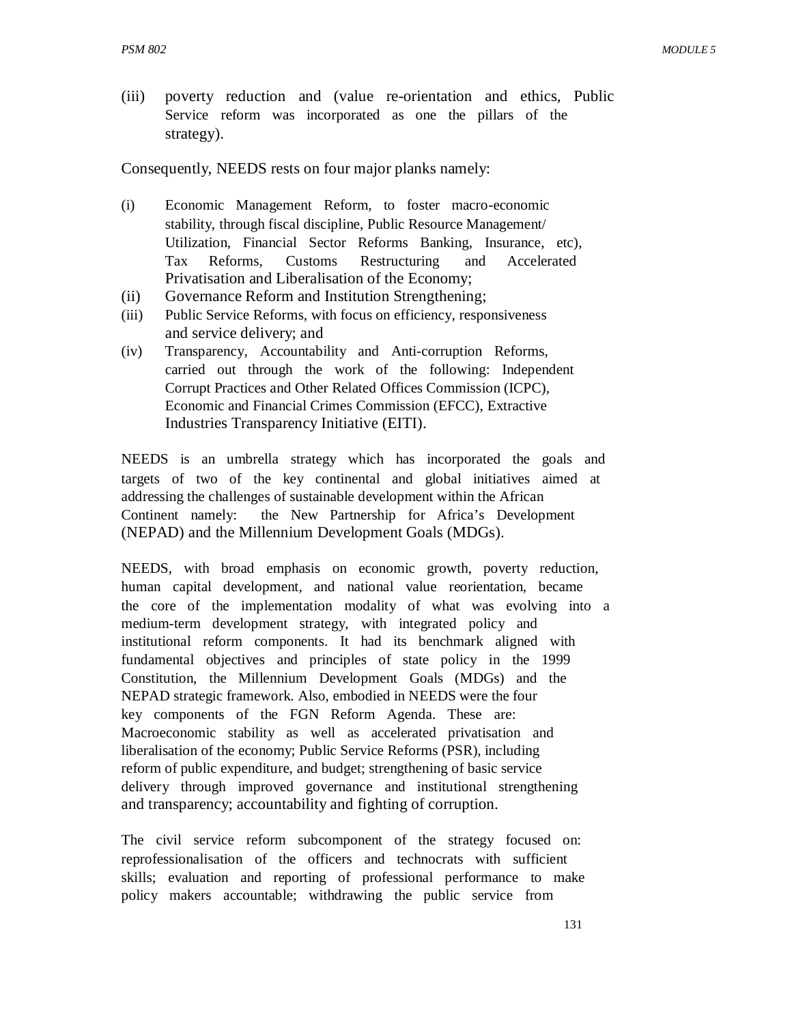(iii) poverty reduction and (value re-orientation and ethics, Public Service reform was incorporated as one the pillars of the strategy).

Consequently, NEEDS rests on four major planks namely:

- (i) Economic Management Reform, to foster macro-economic stability, through fiscal discipline, Public Resource Management/ Utilization, Financial Sector Reforms Banking, Insurance, etc), Tax Reforms, Customs Restructuring and Accelerated Privatisation and Liberalisation of the Economy;
- (ii) Governance Reform and Institution Strengthening;
- (iii) Public Service Reforms, with focus on efficiency, responsiveness and service delivery; and
- (iv) Transparency, Accountability and Anti-corruption Reforms, carried out through the work of the following: Independent Corrupt Practices and Other Related Offices Commission (ICPC), Economic and Financial Crimes Commission (EFCC), Extractive Industries Transparency Initiative (EITI).

NEEDS is an umbrella strategy which has incorporated the goals and targets of two of the key continental and global initiatives aimed at addressing the challenges of sustainable development within the African Continent namely: the New Partnership for Africa's Development (NEPAD) and the Millennium Development Goals (MDGs).

NEEDS, with broad emphasis on economic growth, poverty reduction, human capital development, and national value reorientation, became the core of the implementation modality of what was evolving into a medium-term development strategy, with integrated policy and institutional reform components. It had its benchmark aligned with fundamental objectives and principles of state policy in the 1999 Constitution, the Millennium Development Goals (MDGs) and the NEPAD strategic framework. Also, embodied in NEEDS were the four key components of the FGN Reform Agenda. These are: Macroeconomic stability as well as accelerated privatisation and liberalisation of the economy; Public Service Reforms (PSR), including reform of public expenditure, and budget; strengthening of basic service delivery through improved governance and institutional strengthening and transparency; accountability and fighting of corruption.

The civil service reform subcomponent of the strategy focused on: reprofessionalisation of the officers and technocrats with sufficient skills; evaluation and reporting of professional performance to make policy makers accountable; withdrawing the public service from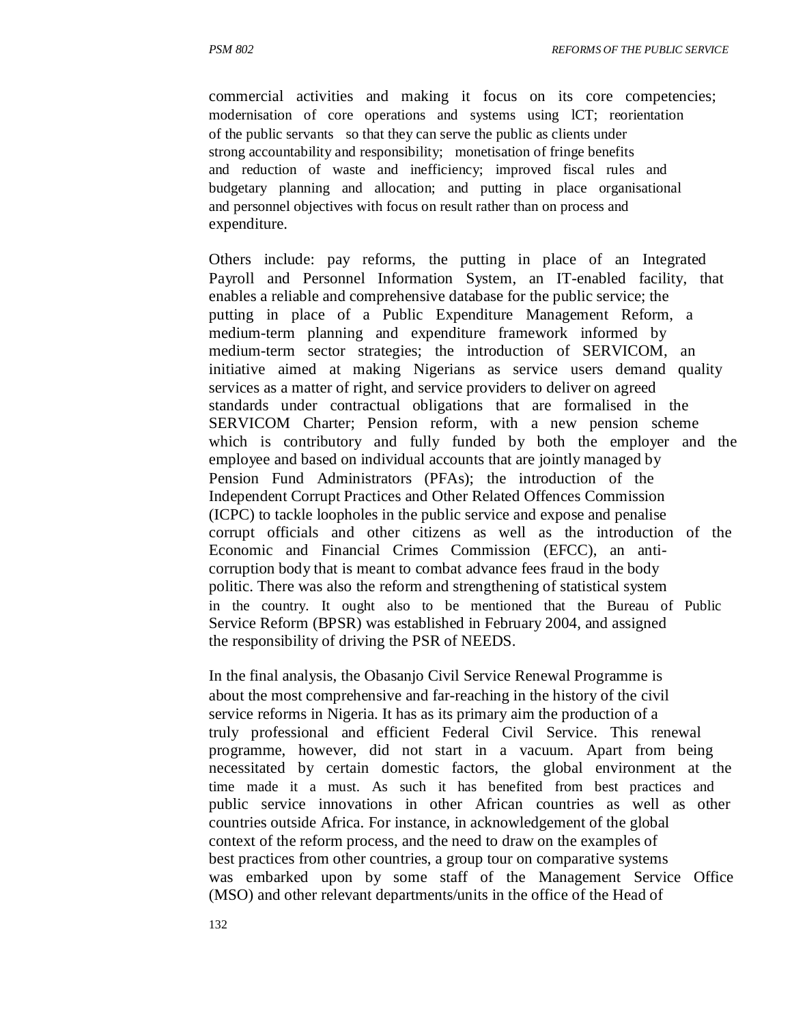commercial activities and making it focus on its core competencies; modernisation of core operations and systems using lCT; reorientation of the public servants so that they can serve the public as clients under strong accountability and responsibility; monetisation of fringe benefits and reduction of waste and inefficiency; improved fiscal rules and budgetary planning and allocation; and putting in place organisational and personnel objectives with focus on result rather than on process and expenditure.

Others include: pay reforms, the putting in place of an Integrated Payroll and Personnel Information System, an IT-enabled facility, that enables a reliable and comprehensive database for the public service; the putting in place of a Public Expenditure Management Reform, a medium-term planning and expenditure framework informed by medium-term sector strategies; the introduction of SERVICOM, an initiative aimed at making Nigerians as service users demand quality services as a matter of right, and service providers to deliver on agreed standards under contractual obligations that are formalised in the SERVICOM Charter; Pension reform, with a new pension scheme which is contributory and fully funded by both the employer and the employee and based on individual accounts that are jointly managed by Pension Fund Administrators (PFAs); the introduction of the Independent Corrupt Practices and Other Related Offences Commission (ICPC) to tackle loopholes in the public service and expose and penalise corrupt officials and other citizens as well as the introduction of the Economic and Financial Crimes Commission (EFCC), an anticorruption body that is meant to combat advance fees fraud in the body politic. There was also the reform and strengthening of statistical system in the country. It ought also to be mentioned that the Bureau of Public Service Reform (BPSR) was established in February 2004, and assigned the responsibility of driving the PSR of NEEDS.

In the final analysis, the Obasanjo Civil Service Renewal Programme is about the most comprehensive and far-reaching in the history of the civil service reforms in Nigeria. It has as its primary aim the production of a truly professional and efficient Federal Civil Service. This renewal programme, however, did not start in a vacuum. Apart from being necessitated by certain domestic factors, the global environment at the time made it a must. As such it has benefited from best practices and public service innovations in other African countries as well as other countries outside Africa. For instance, in acknowledgement of the global context of the reform process, and the need to draw on the examples of best practices from other countries, a group tour on comparative systems was embarked upon by some staff of the Management Service Office (MSO) and other relevant departments/units in the office of the Head of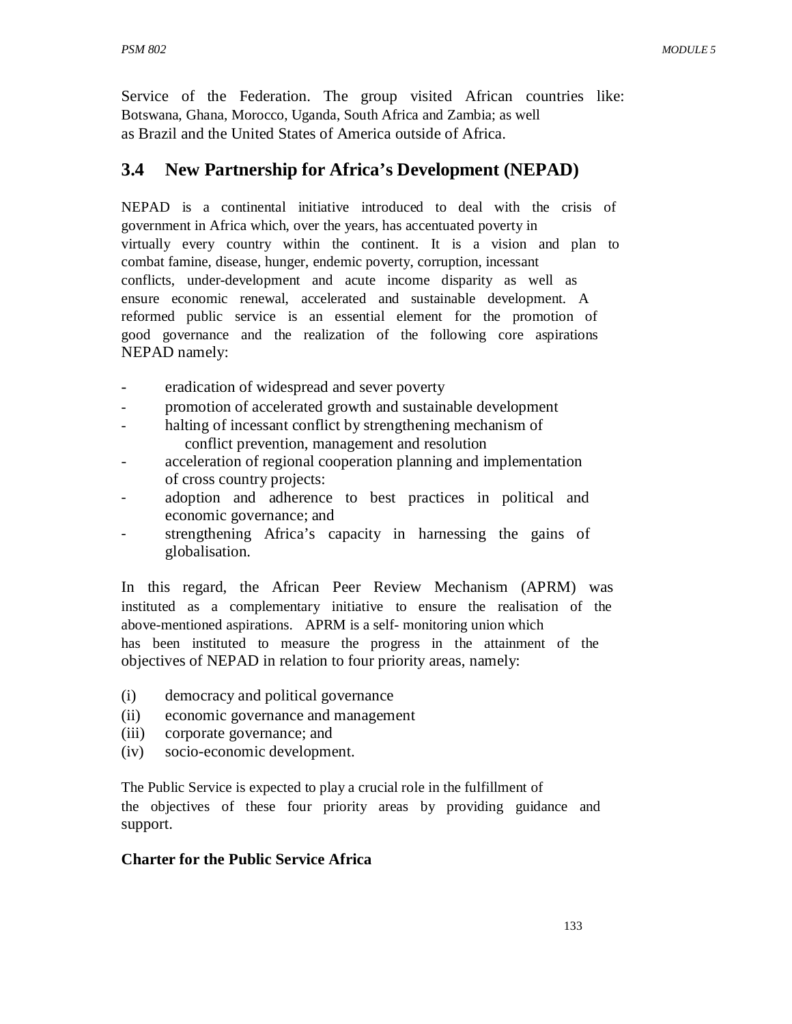Service of the Federation. The group visited African countries like: Botswana, Ghana, Morocco, Uganda, South Africa and Zambia; as well as Brazil and the United States of America outside of Africa.

# **3.4 New Partnership for Africa's Development (NEPAD)**

NEPAD is a continental initiative introduced to deal with the crisis of government in Africa which, over the years, has accentuated poverty in virtually every country within the continent. It is a vision and plan to combat famine, disease, hunger, endemic poverty, corruption, incessant conflicts, under-development and acute income disparity as well as ensure economic renewal, accelerated and sustainable development. A reformed public service is an essential element for the promotion of good governance and the realization of the following core aspirations NEPAD namely:

- eradication of widespread and sever poverty
- promotion of accelerated growth and sustainable development
- halting of incessant conflict by strengthening mechanism of conflict prevention, management and resolution
- acceleration of regional cooperation planning and implementation of cross country projects:
- adoption and adherence to best practices in political and economic governance; and
- strengthening Africa's capacity in harnessing the gains of globalisation.

In this regard, the African Peer Review Mechanism (APRM) was instituted as a complementary initiative to ensure the realisation of the above-mentioned aspirations. APRM is a self- monitoring union which has been instituted to measure the progress in the attainment of the objectives of NEPAD in relation to four priority areas, namely:

- (i) democracy and political governance
- (ii) economic governance and management
- (iii) corporate governance; and
- (iv) socio-economic development.

The Public Service is expected to play a crucial role in the fulfillment of the objectives of these four priority areas by providing guidance and support.

### **Charter for the Public Service Africa**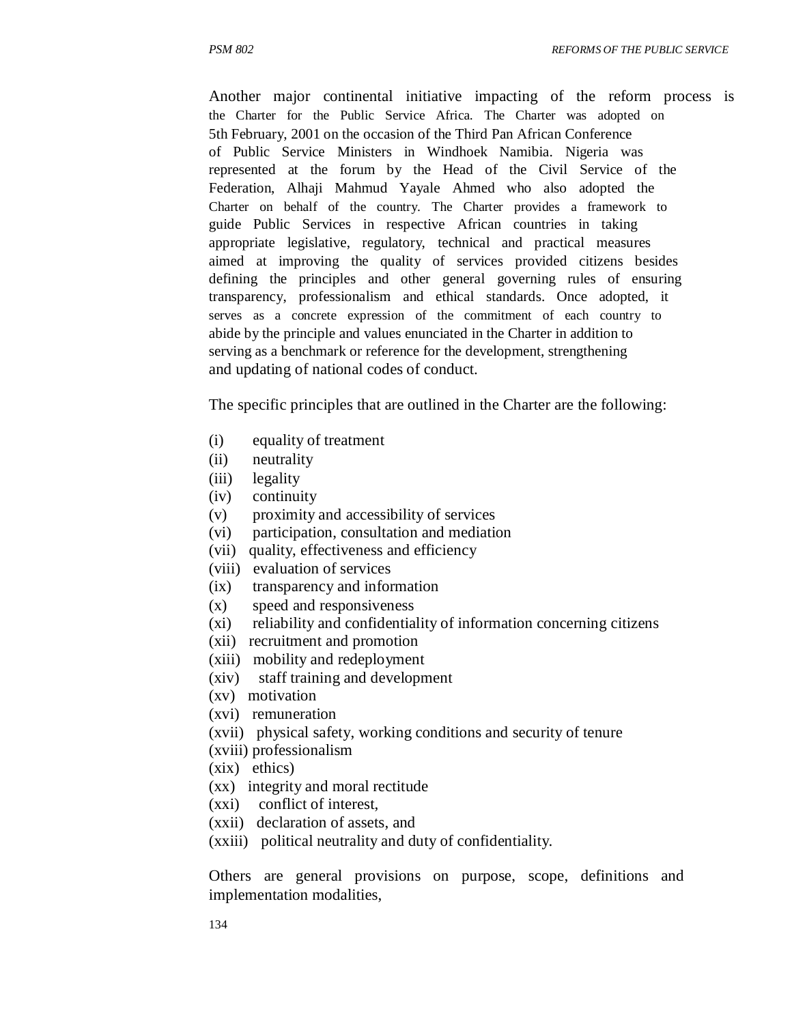Another major continental initiative impacting of the reform process is the Charter for the Public Service Africa. The Charter was adopted on 5th February, 2001 on the occasion of the Third Pan African Conference of Public Service Ministers in Windhoek Namibia. Nigeria was represented at the forum by the Head of the Civil Service of the Federation, Alhaji Mahmud Yayale Ahmed who also adopted the Charter on behalf of the country. The Charter provides a framework to guide Public Services in respective African countries in taking appropriate legislative, regulatory, technical and practical measures aimed at improving the quality of services provided citizens besides defining the principles and other general governing rules of ensuring transparency, professionalism and ethical standards. Once adopted, it serves as a concrete expression of the commitment of each country to abide by the principle and values enunciated in the Charter in addition to serving as a benchmark or reference for the development, strengthening and updating of national codes of conduct.

The specific principles that are outlined in the Charter are the following:

- (i) equality of treatment
- (ii) neutrality
- (iii) legality
- (iv) continuity
- (v) proximity and accessibility of services
- (vi) participation, consultation and mediation
- (vii) quality, effectiveness and efficiency
- (viii) evaluation of services
- (ix) transparency and information
- (x) speed and responsiveness
- (xi) reliability and confidentiality of information concerning citizens
- (xii) recruitment and promotion
- (xiii) mobility and redeployment
- (xiv) staff training and development
- (xv) motivation
- (xvi) remuneration
- (xvii) physical safety, working conditions and security of tenure
- (xviii) professionalism
- (xix) ethics)
- (xx) integrity and moral rectitude
- (xxi) conflict of interest,
- (xxii) declaration of assets, and
- (xxiii) political neutrality and duty of confidentiality.

Others are general provisions on purpose, scope, definitions and implementation modalities,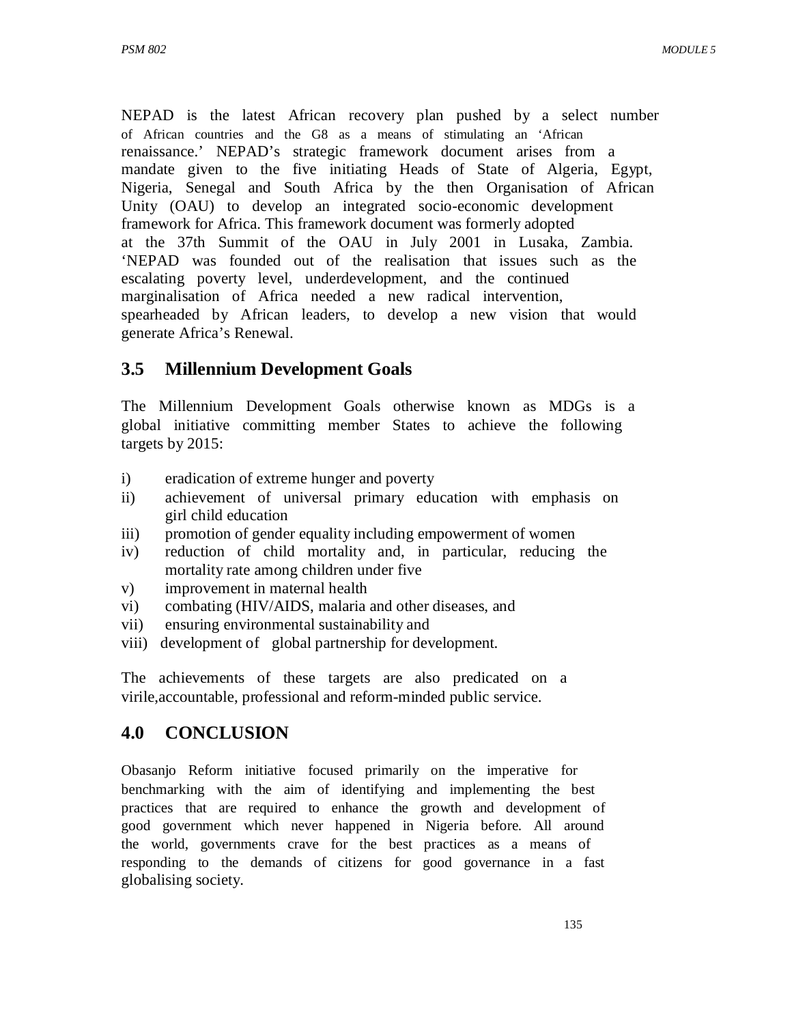NEPAD is the latest African recovery plan pushed by a select number of African countries and the G8 as a means of stimulating an 'African renaissance.' NEPAD's strategic framework document arises from a mandate given to the five initiating Heads of State of Algeria, Egypt, Nigeria, Senegal and South Africa by the then Organisation of African Unity (OAU) to develop an integrated socio-economic development framework for Africa. This framework document was formerly adopted at the 37th Summit of the OAU in July 2001 in Lusaka, Zambia. 'NEPAD was founded out of the realisation that issues such as the escalating poverty level, underdevelopment, and the continued marginalisation of Africa needed a new radical intervention, spearheaded by African leaders, to develop a new vision that would generate Africa's Renewal.

# **3.5 Millennium Development Goals**

The Millennium Development Goals otherwise known as MDGs is a global initiative committing member States to achieve the following targets by 2015:

- i) eradication of extreme hunger and poverty
- ii) achievement of universal primary education with emphasis on girl child education
- iii) promotion of gender equality including empowerment of women
- iv) reduction of child mortality and, in particular, reducing the mortality rate among children under five
- v) improvement in maternal health
- vi) combating (HIV/AIDS, malaria and other diseases, and
- vii) ensuring environmental sustainability and
- viii) development of global partnership for development.

The achievements of these targets are also predicated on a virile,accountable, professional and reform-minded public service.

# **4.0 CONCLUSION**

Obasanjo Reform initiative focused primarily on the imperative for benchmarking with the aim of identifying and implementing the best practices that are required to enhance the growth and development of good government which never happened in Nigeria before. All around the world, governments crave for the best practices as a means of responding to the demands of citizens for good governance in a fast globalising society.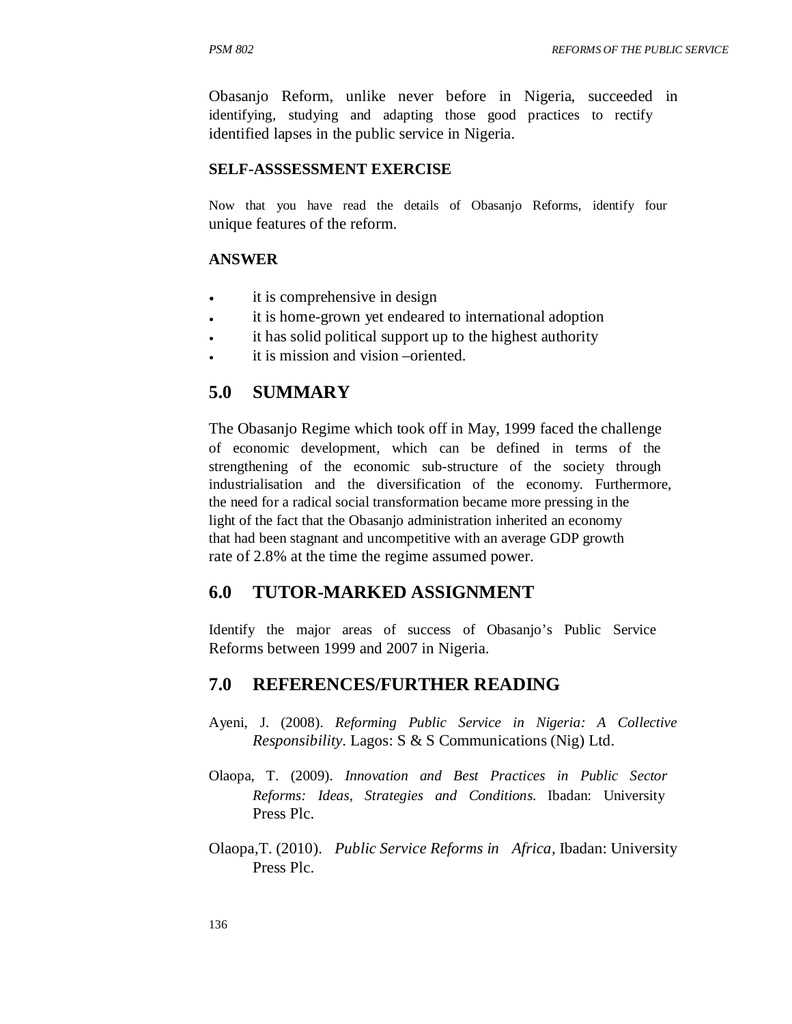Obasanjo Reform, unlike never before in Nigeria, succeeded in identifying, studying and adapting those good practices to rectify identified lapses in the public service in Nigeria.

#### **SELF-ASSSESSMENT EXERCISE**

Now that you have read the details of Obasanjo Reforms, identify four unique features of the reform.

#### **ANSWER**

- it is comprehensive in design
- it is home-grown yet endeared to international adoption
- it has solid political support up to the highest authority
- it is mission and vision –oriented.

### **5.0 SUMMARY**

The Obasanjo Regime which took off in May, 1999 faced the challenge of economic development, which can be defined in terms of the strengthening of the economic sub-structure of the society through industrialisation and the diversification of the economy. Furthermore, the need for a radical social transformation became more pressing in the light of the fact that the Obasanjo administration inherited an economy that had been stagnant and uncompetitive with an average GDP growth rate of 2.8% at the time the regime assumed power.

#### **6.0 TUTOR-MARKED ASSIGNMENT**

Identify the major areas of success of Obasanjo's Public Service Reforms between 1999 and 2007 in Nigeria.

#### **7.0 REFERENCES/FURTHER READING**

- Ayeni, J. (2008). *Reforming Public Service in Nigeria: A Collective Responsibility*. Lagos: S & S Communications (Nig) Ltd.
- Olaopa, T. (2009). *Innovation and Best Practices in Public Sector Reforms: Ideas, Strategies and Conditions*. Ibadan: University Press Plc.
- Olaopa,T. (2010). *Public Service Reforms in Africa*, Ibadan: University Press Plc.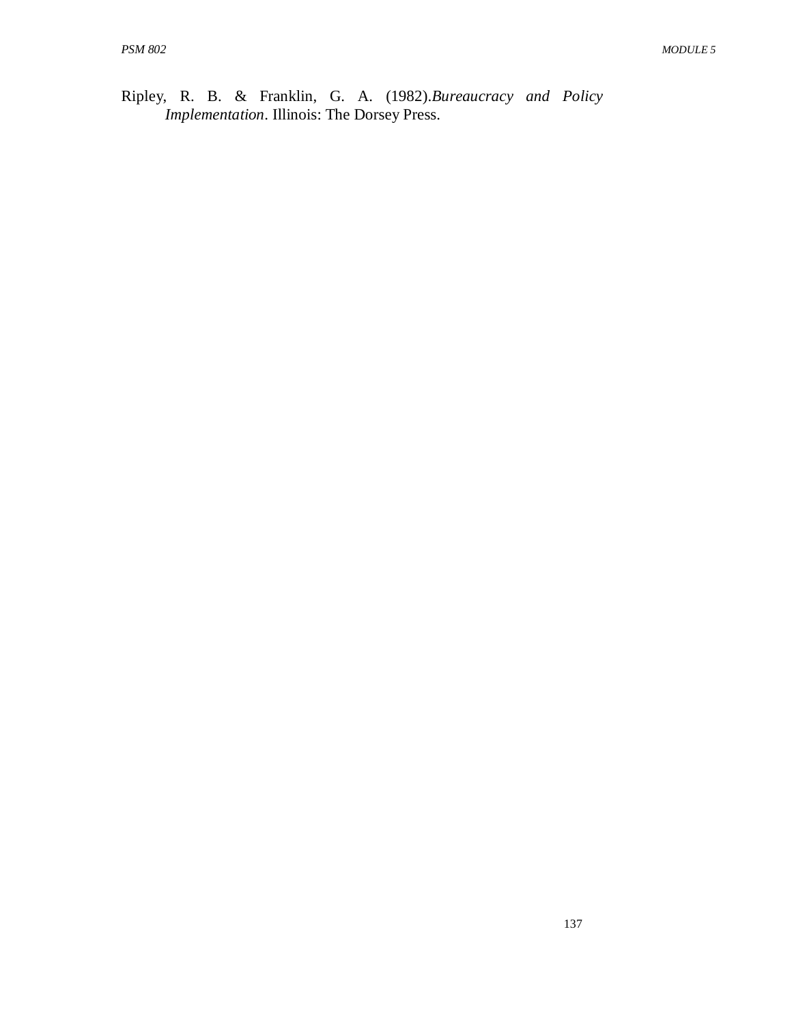Ripley, R. B. & Franklin, G. A. (1982).*Bureaucracy and Policy Implementation*. Illinois: The Dorsey Press.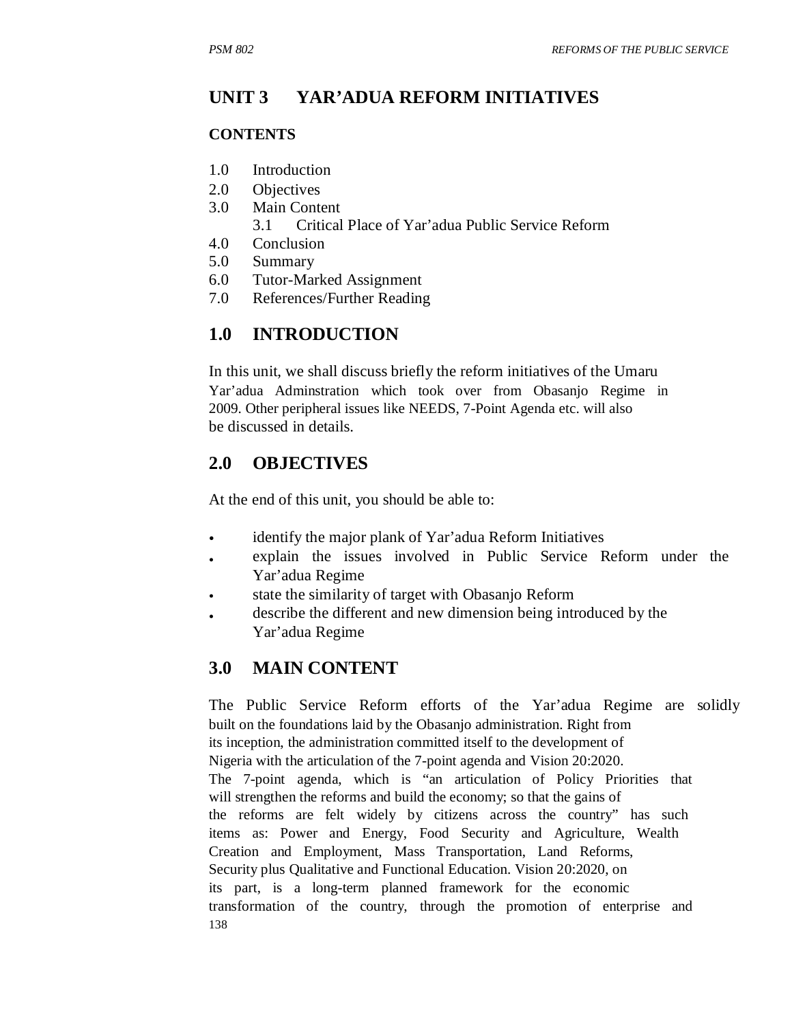#### **UNIT 3 YAR'ADUA REFORM INITIATIVES**

#### **CONTENTS**

- 1.0 Introduction
- 2.0 Objectives
- 3.0 Main Content
	- 3.1 Critical Place of Yar'adua Public Service Reform
- 4.0 Conclusion
- 5.0 Summary
- 6.0 Tutor-Marked Assignment
- 7.0 References/Further Reading

## **1.0 INTRODUCTION**

In this unit, we shall discuss briefly the reform initiatives of the Umaru Yar'adua Adminstration which took over from Obasanjo Regime in 2009. Other peripheral issues like NEEDS, 7-Point Agenda etc. will also be discussed in details.

## **2.0 OBJECTIVES**

At the end of this unit, you should be able to:

- identify the major plank of Yar'adua Reform Initiatives
- explain the issues involved in Public Service Reform under the Yar'adua Regime
- state the similarity of target with Obasanjo Reform
- describe the different and new dimension being introduced by the Yar'adua Regime

## **3.0 MAIN CONTENT**

The Public Service Reform efforts of the Yar'adua Regime are solidly built on the foundations laid by the Obasanjo administration. Right from its inception, the administration committed itself to the development of Nigeria with the articulation of the 7-point agenda and Vision 20:2020. The 7-point agenda, which is "an articulation of Policy Priorities that will strengthen the reforms and build the economy; so that the gains of the reforms are felt widely by citizens across the country" has such items as: Power and Energy, Food Security and Agriculture, Wealth Creation and Employment, Mass Transportation, Land Reforms, Security plus Qualitative and Functional Education. Vision 20:2020, on its part, is a long-term planned framework for the economic transformation of the country, through the promotion of enterprise and 138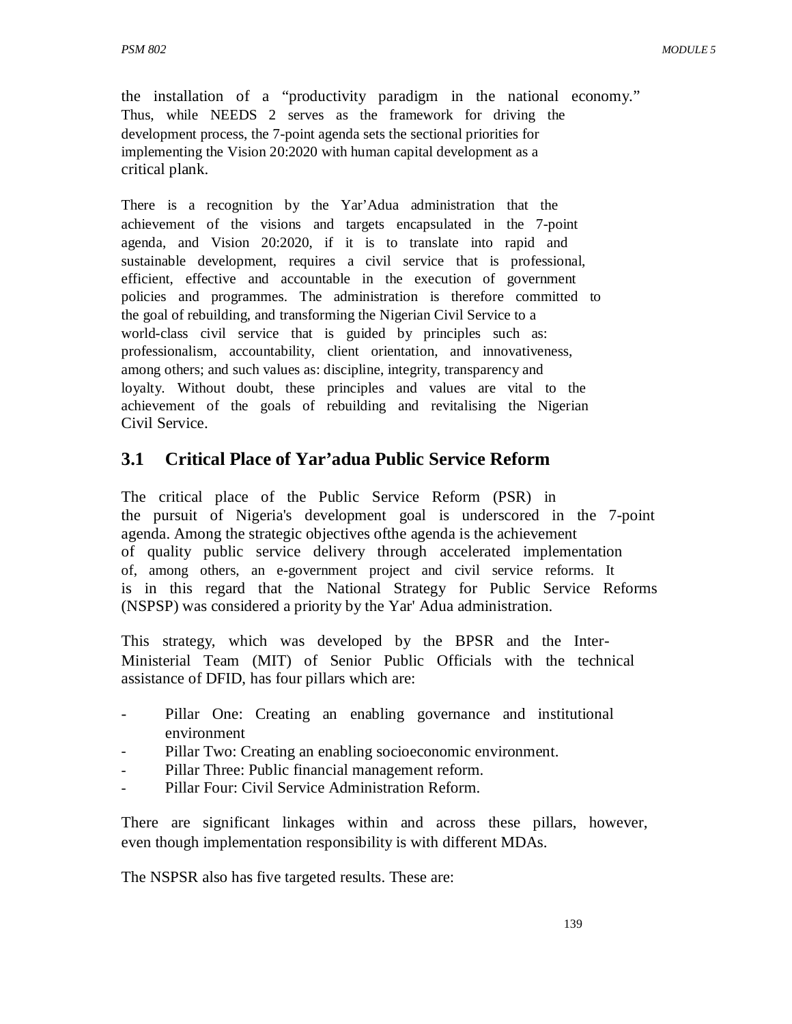the installation of a "productivity paradigm in the national economy." Thus, while NEEDS 2 serves as the framework for driving the development process, the 7-point agenda sets the sectional priorities for implementing the Vision 20:2020 with human capital development as a critical plank.

There is a recognition by the Yar'Adua administration that the achievement of the visions and targets encapsulated in the 7-point agenda, and Vision 20:2020, if it is to translate into rapid and sustainable development, requires a civil service that is professional, efficient, effective and accountable in the execution of government policies and programmes. The administration is therefore committed to the goal of rebuilding, and transforming the Nigerian Civil Service to a world-class civil service that is guided by principles such as: professionalism, accountability, client orientation, and innovativeness, among others; and such values as: discipline, integrity, transparency and loyalty. Without doubt, these principles and values are vital to the achievement of the goals of rebuilding and revitalising the Nigerian Civil Service.

# **3.1 Critical Place of Yar'adua Public Service Reform**

The critical place of the Public Service Reform (PSR) in the pursuit of Nigeria's development goal is underscored in the 7-point agenda. Among the strategic objectives ofthe agenda is the achievement of quality public service delivery through accelerated implementation of, among others, an e-government project and civil service reforms. It is in this regard that the National Strategy for Public Service Reforms (NSPSP) was considered a priority by the Yar' Adua administration.

This strategy, which was developed by the BPSR and the Inter-Ministerial Team (MIT) of Senior Public Officials with the technical assistance of DFID, has four pillars which are:

- Pillar One: Creating an enabling governance and institutional environment
- Pillar Two: Creating an enabling socioeconomic environment.
- Pillar Three: Public financial management reform.
- Pillar Four: Civil Service Administration Reform.

There are significant linkages within and across these pillars, however, even though implementation responsibility is with different MDAs.

The NSPSR also has five targeted results. These are: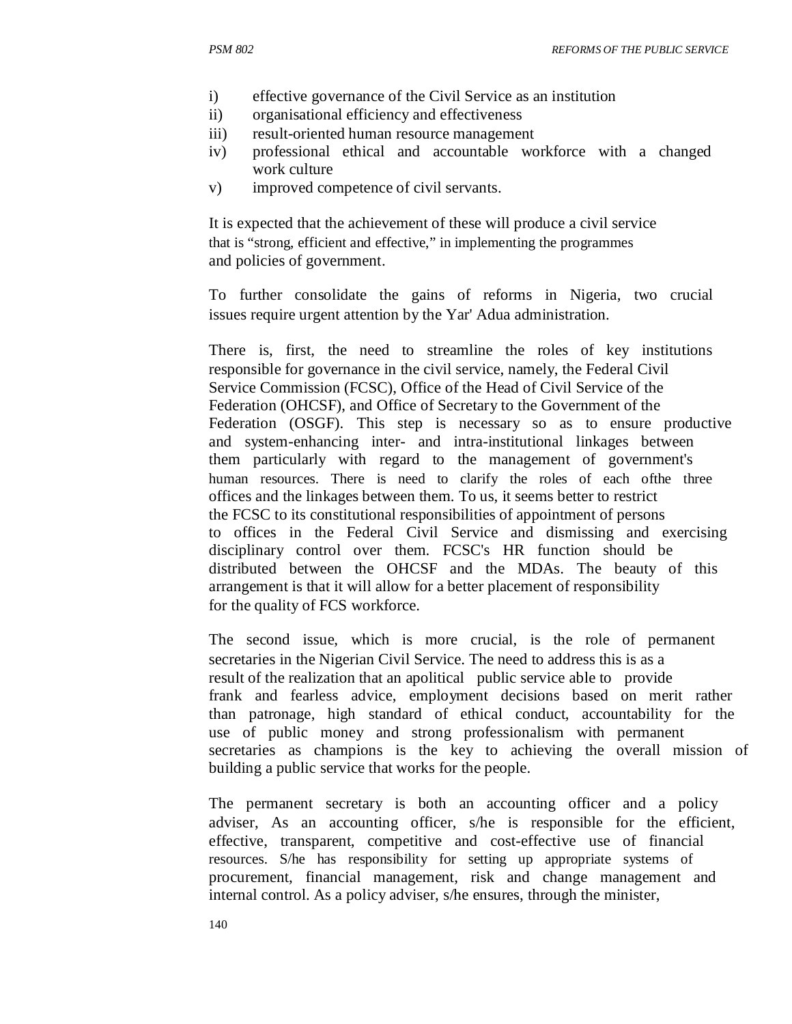- i) effective governance of the Civil Service as an institution
- ii) organisational efficiency and effectiveness
- iii) result-oriented human resource management
- iv) professional ethical and accountable workforce with a changed work culture
- v) improved competence of civil servants.

It is expected that the achievement of these will produce a civil service that is "strong, efficient and effective," in implementing the programmes and policies of government.

To further consolidate the gains of reforms in Nigeria, two crucial issues require urgent attention by the Yar' Adua administration.

There is, first, the need to streamline the roles of key institutions responsible for governance in the civil service, namely, the Federal Civil Service Commission (FCSC), Office of the Head of Civil Service of the Federation (OHCSF), and Office of Secretary to the Government of the Federation (OSGF). This step is necessary so as to ensure productive and system-enhancing inter- and intra-institutional linkages between them particularly with regard to the management of government's human resources. There is need to clarify the roles of each ofthe three offices and the linkages between them. To us, it seems better to restrict the FCSC to its constitutional responsibilities of appointment of persons to offices in the Federal Civil Service and dismissing and exercising disciplinary control over them. FCSC's HR function should be distributed between the OHCSF and the MDAs. The beauty of this arrangement is that it will allow for a better placement of responsibility for the quality of FCS workforce.

The second issue, which is more crucial, is the role of permanent secretaries in the Nigerian Civil Service. The need to address this is as a result of the realization that an apolitical public service able to provide frank and fearless advice, employment decisions based on merit rather than patronage, high standard of ethical conduct, accountability for the use of public money and strong professionalism with permanent secretaries as champions is the key to achieving the overall mission of building a public service that works for the people.

The permanent secretary is both an accounting officer and a policy adviser, As an accounting officer, s/he is responsible for the efficient, effective, transparent, competitive and cost-effective use of financial resources. S/he has responsibility for setting up appropriate systems of procurement, financial management, risk and change management and internal control. As a policy adviser, s/he ensures, through the minister,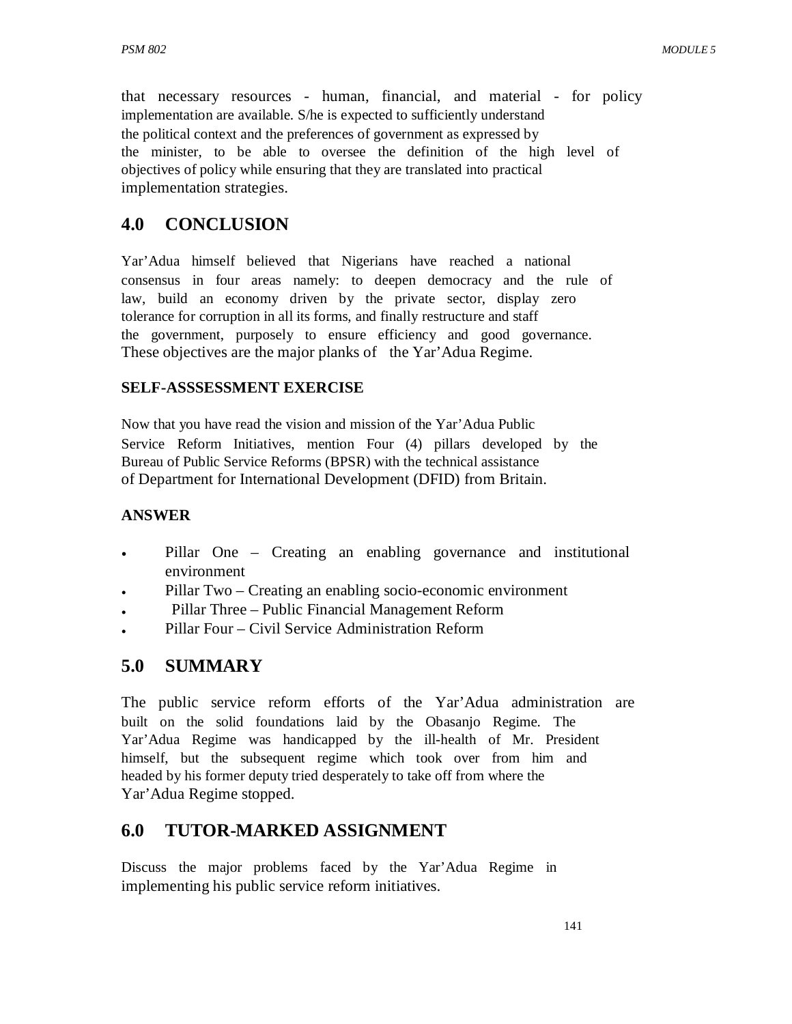that necessary resources - human, financial, and material - for policy implementation are available. S/he is expected to sufficiently understand the political context and the preferences of government as expressed by the minister, to be able to oversee the definition of the high level of objectives of policy while ensuring that they are translated into practical implementation strategies.

# **4.0 CONCLUSION**

Yar'Adua himself believed that Nigerians have reached a national consensus in four areas namely: to deepen democracy and the rule of law, build an economy driven by the private sector, display zero tolerance for corruption in all its forms, and finally restructure and staff the government, purposely to ensure efficiency and good governance. These objectives are the major planks of the Yar'Adua Regime.

#### **SELF-ASSSESSMENT EXERCISE**

Now that you have read the vision and mission of the Yar'Adua Public Service Reform Initiatives, mention Four (4) pillars developed by the Bureau of Public Service Reforms (BPSR) with the technical assistance of Department for International Development (DFID) from Britain.

#### **ANSWER**

- Pillar One – Creating an enabling governance and institutional environment
- Pillar Two – Creating an enabling socio-economic environment
- Pillar Three – Public Financial Management Reform
- Pillar Four – Civil Service Administration Reform

## **5.0 SUMMARY**

The public service reform efforts of the Yar'Adua administration are built on the solid foundations laid by the Obasanjo Regime. The Yar'Adua Regime was handicapped by the ill-health of Mr. President himself, but the subsequent regime which took over from him and headed by his former deputy tried desperately to take off from where the Yar'Adua Regime stopped.

# **6.0 TUTOR-MARKED ASSIGNMENT**

Discuss the major problems faced by the Yar'Adua Regime in implementing his public service reform initiatives.